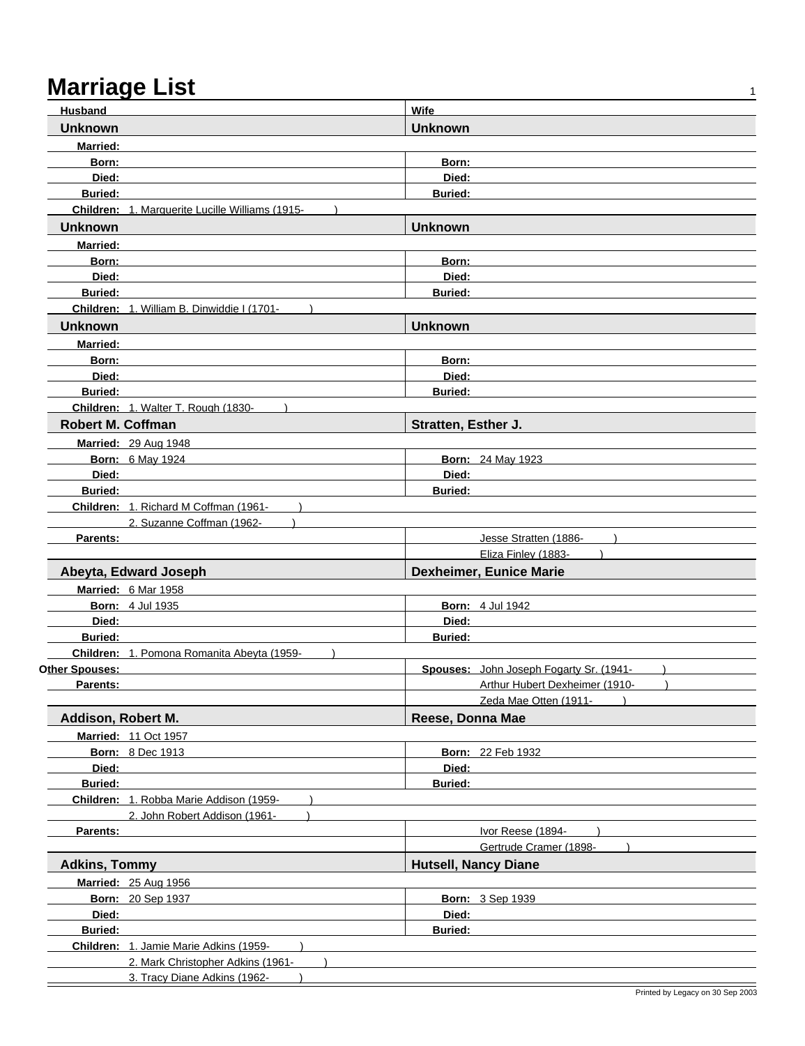| Husband                    |                                                                   | <b>Wife</b>                 |                                                         |
|----------------------------|-------------------------------------------------------------------|-----------------------------|---------------------------------------------------------|
| <b>Unknown</b>             |                                                                   | <b>Unknown</b>              |                                                         |
| <b>Married:</b>            |                                                                   |                             |                                                         |
| Born:                      |                                                                   | Born:                       |                                                         |
| Died:                      |                                                                   | Died:                       |                                                         |
| <b>Buried:</b>             |                                                                   | <b>Buried:</b>              |                                                         |
|                            | Children: 1. Marquerite Lucille Williams (1915-                   |                             |                                                         |
| <b>Unknown</b>             |                                                                   | <b>Unknown</b>              |                                                         |
| <b>Married:</b>            |                                                                   |                             |                                                         |
| Born:                      |                                                                   | Born:                       |                                                         |
| Died:                      |                                                                   | Died:                       |                                                         |
| <b>Buried:</b>             |                                                                   | <b>Buried:</b>              |                                                         |
|                            | Children: 1. William B. Dinwiddie I (1701-                        |                             |                                                         |
| <b>Unknown</b>             |                                                                   | <b>Unknown</b>              |                                                         |
| <b>Married:</b>            |                                                                   |                             |                                                         |
| Born:                      |                                                                   | Born:                       |                                                         |
| Died:                      |                                                                   | Died:                       |                                                         |
| <b>Buried:</b>             |                                                                   | <b>Buried:</b>              |                                                         |
|                            | Children: 1. Walter T. Rough (1830-                               |                             |                                                         |
| <b>Robert M. Coffman</b>   |                                                                   | Stratten, Esther J.         |                                                         |
|                            | <b>Married: 29 Aug 1948</b>                                       |                             |                                                         |
|                            | <b>Born: 6 May 1924</b>                                           |                             | <b>Born: 24 May 1923</b>                                |
| Died:                      |                                                                   | Died:                       |                                                         |
| <b>Buried:</b>             |                                                                   | <b>Buried:</b>              |                                                         |
|                            | Children: 1. Richard M Coffman (1961-                             |                             |                                                         |
| Parents:                   | 2. Suzanne Coffman (1962-                                         |                             | Jesse Stratten (1886-                                   |
|                            |                                                                   |                             |                                                         |
|                            |                                                                   |                             |                                                         |
|                            |                                                                   |                             | Eliza Finley (1883-                                     |
|                            | Abeyta, Edward Joseph                                             |                             | <b>Dexheimer, Eunice Marie</b>                          |
|                            | Married: 6 Mar 1958                                               |                             |                                                         |
|                            | <b>Born: 4 Jul 1935</b>                                           |                             | <b>Born: 4 Jul 1942</b>                                 |
| Died:                      |                                                                   | Died:                       |                                                         |
| <b>Buried:</b>             |                                                                   | <b>Buried:</b>              |                                                         |
|                            | Children: 1. Pomona Romanita Abeyta (1959-                        |                             |                                                         |
| Other Spouses:<br>Parents: |                                                                   |                             | Spouses: John Joseph Fogarty Sr. (1941-                 |
|                            |                                                                   |                             | Arthur Hubert Dexheimer (1910-<br>Zeda Mae Otten (1911- |
|                            |                                                                   | Reese, Donna Mae            |                                                         |
| Addison, Robert M.         |                                                                   |                             |                                                         |
|                            | <b>Married: 11 Oct 1957</b><br><b>Born: 8 Dec 1913</b>            |                             |                                                         |
| Died:                      |                                                                   | Died:                       | <b>Born: 22 Feb 1932</b>                                |
| Buried:                    |                                                                   | <b>Buried:</b>              |                                                         |
|                            | Children: 1. Robba Marie Addison (1959-                           |                             |                                                         |
|                            | 2. John Robert Addison (1961-                                     |                             |                                                         |
| Parents:                   |                                                                   |                             | Ivor Reese (1894-                                       |
|                            |                                                                   |                             | Gertrude Cramer (1898-                                  |
| <b>Adkins, Tommy</b>       |                                                                   | <b>Hutsell, Nancy Diane</b> |                                                         |
|                            | Married: 25 Aug 1956                                              |                             |                                                         |
|                            | Born: 20 Sep 1937                                                 |                             | <b>Born: 3 Sep 1939</b>                                 |
| Died:                      |                                                                   | Died:                       |                                                         |
| Buried:                    |                                                                   | <b>Buried:</b>              |                                                         |
|                            | Children: 1. Jamie Marie Adkins (1959-                            |                             |                                                         |
|                            | 2. Mark Christopher Adkins (1961-<br>3. Tracy Diane Adkins (1962- |                             |                                                         |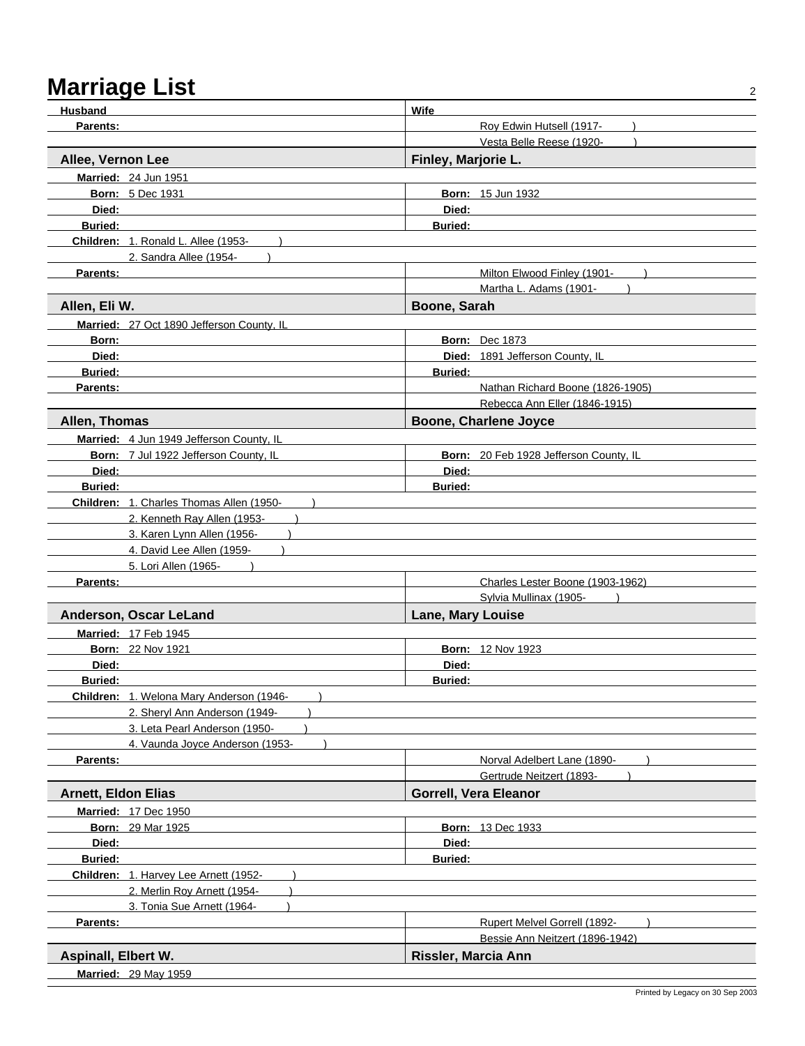| <b>Husband</b>                            | Wife                                                       |
|-------------------------------------------|------------------------------------------------------------|
| Parents:                                  | Roy Edwin Hutsell (1917-                                   |
|                                           | Vesta Belle Reese (1920-                                   |
| Allee, Vernon Lee                         | Finley, Marjorie L.                                        |
| Married: 24 Jun 1951                      |                                                            |
| <b>Born: 5 Dec 1931</b>                   | <b>Born: 15 Jun 1932</b>                                   |
| Died:                                     | Died:                                                      |
| <b>Buried:</b>                            | <b>Buried:</b>                                             |
| Children: 1. Ronald L. Allee (1953-       |                                                            |
| 2. Sandra Allee (1954-                    |                                                            |
| Parents:                                  | Milton Elwood Finley (1901-                                |
|                                           | Martha L. Adams (1901-                                     |
| Allen, Eli W.                             | Boone, Sarah                                               |
| Married: 27 Oct 1890 Jefferson County, IL |                                                            |
| Born:                                     | <b>Born: Dec 1873</b>                                      |
| Died:                                     | Died: 1891 Jefferson County, IL                            |
| <b>Buried:</b>                            | <b>Buried:</b>                                             |
| Parents:                                  | Nathan Richard Boone (1826-1905)                           |
|                                           | Rebecca Ann Eller (1846-1915)                              |
| Allen, Thomas                             | <b>Boone, Charlene Joyce</b>                               |
| Married: 4 Jun 1949 Jefferson County, IL  |                                                            |
| Born: 7 Jul 1922 Jefferson County, IL     | Born: 20 Feb 1928 Jefferson County, IL                     |
| Died:                                     | Died:                                                      |
| <b>Buried:</b>                            | <b>Buried:</b>                                             |
| Children: 1. Charles Thomas Allen (1950-  |                                                            |
| 2. Kenneth Ray Allen (1953-               |                                                            |
| 3. Karen Lynn Allen (1956-                |                                                            |
| 4. David Lee Allen (1959-                 |                                                            |
| 5. Lori Allen (1965-                      |                                                            |
| Parents:                                  | Charles Lester Boone (1903-1962)<br>Sylvia Mullinax (1905- |
|                                           |                                                            |
| Anderson, Oscar LeLand                    | <b>Lane, Mary Louise</b>                                   |
| Married: 17 Feb 1945                      |                                                            |
| <b>Born: 22 Nov 1921</b>                  | <b>Born: 12 Nov 1923</b>                                   |
| Died:<br><b>Buried:</b>                   | Died:<br><b>Buried:</b>                                    |
| Children: 1. Welona Mary Anderson (1946-  |                                                            |
| 2. Sheryl Ann Anderson (1949-             |                                                            |
| 3. Leta Pearl Anderson (1950-             |                                                            |
| 4. Vaunda Joyce Anderson (1953-           |                                                            |
| Parents:                                  | Norval Adelbert Lane (1890-                                |
|                                           | Gertrude Neitzert (1893-                                   |
| <b>Arnett, Eldon Elias</b>                | <b>Gorrell, Vera Eleanor</b>                               |
| Married: 17 Dec 1950                      |                                                            |
| <b>Born: 29 Mar 1925</b>                  | <b>Born: 13 Dec 1933</b>                                   |
| Died:                                     | Died:                                                      |
| <b>Buried:</b>                            | <b>Buried:</b>                                             |
| Children: 1. Harvey Lee Arnett (1952-     |                                                            |
| 2. Merlin Roy Arnett (1954-               |                                                            |
| 3. Tonia Sue Arnett (1964-                |                                                            |
| Parents:                                  | Rupert Melvel Gorrell (1892-                               |
|                                           | Bessie Ann Neitzert (1896-1942)                            |
| <b>Aspinall, Elbert W.</b>                | Rissler, Marcia Ann                                        |
| <b>Married: 29 May 1959</b>               |                                                            |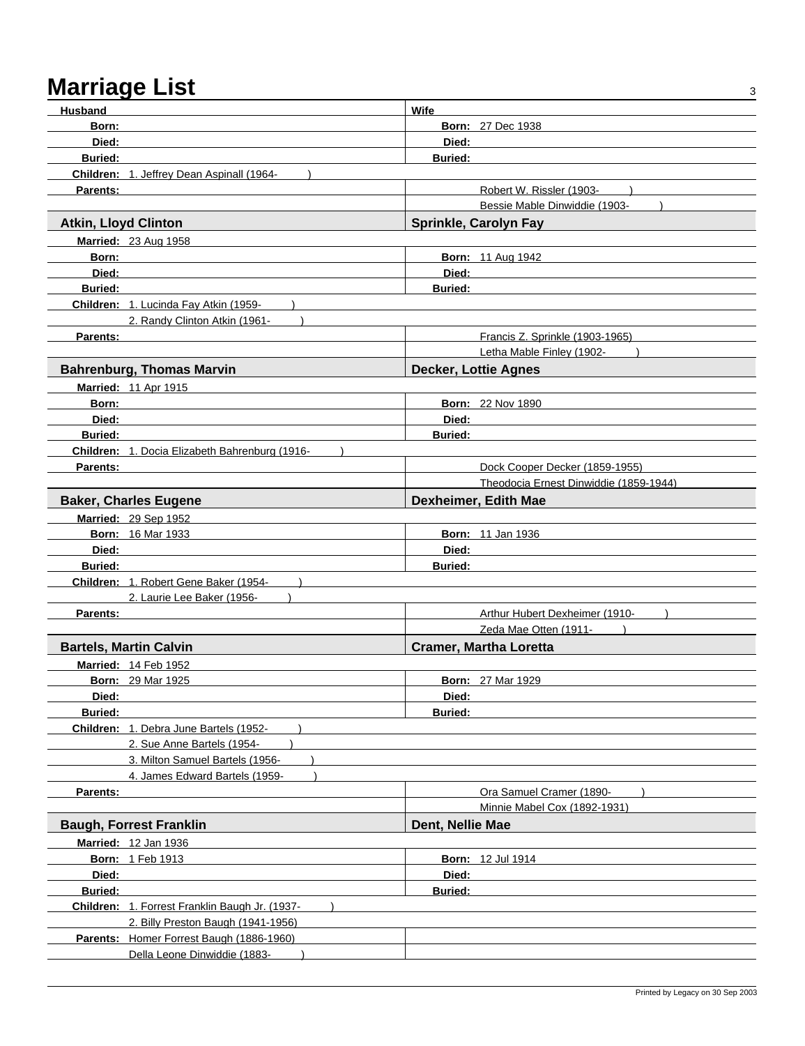## Marriage List 34 and 34 and 35 and 36 and 36 and 36 and 36 and 36 and 36 and 36 and 36 and 36 and 36 and 36 and 36 and 36 and 36 and 36 and 36 and 36 and 36 and 36 and 36 and 36 and 36 and 36 and 36 and 36 and 36 and 36 an

| Born:<br><b>Born: 27 Dec 1938</b><br>Died:<br>Died:<br><b>Buried:</b><br><b>Buried:</b><br>Children: 1. Jeffrey Dean Aspinall (1964-<br><b>Parents:</b><br>Robert W. Rissler (1903-<br>Bessie Mable Dinwiddie (1903-<br><b>Atkin, Lloyd Clinton</b><br>Sprinkle, Carolyn Fay<br>Married: 23 Aug 1958<br><b>Born: 11 Aug 1942</b><br>Born:<br>Died:<br>Died:<br><b>Buried:</b><br><b>Buried:</b><br>Children: 1. Lucinda Fay Atkin (1959-<br>2. Randy Clinton Atkin (1961-<br>Francis Z. Sprinkle (1903-1965)<br>Parents:<br>Letha Mable Finley (1902-<br><b>Decker, Lottie Agnes</b><br><b>Bahrenburg, Thomas Marvin</b><br><b>Married: 11 Apr 1915</b><br><b>Born: 22 Nov 1890</b><br>Born:<br>Died:<br>Died:<br><b>Buried:</b><br><b>Buried:</b><br>Children: 1. Docia Elizabeth Bahrenburg (1916-<br>Parents:<br>Dock Cooper Decker (1859-1955)<br>Theodocia Ernest Dinwiddie (1859-1944)<br>Dexheimer, Edith Mae<br><b>Baker, Charles Eugene</b><br>Married: 29 Sep 1952<br><b>Born: 16 Mar 1933</b><br><b>Born: 11 Jan 1936</b><br>Died:<br>Died:<br><b>Buried:</b><br><b>Buried:</b><br>Children: 1. Robert Gene Baker (1954-<br>2. Laurie Lee Baker (1956-<br>Arthur Hubert Dexheimer (1910-<br>Parents:<br>Zeda Mae Otten (1911-<br><b>Cramer, Martha Loretta</b><br><b>Bartels, Martin Calvin</b><br>Married: 14 Feb 1952<br><b>Born: 29 Mar 1925</b><br><b>Born: 27 Mar 1929</b><br>Died:<br>Died:<br><b>Buried:</b><br><b>Buried:</b><br>Children: 1. Debra June Bartels (1952-<br>2. Sue Anne Bartels (1954-<br>3. Milton Samuel Bartels (1956-<br>4. James Edward Bartels (1959-<br>Ora Samuel Cramer (1890-<br>Parents:<br>Minnie Mabel Cox (1892-1931)<br><b>Baugh, Forrest Franklin</b><br>Dent, Nellie Mae<br>Married: 12 Jan 1936<br><b>Born: 1 Feb 1913</b><br><b>Born: 12 Jul 1914</b><br>Died:<br>Died:<br>Buried:<br><b>Buried:</b><br>Children: 1. Forrest Franklin Baugh Jr. (1937- |         |                                    |      |  |
|-------------------------------------------------------------------------------------------------------------------------------------------------------------------------------------------------------------------------------------------------------------------------------------------------------------------------------------------------------------------------------------------------------------------------------------------------------------------------------------------------------------------------------------------------------------------------------------------------------------------------------------------------------------------------------------------------------------------------------------------------------------------------------------------------------------------------------------------------------------------------------------------------------------------------------------------------------------------------------------------------------------------------------------------------------------------------------------------------------------------------------------------------------------------------------------------------------------------------------------------------------------------------------------------------------------------------------------------------------------------------------------------------------------------------------------------------------------------------------------------------------------------------------------------------------------------------------------------------------------------------------------------------------------------------------------------------------------------------------------------------------------------------------------------------------------------------------------------------------------------------------------------------------------|---------|------------------------------------|------|--|
|                                                                                                                                                                                                                                                                                                                                                                                                                                                                                                                                                                                                                                                                                                                                                                                                                                                                                                                                                                                                                                                                                                                                                                                                                                                                                                                                                                                                                                                                                                                                                                                                                                                                                                                                                                                                                                                                                                             | Husband |                                    | Wife |  |
|                                                                                                                                                                                                                                                                                                                                                                                                                                                                                                                                                                                                                                                                                                                                                                                                                                                                                                                                                                                                                                                                                                                                                                                                                                                                                                                                                                                                                                                                                                                                                                                                                                                                                                                                                                                                                                                                                                             |         |                                    |      |  |
|                                                                                                                                                                                                                                                                                                                                                                                                                                                                                                                                                                                                                                                                                                                                                                                                                                                                                                                                                                                                                                                                                                                                                                                                                                                                                                                                                                                                                                                                                                                                                                                                                                                                                                                                                                                                                                                                                                             |         |                                    |      |  |
|                                                                                                                                                                                                                                                                                                                                                                                                                                                                                                                                                                                                                                                                                                                                                                                                                                                                                                                                                                                                                                                                                                                                                                                                                                                                                                                                                                                                                                                                                                                                                                                                                                                                                                                                                                                                                                                                                                             |         |                                    |      |  |
|                                                                                                                                                                                                                                                                                                                                                                                                                                                                                                                                                                                                                                                                                                                                                                                                                                                                                                                                                                                                                                                                                                                                                                                                                                                                                                                                                                                                                                                                                                                                                                                                                                                                                                                                                                                                                                                                                                             |         |                                    |      |  |
|                                                                                                                                                                                                                                                                                                                                                                                                                                                                                                                                                                                                                                                                                                                                                                                                                                                                                                                                                                                                                                                                                                                                                                                                                                                                                                                                                                                                                                                                                                                                                                                                                                                                                                                                                                                                                                                                                                             |         |                                    |      |  |
|                                                                                                                                                                                                                                                                                                                                                                                                                                                                                                                                                                                                                                                                                                                                                                                                                                                                                                                                                                                                                                                                                                                                                                                                                                                                                                                                                                                                                                                                                                                                                                                                                                                                                                                                                                                                                                                                                                             |         |                                    |      |  |
|                                                                                                                                                                                                                                                                                                                                                                                                                                                                                                                                                                                                                                                                                                                                                                                                                                                                                                                                                                                                                                                                                                                                                                                                                                                                                                                                                                                                                                                                                                                                                                                                                                                                                                                                                                                                                                                                                                             |         |                                    |      |  |
|                                                                                                                                                                                                                                                                                                                                                                                                                                                                                                                                                                                                                                                                                                                                                                                                                                                                                                                                                                                                                                                                                                                                                                                                                                                                                                                                                                                                                                                                                                                                                                                                                                                                                                                                                                                                                                                                                                             |         |                                    |      |  |
|                                                                                                                                                                                                                                                                                                                                                                                                                                                                                                                                                                                                                                                                                                                                                                                                                                                                                                                                                                                                                                                                                                                                                                                                                                                                                                                                                                                                                                                                                                                                                                                                                                                                                                                                                                                                                                                                                                             |         |                                    |      |  |
|                                                                                                                                                                                                                                                                                                                                                                                                                                                                                                                                                                                                                                                                                                                                                                                                                                                                                                                                                                                                                                                                                                                                                                                                                                                                                                                                                                                                                                                                                                                                                                                                                                                                                                                                                                                                                                                                                                             |         |                                    |      |  |
|                                                                                                                                                                                                                                                                                                                                                                                                                                                                                                                                                                                                                                                                                                                                                                                                                                                                                                                                                                                                                                                                                                                                                                                                                                                                                                                                                                                                                                                                                                                                                                                                                                                                                                                                                                                                                                                                                                             |         |                                    |      |  |
|                                                                                                                                                                                                                                                                                                                                                                                                                                                                                                                                                                                                                                                                                                                                                                                                                                                                                                                                                                                                                                                                                                                                                                                                                                                                                                                                                                                                                                                                                                                                                                                                                                                                                                                                                                                                                                                                                                             |         |                                    |      |  |
|                                                                                                                                                                                                                                                                                                                                                                                                                                                                                                                                                                                                                                                                                                                                                                                                                                                                                                                                                                                                                                                                                                                                                                                                                                                                                                                                                                                                                                                                                                                                                                                                                                                                                                                                                                                                                                                                                                             |         |                                    |      |  |
|                                                                                                                                                                                                                                                                                                                                                                                                                                                                                                                                                                                                                                                                                                                                                                                                                                                                                                                                                                                                                                                                                                                                                                                                                                                                                                                                                                                                                                                                                                                                                                                                                                                                                                                                                                                                                                                                                                             |         |                                    |      |  |
|                                                                                                                                                                                                                                                                                                                                                                                                                                                                                                                                                                                                                                                                                                                                                                                                                                                                                                                                                                                                                                                                                                                                                                                                                                                                                                                                                                                                                                                                                                                                                                                                                                                                                                                                                                                                                                                                                                             |         |                                    |      |  |
|                                                                                                                                                                                                                                                                                                                                                                                                                                                                                                                                                                                                                                                                                                                                                                                                                                                                                                                                                                                                                                                                                                                                                                                                                                                                                                                                                                                                                                                                                                                                                                                                                                                                                                                                                                                                                                                                                                             |         |                                    |      |  |
|                                                                                                                                                                                                                                                                                                                                                                                                                                                                                                                                                                                                                                                                                                                                                                                                                                                                                                                                                                                                                                                                                                                                                                                                                                                                                                                                                                                                                                                                                                                                                                                                                                                                                                                                                                                                                                                                                                             |         |                                    |      |  |
|                                                                                                                                                                                                                                                                                                                                                                                                                                                                                                                                                                                                                                                                                                                                                                                                                                                                                                                                                                                                                                                                                                                                                                                                                                                                                                                                                                                                                                                                                                                                                                                                                                                                                                                                                                                                                                                                                                             |         |                                    |      |  |
|                                                                                                                                                                                                                                                                                                                                                                                                                                                                                                                                                                                                                                                                                                                                                                                                                                                                                                                                                                                                                                                                                                                                                                                                                                                                                                                                                                                                                                                                                                                                                                                                                                                                                                                                                                                                                                                                                                             |         |                                    |      |  |
|                                                                                                                                                                                                                                                                                                                                                                                                                                                                                                                                                                                                                                                                                                                                                                                                                                                                                                                                                                                                                                                                                                                                                                                                                                                                                                                                                                                                                                                                                                                                                                                                                                                                                                                                                                                                                                                                                                             |         |                                    |      |  |
|                                                                                                                                                                                                                                                                                                                                                                                                                                                                                                                                                                                                                                                                                                                                                                                                                                                                                                                                                                                                                                                                                                                                                                                                                                                                                                                                                                                                                                                                                                                                                                                                                                                                                                                                                                                                                                                                                                             |         |                                    |      |  |
|                                                                                                                                                                                                                                                                                                                                                                                                                                                                                                                                                                                                                                                                                                                                                                                                                                                                                                                                                                                                                                                                                                                                                                                                                                                                                                                                                                                                                                                                                                                                                                                                                                                                                                                                                                                                                                                                                                             |         |                                    |      |  |
|                                                                                                                                                                                                                                                                                                                                                                                                                                                                                                                                                                                                                                                                                                                                                                                                                                                                                                                                                                                                                                                                                                                                                                                                                                                                                                                                                                                                                                                                                                                                                                                                                                                                                                                                                                                                                                                                                                             |         |                                    |      |  |
|                                                                                                                                                                                                                                                                                                                                                                                                                                                                                                                                                                                                                                                                                                                                                                                                                                                                                                                                                                                                                                                                                                                                                                                                                                                                                                                                                                                                                                                                                                                                                                                                                                                                                                                                                                                                                                                                                                             |         |                                    |      |  |
|                                                                                                                                                                                                                                                                                                                                                                                                                                                                                                                                                                                                                                                                                                                                                                                                                                                                                                                                                                                                                                                                                                                                                                                                                                                                                                                                                                                                                                                                                                                                                                                                                                                                                                                                                                                                                                                                                                             |         |                                    |      |  |
|                                                                                                                                                                                                                                                                                                                                                                                                                                                                                                                                                                                                                                                                                                                                                                                                                                                                                                                                                                                                                                                                                                                                                                                                                                                                                                                                                                                                                                                                                                                                                                                                                                                                                                                                                                                                                                                                                                             |         |                                    |      |  |
|                                                                                                                                                                                                                                                                                                                                                                                                                                                                                                                                                                                                                                                                                                                                                                                                                                                                                                                                                                                                                                                                                                                                                                                                                                                                                                                                                                                                                                                                                                                                                                                                                                                                                                                                                                                                                                                                                                             |         |                                    |      |  |
|                                                                                                                                                                                                                                                                                                                                                                                                                                                                                                                                                                                                                                                                                                                                                                                                                                                                                                                                                                                                                                                                                                                                                                                                                                                                                                                                                                                                                                                                                                                                                                                                                                                                                                                                                                                                                                                                                                             |         |                                    |      |  |
|                                                                                                                                                                                                                                                                                                                                                                                                                                                                                                                                                                                                                                                                                                                                                                                                                                                                                                                                                                                                                                                                                                                                                                                                                                                                                                                                                                                                                                                                                                                                                                                                                                                                                                                                                                                                                                                                                                             |         |                                    |      |  |
|                                                                                                                                                                                                                                                                                                                                                                                                                                                                                                                                                                                                                                                                                                                                                                                                                                                                                                                                                                                                                                                                                                                                                                                                                                                                                                                                                                                                                                                                                                                                                                                                                                                                                                                                                                                                                                                                                                             |         |                                    |      |  |
|                                                                                                                                                                                                                                                                                                                                                                                                                                                                                                                                                                                                                                                                                                                                                                                                                                                                                                                                                                                                                                                                                                                                                                                                                                                                                                                                                                                                                                                                                                                                                                                                                                                                                                                                                                                                                                                                                                             |         |                                    |      |  |
|                                                                                                                                                                                                                                                                                                                                                                                                                                                                                                                                                                                                                                                                                                                                                                                                                                                                                                                                                                                                                                                                                                                                                                                                                                                                                                                                                                                                                                                                                                                                                                                                                                                                                                                                                                                                                                                                                                             |         |                                    |      |  |
|                                                                                                                                                                                                                                                                                                                                                                                                                                                                                                                                                                                                                                                                                                                                                                                                                                                                                                                                                                                                                                                                                                                                                                                                                                                                                                                                                                                                                                                                                                                                                                                                                                                                                                                                                                                                                                                                                                             |         |                                    |      |  |
|                                                                                                                                                                                                                                                                                                                                                                                                                                                                                                                                                                                                                                                                                                                                                                                                                                                                                                                                                                                                                                                                                                                                                                                                                                                                                                                                                                                                                                                                                                                                                                                                                                                                                                                                                                                                                                                                                                             |         |                                    |      |  |
|                                                                                                                                                                                                                                                                                                                                                                                                                                                                                                                                                                                                                                                                                                                                                                                                                                                                                                                                                                                                                                                                                                                                                                                                                                                                                                                                                                                                                                                                                                                                                                                                                                                                                                                                                                                                                                                                                                             |         |                                    |      |  |
|                                                                                                                                                                                                                                                                                                                                                                                                                                                                                                                                                                                                                                                                                                                                                                                                                                                                                                                                                                                                                                                                                                                                                                                                                                                                                                                                                                                                                                                                                                                                                                                                                                                                                                                                                                                                                                                                                                             |         |                                    |      |  |
|                                                                                                                                                                                                                                                                                                                                                                                                                                                                                                                                                                                                                                                                                                                                                                                                                                                                                                                                                                                                                                                                                                                                                                                                                                                                                                                                                                                                                                                                                                                                                                                                                                                                                                                                                                                                                                                                                                             |         |                                    |      |  |
|                                                                                                                                                                                                                                                                                                                                                                                                                                                                                                                                                                                                                                                                                                                                                                                                                                                                                                                                                                                                                                                                                                                                                                                                                                                                                                                                                                                                                                                                                                                                                                                                                                                                                                                                                                                                                                                                                                             |         |                                    |      |  |
|                                                                                                                                                                                                                                                                                                                                                                                                                                                                                                                                                                                                                                                                                                                                                                                                                                                                                                                                                                                                                                                                                                                                                                                                                                                                                                                                                                                                                                                                                                                                                                                                                                                                                                                                                                                                                                                                                                             |         |                                    |      |  |
|                                                                                                                                                                                                                                                                                                                                                                                                                                                                                                                                                                                                                                                                                                                                                                                                                                                                                                                                                                                                                                                                                                                                                                                                                                                                                                                                                                                                                                                                                                                                                                                                                                                                                                                                                                                                                                                                                                             |         |                                    |      |  |
|                                                                                                                                                                                                                                                                                                                                                                                                                                                                                                                                                                                                                                                                                                                                                                                                                                                                                                                                                                                                                                                                                                                                                                                                                                                                                                                                                                                                                                                                                                                                                                                                                                                                                                                                                                                                                                                                                                             |         |                                    |      |  |
|                                                                                                                                                                                                                                                                                                                                                                                                                                                                                                                                                                                                                                                                                                                                                                                                                                                                                                                                                                                                                                                                                                                                                                                                                                                                                                                                                                                                                                                                                                                                                                                                                                                                                                                                                                                                                                                                                                             |         |                                    |      |  |
|                                                                                                                                                                                                                                                                                                                                                                                                                                                                                                                                                                                                                                                                                                                                                                                                                                                                                                                                                                                                                                                                                                                                                                                                                                                                                                                                                                                                                                                                                                                                                                                                                                                                                                                                                                                                                                                                                                             |         |                                    |      |  |
|                                                                                                                                                                                                                                                                                                                                                                                                                                                                                                                                                                                                                                                                                                                                                                                                                                                                                                                                                                                                                                                                                                                                                                                                                                                                                                                                                                                                                                                                                                                                                                                                                                                                                                                                                                                                                                                                                                             |         |                                    |      |  |
|                                                                                                                                                                                                                                                                                                                                                                                                                                                                                                                                                                                                                                                                                                                                                                                                                                                                                                                                                                                                                                                                                                                                                                                                                                                                                                                                                                                                                                                                                                                                                                                                                                                                                                                                                                                                                                                                                                             |         |                                    |      |  |
|                                                                                                                                                                                                                                                                                                                                                                                                                                                                                                                                                                                                                                                                                                                                                                                                                                                                                                                                                                                                                                                                                                                                                                                                                                                                                                                                                                                                                                                                                                                                                                                                                                                                                                                                                                                                                                                                                                             |         |                                    |      |  |
|                                                                                                                                                                                                                                                                                                                                                                                                                                                                                                                                                                                                                                                                                                                                                                                                                                                                                                                                                                                                                                                                                                                                                                                                                                                                                                                                                                                                                                                                                                                                                                                                                                                                                                                                                                                                                                                                                                             |         |                                    |      |  |
|                                                                                                                                                                                                                                                                                                                                                                                                                                                                                                                                                                                                                                                                                                                                                                                                                                                                                                                                                                                                                                                                                                                                                                                                                                                                                                                                                                                                                                                                                                                                                                                                                                                                                                                                                                                                                                                                                                             |         |                                    |      |  |
|                                                                                                                                                                                                                                                                                                                                                                                                                                                                                                                                                                                                                                                                                                                                                                                                                                                                                                                                                                                                                                                                                                                                                                                                                                                                                                                                                                                                                                                                                                                                                                                                                                                                                                                                                                                                                                                                                                             |         |                                    |      |  |
|                                                                                                                                                                                                                                                                                                                                                                                                                                                                                                                                                                                                                                                                                                                                                                                                                                                                                                                                                                                                                                                                                                                                                                                                                                                                                                                                                                                                                                                                                                                                                                                                                                                                                                                                                                                                                                                                                                             |         |                                    |      |  |
|                                                                                                                                                                                                                                                                                                                                                                                                                                                                                                                                                                                                                                                                                                                                                                                                                                                                                                                                                                                                                                                                                                                                                                                                                                                                                                                                                                                                                                                                                                                                                                                                                                                                                                                                                                                                                                                                                                             |         |                                    |      |  |
|                                                                                                                                                                                                                                                                                                                                                                                                                                                                                                                                                                                                                                                                                                                                                                                                                                                                                                                                                                                                                                                                                                                                                                                                                                                                                                                                                                                                                                                                                                                                                                                                                                                                                                                                                                                                                                                                                                             |         |                                    |      |  |
|                                                                                                                                                                                                                                                                                                                                                                                                                                                                                                                                                                                                                                                                                                                                                                                                                                                                                                                                                                                                                                                                                                                                                                                                                                                                                                                                                                                                                                                                                                                                                                                                                                                                                                                                                                                                                                                                                                             |         |                                    |      |  |
|                                                                                                                                                                                                                                                                                                                                                                                                                                                                                                                                                                                                                                                                                                                                                                                                                                                                                                                                                                                                                                                                                                                                                                                                                                                                                                                                                                                                                                                                                                                                                                                                                                                                                                                                                                                                                                                                                                             |         | 2. Billy Preston Baugh (1941-1956) |      |  |
| Parents: Homer Forrest Baugh (1886-1960)                                                                                                                                                                                                                                                                                                                                                                                                                                                                                                                                                                                                                                                                                                                                                                                                                                                                                                                                                                                                                                                                                                                                                                                                                                                                                                                                                                                                                                                                                                                                                                                                                                                                                                                                                                                                                                                                    |         |                                    |      |  |
|                                                                                                                                                                                                                                                                                                                                                                                                                                                                                                                                                                                                                                                                                                                                                                                                                                                                                                                                                                                                                                                                                                                                                                                                                                                                                                                                                                                                                                                                                                                                                                                                                                                                                                                                                                                                                                                                                                             |         | Della Leone Dinwiddie (1883-       |      |  |
|                                                                                                                                                                                                                                                                                                                                                                                                                                                                                                                                                                                                                                                                                                                                                                                                                                                                                                                                                                                                                                                                                                                                                                                                                                                                                                                                                                                                                                                                                                                                                                                                                                                                                                                                                                                                                                                                                                             |         |                                    |      |  |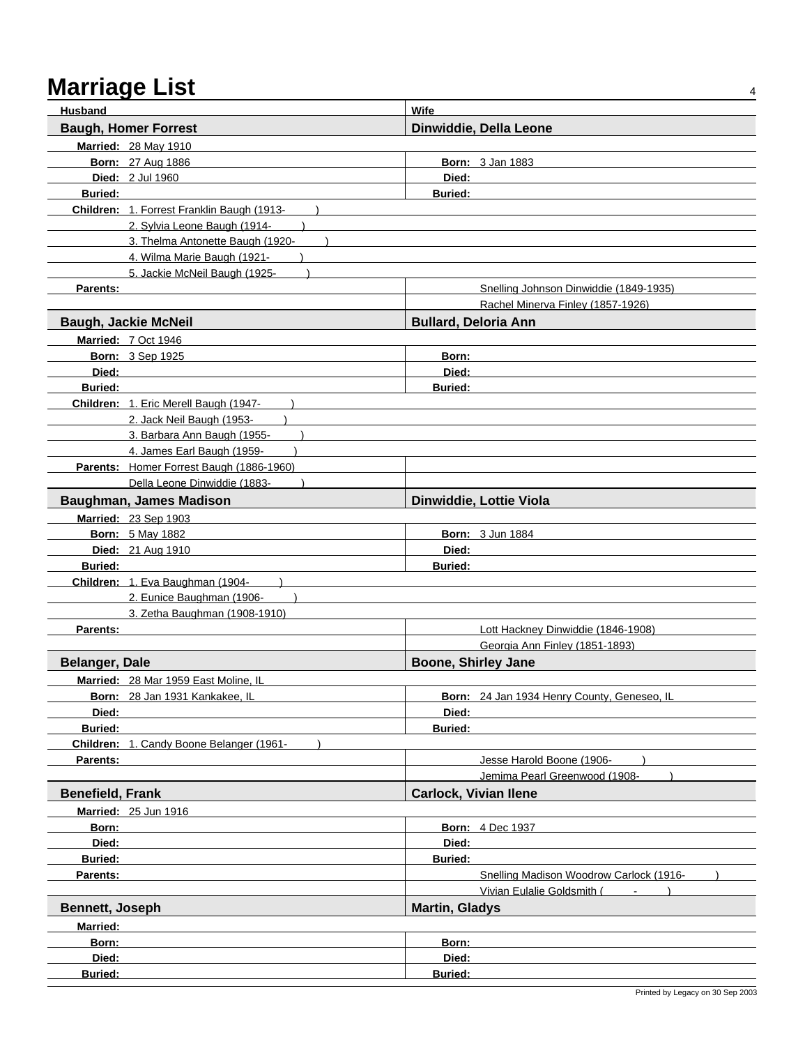| <b>Husband</b>          |                                            | Wife                                        |
|-------------------------|--------------------------------------------|---------------------------------------------|
|                         | <b>Baugh, Homer Forrest</b>                | Dinwiddie, Della Leone                      |
|                         | <b>Married: 28 May 1910</b>                |                                             |
|                         | <b>Born: 27 Aug 1886</b>                   | <b>Born: 3 Jan 1883</b>                     |
|                         | <b>Died: 2 Jul 1960</b>                    | Died:                                       |
| <b>Buried:</b>          |                                            | <b>Buried:</b>                              |
|                         | Children: 1. Forrest Franklin Baugh (1913- |                                             |
|                         | 2. Sylvia Leone Baugh (1914-               |                                             |
|                         | 3. Thelma Antonette Baugh (1920-           |                                             |
|                         | 4. Wilma Marie Baugh (1921-                |                                             |
|                         | 5. Jackie McNeil Baugh (1925-              |                                             |
| Parents:                |                                            | Snelling Johnson Dinwiddie (1849-1935)      |
|                         |                                            | Rachel Minerva Finley (1857-1926)           |
|                         | <b>Baugh, Jackie McNeil</b>                | <b>Bullard, Deloria Ann</b>                 |
|                         | <b>Married: 7 Oct 1946</b>                 |                                             |
|                         | <b>Born: 3 Sep 1925</b>                    | Born:                                       |
| Died:                   |                                            | Died:                                       |
| <b>Buried:</b>          |                                            | <b>Buried:</b>                              |
|                         | Children: 1. Eric Merell Baugh (1947-      |                                             |
|                         | 2. Jack Neil Baugh (1953-                  |                                             |
|                         | 3. Barbara Ann Baugh (1955-                |                                             |
|                         | 4. James Earl Baugh (1959-                 |                                             |
|                         | Parents: Homer Forrest Baugh (1886-1960)   |                                             |
|                         | Della Leone Dinwiddie (1883-               |                                             |
|                         | Baughman, James Madison                    | Dinwiddie, Lottie Viola                     |
|                         | Married: 23 Sep 1903                       |                                             |
|                         | <b>Born: 5 May 1882</b>                    | <b>Born: 3 Jun 1884</b>                     |
|                         | Died: 21 Aug 1910                          | Died:                                       |
| <b>Buried:</b>          |                                            | <b>Buried:</b>                              |
|                         | Children: 1. Eva Baughman (1904-           |                                             |
|                         | 2. Eunice Baughman (1906-                  |                                             |
|                         | 3. Zetha Baughman (1908-1910)              |                                             |
| Parents:                |                                            | Lott Hackney Dinwiddie (1846-1908)          |
|                         |                                            | Georgia Ann Finley (1851-1893)              |
| <b>Belanger, Dale</b>   |                                            | <b>Boone, Shirley Jane</b>                  |
|                         | Married: 28 Mar 1959 East Moline, IL       |                                             |
|                         | Born: 28 Jan 1931 Kankakee, IL             | Born: 24 Jan 1934 Henry County, Geneseo, IL |
| Died:                   |                                            | Died:                                       |
| <b>Buried:</b>          |                                            | <b>Buried:</b>                              |
|                         | Children: 1. Candy Boone Belanger (1961-   |                                             |
| Parents:                |                                            | Jesse Harold Boone (1906-                   |
|                         |                                            | Jemima Pearl Greenwood (1908-               |
| <b>Benefield, Frank</b> |                                            | <b>Carlock, Vivian Ilene</b>                |
|                         | <b>Married: 25 Jun 1916</b>                |                                             |
| Born:                   |                                            | <b>Born: 4 Dec 1937</b>                     |
| Died:                   |                                            | Died:                                       |
| <b>Buried:</b>          |                                            | <b>Buried:</b>                              |
| Parents:                |                                            | Snelling Madison Woodrow Carlock (1916-     |
|                         |                                            | Vivian Eulalie Goldsmith (                  |
| <b>Bennett, Joseph</b>  |                                            | <b>Martin, Gladys</b>                       |
| Married:                |                                            |                                             |
| Born:                   |                                            | Born:                                       |
| Died:                   |                                            | Died:                                       |
| <b>Buried:</b>          |                                            | Buried:                                     |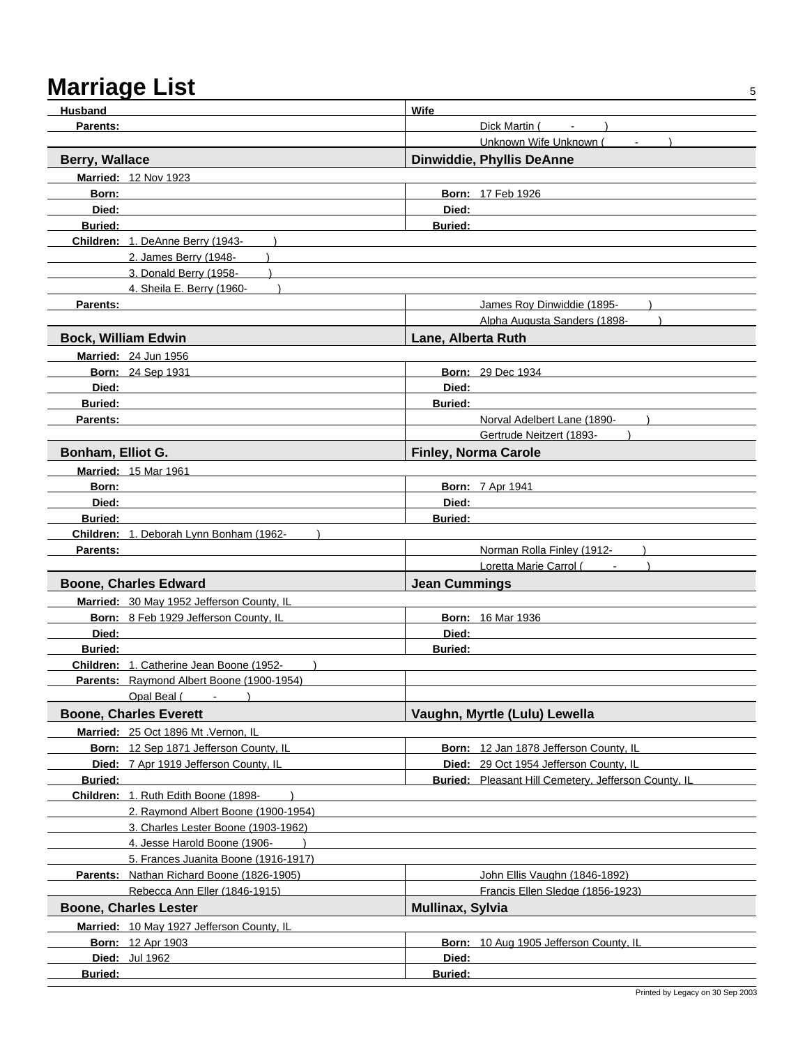## Marriage List 55 and 54 and 55 and 55 and 55 and 55 and 55 and 55 and 56 and 56 and 56 and 56 and 56 and 56 and 56 and 56 and 56 and 56 and 56 and 56 and 56 and 56 and 56 and 56 and 56 and 56 and 56 and 56 and 56 and 56 an

| Husband                    |                                                                             | Wife                    |                                                                   |
|----------------------------|-----------------------------------------------------------------------------|-------------------------|-------------------------------------------------------------------|
| Parents:                   |                                                                             |                         | Dick Martin (<br>$\sim$                                           |
|                            |                                                                             |                         | Unknown Wife Unknown (                                            |
| <b>Berry, Wallace</b>      |                                                                             |                         | <b>Dinwiddie, Phyllis DeAnne</b>                                  |
|                            | Married: 12 Nov 1923                                                        |                         |                                                                   |
| Born:                      |                                                                             |                         | <b>Born: 17 Feb 1926</b>                                          |
| Died:                      |                                                                             | Died:                   |                                                                   |
| <b>Buried:</b>             |                                                                             | <b>Buried:</b>          |                                                                   |
|                            | Children: 1. DeAnne Berry (1943-                                            |                         |                                                                   |
|                            | 2. James Berry (1948-                                                       |                         |                                                                   |
|                            | 3. Donald Berry (1958-                                                      |                         |                                                                   |
|                            | 4. Sheila E. Berry (1960-                                                   |                         |                                                                   |
| Parents:                   |                                                                             |                         | James Roy Dinwiddie (1895-                                        |
|                            |                                                                             |                         | Alpha Augusta Sanders (1898-                                      |
| <b>Bock, William Edwin</b> |                                                                             | Lane, Alberta Ruth      |                                                                   |
|                            | Married: 24 Jun 1956                                                        |                         |                                                                   |
|                            | <b>Born: 24 Sep 1931</b>                                                    |                         | <b>Born: 29 Dec 1934</b>                                          |
| Died:                      |                                                                             | Died:                   |                                                                   |
| <b>Buried:</b>             |                                                                             | <b>Buried:</b>          |                                                                   |
| Parents:                   |                                                                             |                         | Norval Adelbert Lane (1890-                                       |
|                            |                                                                             |                         | Gertrude Neitzert (1893-                                          |
| Bonham, Elliot G.          |                                                                             |                         | <b>Finley, Norma Carole</b>                                       |
|                            | <b>Married: 15 Mar 1961</b>                                                 |                         |                                                                   |
| Born:                      |                                                                             |                         | <b>Born: 7 Apr 1941</b>                                           |
| Died:                      |                                                                             | Died:                   |                                                                   |
| <b>Buried:</b>             |                                                                             | <b>Buried:</b>          |                                                                   |
|                            | Children: 1. Deborah Lynn Bonham (1962-                                     |                         |                                                                   |
| Parents:                   |                                                                             |                         | Norman Rolla Finley (1912-                                        |
|                            |                                                                             |                         | Loretta Marie Carrol (Fig. 1884)                                  |
|                            | <b>Boone, Charles Edward</b>                                                | <b>Jean Cummings</b>    |                                                                   |
|                            |                                                                             |                         |                                                                   |
|                            | Married: 30 May 1952 Jefferson County, IL                                   |                         |                                                                   |
| Died:                      | Born: 8 Feb 1929 Jefferson County, IL                                       |                         | <b>Born: 16 Mar 1936</b>                                          |
| <b>Buried:</b>             |                                                                             | Died:                   |                                                                   |
|                            | Children: 1. Catherine Jean Boone (1952-                                    | <b>Buried:</b>          |                                                                   |
|                            | Parents: Raymond Albert Boone (1900-1954)                                   |                         |                                                                   |
|                            | Opal Beal (Fig. 15)                                                         |                         |                                                                   |
|                            | <b>Boone, Charles Everett</b>                                               |                         | Vaughn, Myrtle (Lulu) Lewella                                     |
|                            |                                                                             |                         |                                                                   |
|                            | Married: 25 Oct 1896 Mt . Vernon, IL                                        |                         |                                                                   |
|                            | Born: 12 Sep 1871 Jefferson County, IL                                      |                         | Born: 12 Jan 1878 Jefferson County, IL                            |
|                            | Died: 7 Apr 1919 Jefferson County, IL                                       |                         | Died: 29 Oct 1954 Jefferson County, IL                            |
| <b>Buried:</b>             |                                                                             |                         | <b>Buried:</b> Pleasant Hill Cemetery, Jefferson County, IL       |
|                            | Children: 1. Ruth Edith Boone (1898-<br>2. Raymond Albert Boone (1900-1954) |                         |                                                                   |
|                            |                                                                             |                         |                                                                   |
|                            | 3. Charles Lester Boone (1903-1962)                                         |                         |                                                                   |
|                            | 4. Jesse Harold Boone (1906-<br>5. Frances Juanita Boone (1916-1917)        |                         |                                                                   |
|                            | Parents: Nathan Richard Boone (1826-1905)                                   |                         |                                                                   |
|                            | Rebecca Ann Eller (1846-1915)                                               |                         | John Ellis Vaughn (1846-1892)<br>Francis Ellen Sledge (1856-1923) |
|                            |                                                                             |                         |                                                                   |
|                            | <b>Boone, Charles Lester</b>                                                | <b>Mullinax, Sylvia</b> |                                                                   |
|                            | Married: 10 May 1927 Jefferson County, IL                                   |                         |                                                                   |
|                            | <b>Born: 12 Apr 1903</b>                                                    |                         | Born: 10 Aug 1905 Jefferson County, IL                            |
|                            | Died: Jul 1962                                                              | Died:                   |                                                                   |
| Buried:                    |                                                                             | <b>Buried:</b>          |                                                                   |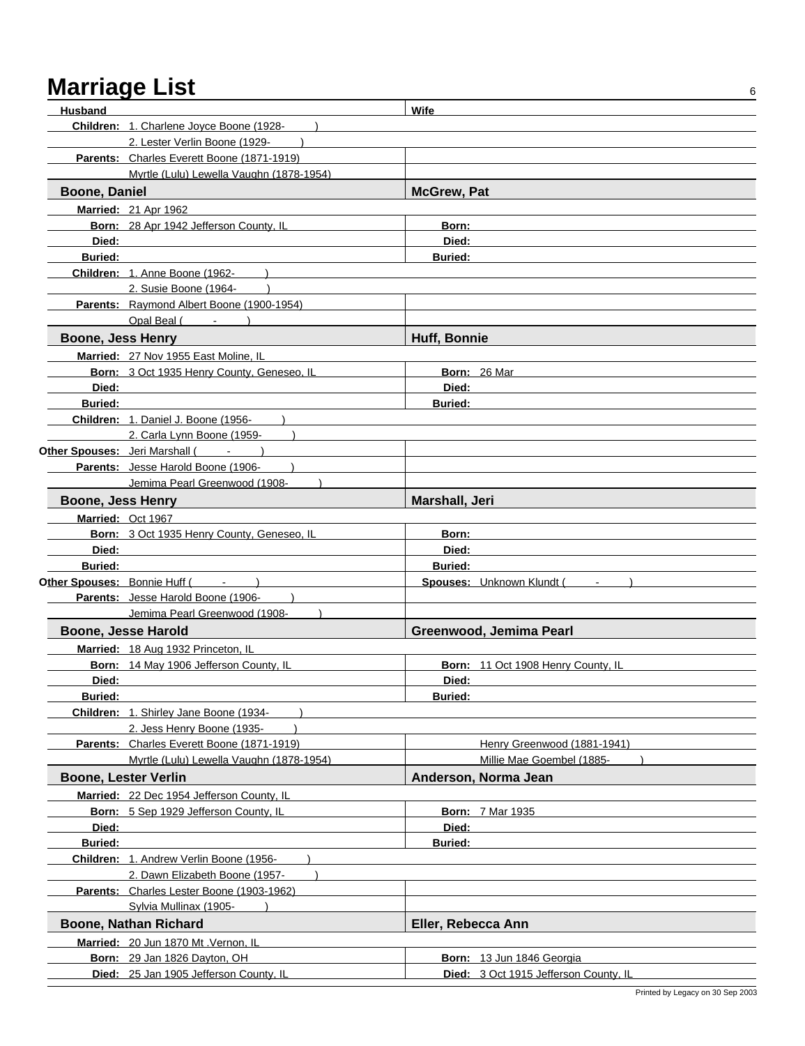| Husband                        |                                            | Wife               |                                       |
|--------------------------------|--------------------------------------------|--------------------|---------------------------------------|
|                                | Children: 1. Charlene Joyce Boone (1928-   |                    |                                       |
|                                | 2. Lester Verlin Boone (1929-              |                    |                                       |
|                                | Parents: Charles Everett Boone (1871-1919) |                    |                                       |
|                                | Myrtle (Lulu) Lewella Vaughn (1878-1954)   |                    |                                       |
| <b>Boone, Daniel</b>           |                                            | <b>McGrew, Pat</b> |                                       |
|                                | <b>Married: 21 Apr 1962</b>                |                    |                                       |
|                                | Born: 28 Apr 1942 Jefferson County, IL     | Born:              |                                       |
| Died:                          |                                            | Died:              |                                       |
| <b>Buried:</b>                 |                                            | <b>Buried:</b>     |                                       |
|                                | Children: 1. Anne Boone (1962-             |                    |                                       |
|                                | 2. Susie Boone (1964-                      |                    |                                       |
|                                | Parents: Raymond Albert Boone (1900-1954)  |                    |                                       |
|                                | Opal Beal (                                |                    |                                       |
| <b>Boone, Jess Henry</b>       |                                            | Huff, Bonnie       |                                       |
|                                | Married: 27 Nov 1955 East Moline, IL       |                    |                                       |
|                                | Born: 3 Oct 1935 Henry County, Geneseo, IL |                    | Born: 26 Mar                          |
| Died:                          |                                            | Died:              |                                       |
| <b>Buried:</b>                 |                                            | <b>Buried:</b>     |                                       |
|                                | Children: 1. Daniel J. Boone (1956-        |                    |                                       |
|                                | 2. Carla Lynn Boone (1959-                 |                    |                                       |
| Other Spouses: Jeri Marshall ( |                                            |                    |                                       |
|                                | Parents: Jesse Harold Boone (1906-         |                    |                                       |
|                                | Jemima Pearl Greenwood (1908-              |                    |                                       |
| Boone, Jess Henry              |                                            | Marshall, Jeri     |                                       |
|                                | Married: Oct 1967                          |                    |                                       |
|                                | Born: 3 Oct 1935 Henry County, Geneseo, IL | Born:              |                                       |
| Died:                          |                                            | Died:              |                                       |
| <b>Buried:</b>                 |                                            | <b>Buried:</b>     |                                       |
| Other Spouses: Bonnie Huff (   |                                            |                    | Spouses: Unknown Klundt (             |
|                                | Parents: Jesse Harold Boone (1906-         |                    |                                       |
|                                | Jemima Pearl Greenwood (1908-              |                    |                                       |
|                                | Boone, Jesse Harold                        |                    | Greenwood, Jemima Pearl               |
|                                | Married: 18 Aug 1932 Princeton, IL         |                    |                                       |
|                                | Born: 14 May 1906 Jefferson County, IL     |                    | Born: 11 Oct 1908 Henry County, IL    |
| Died:                          |                                            | Died:              |                                       |
| <b>Buried:</b>                 |                                            | <b>Buried:</b>     |                                       |
|                                | Children: 1. Shirley Jane Boone (1934-     |                    |                                       |
|                                | 2. Jess Henry Boone (1935-                 |                    |                                       |
|                                | Parents: Charles Everett Boone (1871-1919) |                    | Henry Greenwood (1881-1941)           |
|                                | Myrtle (Lulu) Lewella Vaughn (1878-1954)   |                    | Millie Mae Goembel (1885-             |
|                                | <b>Boone, Lester Verlin</b>                |                    | Anderson, Norma Jean                  |
|                                | Married: 22 Dec 1954 Jefferson County, IL  |                    |                                       |
|                                | Born: 5 Sep 1929 Jefferson County, IL      |                    | <b>Born: 7 Mar 1935</b>               |
| Died:                          |                                            | Died:              |                                       |
| <b>Buried:</b>                 |                                            | <b>Buried:</b>     |                                       |
|                                | Children: 1. Andrew Verlin Boone (1956-    |                    |                                       |
|                                | 2. Dawn Elizabeth Boone (1957-             |                    |                                       |
|                                | Parents: Charles Lester Boone (1903-1962)  |                    |                                       |
|                                | Sylvia Mullinax (1905-                     |                    |                                       |
|                                | <b>Boone, Nathan Richard</b>               | Eller, Rebecca Ann |                                       |
|                                | Married: 20 Jun 1870 Mt . Vernon, IL       |                    |                                       |
|                                | Born: 29 Jan 1826 Dayton, OH               |                    | Born: 13 Jun 1846 Georgia             |
|                                | Died: 25 Jan 1905 Jefferson County, IL     |                    | Died: 3 Oct 1915 Jefferson County, IL |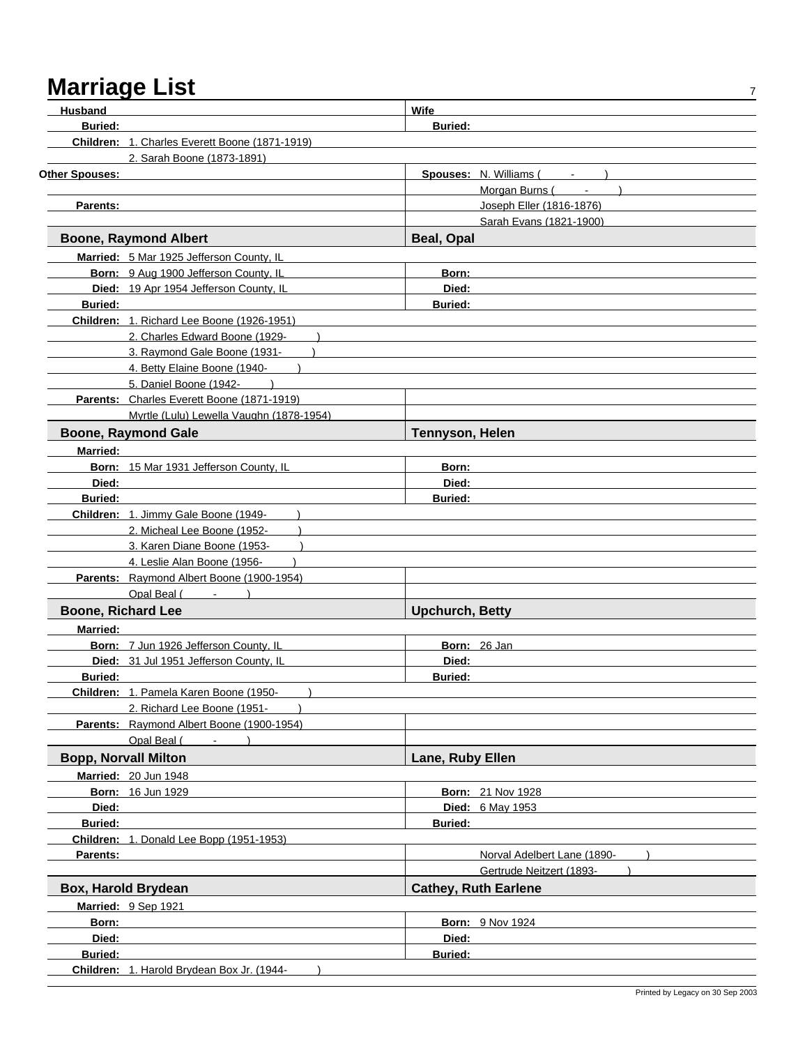| Husband                   |                                                | <b>Wife</b>                      |
|---------------------------|------------------------------------------------|----------------------------------|
| <b>Buried:</b>            |                                                | <b>Buried:</b>                   |
|                           | Children: 1. Charles Everett Boone (1871-1919) |                                  |
|                           | 2. Sarah Boone (1873-1891)                     |                                  |
| <b>Other Spouses:</b>     |                                                | Spouses: N. Williams (<br>$\sim$ |
|                           |                                                | Morgan Burns (                   |
| <b>Parents:</b>           |                                                | Joseph Eller (1816-1876)         |
|                           |                                                | Sarah Evans (1821-1900)          |
|                           | <b>Boone, Raymond Albert</b>                   | <b>Beal, Opal</b>                |
|                           | Married: 5 Mar 1925 Jefferson County, IL       |                                  |
|                           | Born: 9 Aug 1900 Jefferson County, IL          | Born:                            |
|                           | Died: 19 Apr 1954 Jefferson County, IL         | Died:                            |
| <b>Buried:</b>            |                                                | <b>Buried:</b>                   |
|                           | Children: 1. Richard Lee Boone (1926-1951)     |                                  |
|                           | 2. Charles Edward Boone (1929-                 |                                  |
|                           | 3. Raymond Gale Boone (1931-                   |                                  |
|                           | 4. Betty Elaine Boone (1940-                   |                                  |
|                           | 5. Daniel Boone (1942-                         |                                  |
|                           | Parents: Charles Everett Boone (1871-1919)     |                                  |
|                           | Myrtle (Lulu) Lewella Vaughn (1878-1954)       |                                  |
|                           | <b>Boone, Raymond Gale</b>                     | <b>Tennyson, Helen</b>           |
| <b>Married:</b>           |                                                |                                  |
|                           | Born: 15 Mar 1931 Jefferson County, IL         | Born:                            |
| Died:                     |                                                | Died:                            |
| <b>Buried:</b>            |                                                | <b>Buried:</b>                   |
|                           | Children: 1. Jimmy Gale Boone (1949-           |                                  |
|                           | 2. Micheal Lee Boone (1952-                    |                                  |
|                           | 3. Karen Diane Boone (1953-                    |                                  |
|                           | 4. Leslie Alan Boone (1956-                    |                                  |
|                           | Parents: Raymond Albert Boone (1900-1954)      |                                  |
|                           | Opal Beal (                                    |                                  |
| <b>Boone, Richard Lee</b> |                                                | <b>Upchurch, Betty</b>           |
| <b>Married:</b>           |                                                |                                  |
|                           | Born: 7 Jun 1926 Jefferson County, IL          | Born: 26 Jan                     |
|                           | Died: 31 Jul 1951 Jefferson County, IL         | Died:                            |
| <b>Buried:</b>            |                                                | <b>Buried:</b>                   |
|                           | Children: 1. Pamela Karen Boone (1950-         |                                  |
|                           | 2. Richard Lee Boone (1951-                    |                                  |
|                           | Parents: Raymond Albert Boone (1900-1954)      |                                  |
|                           | Opal Beal (                                    |                                  |
|                           | <b>Bopp, Norvall Milton</b>                    | <b>Lane, Ruby Ellen</b>          |
|                           | <b>Married: 20 Jun 1948</b>                    |                                  |
|                           | Born: 16 Jun 1929                              | <b>Born: 21 Nov 1928</b>         |
| Died:                     |                                                | Died: 6 May 1953                 |
| <b>Buried:</b>            |                                                | <b>Buried:</b>                   |
|                           | Children: 1. Donald Lee Bopp (1951-1953)       |                                  |
| Parents:                  |                                                | Norval Adelbert Lane (1890-      |
|                           |                                                | Gertrude Neitzert (1893-         |
|                           | Box, Harold Brydean                            | <b>Cathey, Ruth Earlene</b>      |
|                           | Married: 9 Sep 1921                            |                                  |
| Born:                     |                                                | <b>Born: 9 Nov 1924</b>          |
| Died:                     |                                                | Died:                            |
| Buried:                   |                                                | <b>Buried:</b>                   |
|                           | Children: 1. Harold Brydean Box Jr. (1944-     |                                  |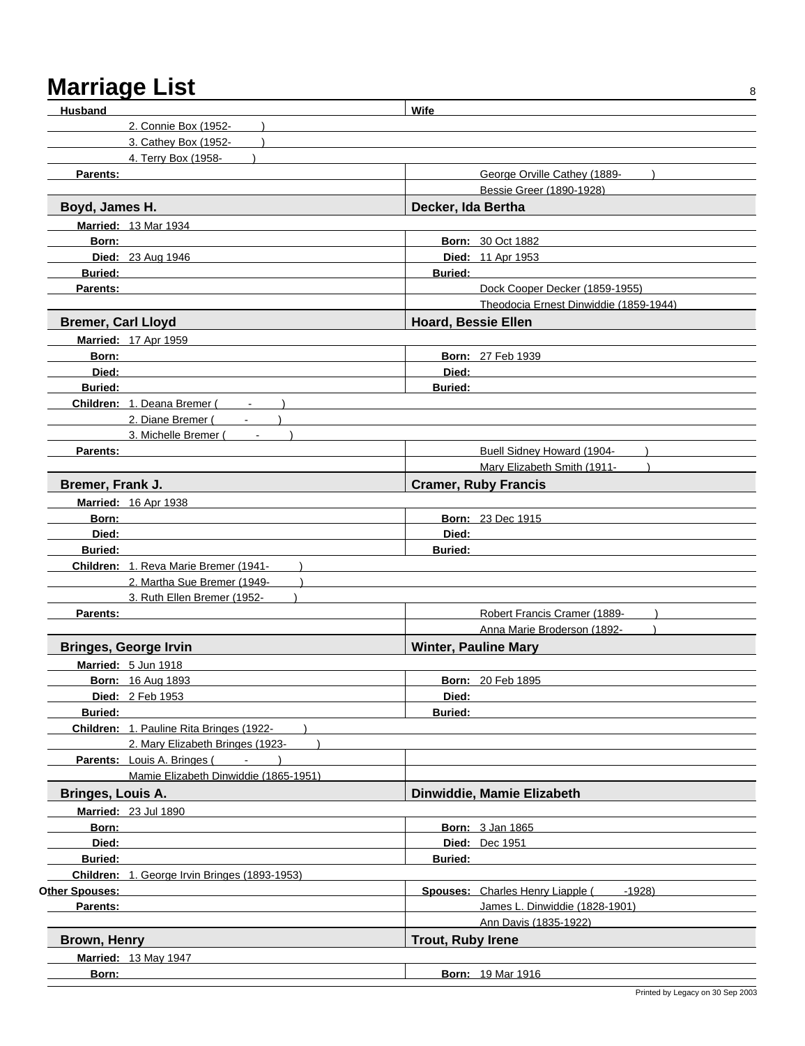## Marriage List 848 and 2012 and 2012 and 2012 and 2012 and 2012 and 2012 and 2012 and 2012 and 2012 and 2012 and 2012 and 2012 and 2012 and 2012 and 2012 and 2012 and 2012 and 2012 and 2012 and 2012 and 2012 and 2012 and 20

| <b>Husband</b>                                      | Wife                                       |
|-----------------------------------------------------|--------------------------------------------|
| 2. Connie Box (1952-                                |                                            |
| 3. Cathey Box (1952-                                |                                            |
| 4. Terry Box (1958-                                 |                                            |
| Parents:                                            | George Orville Cathey (1889-               |
|                                                     | Bessie Greer (1890-1928)                   |
| Boyd, James H.                                      | Decker, Ida Bertha                         |
| <b>Married: 13 Mar 1934</b>                         |                                            |
| Born:                                               | <b>Born: 30 Oct 1882</b>                   |
| Died: 23 Aug 1946                                   | Died: 11 Apr 1953                          |
| <b>Buried:</b>                                      | <b>Buried:</b>                             |
| <b>Parents:</b>                                     | Dock Cooper Decker (1859-1955)             |
|                                                     | Theodocia Ernest Dinwiddie (1859-1944)     |
| <b>Bremer, Carl Lloyd</b>                           | <b>Hoard, Bessie Ellen</b>                 |
| <b>Married: 17 Apr 1959</b>                         |                                            |
| Born:                                               | <b>Born: 27 Feb 1939</b>                   |
| Died:                                               | Died:                                      |
| <b>Buried:</b>                                      | <b>Buried:</b>                             |
| Children: 1. Deana Bremer (<br>$\blacksquare$       |                                            |
| 2. Diane Bremer (                                   |                                            |
| 3. Michelle Bremer (                                |                                            |
| Parents:                                            | Buell Sidney Howard (1904-                 |
|                                                     | Mary Elizabeth Smith (1911-                |
| Bremer, Frank J.                                    | <b>Cramer, Ruby Francis</b>                |
| <b>Married: 16 Apr 1938</b>                         |                                            |
| Born:                                               | <b>Born: 23 Dec 1915</b>                   |
| Died:                                               | Died:                                      |
| <b>Buried:</b>                                      | <b>Buried:</b>                             |
| Children: 1. Reva Marie Bremer (1941-               |                                            |
| 2. Martha Sue Bremer (1949-                         |                                            |
| 3. Ruth Ellen Bremer (1952-                         |                                            |
| <b>Parents:</b>                                     | Robert Francis Cramer (1889-               |
|                                                     | Anna Marie Broderson (1892-                |
| <b>Bringes, George Irvin</b>                        | <b>Winter, Pauline Mary</b>                |
|                                                     |                                            |
| Married: 5 Jun 1918                                 |                                            |
| <b>Born: 16 Aug 1893</b>                            | <b>Born: 20 Feb 1895</b>                   |
| Died: 2 Feb 1953                                    | Died:                                      |
| <b>Buried:</b>                                      | <b>Buried:</b>                             |
| Children: 1. Pauline Rita Bringes (1922-            |                                            |
| 2. Mary Elizabeth Bringes (1923-<br><b>Contract</b> |                                            |
| Parents: Louis A. Bringes (                         |                                            |
| Mamie Elizabeth Dinwiddie (1865-1951)               |                                            |
| Bringes, Louis A.                                   | Dinwiddie, Mamie Elizabeth                 |
| <b>Married: 23 Jul 1890</b>                         |                                            |
| Born:                                               | <b>Born: 3 Jan 1865</b>                    |
| Died:                                               | <b>Died: Dec 1951</b>                      |
| <b>Buried:</b>                                      | <b>Buried:</b>                             |
| Children: 1. George Irvin Bringes (1893-1953)       |                                            |
| Other Spouses:                                      | Spouses: Charles Henry Liapple (<br>-1928) |
| Parents:                                            | James L. Dinwiddie (1828-1901)             |
|                                                     | Ann Davis (1835-1922)                      |
| Brown, Henry                                        | <b>Trout, Ruby Irene</b>                   |
| <b>Married: 13 May 1947</b>                         |                                            |
| Born:                                               | <b>Born: 19 Mar 1916</b>                   |
|                                                     |                                            |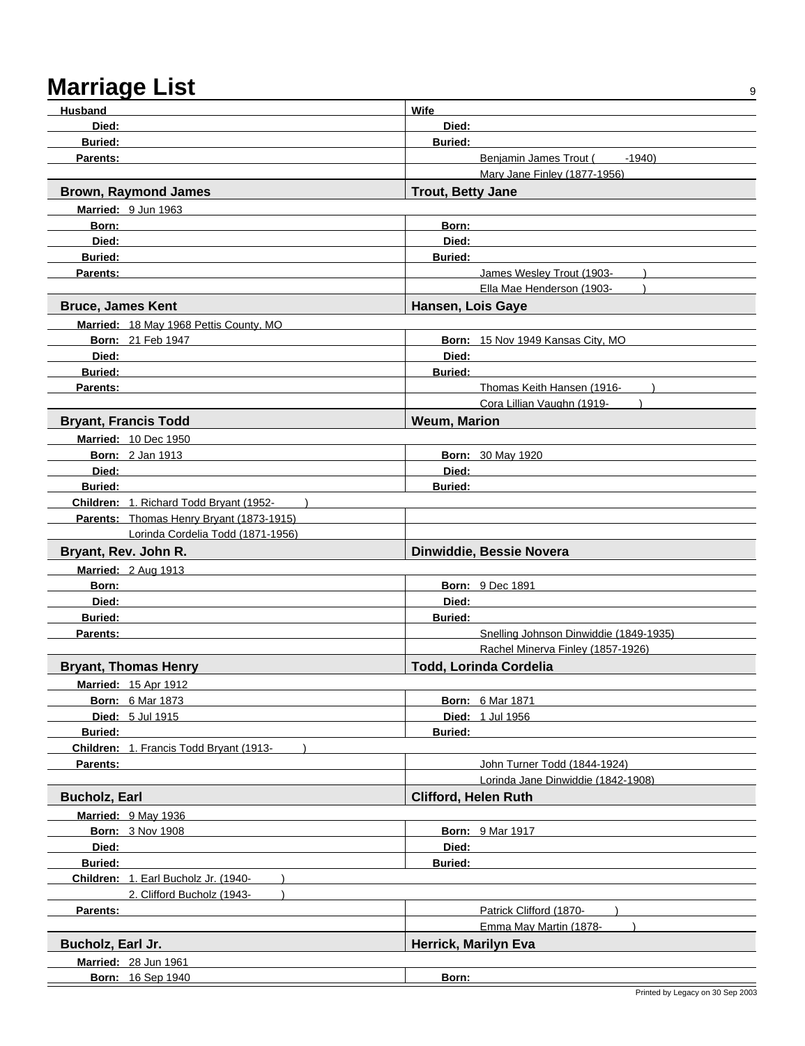| <b>Husband</b>                                   | <b>Wife</b>                            |
|--------------------------------------------------|----------------------------------------|
| Died:                                            | Died:                                  |
| <b>Buried:</b>                                   | <b>Buried:</b>                         |
| Parents:                                         | Benjamin James Trout (<br>$-1940$      |
|                                                  | Mary Jane Finley (1877-1956)           |
| <b>Brown, Raymond James</b>                      | <b>Trout, Betty Jane</b>               |
| Married: 9 Jun 1963                              |                                        |
| Born:                                            | Born:                                  |
| Died:                                            | Died:                                  |
| <b>Buried:</b>                                   | <b>Buried:</b>                         |
| Parents:                                         | James Wesley Trout (1903-              |
|                                                  | Ella Mae Henderson (1903-              |
| <b>Bruce, James Kent</b>                         | Hansen, Lois Gaye                      |
| Married: 18 May 1968 Pettis County, MO           |                                        |
| <b>Born: 21 Feb 1947</b>                         | Born: 15 Nov 1949 Kansas City, MO      |
| Died:                                            | Died:                                  |
| <b>Buried:</b>                                   | <b>Buried:</b>                         |
| Parents:                                         | Thomas Keith Hansen (1916-             |
|                                                  | Cora Lillian Vaughn (1919-             |
| <b>Bryant, Francis Todd</b>                      | <b>Weum, Marion</b>                    |
| <b>Married: 10 Dec 1950</b>                      |                                        |
| <b>Born: 2 Jan 1913</b>                          | <b>Born: 30 May 1920</b>               |
| Died:                                            | Died:                                  |
| <b>Buried:</b>                                   | <b>Buried:</b>                         |
| Children: 1. Richard Todd Bryant (1952-          |                                        |
| Parents: Thomas Henry Bryant (1873-1915)         |                                        |
| Lorinda Cordelia Todd (1871-1956)                |                                        |
| Bryant, Rev. John R.                             | Dinwiddie, Bessie Novera               |
| Married: 2 Aug 1913                              |                                        |
| Born:                                            | <b>Born: 9 Dec 1891</b>                |
| Died:                                            | Died:                                  |
| <b>Buried:</b>                                   | <b>Buried:</b>                         |
| Parents:                                         | Snelling Johnson Dinwiddie (1849-1935) |
|                                                  | Rachel Minerva Finley (1857-1926)      |
| <b>Bryant, Thomas Henry</b>                      | Todd, Lorinda Cordelia                 |
| <b>Married: 15 Apr 1912</b>                      |                                        |
| <b>Born: 6 Mar 1873</b>                          | <b>Born: 6 Mar 1871</b>                |
| <b>Died: 5 Jul 1915</b>                          | <b>Died: 1 Jul 1956</b>                |
| <b>Buried:</b>                                   | <b>Buried:</b>                         |
| Children: 1. Francis Todd Bryant (1913-          |                                        |
| Parents:                                         | John Turner Todd (1844-1924)           |
|                                                  | Lorinda Jane Dinwiddie (1842-1908)     |
| <b>Bucholz, Earl</b>                             | <b>Clifford, Helen Ruth</b>            |
| Married: 9 May 1936                              |                                        |
| <b>Born: 3 Nov 1908</b>                          | <b>Born: 9 Mar 1917</b>                |
| Died:                                            | Died:                                  |
| Buried:                                          | <b>Buried:</b>                         |
| Children: 1. Earl Bucholz Jr. (1940-             |                                        |
| 2. Clifford Bucholz (1943-                       |                                        |
| Parents:                                         |                                        |
|                                                  | Patrick Clifford (1870-                |
|                                                  | Emma May Martin (1878-                 |
| Bucholz, Earl Jr.                                | Herrick, Marilyn Eva                   |
| <b>Married: 28 Jun 1961</b><br>Born: 16 Sep 1940 | Born:                                  |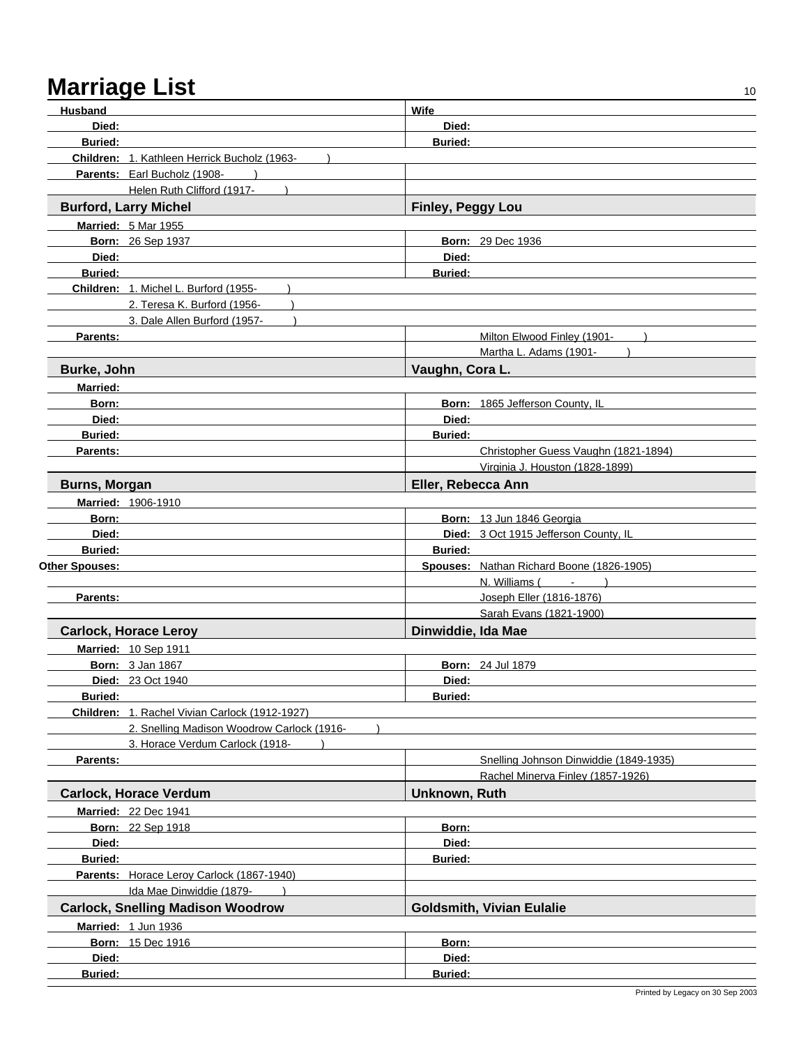| <b>Husband</b>       |                                                       | Wife               |                                           |
|----------------------|-------------------------------------------------------|--------------------|-------------------------------------------|
| Died:                |                                                       | Died:              |                                           |
| <b>Buried:</b>       |                                                       | <b>Buried:</b>     |                                           |
|                      | Children: 1. Kathleen Herrick Bucholz (1963-          |                    |                                           |
|                      | Parents: Earl Bucholz (1908-                          |                    |                                           |
|                      |                                                       |                    |                                           |
|                      | Helen Ruth Clifford (1917-                            |                    |                                           |
|                      | <b>Burford, Larry Michel</b>                          | Finley, Peggy Lou  |                                           |
|                      | <b>Married: 5 Mar 1955</b>                            |                    |                                           |
|                      | Born: 26 Sep 1937                                     |                    | <b>Born: 29 Dec 1936</b>                  |
| Died:                |                                                       | Died:              |                                           |
| <b>Buried:</b>       |                                                       | <b>Buried:</b>     |                                           |
|                      | Children: 1. Michel L. Burford (1955-                 |                    |                                           |
|                      | 2. Teresa K. Burford (1956-                           |                    |                                           |
|                      | 3. Dale Allen Burford (1957-                          |                    |                                           |
| Parents:             |                                                       |                    | Milton Elwood Finley (1901-               |
|                      |                                                       |                    | Martha L. Adams (1901-                    |
| Burke, John          |                                                       | Vaughn, Cora L.    |                                           |
| <b>Married:</b>      |                                                       |                    |                                           |
| Born:                |                                                       |                    | Born: 1865 Jefferson County, IL           |
| Died:                |                                                       | Died:              |                                           |
| <b>Buried:</b>       |                                                       |                    |                                           |
|                      |                                                       | <b>Buried:</b>     |                                           |
| Parents:             |                                                       |                    | Christopher Guess Vaughn (1821-1894)      |
|                      |                                                       |                    | Virginia J. Houston (1828-1899)           |
| <b>Burns, Morgan</b> |                                                       | Eller, Rebecca Ann |                                           |
|                      | Married: 1906-1910                                    |                    |                                           |
| Born:                |                                                       |                    | Born: 13 Jun 1846 Georgia                 |
| Died:                |                                                       |                    | Died: 3 Oct 1915 Jefferson County, IL     |
| <b>Buried:</b>       |                                                       | <b>Buried:</b>     |                                           |
| Other Spouses:       |                                                       |                    | Spouses: Nathan Richard Boone (1826-1905) |
|                      |                                                       |                    | $N.$ Williams $($ $ )$                    |
| Parents:             |                                                       |                    | Joseph Eller (1816-1876)                  |
|                      |                                                       |                    | Sarah Evans (1821-1900)                   |
|                      | <b>Carlock, Horace Leroy</b>                          | Dinwiddie, Ida Mae |                                           |
|                      | Married: 10 Sep 1911                                  |                    |                                           |
|                      | <b>Born: 3 Jan 1867</b>                               |                    | Born: 24 Jul 1879                         |
|                      | <b>Died: 23 Oct 1940</b>                              | Died:              |                                           |
| <b>Buried:</b>       |                                                       | <b>Buried:</b>     |                                           |
|                      | <b>Children: 1. Rachel Vivian Carlock (1912-1927)</b> |                    |                                           |
|                      | 2. Snelling Madison Woodrow Carlock (1916-            |                    |                                           |
|                      | 3. Horace Verdum Carlock (1918-                       |                    |                                           |
| Parents:             |                                                       |                    | Snelling Johnson Dinwiddie (1849-1935)    |
|                      |                                                       |                    |                                           |
|                      |                                                       |                    | Rachel Minerva Finley (1857-1926)         |
|                      | <b>Carlock, Horace Verdum</b>                         | Unknown, Ruth      |                                           |
|                      | Married: 22 Dec 1941                                  |                    |                                           |
|                      | <b>Born: 22 Sep 1918</b>                              | Born:              |                                           |
| Died:                |                                                       | Died:              |                                           |
| <b>Buried:</b>       |                                                       | <b>Buried:</b>     |                                           |
|                      | Parents: Horace Leroy Carlock (1867-1940)             |                    |                                           |
|                      | Ida Mae Dinwiddie (1879-                              |                    |                                           |
|                      | <b>Carlock, Snelling Madison Woodrow</b>              |                    | <b>Goldsmith, Vivian Eulalie</b>          |
|                      | Married: 1 Jun 1936                                   |                    |                                           |
|                      | <b>Born: 15 Dec 1916</b>                              | Born:              |                                           |
| Died:                |                                                       | Died:              |                                           |
| Buried:              |                                                       | Buried:            |                                           |
|                      |                                                       |                    |                                           |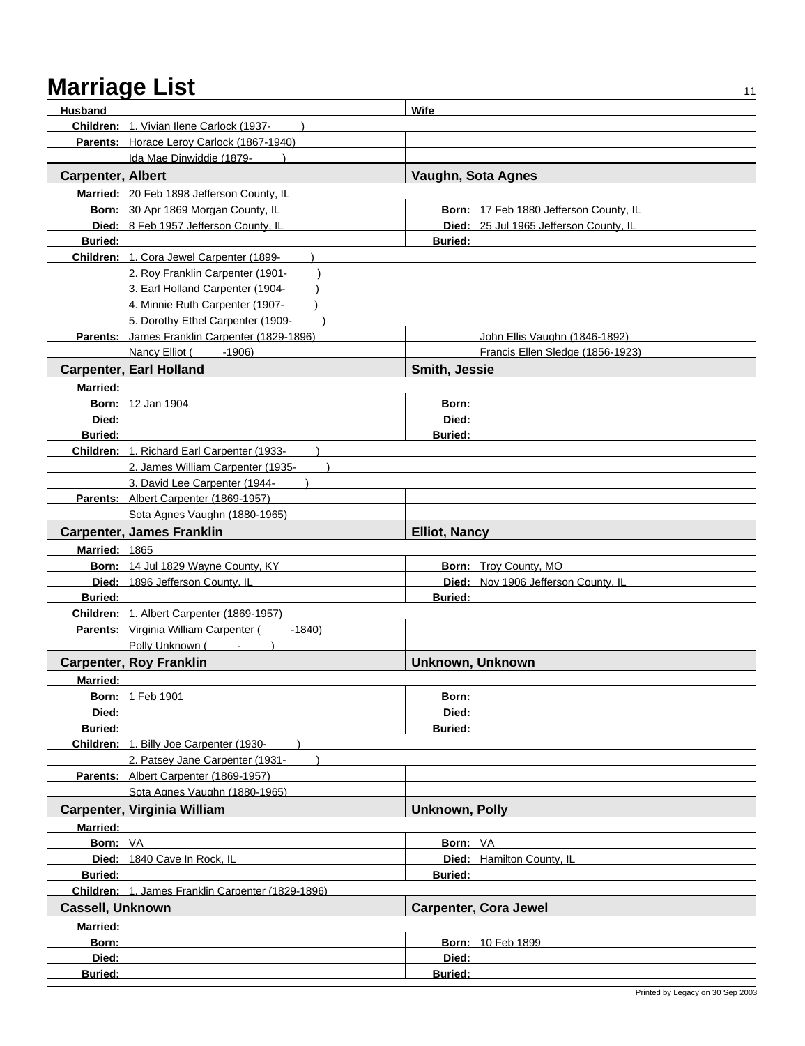| <b>Husband</b>           |                                                   | Wife                                   |
|--------------------------|---------------------------------------------------|----------------------------------------|
|                          | Children: 1. Vivian Ilene Carlock (1937-          |                                        |
|                          | Parents: Horace Leroy Carlock (1867-1940)         |                                        |
|                          | Ida Mae Dinwiddie (1879-                          |                                        |
| <b>Carpenter, Albert</b> |                                                   | Vaughn, Sota Agnes                     |
|                          | Married: 20 Feb 1898 Jefferson County, IL         |                                        |
|                          | Born: 30 Apr 1869 Morgan County, IL               | Born: 17 Feb 1880 Jefferson County, IL |
|                          | Died: 8 Feb 1957 Jefferson County, IL             | Died: 25 Jul 1965 Jefferson County, IL |
| <b>Buried:</b>           |                                                   | <b>Buried:</b>                         |
|                          | Children: 1. Cora Jewel Carpenter (1899-          |                                        |
|                          | 2. Roy Franklin Carpenter (1901-                  |                                        |
|                          | 3. Earl Holland Carpenter (1904-                  |                                        |
|                          | 4. Minnie Ruth Carpenter (1907-                   |                                        |
|                          | 5. Dorothy Ethel Carpenter (1909-                 |                                        |
|                          | Parents: James Franklin Carpenter (1829-1896)     | John Ellis Vaughn (1846-1892)          |
|                          | Nancy Elliot (<br>$-1906$                         | Francis Ellen Sledge (1856-1923)       |
|                          | <b>Carpenter, Earl Holland</b>                    | Smith, Jessie                          |
| Married:                 |                                                   |                                        |
|                          | <b>Born: 12 Jan 1904</b>                          | Born:                                  |
| Died:                    |                                                   | Died:                                  |
| <b>Buried:</b>           |                                                   | <b>Buried:</b>                         |
|                          | Children: 1. Richard Earl Carpenter (1933-        |                                        |
|                          | 2. James William Carpenter (1935-                 |                                        |
|                          | 3. David Lee Carpenter (1944-                     |                                        |
|                          | Parents: Albert Carpenter (1869-1957)             |                                        |
|                          | Sota Agnes Vaughn (1880-1965)                     |                                        |
|                          | <b>Carpenter, James Franklin</b>                  | <b>Elliot, Nancy</b>                   |
| Married: 1865            |                                                   |                                        |
|                          | Born: 14 Jul 1829 Wayne County, KY                | <b>Born:</b> Troy County, MO           |
|                          | Died: 1896 Jefferson County, IL                   | Died: Nov 1906 Jefferson County, IL    |
| <b>Buried:</b>           |                                                   | <b>Buried:</b>                         |
|                          | Children: 1. Albert Carpenter (1869-1957)         |                                        |
|                          | Parents: Virginia William Carpenter (<br>$-1840$  |                                        |
|                          | Polly Unknown (<br>$\sim$                         |                                        |
|                          | <b>Carpenter, Roy Franklin</b>                    | <b>Unknown, Unknown</b>                |
| <b>Married:</b>          |                                                   |                                        |
|                          | <b>Born: 1 Feb 1901</b>                           | Born:                                  |
| Died:                    |                                                   | Died:                                  |
| Buried:                  |                                                   | Buried:                                |
|                          | Children: 1. Billy Joe Carpenter (1930-           |                                        |
|                          | 2. Patsey Jane Carpenter (1931-                   |                                        |
|                          | Parents: Albert Carpenter (1869-1957)             |                                        |
|                          | Sota Agnes Vaughn (1880-1965)                     |                                        |
|                          | Carpenter, Virginia William                       | <b>Unknown, Polly</b>                  |
| Married:                 |                                                   |                                        |
| Born: VA                 | Died: 1840 Cave In Rock. IL                       | Born: VA                               |
|                          |                                                   | Died: Hamilton County, IL              |
| <b>Buried:</b>           |                                                   | <b>Buried:</b>                         |
|                          | Children: 1. James Franklin Carpenter (1829-1896) |                                        |
| <b>Cassell, Unknown</b>  |                                                   | <b>Carpenter, Cora Jewel</b>           |
| <b>Married:</b>          |                                                   |                                        |
| Born:<br>Died:           |                                                   | <b>Born: 10 Feb 1899</b><br>Died:      |
| Buried:                  |                                                   | Buried:                                |
|                          |                                                   |                                        |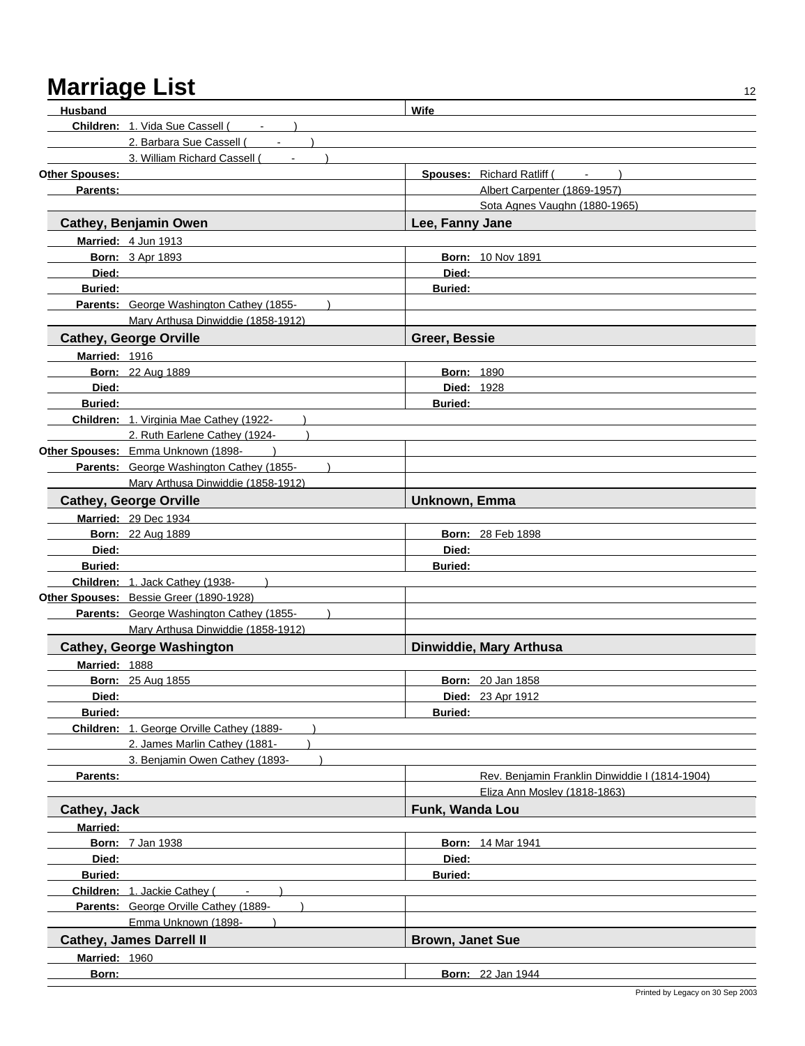| Husband         |                                                | Wife                    |                                                |
|-----------------|------------------------------------------------|-------------------------|------------------------------------------------|
|                 | Children: 1. Vida Sue Cassell (Fig. 1888)      |                         |                                                |
|                 | 2. Barbara Sue Cassell (                       |                         |                                                |
|                 | 3. William Richard Cassell (<br>$\blacksquare$ |                         |                                                |
| Other Spouses:  |                                                |                         | <b>Spouses: Richard Ratliff (</b><br>$  )$     |
| Parents:        |                                                |                         | Albert Carpenter (1869-1957)                   |
|                 |                                                |                         | Sota Agnes Vaughn (1880-1965)                  |
|                 | <b>Cathey, Benjamin Owen</b>                   | Lee, Fanny Jane         |                                                |
|                 | Married: 4 Jun 1913                            |                         |                                                |
|                 | <b>Born: 3 Apr 1893</b>                        |                         | <b>Born: 10 Nov 1891</b>                       |
| Died:           |                                                | Died:                   |                                                |
| <b>Buried:</b>  |                                                | <b>Buried:</b>          |                                                |
|                 | Parents: George Washington Cathey (1855-       |                         |                                                |
|                 | Mary Arthusa Dinwiddie (1858-1912)             |                         |                                                |
|                 | <b>Cathey, George Orville</b>                  | Greer, Bessie           |                                                |
| Married: 1916   |                                                |                         |                                                |
|                 | <b>Born: 22 Aug 1889</b>                       | <b>Born: 1890</b>       |                                                |
| Died:           |                                                | <b>Died: 1928</b>       |                                                |
| <b>Buried:</b>  |                                                | <b>Buried:</b>          |                                                |
|                 | Children: 1. Virginia Mae Cathey (1922-        |                         |                                                |
|                 | 2. Ruth Earlene Cathey (1924-                  |                         |                                                |
|                 | Other Spouses: Emma Unknown (1898-             |                         |                                                |
|                 | Parents: George Washington Cathey (1855-       |                         |                                                |
|                 | Mary Arthusa Dinwiddie (1858-1912)             |                         |                                                |
|                 | <b>Cathey, George Orville</b>                  | Unknown, Emma           |                                                |
|                 | Married: 29 Dec 1934                           |                         |                                                |
|                 | <b>Born: 22 Aug 1889</b>                       |                         | <b>Born: 28 Feb 1898</b>                       |
| Died:           |                                                | Died:                   |                                                |
| <b>Buried:</b>  |                                                | <b>Buried:</b>          |                                                |
|                 | Children: 1. Jack Cathey (1938-                |                         |                                                |
|                 | Other Spouses: Bessie Greer (1890-1928)        |                         |                                                |
|                 | Parents: George Washington Cathey (1855-       |                         |                                                |
|                 | Mary Arthusa Dinwiddie (1858-1912)             |                         |                                                |
|                 | <b>Cathey, George Washington</b>               |                         | Dinwiddie, Mary Arthusa                        |
| Married: 1888   |                                                |                         |                                                |
|                 | <b>Born: 25 Aug 1855</b>                       |                         | <b>Born: 20 Jan 1858</b>                       |
| Died:           |                                                |                         | Died: 23 Apr 1912                              |
| <b>Buried:</b>  |                                                | <b>Buried:</b>          |                                                |
|                 | Children: 1. George Orville Cathey (1889-      |                         |                                                |
|                 | 2. James Marlin Cathey (1881-                  |                         |                                                |
|                 | 3. Benjamin Owen Cathey (1893-                 |                         |                                                |
| Parents:        |                                                |                         | Rev. Benjamin Franklin Dinwiddie I (1814-1904) |
|                 |                                                |                         | Eliza Ann Mosley (1818-1863)                   |
| Cathey, Jack    |                                                | Funk, Wanda Lou         |                                                |
| <b>Married:</b> |                                                |                         |                                                |
|                 | <b>Born: 7 Jan 1938</b>                        |                         | <b>Born: 14 Mar 1941</b>                       |
| Died:           |                                                | Died:                   |                                                |
| Buried:         |                                                | <b>Buried:</b>          |                                                |
|                 | Children: 1. Jackie Cathey (<br>$\overline{a}$ |                         |                                                |
|                 | Parents: George Orville Cathey (1889-          |                         |                                                |
|                 | Emma Unknown (1898-                            |                         |                                                |
|                 | <b>Cathey, James Darrell II</b>                | <b>Brown, Janet Sue</b> |                                                |
|                 |                                                |                         |                                                |
| Married: 1960   |                                                |                         |                                                |
| Born:           |                                                |                         | <b>Born: 22 Jan 1944</b>                       |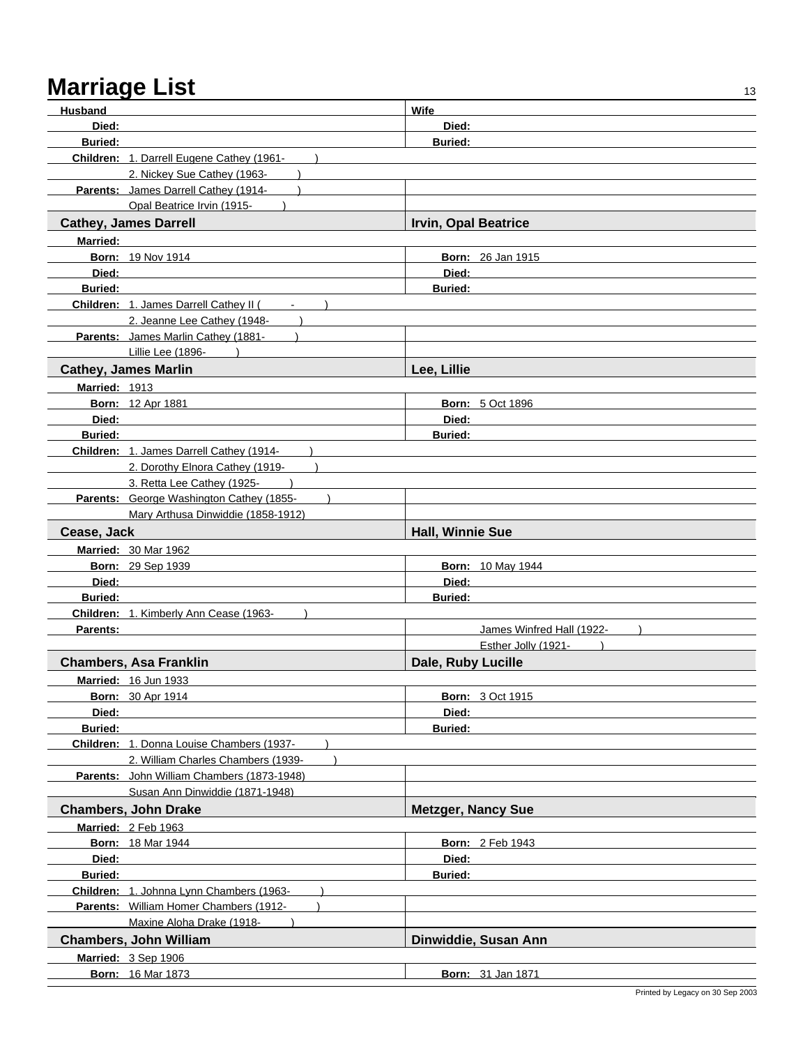## Marriage List
<sup>13</sup>

| <b>Husband</b> |                                                  | Wife                        |
|----------------|--------------------------------------------------|-----------------------------|
| Died:          |                                                  | Died:                       |
| <b>Buried:</b> |                                                  | <b>Buried:</b>              |
|                | Children: 1. Darrell Eugene Cathey (1961-        |                             |
|                | 2. Nickey Sue Cathey (1963-                      |                             |
|                | Parents: James Darrell Cathey (1914-             |                             |
|                | Opal Beatrice Irvin (1915-                       |                             |
|                | <b>Cathey, James Darrell</b>                     | <b>Irvin, Opal Beatrice</b> |
| Married:       |                                                  |                             |
|                | <b>Born: 19 Nov 1914</b>                         | <b>Born: 26 Jan 1915</b>    |
| Died:          |                                                  | Died:                       |
| <b>Buried:</b> |                                                  | <b>Buried:</b>              |
|                | Children: 1. James Darrell Cathey II (<br>$\sim$ |                             |
|                | 2. Jeanne Lee Cathey (1948-                      |                             |
|                | Parents: James Marlin Cathey (1881-              |                             |
|                | Lillie Lee (1896-)                               |                             |
|                | <b>Cathey, James Marlin</b>                      | Lee, Lillie                 |
| Married: 1913  |                                                  |                             |
|                | <b>Born: 12 Apr 1881</b>                         | <b>Born: 5 Oct 1896</b>     |
| Died:          |                                                  | Died:                       |
| <b>Buried:</b> |                                                  | <b>Buried:</b>              |
|                | Children: 1. James Darrell Cathey (1914-         |                             |
|                | 2. Dorothy Elnora Cathey (1919-                  |                             |
|                | 3. Retta Lee Cathey (1925-                       |                             |
|                | Parents: George Washington Cathey (1855-         |                             |
|                | Mary Arthusa Dinwiddie (1858-1912)               |                             |
| Cease, Jack    |                                                  | <b>Hall, Winnie Sue</b>     |
|                | <b>Married: 30 Mar 1962</b>                      |                             |
|                | Born: 29 Sep 1939                                | <b>Born: 10 May 1944</b>    |
| Died:          |                                                  | Died:                       |
| <b>Buried:</b> |                                                  | <b>Buried:</b>              |
| Parents:       | Children: 1. Kimberly Ann Cease (1963-           | James Winfred Hall (1922-   |
|                |                                                  | Esther Jolly (1921-         |
|                | <b>Chambers, Asa Franklin</b>                    | Dale, Ruby Lucille          |
|                | Married: 16 Jun 1933                             |                             |
|                | <b>Born: 30 Apr 1914</b>                         | <b>Born: 3 Oct 1915</b>     |
| Died:          |                                                  | Died:                       |
| Buried:        |                                                  | Buried:                     |
|                | Children: 1. Donna Louise Chambers (1937-        |                             |
|                | 2. William Charles Chambers (1939-               |                             |
|                | Parents: John William Chambers (1873-1948)       |                             |
|                | Susan Ann Dinwiddie (1871-1948)                  |                             |
|                | <b>Chambers, John Drake</b>                      | <b>Metzger, Nancy Sue</b>   |
|                | Married: 2 Feb 1963                              |                             |
|                | <b>Born: 18 Mar 1944</b>                         | <b>Born: 2 Feb 1943</b>     |
| Died:          |                                                  | Died:                       |
| <b>Buried:</b> |                                                  | <b>Buried:</b>              |
|                | Children: 1. Johnna Lynn Chambers (1963-         |                             |
|                | Parents: William Homer Chambers (1912-           |                             |
|                | Maxine Aloha Drake (1918-                        |                             |
|                | <b>Chambers, John William</b>                    | Dinwiddie, Susan Ann        |
|                | Married: 3 Sep 1906                              |                             |
|                | <b>Born: 16 Mar 1873</b>                         | <b>Born: 31 Jan 1871</b>    |
|                |                                                  |                             |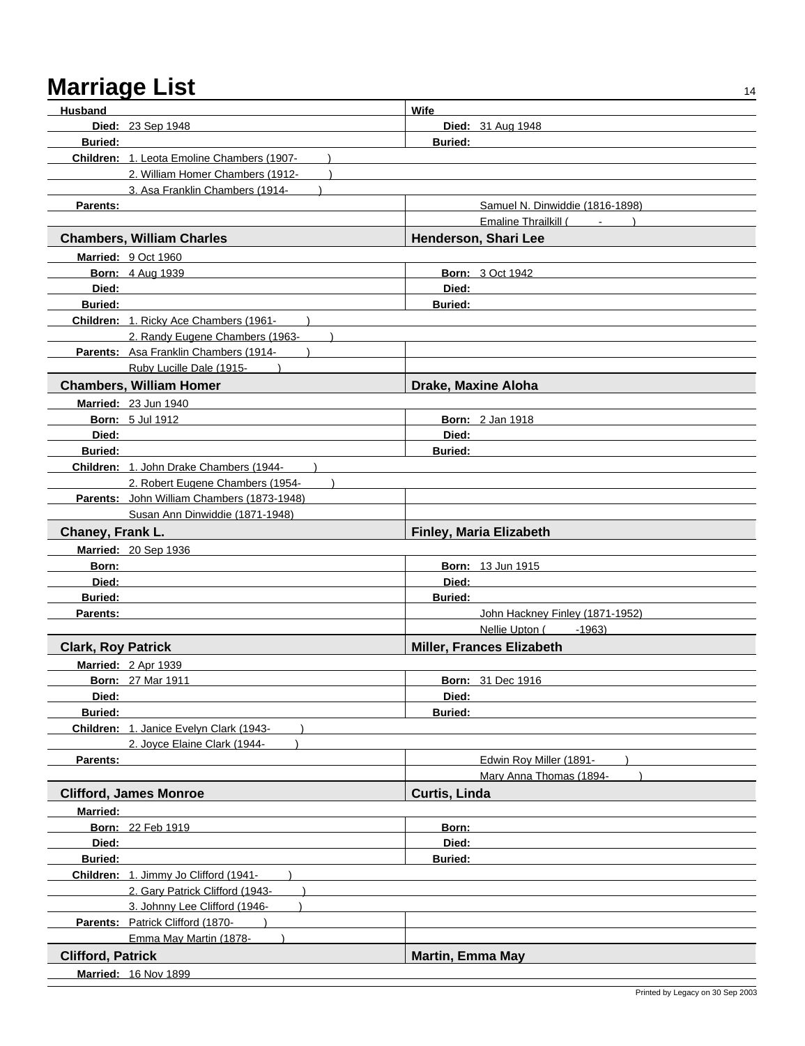| Husband                   |                                            | Wife                            |  |
|---------------------------|--------------------------------------------|---------------------------------|--|
|                           | <b>Died: 23 Sep 1948</b>                   | <b>Died: 31 Aug 1948</b>        |  |
| <b>Buried:</b>            |                                            | <b>Buried:</b>                  |  |
|                           | Children: 1. Leota Emoline Chambers (1907- |                                 |  |
|                           | 2. William Homer Chambers (1912-           |                                 |  |
|                           | 3. Asa Franklin Chambers (1914-            |                                 |  |
| Parents:                  |                                            | Samuel N. Dinwiddie (1816-1898) |  |
|                           |                                            | Emaline Thrailkill (Fig. 1886)  |  |
|                           | <b>Chambers, William Charles</b>           | Henderson, Shari Lee            |  |
|                           | Married: 9 Oct 1960                        |                                 |  |
|                           | <b>Born: 4 Aug 1939</b>                    | <b>Born: 3 Oct 1942</b>         |  |
| Died:                     |                                            | Died:                           |  |
| <b>Buried:</b>            |                                            | <b>Buried:</b>                  |  |
|                           | Children: 1. Ricky Ace Chambers (1961-     |                                 |  |
|                           | 2. Randy Eugene Chambers (1963-            |                                 |  |
|                           | Parents: Asa Franklin Chambers (1914-      |                                 |  |
|                           | Ruby Lucille Dale (1915-                   |                                 |  |
|                           | <b>Chambers, William Homer</b>             | Drake, Maxine Aloha             |  |
|                           | <b>Married: 23 Jun 1940</b>                |                                 |  |
|                           | <b>Born: 5 Jul 1912</b>                    | <b>Born: 2 Jan 1918</b>         |  |
| Died:                     |                                            | Died:                           |  |
| <b>Buried:</b>            |                                            | <b>Buried:</b>                  |  |
|                           | Children: 1. John Drake Chambers (1944-    |                                 |  |
|                           | 2. Robert Eugene Chambers (1954-           |                                 |  |
|                           | Parents: John William Chambers (1873-1948) |                                 |  |
|                           | Susan Ann Dinwiddie (1871-1948)            |                                 |  |
| Chaney, Frank L.          |                                            | Finley, Maria Elizabeth         |  |
|                           | Married: 20 Sep 1936                       |                                 |  |
| Born:                     |                                            | <b>Born: 13 Jun 1915</b>        |  |
| Died:                     |                                            | Died:                           |  |
| <b>Buried:</b>            |                                            | <b>Buried:</b>                  |  |
| Parents:                  |                                            | John Hackney Finley (1871-1952) |  |
|                           |                                            | Nellie Upton (<br>$-1963$       |  |
| <b>Clark, Roy Patrick</b> |                                            | Miller, Frances Elizabeth       |  |
|                           | Married: 2 Apr 1939                        |                                 |  |
|                           | <b>Born: 27 Mar 1911</b>                   | <b>Born: 31 Dec 1916</b>        |  |
| Died:                     |                                            | Died:                           |  |
| Buried:                   |                                            | <b>Buried:</b>                  |  |
|                           | Children: 1. Janice Evelyn Clark (1943-    |                                 |  |
|                           | 2. Joyce Elaine Clark (1944-               |                                 |  |
| Parents:                  |                                            | Edwin Roy Miller (1891-         |  |
|                           |                                            | Mary Anna Thomas (1894-         |  |
|                           | <b>Clifford, James Monroe</b>              | Curtis, Linda                   |  |
| Married:                  |                                            |                                 |  |
|                           | <b>Born: 22 Feb 1919</b>                   | Born:                           |  |
| Died:                     |                                            | Died:                           |  |
| Buried:                   |                                            | <b>Buried:</b>                  |  |
|                           | Children: 1. Jimmy Jo Clifford (1941-      |                                 |  |
|                           | 2. Gary Patrick Clifford (1943-            |                                 |  |
|                           | 3. Johnny Lee Clifford (1946-              |                                 |  |
|                           | Parents: Patrick Clifford (1870-           |                                 |  |
|                           | Emma May Martin (1878-                     |                                 |  |
| <b>Clifford, Patrick</b>  |                                            | Martin, Emma May                |  |
|                           | <b>Married: 16 Nov 1899</b>                |                                 |  |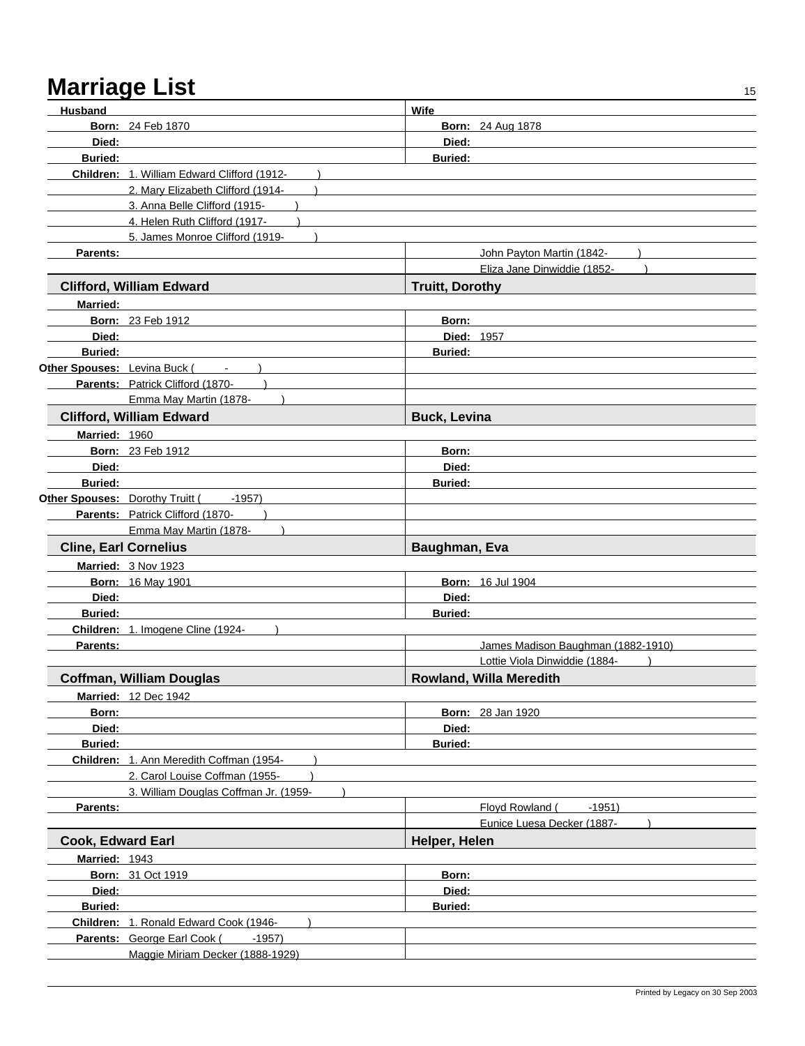| James Madison Baughman (1882-1910) |
|------------------------------------|
|                                    |
|                                    |
|                                    |
|                                    |
|                                    |
|                                    |
|                                    |
|                                    |
|                                    |
|                                    |
|                                    |
|                                    |
|                                    |
|                                    |
|                                    |
|                                    |
|                                    |
|                                    |
|                                    |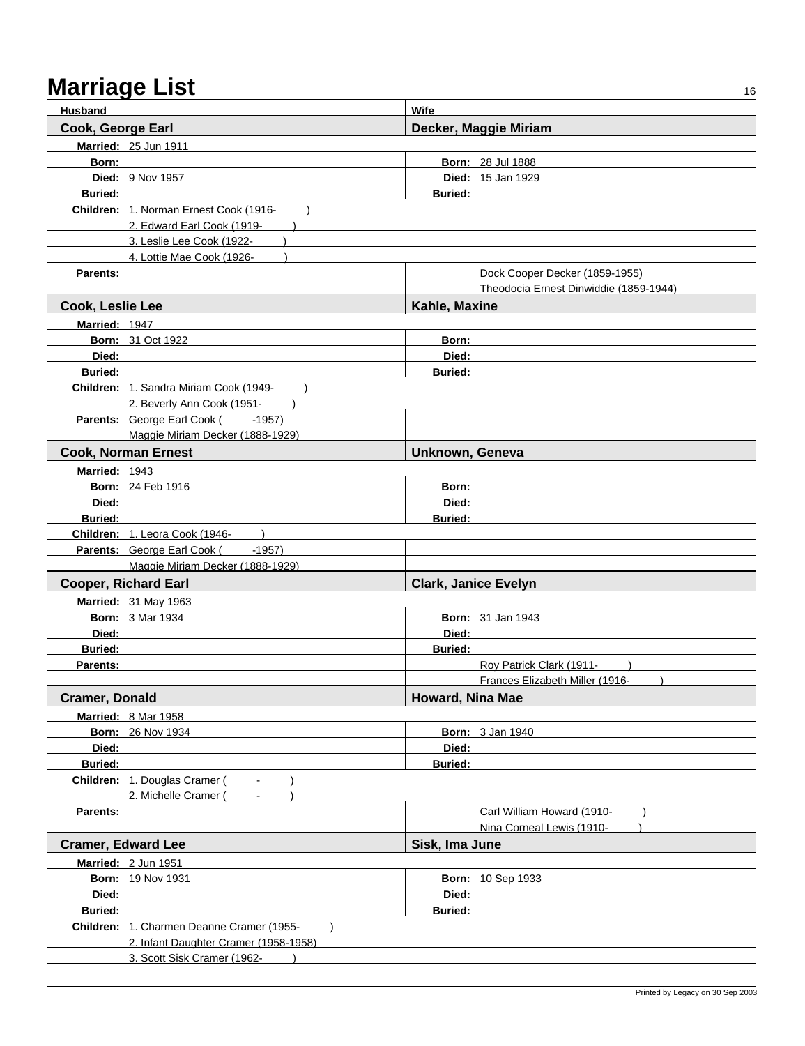| <b>Husband</b>            |                                           | <b>Wife</b>                            |
|---------------------------|-------------------------------------------|----------------------------------------|
| Cook, George Earl         |                                           | Decker, Maggie Miriam                  |
|                           | Married: 25 Jun 1911                      |                                        |
| Born:                     |                                           | <b>Born: 28 Jul 1888</b>               |
|                           | Died: 9 Nov 1957                          | <b>Died: 15 Jan 1929</b>               |
| <b>Buried:</b>            |                                           | <b>Buried:</b>                         |
|                           | Children: 1. Norman Ernest Cook (1916-    |                                        |
|                           | 2. Edward Earl Cook (1919-                |                                        |
|                           | 3. Leslie Lee Cook (1922-                 |                                        |
|                           | 4. Lottie Mae Cook (1926-                 |                                        |
| Parents:                  |                                           | Dock Cooper Decker (1859-1955)         |
|                           |                                           | Theodocia Ernest Dinwiddie (1859-1944) |
| Cook, Leslie Lee          |                                           | Kahle, Maxine                          |
| Married: 1947             |                                           |                                        |
|                           | <b>Born: 31 Oct 1922</b>                  | Born:                                  |
| Died:                     |                                           | Died:                                  |
| <b>Buried:</b>            |                                           | <b>Buried:</b>                         |
|                           | Children: 1. Sandra Miriam Cook (1949-    |                                        |
|                           | 2. Beverly Ann Cook (1951-                |                                        |
|                           | Parents: George Earl Cook (<br>$-1957$    |                                        |
|                           | Maggie Miriam Decker (1888-1929)          |                                        |
|                           | <b>Cook, Norman Ernest</b>                | Unknown, Geneva                        |
| Married: 1943             |                                           |                                        |
|                           | <b>Born: 24 Feb 1916</b>                  | Born:                                  |
| Died:                     |                                           | Died:                                  |
| <b>Buried:</b>            |                                           | <b>Buried:</b>                         |
|                           | Children: 1. Leora Cook (1946-            |                                        |
|                           | Parents: George Earl Cook (<br>$-1957)$   |                                        |
|                           | Maggie Miriam Decker (1888-1929)          |                                        |
|                           | <b>Cooper, Richard Earl</b>               | <b>Clark, Janice Evelyn</b>            |
|                           | <b>Married: 31 May 1963</b>               |                                        |
|                           | <b>Born: 3 Mar 1934</b>                   | <b>Born: 31 Jan 1943</b>               |
| Died:                     |                                           | Died:                                  |
| <b>Buried:</b>            |                                           | <b>Buried:</b>                         |
| Parents:                  |                                           | Roy Patrick Clark (1911-               |
|                           |                                           | Frances Elizabeth Miller (1916-        |
| <b>Cramer, Donald</b>     |                                           | Howard, Nina Mae                       |
|                           | Married: 8 Mar 1958                       |                                        |
|                           | <b>Born: 26 Nov 1934</b>                  | <b>Born: 3 Jan 1940</b>                |
| Died:                     |                                           | Died:                                  |
| <b>Buried:</b>            |                                           | <b>Buried:</b>                         |
|                           | Children: 1. Douglas Cramer (             |                                        |
|                           | 2. Michelle Cramer (                      |                                        |
| Parents:                  |                                           | Carl William Howard (1910-             |
|                           |                                           | Nina Corneal Lewis (1910-              |
| <b>Cramer, Edward Lee</b> |                                           | Sisk, Ima June                         |
|                           | Married: 2 Jun 1951                       |                                        |
|                           | <b>Born: 19 Nov 1931</b>                  | <b>Born: 10 Sep 1933</b>               |
| Died:                     |                                           | Died:                                  |
| <b>Buried:</b>            |                                           | <b>Buried:</b>                         |
|                           | Children: 1. Charmen Deanne Cramer (1955- |                                        |
|                           | 2. Infant Daughter Cramer (1958-1958)     |                                        |
|                           | 3. Scott Sisk Cramer (1962-               |                                        |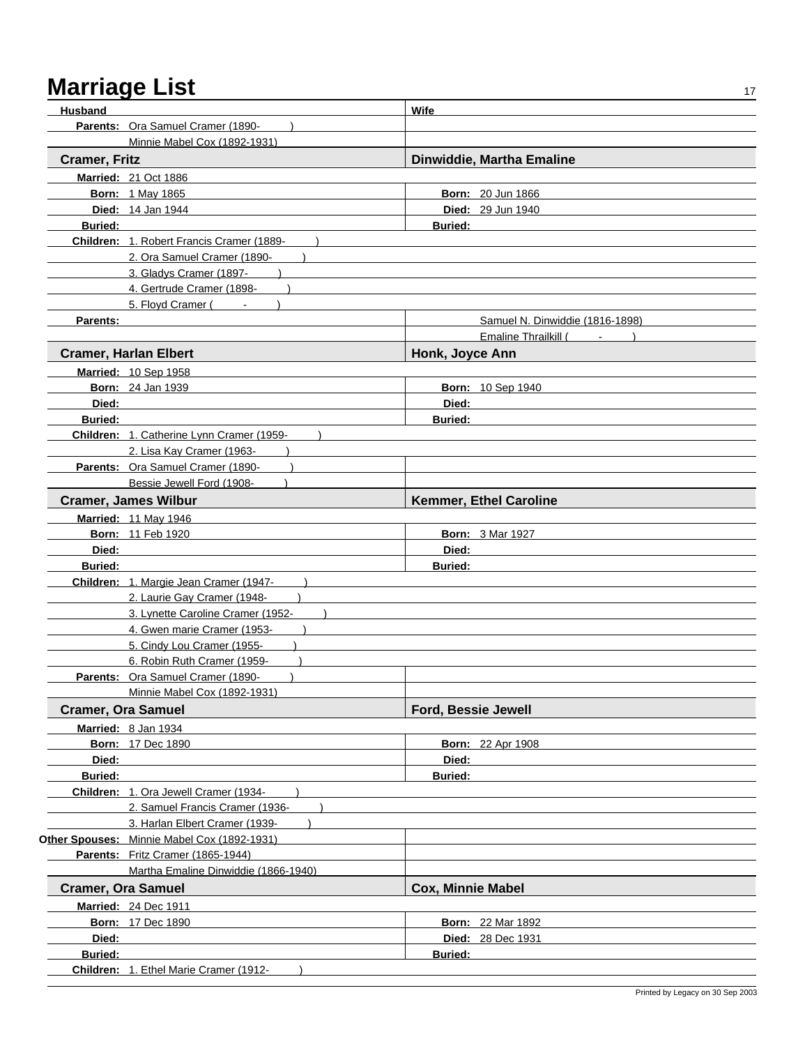| <b>Husband</b>            |                                             | Wife                            |
|---------------------------|---------------------------------------------|---------------------------------|
|                           | Parents: Ora Samuel Cramer (1890-           |                                 |
|                           | Minnie Mabel Cox (1892-1931)                |                                 |
| <b>Cramer, Fritz</b>      |                                             | Dinwiddie, Martha Emaline       |
|                           | <b>Married: 21 Oct 1886</b>                 |                                 |
|                           | <b>Born: 1 May 1865</b>                     | <b>Born: 20 Jun 1866</b>        |
|                           | Died: 14 Jan 1944                           | Died: 29 Jun 1940               |
| <b>Buried:</b>            |                                             | <b>Buried:</b>                  |
|                           | Children: 1. Robert Francis Cramer (1889-   |                                 |
|                           | 2. Ora Samuel Cramer (1890-                 |                                 |
|                           | 3. Gladys Cramer (1897-                     |                                 |
|                           | 4. Gertrude Cramer (1898-                   |                                 |
|                           | 5. Floyd Cramer (<br>$\sim$                 |                                 |
| Parents:                  |                                             | Samuel N. Dinwiddie (1816-1898) |
|                           |                                             | Emaline Thrailkill (<br>$\sim$  |
|                           | <b>Cramer, Harlan Elbert</b>                | Honk, Joyce Ann                 |
|                           | Married: 10 Sep 1958                        |                                 |
|                           | <b>Born: 24 Jan 1939</b>                    | Born: 10 Sep 1940               |
| Died:                     |                                             | Died:                           |
| <b>Buried:</b>            |                                             | Buried:                         |
|                           | Children: 1. Catherine Lynn Cramer (1959-   |                                 |
|                           | 2. Lisa Kay Cramer (1963-                   |                                 |
|                           | Parents: Ora Samuel Cramer (1890-           |                                 |
|                           | Bessie Jewell Ford (1908-                   |                                 |
|                           | <b>Cramer, James Wilbur</b>                 | Kemmer, Ethel Caroline          |
|                           | <b>Married: 11 May 1946</b>                 |                                 |
|                           | <b>Born: 11 Feb 1920</b>                    | <b>Born: 3 Mar 1927</b>         |
| Died:                     |                                             | Died:                           |
| <b>Buried:</b>            |                                             | <b>Buried:</b>                  |
|                           | Children: 1. Margie Jean Cramer (1947-      |                                 |
|                           | 2. Laurie Gay Cramer (1948-                 |                                 |
|                           | 3. Lynette Caroline Cramer (1952-           |                                 |
|                           | 4. Gwen marie Cramer (1953-                 |                                 |
|                           | 5. Cindy Lou Cramer (1955-                  |                                 |
|                           | 6. Robin Ruth Cramer (1959-                 |                                 |
|                           | Parents: Ora Samuel Cramer (1890-           |                                 |
|                           | Minnie Mabel Cox (1892-1931)                |                                 |
|                           | <b>Cramer, Ora Samuel</b>                   | Ford, Bessie Jewell             |
|                           | Married: 8 Jan 1934                         |                                 |
|                           | <b>Born: 17 Dec 1890</b>                    | <b>Born: 22 Apr 1908</b>        |
| Died:                     |                                             | Died:                           |
| <b>Buried:</b>            |                                             | <b>Buried:</b>                  |
|                           | Children: 1. Ora Jewell Cramer (1934-       |                                 |
|                           | 2. Samuel Francis Cramer (1936-             |                                 |
|                           | 3. Harlan Elbert Cramer (1939-              |                                 |
|                           | Other Spouses: Minnie Mabel Cox (1892-1931) |                                 |
|                           | Parents: Fritz Cramer (1865-1944)           |                                 |
|                           | Martha Emaline Dinwiddie (1866-1940)        |                                 |
| <b>Cramer, Ora Samuel</b> |                                             | <b>Cox, Minnie Mabel</b>        |
|                           | <b>Married: 24 Dec 1911</b>                 |                                 |
|                           | <b>Born: 17 Dec 1890</b>                    | <b>Born: 22 Mar 1892</b>        |
| Died:                     |                                             | <b>Died: 28 Dec 1931</b>        |
| <b>Buried:</b>            |                                             | <b>Buried:</b>                  |
|                           | Children: 1. Ethel Marie Cramer (1912-      |                                 |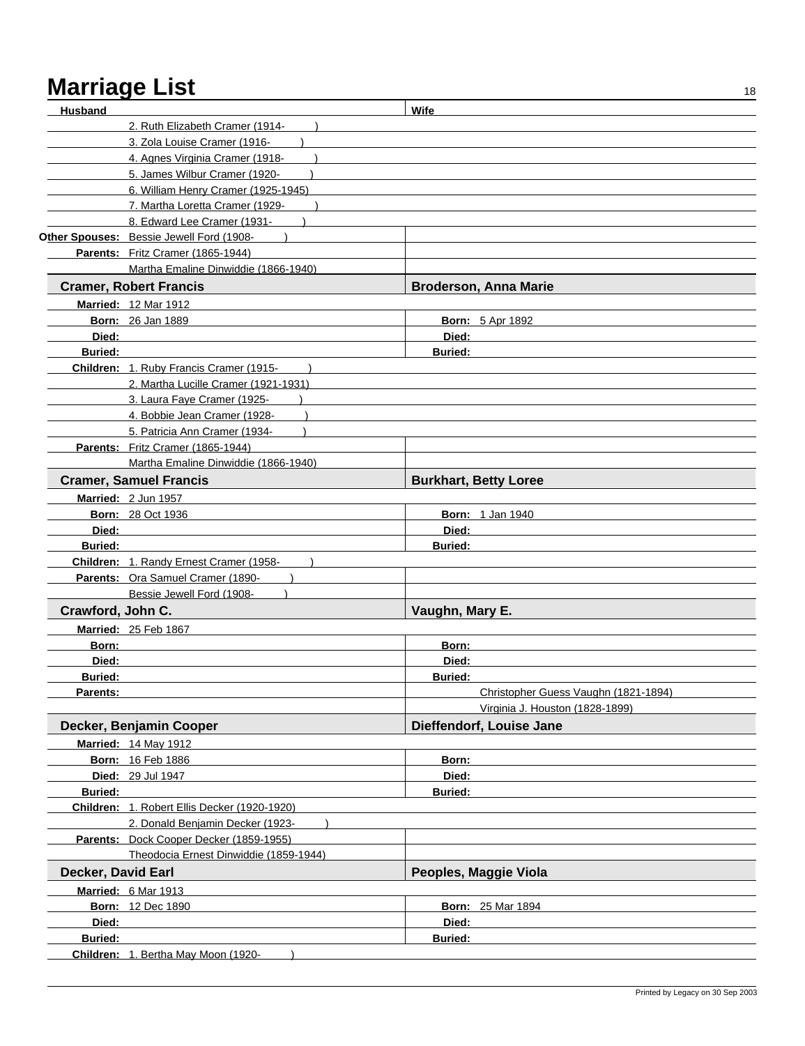| <b>Husband</b>     |                                              | Wife            |                                      |
|--------------------|----------------------------------------------|-----------------|--------------------------------------|
|                    | 2. Ruth Elizabeth Cramer (1914-              |                 |                                      |
|                    | 3. Zola Louise Cramer (1916-                 |                 |                                      |
|                    | 4. Agnes Virginia Cramer (1918-              |                 |                                      |
|                    | 5. James Wilbur Cramer (1920-                |                 |                                      |
|                    | 6. William Henry Cramer (1925-1945)          |                 |                                      |
|                    | 7. Martha Loretta Cramer (1929-              |                 |                                      |
|                    | 8. Edward Lee Cramer (1931-                  |                 |                                      |
|                    | Other Spouses: Bessie Jewell Ford (1908-     |                 |                                      |
|                    | Parents: Fritz Cramer (1865-1944)            |                 |                                      |
|                    | Martha Emaline Dinwiddie (1866-1940)         |                 |                                      |
|                    |                                              |                 | <b>Broderson, Anna Marie</b>         |
|                    | <b>Cramer, Robert Francis</b>                |                 |                                      |
|                    | <b>Married: 12 Mar 1912</b>                  |                 |                                      |
|                    | <b>Born: 26 Jan 1889</b>                     |                 | <b>Born: 5 Apr 1892</b>              |
| Died:              |                                              | Died:           |                                      |
| <b>Buried:</b>     |                                              | <b>Buried:</b>  |                                      |
|                    | Children: 1. Ruby Francis Cramer (1915-      |                 |                                      |
|                    | 2. Martha Lucille Cramer (1921-1931)         |                 |                                      |
|                    | 3. Laura Faye Cramer (1925-                  |                 |                                      |
|                    | 4. Bobbie Jean Cramer (1928-                 |                 |                                      |
|                    | 5. Patricia Ann Cramer (1934-                |                 |                                      |
|                    | Parents: Fritz Cramer (1865-1944)            |                 |                                      |
|                    | Martha Emaline Dinwiddie (1866-1940)         |                 |                                      |
|                    | <b>Cramer, Samuel Francis</b>                |                 | <b>Burkhart, Betty Loree</b>         |
|                    | Married: 2 Jun 1957                          |                 |                                      |
|                    | <b>Born: 28 Oct 1936</b>                     |                 | <b>Born: 1 Jan 1940</b>              |
| Died:              |                                              | Died:           |                                      |
| <b>Buried:</b>     |                                              | <b>Buried:</b>  |                                      |
|                    | Children: 1. Randy Ernest Cramer (1958-      |                 |                                      |
|                    | Parents: Ora Samuel Cramer (1890-            |                 |                                      |
|                    | Bessie Jewell Ford (1908-                    |                 |                                      |
| Crawford, John C.  |                                              | Vaughn, Mary E. |                                      |
|                    |                                              |                 |                                      |
|                    | Married: 25 Feb 1867                         |                 |                                      |
| Born:              |                                              | Born:           |                                      |
| Died:              |                                              | Died:           |                                      |
| <b>Buried:</b>     |                                              | Buried:         |                                      |
| Parents:           |                                              |                 | Christopher Guess Vaughn (1821-1894) |
|                    |                                              |                 | Virginia J. Houston (1828-1899)      |
|                    | Decker, Benjamin Cooper                      |                 | Dieffendorf, Louise Jane             |
|                    | <b>Married: 14 May 1912</b>                  |                 |                                      |
|                    | <b>Born: 16 Feb 1886</b>                     | Born:           |                                      |
|                    | <b>Died: 29 Jul 1947</b>                     | Died:           |                                      |
| <b>Buried:</b>     |                                              | <b>Buried:</b>  |                                      |
|                    | Children: 1. Robert Ellis Decker (1920-1920) |                 |                                      |
|                    | 2. Donald Benjamin Decker (1923-             |                 |                                      |
|                    | Parents: Dock Cooper Decker (1859-1955)      |                 |                                      |
|                    | Theodocia Ernest Dinwiddie (1859-1944)       |                 |                                      |
| Decker, David Earl |                                              |                 | Peoples, Maggie Viola                |
|                    |                                              |                 |                                      |
|                    | Married: 6 Mar 1913                          |                 |                                      |
|                    | <b>Born: 12 Dec 1890</b>                     |                 | <b>Born: 25 Mar 1894</b>             |
| Died:              |                                              | Died:           |                                      |
| Buried:            |                                              | <b>Buried:</b>  |                                      |
|                    | Children: 1. Bertha May Moon (1920-          |                 |                                      |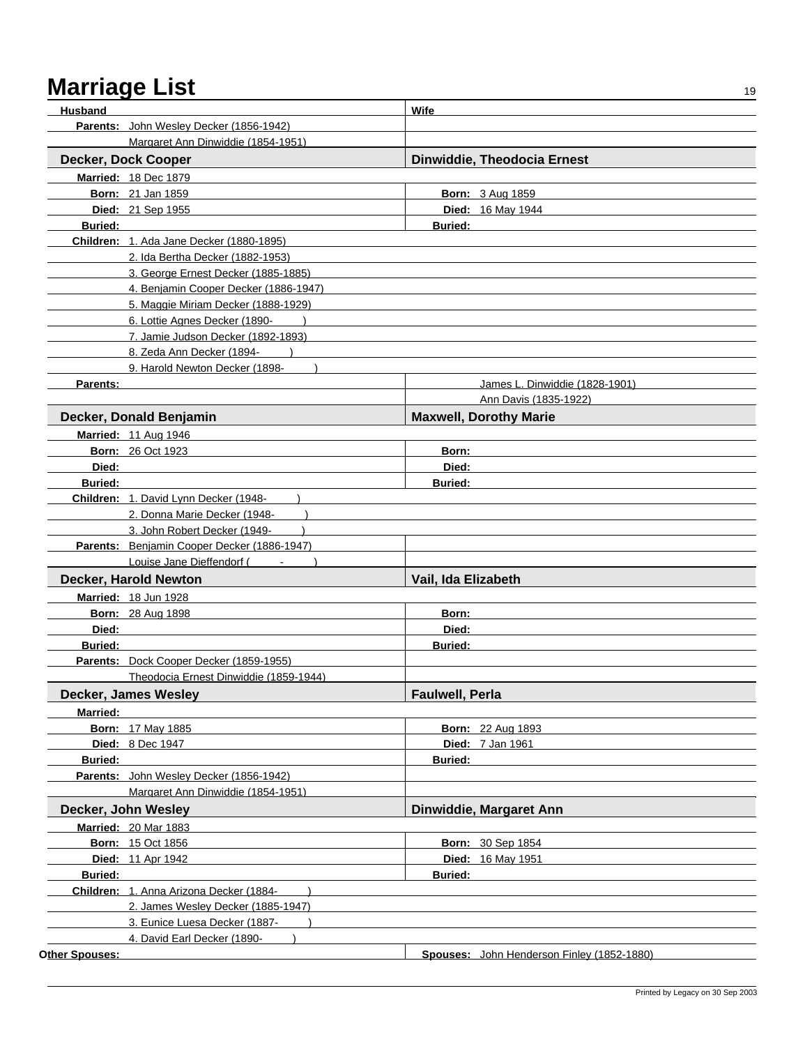| Husband        |                                             | Wife                                                 |  |
|----------------|---------------------------------------------|------------------------------------------------------|--|
|                | Parents: John Wesley Decker (1856-1942)     |                                                      |  |
|                | Margaret Ann Dinwiddie (1854-1951)          |                                                      |  |
|                | Decker, Dock Cooper                         | Dinwiddie, Theodocia Ernest                          |  |
|                | <b>Married: 18 Dec 1879</b>                 |                                                      |  |
|                | <b>Born: 21 Jan 1859</b>                    | <b>Born: 3 Aug 1859</b>                              |  |
|                | Died: 21 Sep 1955                           | Died: 16 May 1944                                    |  |
| <b>Buried:</b> |                                             | <b>Buried:</b>                                       |  |
|                | Children: 1. Ada Jane Decker (1880-1895)    |                                                      |  |
|                | 2. Ida Bertha Decker (1882-1953)            |                                                      |  |
|                | 3. George Ernest Decker (1885-1885)         |                                                      |  |
|                | 4. Benjamin Cooper Decker (1886-1947)       |                                                      |  |
|                | 5. Maggie Miriam Decker (1888-1929)         |                                                      |  |
|                | 6. Lottie Agnes Decker (1890-               |                                                      |  |
|                | 7. Jamie Judson Decker (1892-1893)          |                                                      |  |
|                | 8. Zeda Ann Decker (1894-                   |                                                      |  |
|                | 9. Harold Newton Decker (1898-              |                                                      |  |
| Parents:       |                                             | James L. Dinwiddie (1828-1901)                       |  |
|                |                                             | Ann Davis (1835-1922)                                |  |
|                | Decker, Donald Benjamin                     | <b>Maxwell, Dorothy Marie</b>                        |  |
|                | Married: 11 Aug 1946                        |                                                      |  |
|                | <b>Born: 26 Oct 1923</b>                    | Born:                                                |  |
| Died:          |                                             | Died:                                                |  |
| Buried:        |                                             | <b>Buried:</b>                                       |  |
|                | Children: 1. David Lynn Decker (1948-       |                                                      |  |
|                | 2. Donna Marie Decker (1948-                |                                                      |  |
|                | 3. John Robert Decker (1949-                |                                                      |  |
|                | Parents: Benjamin Cooper Decker (1886-1947) |                                                      |  |
|                | Louise Jane Dieffendorf (                   |                                                      |  |
|                | Decker, Harold Newton                       | Vail, Ida Elizabeth                                  |  |
|                | Married: 18 Jun 1928                        |                                                      |  |
|                | <b>Born: 28 Aug 1898</b>                    | Born:                                                |  |
| Died:          |                                             | Died:                                                |  |
| <b>Buried:</b> |                                             | <b>Buried:</b>                                       |  |
|                | Parents: Dock Cooper Decker (1859-1955)     |                                                      |  |
|                | Theodocia Ernest Dinwiddie (1859-1944)      |                                                      |  |
|                | Decker, James Wesley                        | <b>Faulwell, Perla</b>                               |  |
| Married:       |                                             |                                                      |  |
|                | <b>Born: 17 May 1885</b>                    | <b>Born: 22 Aug 1893</b>                             |  |
|                | <b>Died: 8 Dec 1947</b>                     | <b>Died: 7 Jan 1961</b>                              |  |
| <b>Buried:</b> |                                             | <b>Buried:</b>                                       |  |
|                | Parents: John Wesley Decker (1856-1942)     |                                                      |  |
|                | Margaret Ann Dinwiddie (1854-1951)          |                                                      |  |
|                | Decker, John Wesley                         | Dinwiddie, Margaret Ann                              |  |
|                | <b>Married: 20 Mar 1883</b>                 |                                                      |  |
|                |                                             |                                                      |  |
|                | <b>Born: 15 Oct 1856</b>                    | <b>Born: 30 Sep 1854</b><br><b>Died: 16 May 1951</b> |  |
| <b>Buried:</b> | <b>Died: 11 Apr 1942</b>                    | <b>Buried:</b>                                       |  |
|                | Children: 1. Anna Arizona Decker (1884-     |                                                      |  |
|                | 2. James Wesley Decker (1885-1947)          |                                                      |  |
|                | 3. Eunice Luesa Decker (1887-               |                                                      |  |
|                | 4. David Earl Decker (1890-                 |                                                      |  |
| Other Spouses: |                                             | Spouses: John Henderson Finley (1852-1880)           |  |
|                |                                             |                                                      |  |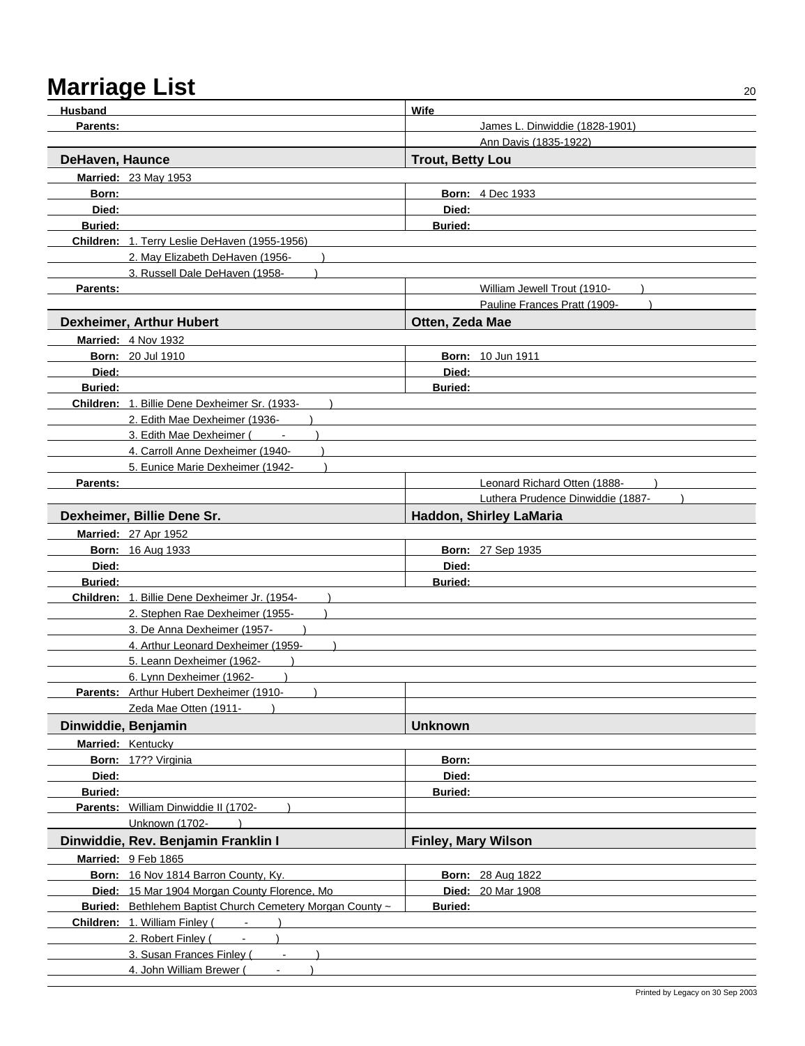| <b>Husband</b>      |                                                           | Wife                              |
|---------------------|-----------------------------------------------------------|-----------------------------------|
| Parents:            |                                                           | James L. Dinwiddie (1828-1901)    |
|                     |                                                           | Ann Davis (1835-1922)             |
| DeHaven, Haunce     |                                                           | <b>Trout, Betty Lou</b>           |
|                     | <b>Married: 23 May 1953</b>                               |                                   |
| Born:               |                                                           | <b>Born: 4 Dec 1933</b>           |
| Died:               |                                                           | Died:                             |
| <b>Buried:</b>      |                                                           | <b>Buried:</b>                    |
|                     | Children: 1. Terry Leslie DeHaven (1955-1956)             |                                   |
|                     | 2. May Elizabeth DeHaven (1956-                           |                                   |
|                     | 3. Russell Dale DeHaven (1958-                            |                                   |
| Parents:            |                                                           | William Jewell Trout (1910-       |
|                     |                                                           | Pauline Frances Pratt (1909-      |
|                     | <b>Dexheimer, Arthur Hubert</b>                           | Otten, Zeda Mae                   |
|                     | <b>Married: 4 Nov 1932</b>                                |                                   |
|                     | <b>Born: 20 Jul 1910</b>                                  | <b>Born: 10 Jun 1911</b>          |
| Died:               |                                                           | Died:                             |
| <b>Buried:</b>      |                                                           | <b>Buried:</b>                    |
|                     | Children: 1. Billie Dene Dexheimer Sr. (1933-             |                                   |
|                     | 2. Edith Mae Dexheimer (1936-                             |                                   |
|                     | 3. Edith Mae Dexheimer (                                  |                                   |
|                     | 4. Carroll Anne Dexheimer (1940-                          |                                   |
|                     | 5. Eunice Marie Dexheimer (1942-                          |                                   |
| Parents:            |                                                           | Leonard Richard Otten (1888-      |
|                     |                                                           | Luthera Prudence Dinwiddie (1887- |
|                     | Dexheimer, Billie Dene Sr.                                | Haddon, Shirley LaMaria           |
|                     | <b>Married: 27 Apr 1952</b>                               |                                   |
|                     | <b>Born: 16 Aug 1933</b>                                  | <b>Born: 27 Sep 1935</b>          |
| Died:               |                                                           | Died:                             |
| <b>Buried:</b>      |                                                           | <b>Buried:</b>                    |
|                     | Children: 1. Billie Dene Dexheimer Jr. (1954-             |                                   |
|                     | 2. Stephen Rae Dexheimer (1955-                           |                                   |
|                     | 3. De Anna Dexheimer (1957-                               |                                   |
|                     | 4. Arthur Leonard Dexheimer (1959-                        |                                   |
|                     | 5. Leann Dexheimer (1962-                                 |                                   |
|                     | 6. Lynn Dexheimer (1962-                                  |                                   |
|                     | Parents: Arthur Hubert Dexheimer (1910-<br>$\rightarrow$  |                                   |
|                     | Zeda Mae Otten (1911-<br>$\overline{\phantom{a}}$         |                                   |
| Dinwiddie, Benjamin |                                                           | <b>Unknown</b>                    |
|                     | Married: Kentucky                                         |                                   |
|                     | Born: 17?? Virginia                                       | Born:                             |
| Died:               |                                                           | Died:                             |
| <b>Buried:</b>      |                                                           | Buried:                           |
|                     | Parents: William Dinwiddie II (1702-                      |                                   |
|                     | Unknown (1702-                                            |                                   |
|                     | Dinwiddie, Rev. Benjamin Franklin I                       | <b>Finley, Mary Wilson</b>        |
|                     | Married: 9 Feb 1865                                       |                                   |
|                     | Born: 16 Nov 1814 Barron County, Ky.                      | <b>Born: 28 Aug 1822</b>          |
|                     | Died: 15 Mar 1904 Morgan County Florence, Mo              | Died: 20 Mar 1908                 |
|                     | Buried: Bethlehem Baptist Church Cemetery Morgan County ~ | Buried:                           |
|                     | Children: 1. William Finley (Fig. 1988)                   |                                   |
|                     | 2. Robert Finley (<br><b>Service</b> State                |                                   |
|                     | 3. Susan Frances Finley (Fig. 1884)                       |                                   |
|                     | 4. John William Brewer (<br>$\sim$                        |                                   |
|                     |                                                           |                                   |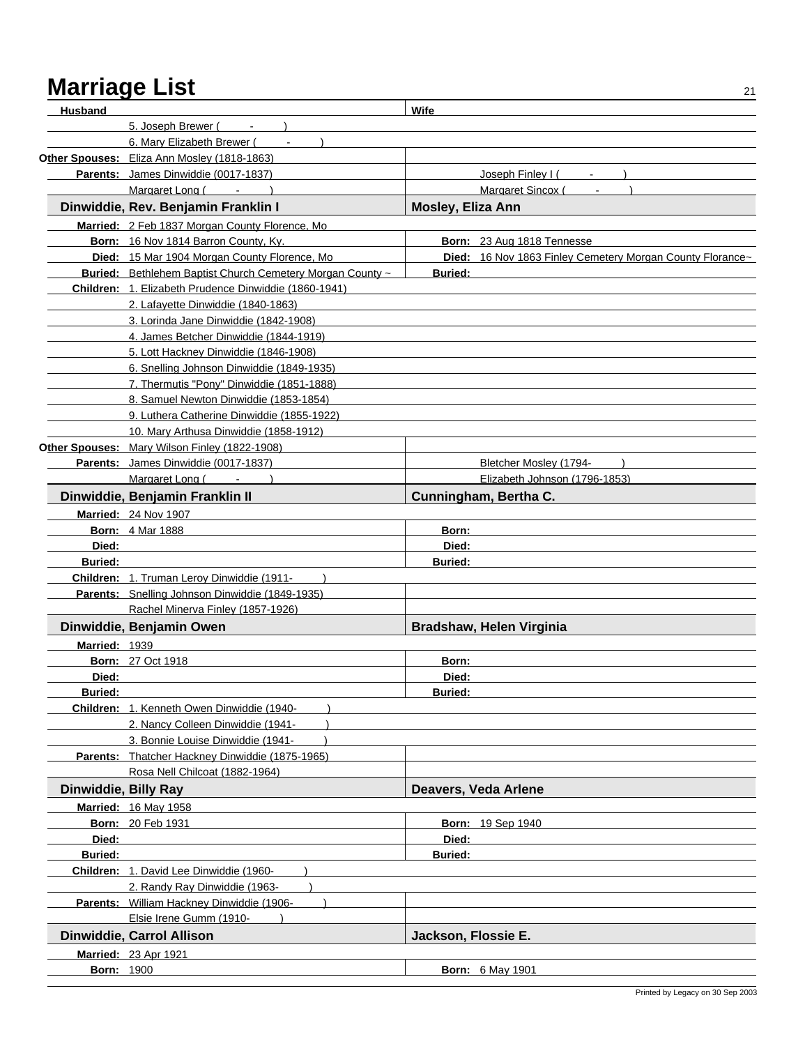| <b>Husband</b>       |                                                           | Wife                                                      |
|----------------------|-----------------------------------------------------------|-----------------------------------------------------------|
|                      | 5. Joseph Brewer (                                        |                                                           |
|                      | 6. Mary Elizabeth Brewer (                                |                                                           |
|                      | Other Spouses: Eliza Ann Mosley (1818-1863)               |                                                           |
|                      | Parents: James Dinwiddie (0017-1837)                      | Joseph Finley I (                                         |
|                      | Margaret Long (Fig. 1)                                    | Margaret Sincox (                                         |
|                      | Dinwiddie, Rev. Benjamin Franklin I                       | Mosley, Eliza Ann                                         |
|                      | Married: 2 Feb 1837 Morgan County Florence, Mo            |                                                           |
|                      | Born: 16 Nov 1814 Barron County, Ky.                      | Born: 23 Aug 1818 Tennesse                                |
|                      | Died: 15 Mar 1904 Morgan County Florence, Mo              | Died: 16 Nov 1863 Finley Cemetery Morgan County Florance~ |
|                      | Buried: Bethlehem Baptist Church Cemetery Morgan County ~ | <b>Buried:</b>                                            |
|                      | Children: 1. Elizabeth Prudence Dinwiddie (1860-1941)     |                                                           |
|                      | 2. Lafayette Dinwiddie (1840-1863)                        |                                                           |
|                      | 3. Lorinda Jane Dinwiddie (1842-1908)                     |                                                           |
|                      | 4. James Betcher Dinwiddie (1844-1919)                    |                                                           |
|                      | 5. Lott Hackney Dinwiddie (1846-1908)                     |                                                           |
|                      | 6. Snelling Johnson Dinwiddie (1849-1935)                 |                                                           |
|                      | 7. Thermutis "Pony" Dinwiddie (1851-1888)                 |                                                           |
|                      | 8. Samuel Newton Dinwiddie (1853-1854)                    |                                                           |
|                      | 9. Luthera Catherine Dinwiddie (1855-1922)                |                                                           |
|                      | 10. Mary Arthusa Dinwiddie (1858-1912)                    |                                                           |
|                      | Other Spouses: Mary Wilson Finley (1822-1908)             |                                                           |
|                      | Parents: James Dinwiddie (0017-1837)                      | Bletcher Mosley (1794-                                    |
|                      | Margaret Long (<br>$\blacksquare$                         | Elizabeth Johnson (1796-1853)                             |
|                      | Dinwiddie, Benjamin Franklin II                           | Cunningham, Bertha C.                                     |
|                      | Married: 24 Nov 1907                                      |                                                           |
|                      | <b>Born: 4 Mar 1888</b>                                   | Born:                                                     |
| Died:                |                                                           | Died:                                                     |
| <b>Buried:</b>       |                                                           | <b>Buried:</b>                                            |
|                      | Children: 1. Truman Leroy Dinwiddie (1911-                |                                                           |
|                      | Parents: Snelling Johnson Dinwiddie (1849-1935)           |                                                           |
|                      | Rachel Minerva Finley (1857-1926)                         |                                                           |
|                      | Dinwiddie, Benjamin Owen                                  | Bradshaw, Helen Virginia                                  |
| Married: 1939        |                                                           |                                                           |
|                      | <b>Born: 27 Oct 1918</b>                                  | Born:                                                     |
| Died:                |                                                           | Died:                                                     |
| <b>Buried:</b>       |                                                           | <b>Ruried</b>                                             |
|                      | Children: 1. Kenneth Owen Dinwiddie (1940-                |                                                           |
|                      | 2. Nancy Colleen Dinwiddie (1941-                         |                                                           |
|                      | 3. Bonnie Louise Dinwiddie (1941-                         |                                                           |
|                      | Parents: Thatcher Hackney Dinwiddie (1875-1965)           |                                                           |
|                      | Rosa Nell Chilcoat (1882-1964)                            |                                                           |
| Dinwiddie, Billy Ray |                                                           | Deavers, Veda Arlene                                      |
|                      | Married: 16 May 1958                                      |                                                           |
|                      | <b>Born: 20 Feb 1931</b>                                  | <b>Born: 19 Sep 1940</b>                                  |
| Died:                |                                                           | Died:                                                     |
| Buried:              |                                                           | <b>Buried:</b>                                            |
|                      | Children: 1. David Lee Dinwiddie (1960-                   |                                                           |
|                      | 2. Randy Ray Dinwiddie (1963-                             |                                                           |
|                      | Parents: William Hackney Dinwiddie (1906-                 |                                                           |
|                      | Elsie Irene Gumm (1910-                                   |                                                           |
|                      | Dinwiddie, Carrol Allison                                 | Jackson, Flossie E.                                       |
|                      | <b>Married: 23 Apr 1921</b>                               |                                                           |
| <b>Born: 1900</b>    |                                                           | <b>Born: 6 May 1901</b>                                   |
|                      |                                                           |                                                           |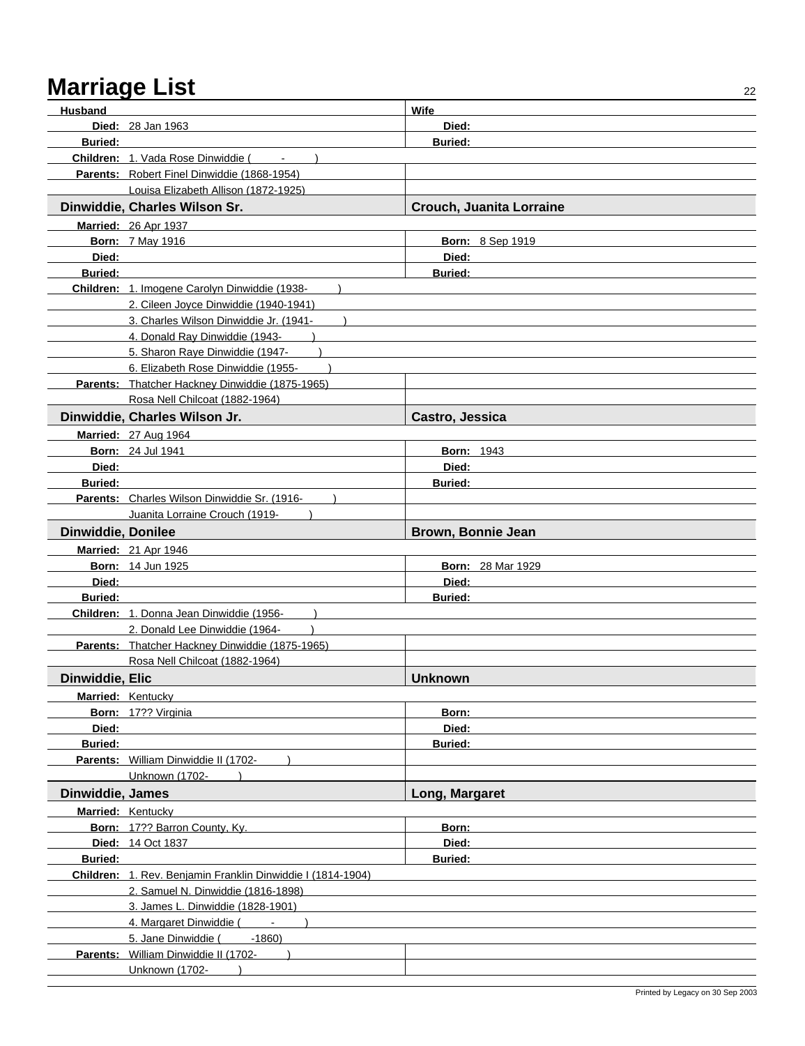| Husband                   |                                                             | Wife                     |
|---------------------------|-------------------------------------------------------------|--------------------------|
|                           | <b>Died:</b> 28 Jan 1963                                    | Died:                    |
| <b>Buried:</b>            |                                                             | <b>Buried:</b>           |
|                           | <b>Children: 1. Vada Rose Dinwiddie (</b>                   |                          |
|                           | Parents: Robert Finel Dinwiddie (1868-1954)                 |                          |
|                           | Louisa Elizabeth Allison (1872-1925)                        |                          |
|                           | Dinwiddie, Charles Wilson Sr.                               | Crouch, Juanita Lorraine |
|                           | <b>Married: 26 Apr 1937</b>                                 |                          |
|                           | <b>Born: 7 May 1916</b>                                     | <b>Born: 8 Sep 1919</b>  |
| Died:                     |                                                             | Died:                    |
| <b>Buried:</b>            |                                                             | <b>Buried:</b>           |
|                           | Children: 1. Imogene Carolyn Dinwiddie (1938-               |                          |
|                           | 2. Cileen Joyce Dinwiddie (1940-1941)                       |                          |
|                           | 3. Charles Wilson Dinwiddie Jr. (1941-                      |                          |
|                           | 4. Donald Ray Dinwiddie (1943-                              |                          |
|                           | 5. Sharon Raye Dinwiddie (1947-                             |                          |
|                           | 6. Elizabeth Rose Dinwiddie (1955-                          |                          |
|                           | Parents: Thatcher Hackney Dinwiddie (1875-1965)             |                          |
|                           | Rosa Nell Chilcoat (1882-1964)                              |                          |
|                           | Dinwiddie, Charles Wilson Jr.                               | Castro, Jessica          |
|                           | <b>Married: 27 Aug 1964</b>                                 |                          |
|                           | <b>Born: 24 Jul 1941</b>                                    | <b>Born: 1943</b>        |
| Died:                     |                                                             | Died:                    |
| <b>Buried:</b>            |                                                             | <b>Buried:</b>           |
|                           | Parents: Charles Wilson Dinwiddie Sr. (1916-                |                          |
|                           | Juanita Lorraine Crouch (1919-                              |                          |
| <b>Dinwiddie, Donilee</b> |                                                             | Brown, Bonnie Jean       |
|                           | <b>Married: 21 Apr 1946</b>                                 |                          |
|                           | <b>Born: 14 Jun 1925</b>                                    | <b>Born: 28 Mar 1929</b> |
| Died:                     |                                                             | Died:                    |
| <b>Buried:</b>            |                                                             | <b>Buried:</b>           |
|                           | Children: 1. Donna Jean Dinwiddie (1956-                    |                          |
|                           | 2. Donald Lee Dinwiddie (1964-                              |                          |
|                           | Parents: Thatcher Hackney Dinwiddie (1875-1965)             |                          |
|                           | Rosa Nell Chilcoat (1882-1964)                              |                          |
| Dinwiddie, Elic           |                                                             | <b>Unknown</b>           |
|                           | Married: Kentucky                                           |                          |
|                           | Born: 17?? Virginia                                         | Born:                    |
| Died:                     |                                                             | Died:                    |
| Buried:                   | Parents: William Dinwiddie II (1702-                        | <b>Buried:</b>           |
|                           | Unknown (1702-                                              |                          |
| Dinwiddie, James          |                                                             | Long, Margaret           |
|                           | Married: Kentucky                                           |                          |
|                           | Born: 17?? Barron County, Ky.                               | Born:                    |
|                           | Died: 14 Oct 1837                                           | Died:                    |
| Buried:                   |                                                             | <b>Buried:</b>           |
|                           | Children: 1. Rev. Benjamin Franklin Dinwiddie I (1814-1904) |                          |
|                           | 2. Samuel N. Dinwiddie (1816-1898)                          |                          |
|                           | 3. James L. Dinwiddie (1828-1901)                           |                          |
|                           | 4. Margaret Dinwiddie (Fig. 1886)                           |                          |
|                           | $-1860$<br>5. Jane Dinwiddie (                              |                          |
|                           | Parents: William Dinwiddie II (1702-                        |                          |
|                           | Unknown (1702-                                              |                          |
|                           |                                                             |                          |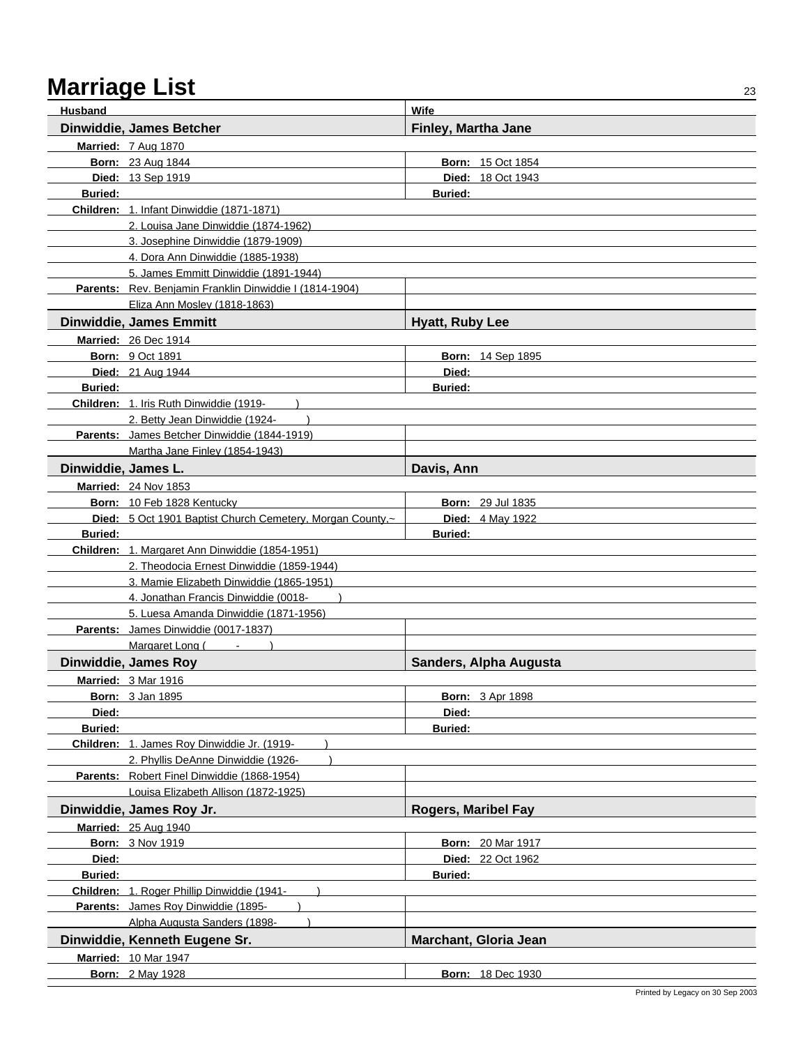| <b>Husband</b>      |                                                                     | Wife                       |
|---------------------|---------------------------------------------------------------------|----------------------------|
|                     | Dinwiddie, James Betcher                                            | Finley, Martha Jane        |
|                     | <b>Married: 7 Aug 1870</b>                                          |                            |
|                     | <b>Born: 23 Aug 1844</b>                                            | <b>Born: 15 Oct 1854</b>   |
|                     | Died: 13 Sep 1919                                                   | Died: 18 Oct 1943          |
| <b>Buried:</b>      |                                                                     | <b>Buried:</b>             |
|                     | Children: 1. Infant Dinwiddie (1871-1871)                           |                            |
|                     | 2. Louisa Jane Dinwiddie (1874-1962)                                |                            |
|                     | 3. Josephine Dinwiddie (1879-1909)                                  |                            |
|                     | 4. Dora Ann Dinwiddie (1885-1938)                                   |                            |
|                     | 5. James Emmitt Dinwiddie (1891-1944)                               |                            |
|                     | Parents: Rev. Benjamin Franklin Dinwiddie I (1814-1904)             |                            |
|                     | Eliza Ann Mosley (1818-1863)                                        |                            |
|                     | <b>Dinwiddie, James Emmitt</b>                                      | <b>Hyatt, Ruby Lee</b>     |
|                     | Married: 26 Dec 1914                                                |                            |
|                     | <b>Born: 9 Oct 1891</b>                                             | Born: 14 Sep 1895          |
|                     | Died: 21 Aug 1944                                                   | Died:                      |
| <b>Buried:</b>      |                                                                     | <b>Buried:</b>             |
|                     | Children: 1. Iris Ruth Dinwiddie (1919-                             |                            |
|                     | 2. Betty Jean Dinwiddie (1924-                                      |                            |
|                     | Parents: James Betcher Dinwiddie (1844-1919)                        |                            |
|                     | Martha Jane Finley (1854-1943)                                      |                            |
| Dinwiddie, James L. |                                                                     | Davis, Ann                 |
|                     | Married: 24 Nov 1853                                                |                            |
|                     | Born: 10 Feb 1828 Kentucky                                          | <b>Born: 29 Jul 1835</b>   |
|                     | Died: 5 Oct 1901 Baptist Church Cemetery, Morgan County,~           | Died: 4 May 1922           |
| <b>Buried:</b>      |                                                                     | <b>Buried:</b>             |
|                     | Children: 1. Margaret Ann Dinwiddie (1854-1951)                     |                            |
|                     | 2. Theodocia Ernest Dinwiddie (1859-1944)                           |                            |
|                     | 3. Mamie Elizabeth Dinwiddie (1865-1951)                            |                            |
|                     | 4. Jonathan Francis Dinwiddie (0018-                                |                            |
|                     | 5. Luesa Amanda Dinwiddie (1871-1956)                               |                            |
|                     | Parents: James Dinwiddie (0017-1837)                                |                            |
|                     | Margaret Long (Fig. 1)                                              |                            |
|                     | Dinwiddie, James Roy                                                | Sanders, Alpha Augusta     |
|                     | Married: 3 Mar 1916                                                 |                            |
|                     | <b>Born: 3 Jan 1895</b>                                             | <b>Born: 3 Apr 1898</b>    |
| Died:               |                                                                     | Died:                      |
| Buried:             |                                                                     | Buried:                    |
|                     | Children: 1. James Roy Dinwiddie Jr. (1919-                         |                            |
|                     | 2. Phyllis DeAnne Dinwiddie (1926-                                  |                            |
|                     | Parents: Robert Finel Dinwiddie (1868-1954)                         |                            |
|                     | Louisa Elizabeth Allison (1872-1925)                                |                            |
|                     | Dinwiddie, James Roy Jr.                                            | <b>Rogers, Maribel Fay</b> |
|                     | <b>Married: 25 Aug 1940</b>                                         |                            |
|                     | <b>Born: 3 Nov 1919</b>                                             | <b>Born: 20 Mar 1917</b>   |
| Died:               |                                                                     | Died: 22 Oct 1962          |
| <b>Buried:</b>      |                                                                     | <b>Buried:</b>             |
|                     | Children: 1. Roger Phillip Dinwiddie (1941-                         |                            |
|                     | Parents: James Roy Dinwiddie (1895-<br>Alpha Augusta Sanders (1898- |                            |
|                     |                                                                     |                            |
|                     | Dinwiddie, Kenneth Eugene Sr.                                       | Marchant, Gloria Jean      |
|                     | <b>Married: 10 Mar 1947</b>                                         |                            |
|                     | <b>Born: 2 May 1928</b>                                             | <b>Born: 18 Dec 1930</b>   |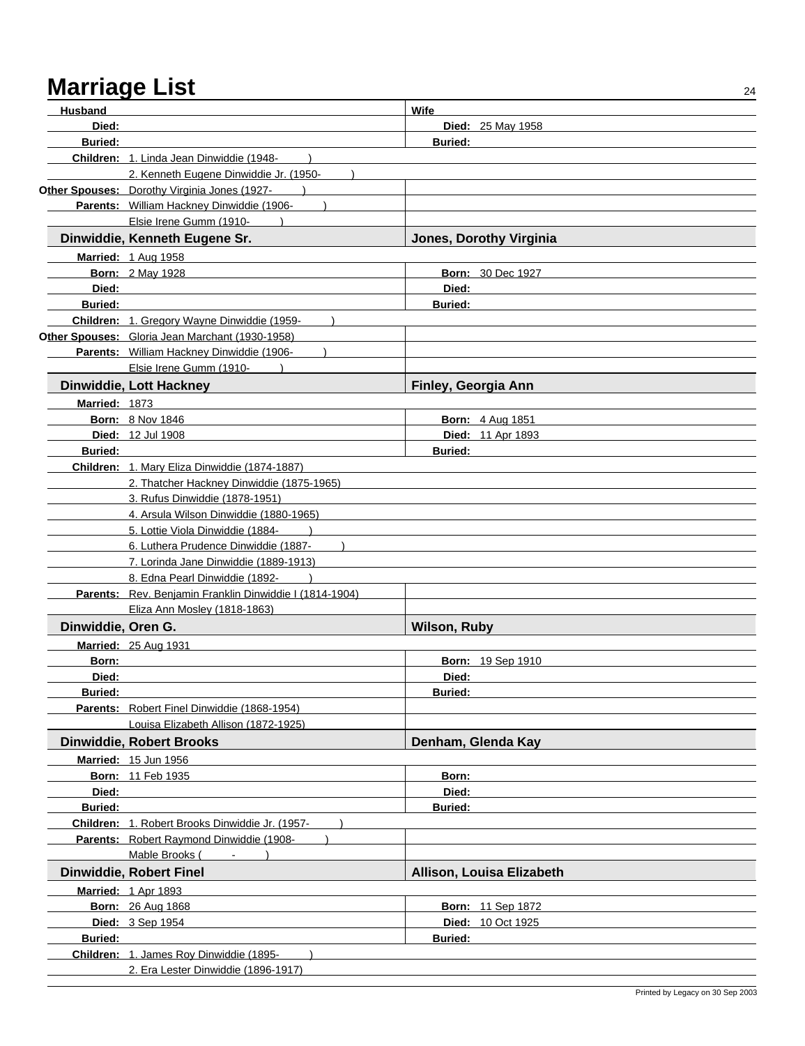| Husband            |                                                         | Wife                      |  |
|--------------------|---------------------------------------------------------|---------------------------|--|
| Died:              |                                                         | Died: 25 May 1958         |  |
| <b>Buried:</b>     |                                                         | <b>Buried:</b>            |  |
|                    | Children: 1. Linda Jean Dinwiddie (1948-                |                           |  |
|                    | 2. Kenneth Eugene Dinwiddie Jr. (1950-                  |                           |  |
|                    | Other Spouses: Dorothy Virginia Jones (1927-            |                           |  |
|                    | Parents: William Hackney Dinwiddie (1906-               |                           |  |
|                    | Elsie Irene Gumm (1910-                                 |                           |  |
|                    | Dinwiddie, Kenneth Eugene Sr.                           | Jones, Dorothy Virginia   |  |
|                    | <b>Married: 1 Aug 1958</b>                              |                           |  |
|                    | <b>Born: 2 May 1928</b>                                 | <b>Born: 30 Dec 1927</b>  |  |
| Died:              |                                                         | Died:                     |  |
| <b>Buried:</b>     |                                                         | <b>Buried:</b>            |  |
|                    | Children: 1. Gregory Wayne Dinwiddie (1959-             |                           |  |
|                    | Other Spouses: Gloria Jean Marchant (1930-1958)         |                           |  |
|                    | Parents: William Hackney Dinwiddie (1906-               |                           |  |
|                    | Elsie Irene Gumm (1910-                                 |                           |  |
|                    | Dinwiddie, Lott Hackney                                 | Finley, Georgia Ann       |  |
| Married: 1873      |                                                         |                           |  |
|                    | <b>Born: 8 Nov 1846</b>                                 | <b>Born: 4 Aug 1851</b>   |  |
|                    | <b>Died: 12 Jul 1908</b>                                | Died: 11 Apr 1893         |  |
| <b>Buried:</b>     |                                                         | <b>Buried:</b>            |  |
|                    | Children: 1. Mary Eliza Dinwiddie (1874-1887)           |                           |  |
|                    | 2. Thatcher Hackney Dinwiddie (1875-1965)               |                           |  |
|                    | 3. Rufus Dinwiddie (1878-1951)                          |                           |  |
|                    | 4. Arsula Wilson Dinwiddie (1880-1965)                  |                           |  |
|                    | 5. Lottie Viola Dinwiddie (1884-                        |                           |  |
|                    | 6. Luthera Prudence Dinwiddie (1887-                    |                           |  |
|                    | 7. Lorinda Jane Dinwiddie (1889-1913)                   |                           |  |
|                    | 8. Edna Pearl Dinwiddie (1892-                          |                           |  |
|                    | Parents: Rev. Benjamin Franklin Dinwiddie I (1814-1904) |                           |  |
|                    | Eliza Ann Mosley (1818-1863)                            |                           |  |
| Dinwiddie, Oren G. |                                                         | <b>Wilson, Ruby</b>       |  |
|                    | Married: 25 Aug 1931                                    |                           |  |
| Born:              |                                                         | <b>Born: 19 Sep 1910</b>  |  |
| Died:              |                                                         | Died:                     |  |
| <b>Buried:</b>     |                                                         | Buried:                   |  |
|                    | Parents: Robert Finel Dinwiddie (1868-1954)             |                           |  |
|                    | Louisa Elizabeth Allison (1872-1925)                    |                           |  |
|                    | <b>Dinwiddie, Robert Brooks</b>                         | Denham, Glenda Kay        |  |
|                    | Married: 15 Jun 1956                                    |                           |  |
|                    | <b>Born: 11 Feb 1935</b>                                | Born:                     |  |
| Died:              |                                                         | Died:                     |  |
| Buried:            |                                                         | <b>Buried:</b>            |  |
|                    | Children: 1. Robert Brooks Dinwiddie Jr. (1957-         |                           |  |
|                    | Parents: Robert Raymond Dinwiddie (1908-                |                           |  |
|                    | Mable Brooks (<br>$\blacksquare$                        |                           |  |
|                    | <b>Dinwiddie, Robert Finel</b>                          | Allison, Louisa Elizabeth |  |
|                    | Married: 1 Apr 1893                                     |                           |  |
|                    | <b>Born: 26 Aug 1868</b>                                | <b>Born: 11 Sep 1872</b>  |  |
|                    | Died: 3 Sep 1954                                        | Died: 10 Oct 1925         |  |
| Buried:            |                                                         | <b>Buried:</b>            |  |
|                    | Children: 1. James Roy Dinwiddie (1895-                 |                           |  |
|                    | 2. Era Lester Dinwiddie (1896-1917)                     |                           |  |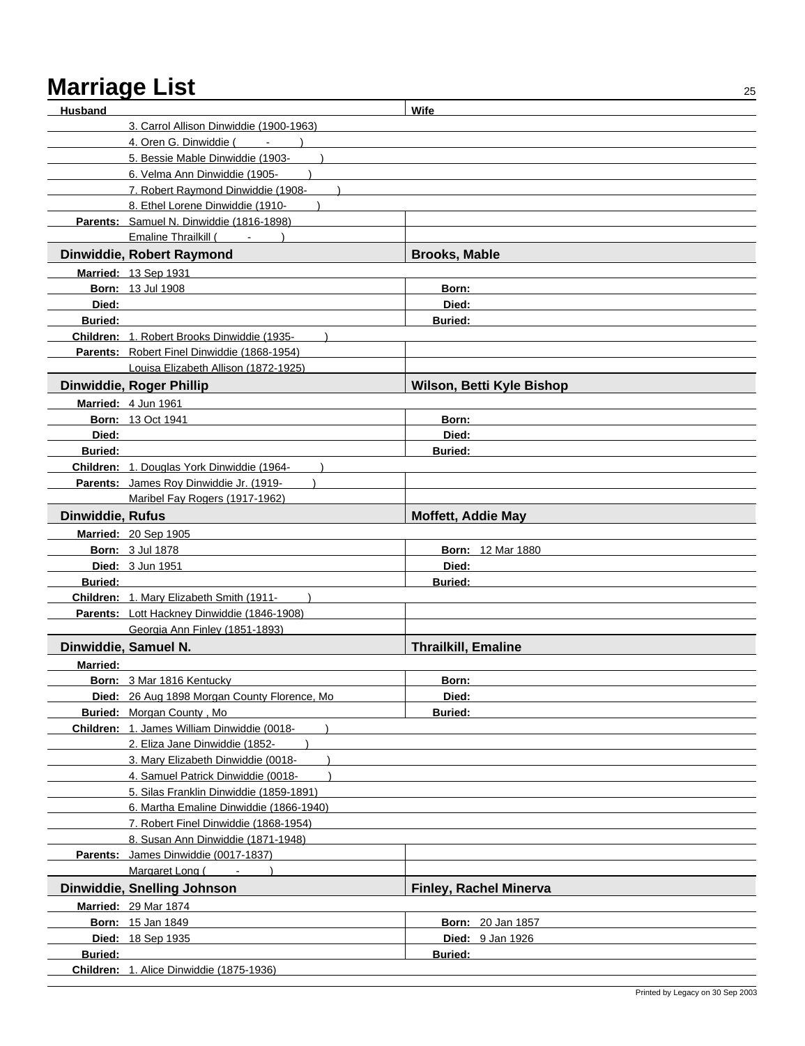| <b>Husband</b>   |                                                         | Wife                          |  |
|------------------|---------------------------------------------------------|-------------------------------|--|
|                  | 3. Carrol Allison Dinwiddie (1900-1963)                 |                               |  |
|                  | 4. Oren G. Dinwiddie (                                  |                               |  |
|                  | 5. Bessie Mable Dinwiddie (1903-                        |                               |  |
|                  | 6. Velma Ann Dinwiddie (1905-                           |                               |  |
|                  | 7. Robert Raymond Dinwiddie (1908-                      |                               |  |
|                  | 8. Ethel Lorene Dinwiddie (1910-                        |                               |  |
|                  | Parents: Samuel N. Dinwiddie (1816-1898)                |                               |  |
|                  | Emaline Thrailkill (Fig. 1)                             |                               |  |
|                  | Dinwiddie, Robert Raymond                               | <b>Brooks, Mable</b>          |  |
|                  | Married: 13 Sep 1931                                    |                               |  |
|                  | <b>Born: 13 Jul 1908</b>                                | Born:                         |  |
| Died:            |                                                         | Died:                         |  |
| <b>Buried:</b>   |                                                         | <b>Buried:</b>                |  |
|                  | Children: 1. Robert Brooks Dinwiddie (1935-             |                               |  |
|                  | Parents: Robert Finel Dinwiddie (1868-1954)             |                               |  |
|                  | Louisa Elizabeth Allison (1872-1925)                    |                               |  |
|                  | <b>Dinwiddie, Roger Phillip</b>                         | Wilson, Betti Kyle Bishop     |  |
|                  | Married: 4 Jun 1961                                     |                               |  |
|                  | <b>Born: 13 Oct 1941</b>                                | Born:                         |  |
| Died:            |                                                         | Died:                         |  |
| <b>Buried:</b>   |                                                         | <b>Buried:</b>                |  |
|                  | Children: 1. Douglas York Dinwiddie (1964-              |                               |  |
|                  | Parents: James Roy Dinwiddie Jr. (1919-                 |                               |  |
|                  | Maribel Fay Rogers (1917-1962)                          |                               |  |
| Dinwiddie, Rufus |                                                         | <b>Moffett, Addie May</b>     |  |
|                  | Married: 20 Sep 1905                                    |                               |  |
|                  | <b>Born: 3 Jul 1878</b>                                 | <b>Born: 12 Mar 1880</b>      |  |
|                  | <b>Died: 3 Jun 1951</b>                                 | Died:                         |  |
| <b>Buried:</b>   |                                                         | Buried:                       |  |
|                  | Children: 1. Mary Elizabeth Smith (1911-                |                               |  |
|                  | Parents: Lott Hackney Dinwiddie (1846-1908)             |                               |  |
|                  | Georgia Ann Finley (1851-1893)                          |                               |  |
|                  | Dinwiddie, Samuel N.                                    | <b>Thrailkill, Emaline</b>    |  |
| Married:         |                                                         |                               |  |
|                  | Born: 3 Mar 1816 Kentucky                               | Born:                         |  |
|                  | Died: 26 Aug 1898 Morgan County Florence, Mo            | Died:                         |  |
|                  | Buried: Morgan County, Mo.                              | <b>Buried:</b>                |  |
|                  | Children: 1. James William Dinwiddie (0018-             |                               |  |
|                  | 2. Eliza Jane Dinwiddie (1852-                          |                               |  |
|                  | 3. Mary Elizabeth Dinwiddie (0018-                      |                               |  |
|                  | 4. Samuel Patrick Dinwiddie (0018-                      |                               |  |
|                  | 5. Silas Franklin Dinwiddie (1859-1891)                 |                               |  |
|                  | 6. Martha Emaline Dinwiddie (1866-1940)                 |                               |  |
|                  | 7. Robert Finel Dinwiddie (1868-1954)                   |                               |  |
|                  | 8. Susan Ann Dinwiddie (1871-1948)                      |                               |  |
|                  | Parents: James Dinwiddie (0017-1837)<br>Margaret Long ( |                               |  |
|                  | $\blacksquare$                                          |                               |  |
|                  | Dinwiddie, Snelling Johnson                             | <b>Finley, Rachel Minerva</b> |  |
|                  | <b>Married: 29 Mar 1874</b>                             |                               |  |
|                  | <b>Born: 15 Jan 1849</b>                                | <b>Born: 20 Jan 1857</b>      |  |
|                  | Died: 18 Sep 1935                                       | Died: 9 Jan 1926              |  |
| Buried:          | Children: 1. Alice Dinwiddie (1875-1936)                | <b>Buried:</b>                |  |
|                  |                                                         |                               |  |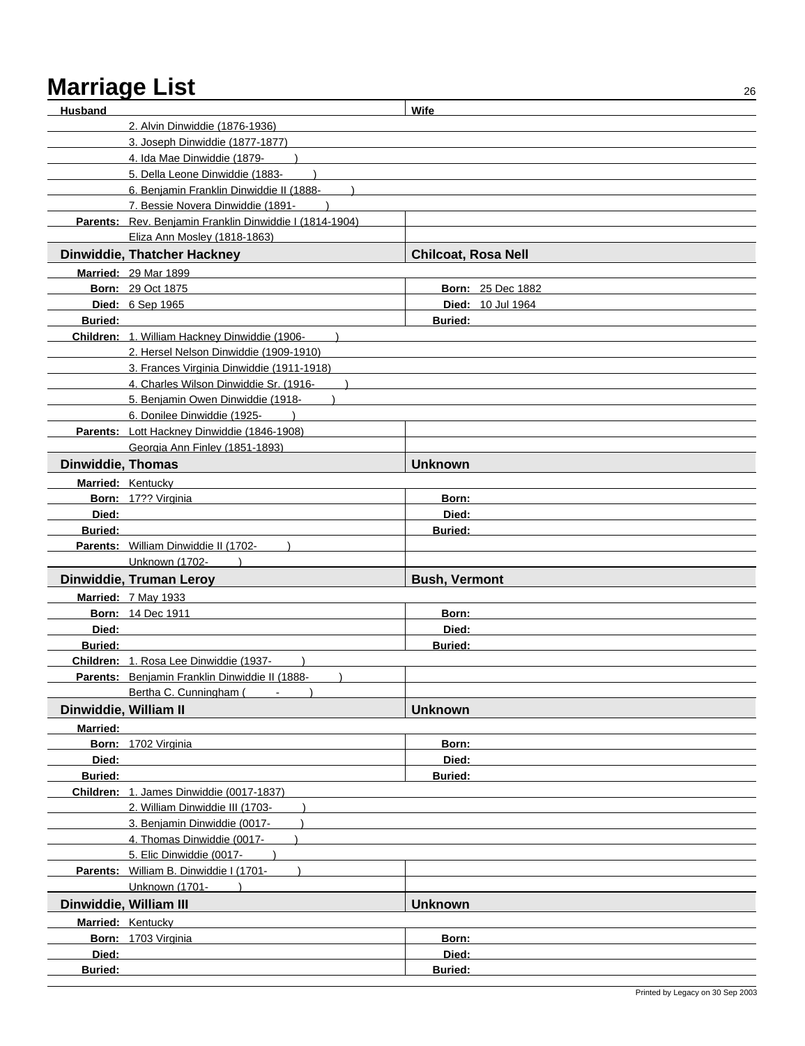| <b>Husband</b>           |                                                                                          | Wife                       |  |
|--------------------------|------------------------------------------------------------------------------------------|----------------------------|--|
|                          | 2. Alvin Dinwiddie (1876-1936)                                                           |                            |  |
|                          | 3. Joseph Dinwiddie (1877-1877)                                                          |                            |  |
|                          | 4. Ida Mae Dinwiddie (1879-                                                              |                            |  |
|                          | 5. Della Leone Dinwiddie (1883-                                                          |                            |  |
|                          | 6. Benjamin Franklin Dinwiddie II (1888-                                                 |                            |  |
|                          | 7. Bessie Novera Dinwiddie (1891-                                                        |                            |  |
|                          | Parents: Rev. Benjamin Franklin Dinwiddie I (1814-1904)                                  |                            |  |
|                          | Eliza Ann Mosley (1818-1863)                                                             |                            |  |
|                          | Dinwiddie, Thatcher Hackney                                                              | <b>Chilcoat, Rosa Nell</b> |  |
|                          | <b>Married: 29 Mar 1899</b>                                                              |                            |  |
|                          | <b>Born: 29 Oct 1875</b>                                                                 | <b>Born: 25 Dec 1882</b>   |  |
|                          | Died: 6 Sep 1965                                                                         | <b>Died: 10 Jul 1964</b>   |  |
| <b>Buried:</b>           |                                                                                          | <b>Buried:</b>             |  |
|                          | Children: 1. William Hackney Dinwiddie (1906-                                            |                            |  |
|                          | 2. Hersel Nelson Dinwiddie (1909-1910)                                                   |                            |  |
|                          | 3. Frances Virginia Dinwiddie (1911-1918)                                                |                            |  |
|                          | 4. Charles Wilson Dinwiddie Sr. (1916-                                                   |                            |  |
|                          | 5. Benjamin Owen Dinwiddie (1918-                                                        |                            |  |
|                          | 6. Donilee Dinwiddie (1925-                                                              |                            |  |
|                          | Parents: Lott Hackney Dinwiddie (1846-1908)                                              |                            |  |
|                          | Georgia Ann Finley (1851-1893)                                                           |                            |  |
| <b>Dinwiddie, Thomas</b> |                                                                                          | <b>Unknown</b>             |  |
|                          | Married: Kentucky                                                                        |                            |  |
|                          | Born: 17?? Virginia                                                                      | Born:                      |  |
| Died:                    |                                                                                          | Died:                      |  |
| <b>Buried:</b>           | <b>Buried:</b>                                                                           |                            |  |
|                          | Parents: William Dinwiddie II (1702-                                                     |                            |  |
|                          | Unknown (1702-                                                                           |                            |  |
|                          | Dinwiddie, Truman Leroy                                                                  | <b>Bush, Vermont</b>       |  |
|                          | Married: 7 May 1933                                                                      |                            |  |
|                          | <b>Born: 14 Dec 1911</b>                                                                 | Born:                      |  |
| Died:                    |                                                                                          | Died:                      |  |
| <b>Buried:</b>           |                                                                                          | <b>Buried:</b>             |  |
|                          | Children: 1. Rosa Lee Dinwiddie (1937-<br>Parents: Benjamin Franklin Dinwiddie II (1888- |                            |  |
|                          | Bertha C. Cunningham (                                                                   |                            |  |
| Dinwiddie, William II    |                                                                                          | <b>Unknown</b>             |  |
|                          |                                                                                          |                            |  |
| <b>Married:</b>          | Born: 1702 Virginia                                                                      | Born:                      |  |
| Died:                    |                                                                                          | Died:                      |  |
| <b>Buried:</b>           |                                                                                          | <b>Buried:</b>             |  |
|                          | Children: 1. James Dinwiddie (0017-1837)                                                 |                            |  |
|                          | 2. William Dinwiddie III (1703-                                                          |                            |  |
|                          | 3. Benjamin Dinwiddie (0017-                                                             |                            |  |
|                          | 4. Thomas Dinwiddie (0017-                                                               |                            |  |
|                          | 5. Elic Dinwiddie (0017-                                                                 |                            |  |
|                          | Parents: William B. Dinwiddie I (1701-                                                   |                            |  |
|                          | Unknown (1701-                                                                           |                            |  |
|                          | Dinwiddie, William III                                                                   | <b>Unknown</b>             |  |
|                          | <b>Married: Kentucky</b>                                                                 |                            |  |
|                          | Born: 1703 Virginia                                                                      | Born:                      |  |
| Died:                    |                                                                                          | Died:                      |  |
| Buried:                  |                                                                                          | Buried:                    |  |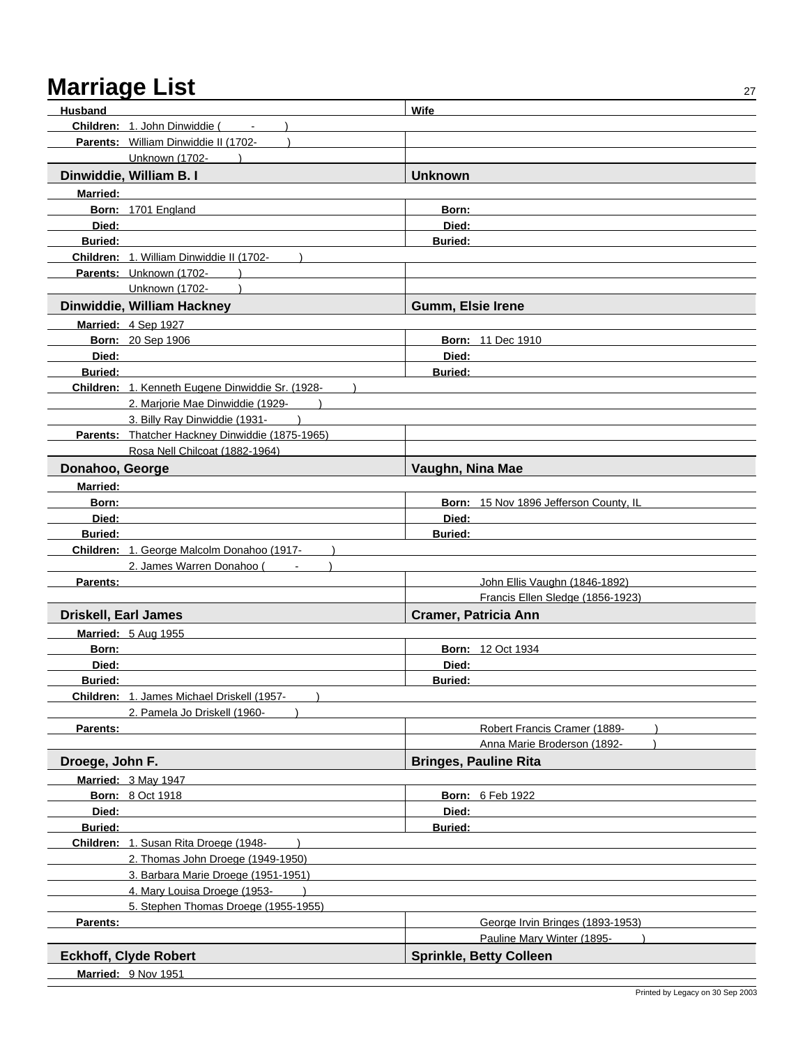| Husband                     |                                                  | Wife                                   |
|-----------------------------|--------------------------------------------------|----------------------------------------|
|                             | Children: 1. John Dinwiddie (                    |                                        |
|                             | Parents: William Dinwiddie II (1702-             |                                        |
|                             | Unknown (1702-                                   |                                        |
|                             | Dinwiddie, William B. I                          | <b>Unknown</b>                         |
| Married:                    |                                                  |                                        |
|                             | Born: 1701 England                               | Born:                                  |
| Died:                       |                                                  | Died:                                  |
| <b>Buried:</b>              |                                                  | <b>Buried:</b>                         |
|                             | Children: 1. William Dinwiddie II (1702-         |                                        |
|                             | Parents: Unknown (1702-                          |                                        |
|                             | Unknown (1702-                                   |                                        |
|                             | Dinwiddie, William Hackney                       | Gumm, Elsie Irene                      |
|                             | Married: 4 Sep 1927                              |                                        |
|                             | <b>Born: 20 Sep 1906</b>                         | <b>Born: 11 Dec 1910</b>               |
| Died:                       |                                                  | Died:                                  |
| <b>Buried:</b>              |                                                  | <b>Buried:</b>                         |
|                             | Children: 1. Kenneth Eugene Dinwiddie Sr. (1928- |                                        |
|                             | 2. Marjorie Mae Dinwiddie (1929-                 |                                        |
|                             | 3. Billy Ray Dinwiddie (1931-                    |                                        |
|                             | Parents: Thatcher Hackney Dinwiddie (1875-1965)  |                                        |
|                             | Rosa Nell Chilcoat (1882-1964)                   |                                        |
| Donahoo, George             |                                                  | Vaughn, Nina Mae                       |
| <b>Married:</b>             |                                                  |                                        |
| Born:                       |                                                  | Born: 15 Nov 1896 Jefferson County, IL |
| Died:                       |                                                  | Died:                                  |
| <b>Buried:</b>              |                                                  | <b>Buried:</b>                         |
|                             | Children: 1. George Malcolm Donahoo (1917-       |                                        |
|                             | 2. James Warren Donahoo (<br>$\blacksquare$      |                                        |
| Parents:                    |                                                  | John Ellis Vaughn (1846-1892)          |
|                             |                                                  | Francis Ellen Sledge (1856-1923)       |
| <b>Driskell, Earl James</b> |                                                  | <b>Cramer, Patricia Ann</b>            |
|                             | <b>Married: 5 Aug 1955</b>                       |                                        |
| Born:                       |                                                  | <b>Born: 12 Oct 1934</b>               |
| Died:                       |                                                  | Died:                                  |
| <b>Buried:</b>              |                                                  | <b>Buried:</b>                         |
|                             | Children: 1. James Michael Driskell (1957-       |                                        |
|                             | 2. Pamela Jo Driskell (1960-                     |                                        |
| Parents:                    |                                                  | Robert Francis Cramer (1889-           |
|                             |                                                  | Anna Marie Broderson (1892-            |
| Droege, John F.             |                                                  | <b>Bringes, Pauline Rita</b>           |
|                             | Married: 3 May 1947                              |                                        |
|                             | <b>Born: 8 Oct 1918</b>                          | Born: 6 Feb 1922                       |
| Died:                       |                                                  | Died:                                  |
| Buried:                     |                                                  | <b>Buried:</b>                         |
|                             | Children: 1. Susan Rita Droege (1948-            |                                        |
|                             | 2. Thomas John Droege (1949-1950)                |                                        |
|                             | 3. Barbara Marie Droege (1951-1951)              |                                        |
|                             | 4. Mary Louisa Droege (1953-                     |                                        |
|                             | 5. Stephen Thomas Droege (1955-1955)             |                                        |
| Parents:                    |                                                  | George Irvin Bringes (1893-1953)       |
|                             |                                                  | Pauline Mary Winter (1895-             |
|                             | <b>Eckhoff, Clyde Robert</b>                     | <b>Sprinkle, Betty Colleen</b>         |
|                             | Married: 9 Nov 1951                              |                                        |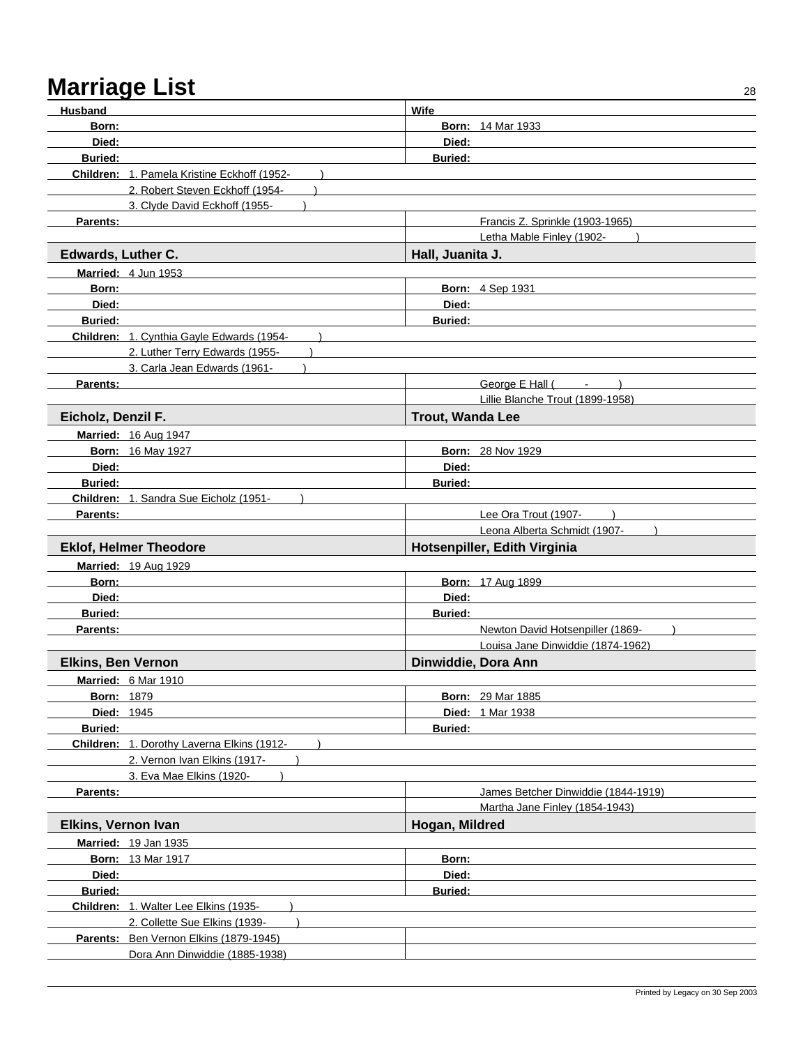| <b>Husband</b>            |                                             | Wife                    |                                               |
|---------------------------|---------------------------------------------|-------------------------|-----------------------------------------------|
| Born:                     |                                             |                         | <b>Born: 14 Mar 1933</b>                      |
| Died:                     |                                             | Died:                   |                                               |
| <b>Buried:</b>            |                                             | <b>Buried:</b>          |                                               |
|                           | Children: 1. Pamela Kristine Eckhoff (1952- |                         |                                               |
|                           | 2. Robert Steven Eckhoff (1954-             |                         |                                               |
|                           | 3. Clyde David Eckhoff (1955-               |                         |                                               |
| Parents:                  |                                             |                         | Francis Z. Sprinkle (1903-1965)               |
|                           |                                             |                         | Letha Mable Finley (1902-                     |
|                           |                                             | Hall, Juanita J.        |                                               |
| <b>Edwards, Luther C.</b> |                                             |                         |                                               |
|                           | Married: 4 Jun 1953                         |                         |                                               |
| Born:                     |                                             |                         | <b>Born: 4 Sep 1931</b>                       |
| Died:                     |                                             | Died:                   |                                               |
| <b>Buried:</b>            |                                             | <b>Buried:</b>          |                                               |
|                           | Children: 1. Cynthia Gayle Edwards (1954-   |                         |                                               |
|                           | 2. Luther Terry Edwards (1955-              |                         |                                               |
|                           | 3. Carla Jean Edwards (1961-                |                         |                                               |
| Parents:                  |                                             |                         | George E Hall (<br>$\mathcal{L}_{\text{max}}$ |
|                           |                                             |                         | Lillie Blanche Trout (1899-1958)              |
| Eicholz, Denzil F.        |                                             | <b>Trout, Wanda Lee</b> |                                               |
|                           | <b>Married: 16 Aug 1947</b>                 |                         |                                               |
|                           | <b>Born: 16 May 1927</b>                    |                         | <b>Born: 28 Nov 1929</b>                      |
| Died:                     |                                             | Died:                   |                                               |
| <b>Buried:</b>            |                                             | <b>Buried:</b>          |                                               |
|                           | Children: 1. Sandra Sue Eicholz (1951-      |                         |                                               |
| Parents:                  |                                             |                         | Lee Ora Trout (1907-                          |
|                           |                                             |                         | Leona Alberta Schmidt (1907-                  |
|                           |                                             |                         |                                               |
|                           | <b>Eklof, Helmer Theodore</b>               |                         |                                               |
|                           |                                             |                         | Hotsenpiller, Edith Virginia                  |
|                           | <b>Married: 19 Aug 1929</b>                 |                         |                                               |
| Born:                     |                                             |                         | <b>Born: 17 Aug 1899</b>                      |
| Died:                     |                                             | Died:                   |                                               |
| <b>Buried:</b>            |                                             | <b>Buried:</b>          |                                               |
| Parents:                  |                                             |                         | Newton David Hotsenpiller (1869-              |
|                           |                                             |                         | Louisa Jane Dinwiddie (1874-1962)             |
| <b>Elkins, Ben Vernon</b> |                                             | Dinwiddie, Dora Ann     |                                               |
|                           | Married: 6 Mar 1910                         |                         |                                               |
| <b>Born: 1879</b>         |                                             |                         | <b>Born: 29 Mar 1885</b>                      |
| <b>Died: 1945</b>         |                                             |                         | <b>Died: 1 Mar 1938</b>                       |
| <b>Buried:</b>            |                                             | <b>Buried:</b>          |                                               |
|                           | Children: 1. Dorothy Laverna Elkins (1912-  |                         |                                               |
|                           | 2. Vernon Ivan Elkins (1917-                |                         |                                               |
|                           | 3. Eva Mae Elkins (1920-                    |                         |                                               |
| Parents:                  |                                             |                         | James Betcher Dinwiddie (1844-1919)           |
|                           |                                             |                         | Martha Jane Finley (1854-1943)                |
| Elkins, Vernon Ivan       |                                             | Hogan, Mildred          |                                               |
|                           | Married: 19 Jan 1935                        |                         |                                               |
|                           | <b>Born: 13 Mar 1917</b>                    | Born:                   |                                               |
| Died:                     |                                             | Died:                   |                                               |
| Buried:                   |                                             | <b>Buried:</b>          |                                               |
|                           | Children: 1. Walter Lee Elkins (1935-       |                         |                                               |
|                           | 2. Collette Sue Elkins (1939-               |                         |                                               |
|                           | Parents: Ben Vernon Elkins (1879-1945)      |                         |                                               |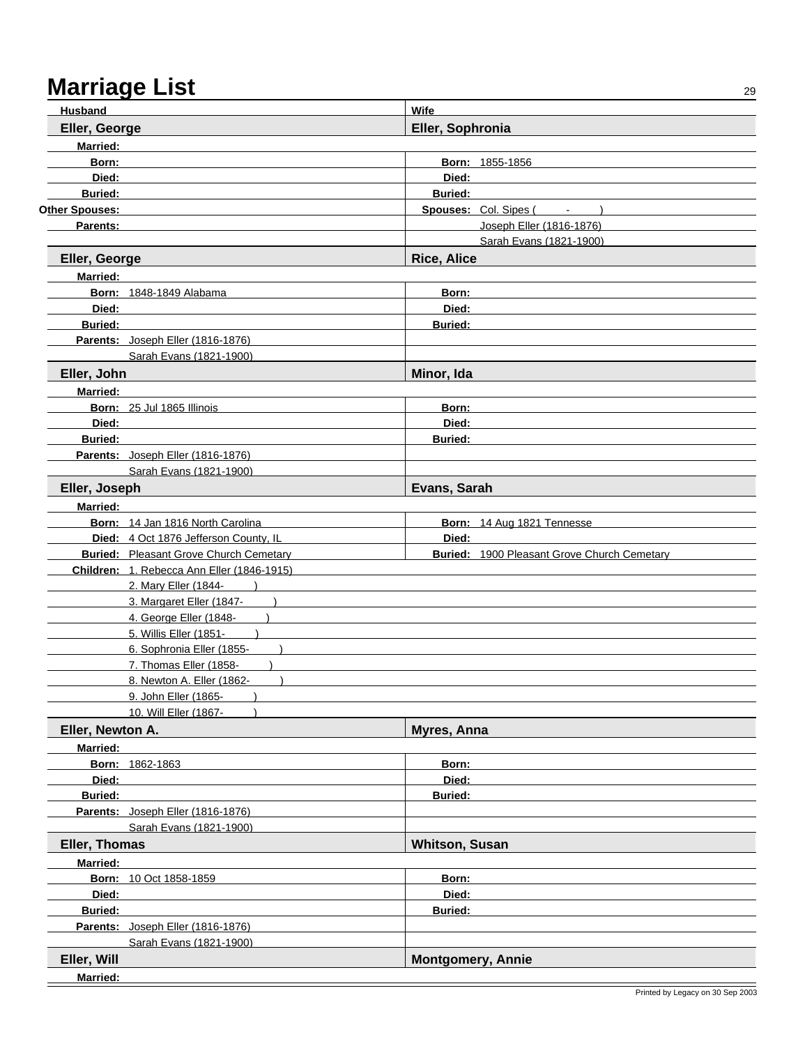| <b>Husband</b>   |                                                                                             | Wife                     |                                                      |  |
|------------------|---------------------------------------------------------------------------------------------|--------------------------|------------------------------------------------------|--|
| Eller, George    |                                                                                             | Eller, Sophronia         |                                                      |  |
| <b>Married:</b>  |                                                                                             |                          |                                                      |  |
| Born:            |                                                                                             | Born: 1855-1856          |                                                      |  |
| Died:            |                                                                                             | Died:                    |                                                      |  |
| <b>Buried:</b>   |                                                                                             | <b>Buried:</b>           |                                                      |  |
| Other Spouses:   |                                                                                             | Spouses: Col. Sipes (    | $\alpha$ , $\alpha$ , $\alpha$ , $\alpha$ , $\alpha$ |  |
| Parents:         |                                                                                             |                          | Joseph Eller (1816-1876)                             |  |
|                  |                                                                                             |                          | Sarah Evans (1821-1900)                              |  |
| Eller, George    |                                                                                             | <b>Rice, Alice</b>       |                                                      |  |
| <b>Married:</b>  |                                                                                             |                          |                                                      |  |
|                  | <b>Born: 1848-1849 Alabama</b>                                                              | Born:                    |                                                      |  |
| Died:            |                                                                                             | Died:                    |                                                      |  |
| <b>Buried:</b>   |                                                                                             | Buried:                  |                                                      |  |
|                  | Parents: Joseph Eller (1816-1876)                                                           |                          |                                                      |  |
|                  | Sarah Evans (1821-1900)                                                                     |                          |                                                      |  |
| Eller, John      |                                                                                             | Minor, Ida               |                                                      |  |
| <b>Married:</b>  |                                                                                             |                          |                                                      |  |
|                  | Born: 25 Jul 1865 Illinois                                                                  | Born:                    |                                                      |  |
| Died:            |                                                                                             | Died:                    |                                                      |  |
| <b>Buried:</b>   |                                                                                             | <b>Buried:</b>           |                                                      |  |
|                  | Parents: Joseph Eller (1816-1876)                                                           |                          |                                                      |  |
|                  | Sarah Evans (1821-1900)                                                                     |                          |                                                      |  |
| Eller, Joseph    |                                                                                             | Evans, Sarah             |                                                      |  |
| <b>Married:</b>  |                                                                                             |                          |                                                      |  |
|                  | Born: 14 Jan 1816 North Carolina                                                            |                          | Born: 14 Aug 1821 Tennesse                           |  |
|                  | Died: 4 Oct 1876 Jefferson County, IL                                                       | Died:                    |                                                      |  |
|                  | <b>Buried:</b> Pleasant Grove Church Cemetary<br>Children: 1. Rebecca Ann Eller (1846-1915) |                          | <b>Buried: 1900 Pleasant Grove Church Cemetary</b>   |  |
|                  | 2. Mary Eller (1844-                                                                        |                          |                                                      |  |
|                  | 3. Margaret Eller (1847-                                                                    |                          |                                                      |  |
|                  | 4. George Eller (1848-                                                                      |                          |                                                      |  |
|                  | 5. Willis Eller (1851-                                                                      |                          |                                                      |  |
|                  | 6. Sophronia Eller (1855-                                                                   |                          |                                                      |  |
|                  | 7. Thomas Eller (1858-                                                                      |                          |                                                      |  |
|                  | 8. Newton A. Eller (1862-                                                                   |                          |                                                      |  |
|                  | 9. John Eller (1865-                                                                        |                          |                                                      |  |
|                  | 10. Will Eller (1867-                                                                       |                          |                                                      |  |
| Eller, Newton A. |                                                                                             | Myres, Anna              |                                                      |  |
| <b>Married:</b>  |                                                                                             |                          |                                                      |  |
|                  | Born: 1862-1863                                                                             | Born:                    |                                                      |  |
| Died:            |                                                                                             | Died:                    |                                                      |  |
| <b>Buried:</b>   |                                                                                             | <b>Buried:</b>           |                                                      |  |
|                  | Parents: Joseph Eller (1816-1876)                                                           |                          |                                                      |  |
|                  | Sarah Evans (1821-1900)                                                                     |                          |                                                      |  |
| Eller, Thomas    |                                                                                             | <b>Whitson, Susan</b>    |                                                      |  |
| <b>Married:</b>  |                                                                                             |                          |                                                      |  |
|                  | Born: 10 Oct 1858-1859                                                                      | Born:                    |                                                      |  |
| Died:            |                                                                                             | Died:                    |                                                      |  |
| <b>Buried:</b>   |                                                                                             | <b>Buried:</b>           |                                                      |  |
|                  | Parents: Joseph Eller (1816-1876)                                                           |                          |                                                      |  |
|                  | Sarah Evans (1821-1900)                                                                     |                          |                                                      |  |
| Eller, Will      |                                                                                             | <b>Montgomery, Annie</b> |                                                      |  |
| <b>Married:</b>  |                                                                                             |                          |                                                      |  |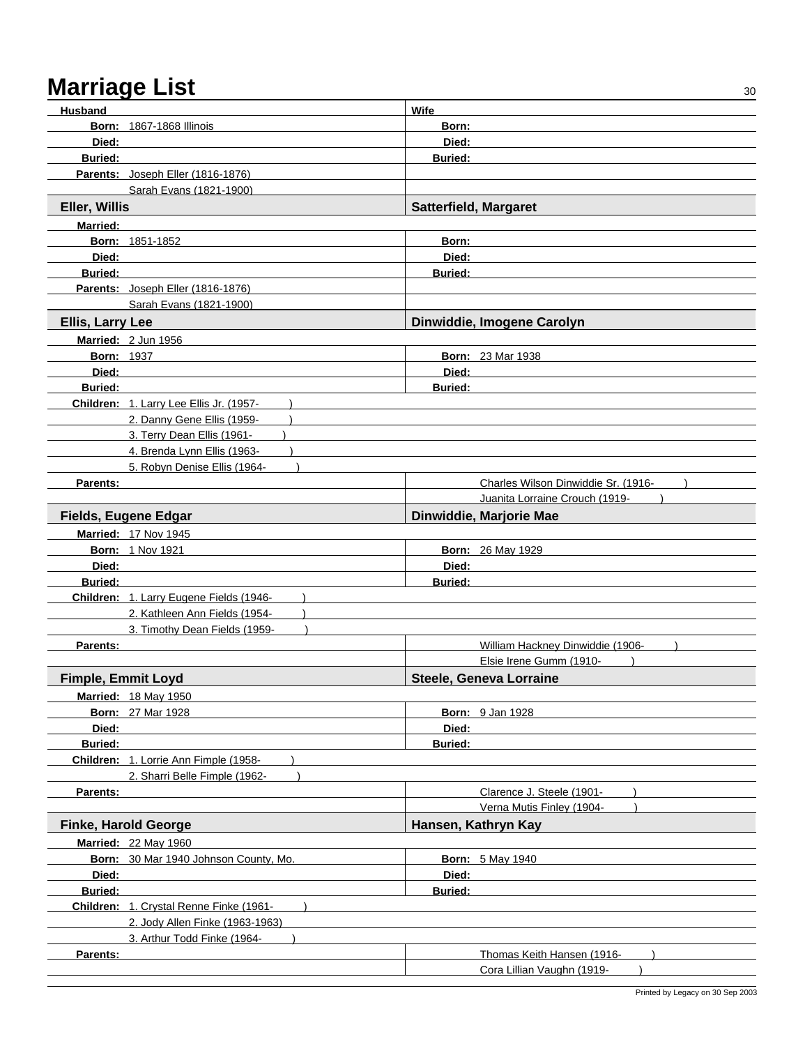| Husband                   |                                         | Wife                         |                                                             |
|---------------------------|-----------------------------------------|------------------------------|-------------------------------------------------------------|
|                           | <b>Born: 1867-1868 Illinois</b>         | Born:                        |                                                             |
| Died:                     |                                         | Died:                        |                                                             |
| <b>Buried:</b>            |                                         | <b>Buried:</b>               |                                                             |
|                           | Parents: Joseph Eller (1816-1876)       |                              |                                                             |
|                           | Sarah Evans (1821-1900)                 |                              |                                                             |
| Eller, Willis             |                                         | <b>Satterfield, Margaret</b> |                                                             |
| <b>Married:</b>           |                                         |                              |                                                             |
|                           | <b>Born: 1851-1852</b>                  | Born:                        |                                                             |
| Died:                     |                                         | Died:                        |                                                             |
| <b>Buried:</b>            |                                         | <b>Buried:</b>               |                                                             |
|                           | Parents: Joseph Eller (1816-1876)       |                              |                                                             |
|                           | Sarah Evans (1821-1900)                 |                              |                                                             |
| <b>Ellis, Larry Lee</b>   |                                         |                              | Dinwiddie, Imogene Carolyn                                  |
|                           | Married: 2 Jun 1956                     |                              |                                                             |
| <b>Born: 1937</b>         |                                         |                              | <b>Born: 23 Mar 1938</b>                                    |
| Died:                     |                                         | Died:                        |                                                             |
| <b>Buried:</b>            |                                         | <b>Buried:</b>               |                                                             |
|                           | Children: 1. Larry Lee Ellis Jr. (1957- |                              |                                                             |
|                           | 2. Danny Gene Ellis (1959-              |                              |                                                             |
|                           | 3. Terry Dean Ellis (1961-              |                              |                                                             |
|                           | 4. Brenda Lynn Ellis (1963-             |                              |                                                             |
|                           | 5. Robyn Denise Ellis (1964-            |                              |                                                             |
| Parents:                  |                                         |                              | Charles Wilson Dinwiddie Sr. (1916-                         |
|                           |                                         |                              | Juanita Lorraine Crouch (1919-                              |
|                           | <b>Fields, Eugene Edgar</b>             |                              | Dinwiddie, Marjorie Mae                                     |
|                           | <b>Married: 17 Nov 1945</b>             |                              |                                                             |
|                           | <b>Born: 1 Nov 1921</b>                 |                              | <b>Born: 26 May 1929</b>                                    |
| Died:                     |                                         | Died:                        |                                                             |
| <b>Buried:</b>            |                                         | <b>Buried:</b>               |                                                             |
|                           | Children: 1. Larry Eugene Fields (1946- |                              |                                                             |
|                           | 2. Kathleen Ann Fields (1954-           |                              |                                                             |
|                           | 3. Timothy Dean Fields (1959-           |                              |                                                             |
| Parents:                  |                                         |                              | William Hackney Dinwiddie (1906-<br>Elsie Irene Gumm (1910- |
|                           |                                         |                              | <b>Steele, Geneva Lorraine</b>                              |
| <b>Fimple, Emmit Loyd</b> |                                         |                              |                                                             |
|                           | <b>Married: 18 May 1950</b>             |                              |                                                             |
|                           | <b>Born: 27 Mar 1928</b>                | Died:                        | <b>Born: 9 Jan 1928</b>                                     |
| Died:<br><b>Buried:</b>   |                                         | <b>Buried:</b>               |                                                             |
|                           | Children: 1. Lorrie Ann Fimple (1958-   |                              |                                                             |
|                           | 2. Sharri Belle Fimple (1962-           |                              |                                                             |
| Parents:                  |                                         |                              | Clarence J. Steele (1901-                                   |
|                           |                                         |                              | Verna Mutis Finley (1904-                                   |
|                           | <b>Finke, Harold George</b>             |                              | Hansen, Kathryn Kay                                         |
|                           | <b>Married: 22 May 1960</b>             |                              |                                                             |
|                           | Born: 30 Mar 1940 Johnson County, Mo.   |                              | <b>Born: 5 May 1940</b>                                     |
| Died:                     |                                         | Died:                        |                                                             |
| <b>Buried:</b>            |                                         | <b>Buried:</b>               |                                                             |
|                           | Children: 1. Crystal Renne Finke (1961- |                              |                                                             |
|                           | 2. Jody Allen Finke (1963-1963)         |                              |                                                             |
|                           | 3. Arthur Todd Finke (1964-             |                              |                                                             |
| Parents:                  |                                         |                              | Thomas Keith Hansen (1916-                                  |
|                           |                                         |                              | Cora Lillian Vaughn (1919-                                  |
|                           |                                         |                              |                                                             |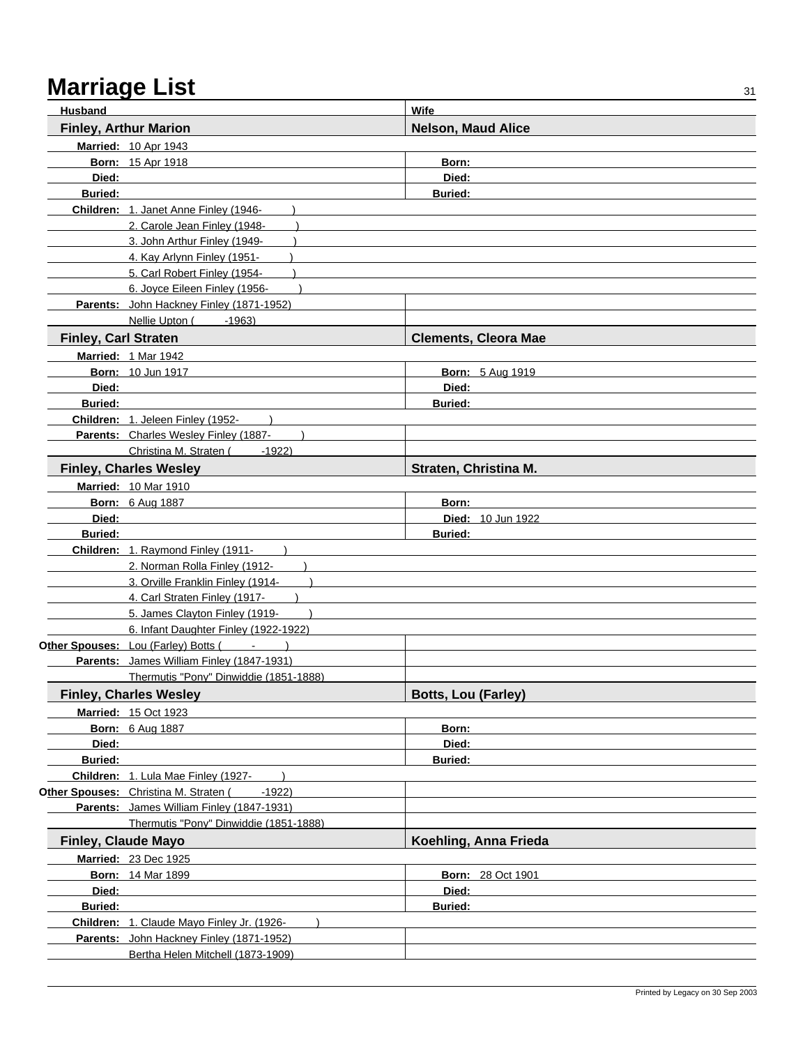| <b>Husband</b>              |                                                                 | Wife                        |  |
|-----------------------------|-----------------------------------------------------------------|-----------------------------|--|
|                             | <b>Finley, Arthur Marion</b>                                    | <b>Nelson, Maud Alice</b>   |  |
|                             | <b>Married: 10 Apr 1943</b>                                     |                             |  |
|                             | <b>Born: 15 Apr 1918</b>                                        | Born:                       |  |
| Died:                       |                                                                 | Died:                       |  |
| <b>Buried:</b>              |                                                                 | <b>Buried:</b>              |  |
|                             | Children: 1. Janet Anne Finley (1946-                           |                             |  |
|                             | 2. Carole Jean Finley (1948-                                    |                             |  |
|                             | 3. John Arthur Finley (1949-                                    |                             |  |
|                             | 4. Kay Arlynn Finley (1951-                                     |                             |  |
|                             | 5. Carl Robert Finley (1954-                                    |                             |  |
|                             | 6. Joyce Eileen Finley (1956-                                   |                             |  |
|                             | Parents: John Hackney Finley (1871-1952)                        |                             |  |
|                             | Nellie Upton (<br>$-1963$                                       |                             |  |
| <b>Finley, Carl Straten</b> |                                                                 | <b>Clements, Cleora Mae</b> |  |
|                             | Married: 1 Mar 1942                                             |                             |  |
|                             | Born: 10 Jun 1917                                               | <b>Born: 5 Aug 1919</b>     |  |
| Died:                       |                                                                 | Died:                       |  |
| <b>Buried:</b>              |                                                                 | <b>Buried:</b>              |  |
|                             | Children: 1. Jeleen Finley (1952-                               |                             |  |
|                             | Parents: Charles Wesley Finley (1887-                           |                             |  |
|                             | Christina M. Straten (<br>$-1922$                               |                             |  |
|                             | <b>Finley, Charles Wesley</b>                                   | Straten, Christina M.       |  |
|                             | <b>Married: 10 Mar 1910</b>                                     |                             |  |
|                             | <b>Born: 6 Aug 1887</b>                                         | Born:                       |  |
| Died:                       |                                                                 | Died: 10 Jun 1922           |  |
| <b>Buried:</b>              |                                                                 | <b>Buried:</b>              |  |
|                             | Children: 1. Raymond Finley (1911-                              |                             |  |
|                             | 2. Norman Rolla Finley (1912-                                   |                             |  |
|                             | 3. Orville Franklin Finley (1914-                               |                             |  |
|                             | 4. Carl Straten Finley (1917-<br>5. James Clayton Finley (1919- |                             |  |
|                             | 6. Infant Daughter Finley (1922-1922)                           |                             |  |
|                             | Other Spouses: Lou (Farley) Botts (Fig. 2014)                   |                             |  |
|                             | Parents: James William Finley (1847-1931)                       |                             |  |
|                             | Thermutis "Pony" Dinwiddie (1851-1888)                          |                             |  |
|                             | <b>Finley, Charles Wesley</b>                                   | <b>Botts, Lou (Farley)</b>  |  |
|                             | <b>Married: 15 Oct 1923</b>                                     |                             |  |
|                             | <b>Born: 6 Aug 1887</b>                                         | Born:                       |  |
| Died:                       |                                                                 | Died:                       |  |
| <b>Buried:</b>              |                                                                 | <b>Buried:</b>              |  |
|                             | Children: 1. Lula Mae Finley (1927-                             |                             |  |
|                             | Other Spouses: Christina M. Straten (<br>-1922)                 |                             |  |
|                             | Parents: James William Finley (1847-1931)                       |                             |  |
|                             | Thermutis "Pony" Dinwiddie (1851-1888)                          |                             |  |
|                             | <b>Finley, Claude Mayo</b>                                      | Koehling, Anna Frieda       |  |
|                             | Married: 23 Dec 1925                                            |                             |  |
|                             | <b>Born: 14 Mar 1899</b>                                        | <b>Born: 28 Oct 1901</b>    |  |
| Died:                       |                                                                 | Died:                       |  |
| Buried:                     |                                                                 | <b>Buried:</b>              |  |
|                             | Children: 1. Claude Mayo Finley Jr. (1926-                      |                             |  |
|                             | Parents: John Hackney Finley (1871-1952)                        |                             |  |
|                             | Bertha Helen Mitchell (1873-1909)                               |                             |  |
|                             |                                                                 |                             |  |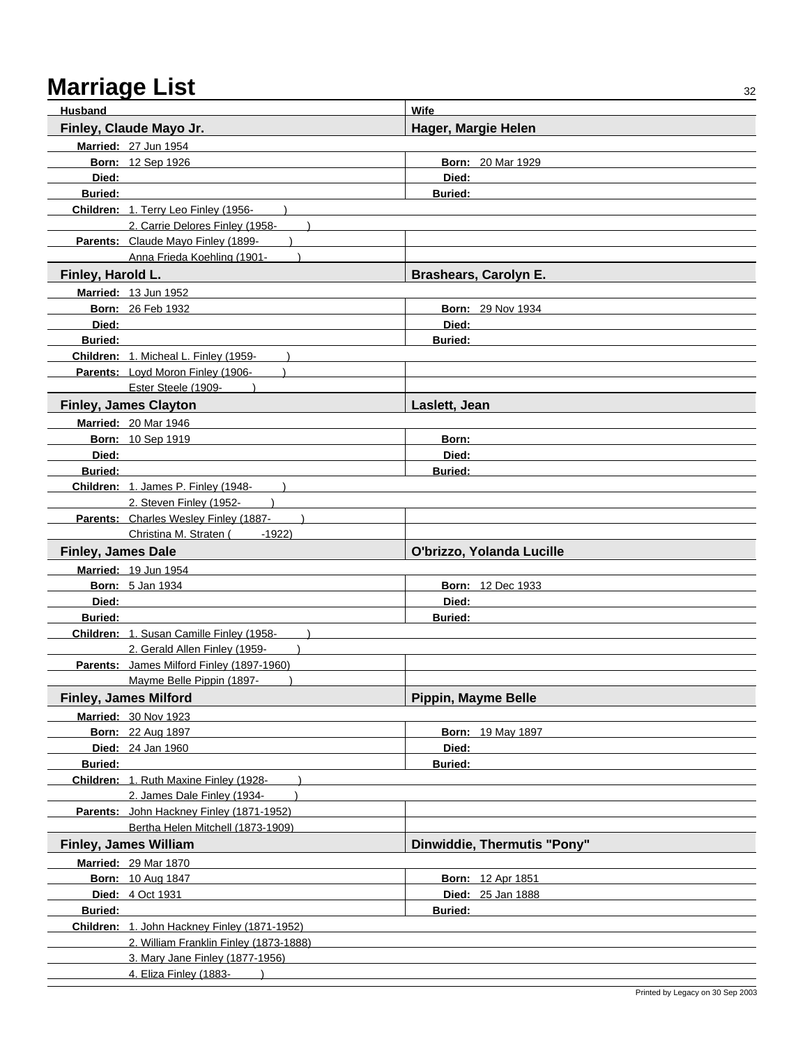| <b>Husband</b>            |                                                           | Wife                         |
|---------------------------|-----------------------------------------------------------|------------------------------|
|                           | Finley, Claude Mayo Jr.                                   | Hager, Margie Helen          |
|                           | Married: 27 Jun 1954                                      |                              |
|                           | <b>Born: 12 Sep 1926</b>                                  | <b>Born: 20 Mar 1929</b>     |
| Died:                     |                                                           | Died:                        |
| <b>Buried:</b>            |                                                           | <b>Buried:</b>               |
|                           | Children: 1. Terry Leo Finley (1956-                      |                              |
|                           | 2. Carrie Delores Finley (1958-                           |                              |
|                           | Parents: Claude Mayo Finley (1899-                        |                              |
|                           | Anna Frieda Koehling (1901-                               |                              |
| Finley, Harold L.         |                                                           | <b>Brashears, Carolyn E.</b> |
|                           | <b>Married: 13 Jun 1952</b>                               |                              |
|                           | <b>Born: 26 Feb 1932</b>                                  | <b>Born: 29 Nov 1934</b>     |
| Died:                     |                                                           | Died:                        |
| <b>Buried:</b>            |                                                           | <b>Buried:</b>               |
|                           | Children: 1. Micheal L. Finley (1959-                     |                              |
|                           | Parents: Loyd Moron Finley (1906-                         |                              |
|                           | Ester Steele (1909-                                       |                              |
|                           | <b>Finley, James Clayton</b>                              | Laslett, Jean                |
|                           | <b>Married: 20 Mar 1946</b>                               |                              |
|                           | <b>Born: 10 Sep 1919</b>                                  | Born:                        |
| Died:                     |                                                           | Died:                        |
| <b>Buried:</b>            |                                                           | <b>Buried:</b>               |
|                           | Children: 1. James P. Finley (1948-                       |                              |
|                           | 2. Steven Finley (1952-                                   |                              |
|                           | Parents: Charles Wesley Finley (1887-                     |                              |
|                           | Christina M. Straten (1922)                               |                              |
|                           |                                                           |                              |
| <b>Finley, James Dale</b> |                                                           | O'brizzo, Yolanda Lucille    |
|                           | Married: 19 Jun 1954                                      |                              |
|                           | <b>Born: 5 Jan 1934</b>                                   | <b>Born: 12 Dec 1933</b>     |
| Died:                     |                                                           | Died:                        |
| <b>Buried:</b>            |                                                           | <b>Buried:</b>               |
|                           | Children: 1. Susan Camille Finley (1958-                  |                              |
|                           | 2. Gerald Allen Finley (1959-                             |                              |
|                           | Parents: James Milford Finley (1897-1960)                 |                              |
|                           | Mayme Belle Pippin (1897-                                 |                              |
|                           | <b>Finley, James Milford</b>                              | Pippin, Mayme Belle          |
|                           | <b>Married: 30 Nov 1923</b>                               |                              |
|                           | <b>Born: 22 Aug 1897</b>                                  | <b>Born: 19 May 1897</b>     |
|                           | Died: 24 Jan 1960                                         | Died:                        |
| Buried:                   |                                                           | <b>Buried:</b>               |
|                           | Children: 1. Ruth Maxine Finley (1928-                    |                              |
|                           | 2. James Dale Finley (1934-                               |                              |
|                           | Parents: John Hackney Finley (1871-1952)                  |                              |
|                           | Bertha Helen Mitchell (1873-1909)                         |                              |
|                           | <b>Finley, James William</b>                              | Dinwiddie, Thermutis "Pony"  |
|                           | <b>Married: 29 Mar 1870</b>                               |                              |
|                           | <b>Born: 10 Aug 1847</b>                                  | <b>Born: 12 Apr 1851</b>     |
|                           | Died: 4 Oct 1931                                          | Died: 25 Jan 1888            |
| <b>Buried:</b>            |                                                           | <b>Buried:</b>               |
|                           | Children: 1. John Hackney Finley (1871-1952)              |                              |
|                           | 2. William Franklin Finley (1873-1888)                    |                              |
|                           | 3. Mary Jane Finley (1877-1956)<br>4. Eliza Finley (1883- |                              |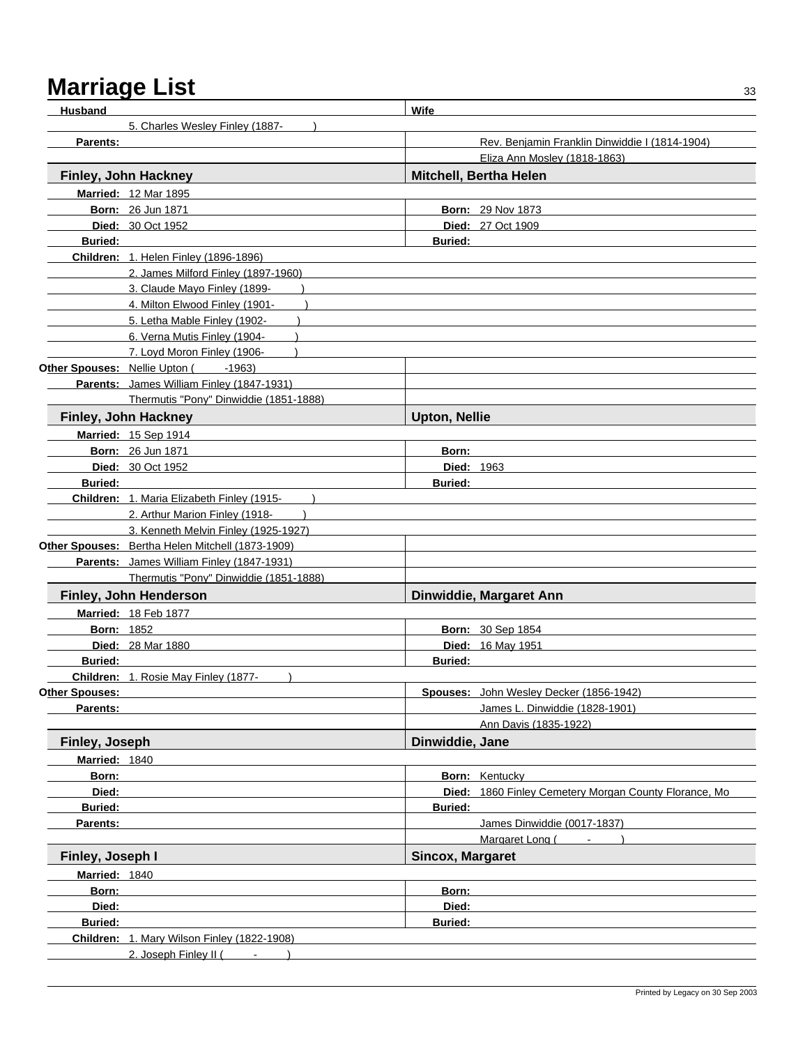| <b>Husband</b>         |                                                  | Wife                    |                                                       |
|------------------------|--------------------------------------------------|-------------------------|-------------------------------------------------------|
|                        | 5. Charles Wesley Finley (1887-                  |                         |                                                       |
| Parents:               |                                                  |                         | Rev. Benjamin Franklin Dinwiddie I (1814-1904)        |
|                        |                                                  |                         | Eliza Ann Mosley (1818-1863)                          |
|                        | Finley, John Hackney                             |                         | Mitchell, Bertha Helen                                |
|                        | <b>Married: 12 Mar 1895</b>                      |                         |                                                       |
|                        | <b>Born: 26 Jun 1871</b>                         |                         | <b>Born: 29 Nov 1873</b>                              |
|                        | Died: 30 Oct 1952                                |                         | <b>Died: 27 Oct 1909</b>                              |
| <b>Buried:</b>         |                                                  | <b>Buried:</b>          |                                                       |
|                        | <b>Children: 1. Helen Finley (1896-1896)</b>     |                         |                                                       |
|                        | 2. James Milford Finley (1897-1960)              |                         |                                                       |
|                        | 3. Claude Mayo Finley (1899-                     |                         |                                                       |
|                        | 4. Milton Elwood Finley (1901-                   |                         |                                                       |
|                        | 5. Letha Mable Finley (1902-                     |                         |                                                       |
|                        | 6. Verna Mutis Finley (1904-                     |                         |                                                       |
|                        | 7. Loyd Moron Finley (1906-                      |                         |                                                       |
|                        | Other Spouses: Nellie Upton (1963)               |                         |                                                       |
|                        | Parents: James William Finley (1847-1931)        |                         |                                                       |
|                        | Thermutis "Pony" Dinwiddie (1851-1888)           |                         |                                                       |
|                        | Finley, John Hackney                             | <b>Upton, Nellie</b>    |                                                       |
|                        | <b>Married: 15 Sep 1914</b>                      |                         |                                                       |
|                        | <b>Born: 26 Jun 1871</b>                         | Born:                   |                                                       |
|                        | Died: 30 Oct 1952                                | <b>Died: 1963</b>       |                                                       |
| <b>Buried:</b>         |                                                  | <b>Buried:</b>          |                                                       |
|                        | Children: 1. Maria Elizabeth Finley (1915-       |                         |                                                       |
|                        | 2. Arthur Marion Finley (1918-                   |                         |                                                       |
|                        | 3. Kenneth Melvin Finley (1925-1927)             |                         |                                                       |
|                        | Other Spouses: Bertha Helen Mitchell (1873-1909) |                         |                                                       |
|                        | Parents: James William Finley (1847-1931)        |                         |                                                       |
|                        | Thermutis "Pony" Dinwiddie (1851-1888)           |                         |                                                       |
|                        | Finley, John Henderson                           |                         | Dinwiddie, Margaret Ann                               |
|                        | <b>Married: 18 Feb 1877</b>                      |                         |                                                       |
| <b>Born: 1852</b>      |                                                  |                         | Born: 30 Sep 1854                                     |
|                        | <b>Died: 28 Mar 1880</b>                         |                         | Died: 16 May 1951                                     |
| <b>Buried:</b>         |                                                  | <b>Buried:</b>          |                                                       |
|                        | Children: 1. Rosie May Finley (1877-             |                         |                                                       |
| O <u>ther Spouses:</u> |                                                  |                         | <b>Spouses:</b> John Wesley Decker (1856-1942)        |
| Parents:               |                                                  |                         | James L. Dinwiddie (1828-1901)                        |
|                        |                                                  |                         | Ann Davis (1835-1922)                                 |
| Finley, Joseph         |                                                  | Dinwiddie, Jane         |                                                       |
| Married: 1840          |                                                  |                         |                                                       |
| Born:                  |                                                  |                         | <b>Born:</b> Kentucky                                 |
| Died:                  |                                                  |                         | Died: 1860 Finley Cemetery Morgan County Florance, Mo |
| <b>Buried:</b>         |                                                  | <b>Buried:</b>          |                                                       |
| Parents:               |                                                  |                         | James Dinwiddie (0017-1837)                           |
|                        |                                                  |                         | Margaret Long (<br>$\mathcal{L}_{\rm{max}}$           |
| Finley, Joseph I       |                                                  | <b>Sincox, Margaret</b> |                                                       |
| Married: 1840          |                                                  |                         |                                                       |
| Born:                  |                                                  | Born:                   |                                                       |
| Died:                  |                                                  | Died:                   |                                                       |
| <b>Buried:</b>         |                                                  | <b>Buried:</b>          |                                                       |
|                        | Children: 1. Mary Wilson Finley (1822-1908)      |                         |                                                       |
|                        | 2. Joseph Finley II (                            |                         |                                                       |
|                        |                                                  |                         |                                                       |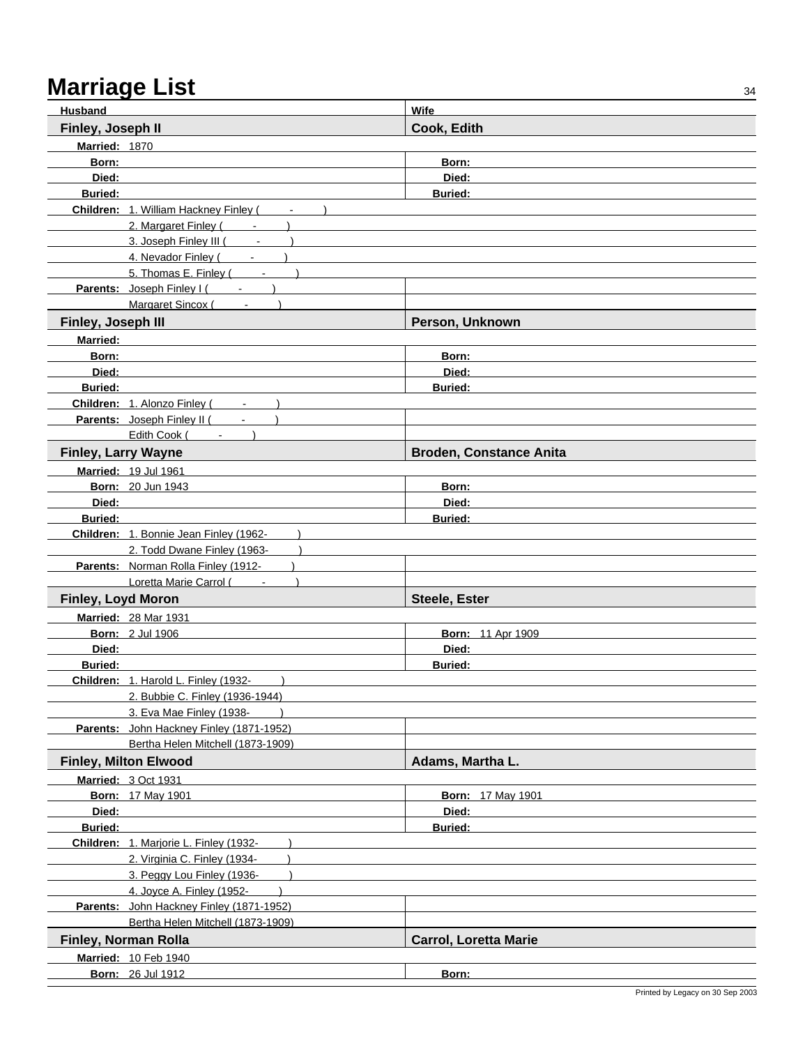| <b>Husband</b>             |                                                | <b>Wife</b>                    |
|----------------------------|------------------------------------------------|--------------------------------|
| Finley, Joseph II          |                                                | Cook, Edith                    |
| Married: 1870              |                                                |                                |
| Born:                      |                                                | Born:                          |
| Died:                      |                                                | Died:                          |
| <b>Buried:</b>             |                                                | <b>Buried:</b>                 |
|                            | Children: 1. William Hackney Finley (<br>$  )$ |                                |
|                            | 2. Margaret Finley (Fig. 1884)                 |                                |
|                            | 3. Joseph Finley III (<br>$\sim$               |                                |
|                            | 4. Nevador Finley (<br>$\sim$                  |                                |
|                            | 5. Thomas E. Finley (                          |                                |
|                            | Parents: Joseph Finley I (Fig. 1)              |                                |
|                            | <b>Margaret Sincox (</b>                       |                                |
| Finley, Joseph III         |                                                | Person, Unknown                |
| <b>Married:</b>            |                                                |                                |
| Born:                      |                                                | Born:                          |
| Died:                      |                                                | Died:                          |
| <b>Buried:</b>             |                                                | <b>Buried:</b>                 |
|                            | Children: 1. Alonzo Finley (                   |                                |
|                            | Parents: Joseph Finley II (                    |                                |
|                            | Edith Cook (                                   |                                |
|                            |                                                |                                |
| <b>Finley, Larry Wayne</b> |                                                | <b>Broden, Constance Anita</b> |
|                            | Married: 19 Jul 1961                           |                                |
|                            | Born: 20 Jun 1943                              | Born:                          |
| Died:                      |                                                | Died:                          |
| <b>Buried:</b>             |                                                | <b>Buried:</b>                 |
|                            | Children: 1. Bonnie Jean Finley (1962-         |                                |
|                            | 2. Todd Dwane Finley (1963-                    |                                |
|                            | Parents: Norman Rolla Finley (1912-            |                                |
|                            | Loretta Marie Carrol (Fig. 1)                  |                                |
| Finley, Loyd Moron         |                                                | Steele, Ester                  |
|                            | Married: 28 Mar 1931                           |                                |
|                            | <b>Born: 2 Jul 1906</b>                        | <b>Born: 11 Apr 1909</b>       |
| Died:                      |                                                | Died:                          |
| <b>Buried:</b>             |                                                | Buried:                        |
|                            | Children: 1. Harold L. Finley (1932-           |                                |
|                            | 2. Bubbie C. Finley (1936-1944)                |                                |
|                            | 3. Eva Mae Finley (1938-                       |                                |
|                            | Parents: John Hackney Finley (1871-1952)       |                                |
|                            | Bertha Helen Mitchell (1873-1909)              |                                |
|                            | <b>Finley, Milton Elwood</b>                   | Adams, Martha L.               |
|                            | Married: 3 Oct 1931                            |                                |
|                            | <b>Born: 17 May 1901</b>                       | <b>Born: 17 May 1901</b>       |
| Died:                      |                                                | Died:                          |
| <b>Buried:</b>             |                                                | <b>Buried:</b>                 |
|                            | Children: 1. Marjorie L. Finley (1932-         |                                |
|                            | 2. Virginia C. Finley (1934-                   |                                |
|                            | 3. Peggy Lou Finley (1936-                     |                                |
|                            | 4. Joyce A. Finley (1952-                      |                                |
|                            | Parents: John Hackney Finley (1871-1952)       |                                |
|                            | Bertha Helen Mitchell (1873-1909)              |                                |
|                            | Finley, Norman Rolla                           | <b>Carrol, Loretta Marie</b>   |
|                            | Married: 10 Feb 1940                           |                                |
|                            | <b>Born: 26 Jul 1912</b>                       | Born:                          |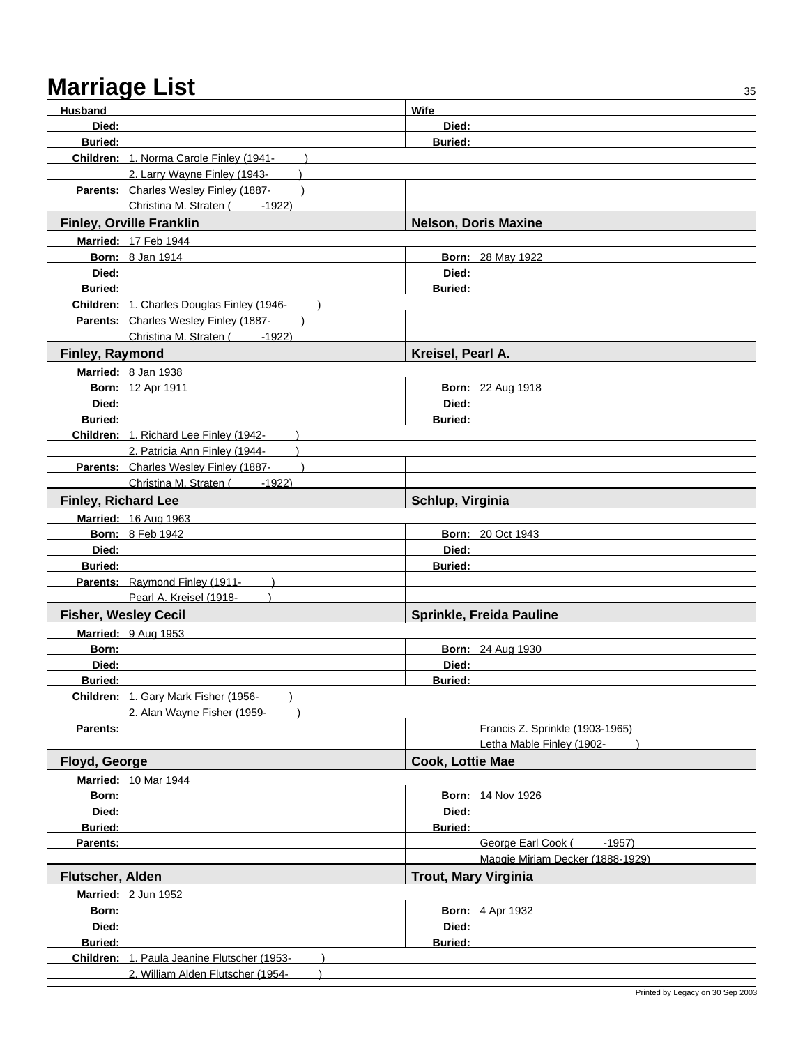| <b>Husband</b>              |                                             | Wife                              |
|-----------------------------|---------------------------------------------|-----------------------------------|
| Died:                       |                                             | Died:                             |
| <b>Buried:</b>              |                                             | <b>Buried:</b>                    |
|                             | Children: 1. Norma Carole Finley (1941-     |                                   |
|                             | 2. Larry Wayne Finley (1943-                |                                   |
|                             | Parents: Charles Wesley Finley (1887-       |                                   |
|                             | Christina M. Straten (<br>$-1922$           |                                   |
|                             | <b>Finley, Orville Franklin</b>             | <b>Nelson, Doris Maxine</b>       |
|                             | <b>Married: 17 Feb 1944</b>                 |                                   |
|                             | <b>Born: 8 Jan 1914</b>                     | <b>Born: 28 May 1922</b>          |
| Died:                       |                                             | Died:                             |
| <b>Buried:</b>              |                                             | <b>Buried:</b>                    |
|                             | Children: 1. Charles Douglas Finley (1946-  |                                   |
|                             | Parents: Charles Wesley Finley (1887-       |                                   |
|                             | Christina M. Straten (1922)                 |                                   |
| Finley, Raymond             |                                             | Kreisel, Pearl A.                 |
|                             | Married: 8 Jan 1938                         |                                   |
|                             | <b>Born: 12 Apr 1911</b>                    | <b>Born: 22 Aug 1918</b>          |
| Died:                       |                                             | Died:                             |
| <b>Buried:</b>              |                                             | <b>Buried:</b>                    |
|                             | Children: 1. Richard Lee Finley (1942-      |                                   |
|                             | 2. Patricia Ann Finley (1944-               |                                   |
|                             | Parents: Charles Wesley Finley (1887-       |                                   |
|                             | Christina M. Straten (<br>$-1922$           |                                   |
| <b>Finley, Richard Lee</b>  |                                             | Schlup, Virginia                  |
|                             | Married: 16 Aug 1963                        |                                   |
|                             | <b>Born: 8 Feb 1942</b>                     | <b>Born: 20 Oct 1943</b>          |
| Died:                       |                                             | Died:                             |
| <b>Buried:</b>              |                                             | <b>Buried:</b>                    |
|                             | Parents: Raymond Finley (1911-              |                                   |
|                             | Pearl A. Kreisel (1918-                     |                                   |
| <b>Fisher, Wesley Cecil</b> |                                             | Sprinkle, Freida Pauline          |
|                             | Married: 9 Aug 1953                         |                                   |
| Born:                       |                                             | <b>Born: 24 Aug 1930</b>          |
| Died:                       |                                             | Died:                             |
| <b>Buried:</b>              |                                             | <b>Buried:</b>                    |
|                             | Children: 1. Gary Mark Fisher (1956-        |                                   |
|                             | 2. Alan Wayne Fisher (1959-                 |                                   |
| Parents:                    |                                             | Francis Z. Sprinkle (1903-1965)   |
|                             |                                             | Letha Mable Finley (1902-         |
| Floyd, George               |                                             | Cook, Lottie Mae                  |
|                             | <b>Married: 10 Mar 1944</b>                 |                                   |
| Born:<br>Died:              |                                             | <b>Born: 14 Nov 1926</b><br>Died: |
| Buried:                     |                                             | <b>Buried:</b>                    |
| Parents:                    |                                             | George Earl Cook (<br>$-1957$     |
|                             |                                             | Maggie Miriam Decker (1888-1929)  |
| Flutscher, Alden            |                                             | <b>Trout, Mary Virginia</b>       |
|                             |                                             |                                   |
|                             | <b>Married: 2 Jun 1952</b>                  |                                   |
| Born:                       |                                             | <b>Born: 4 Apr 1932</b>           |
| Died:                       |                                             | Died:                             |
| Buried:                     |                                             | <b>Buried:</b>                    |
|                             | Children: 1. Paula Jeanine Flutscher (1953- |                                   |
|                             | 2. William Alden Flutscher (1954-           |                                   |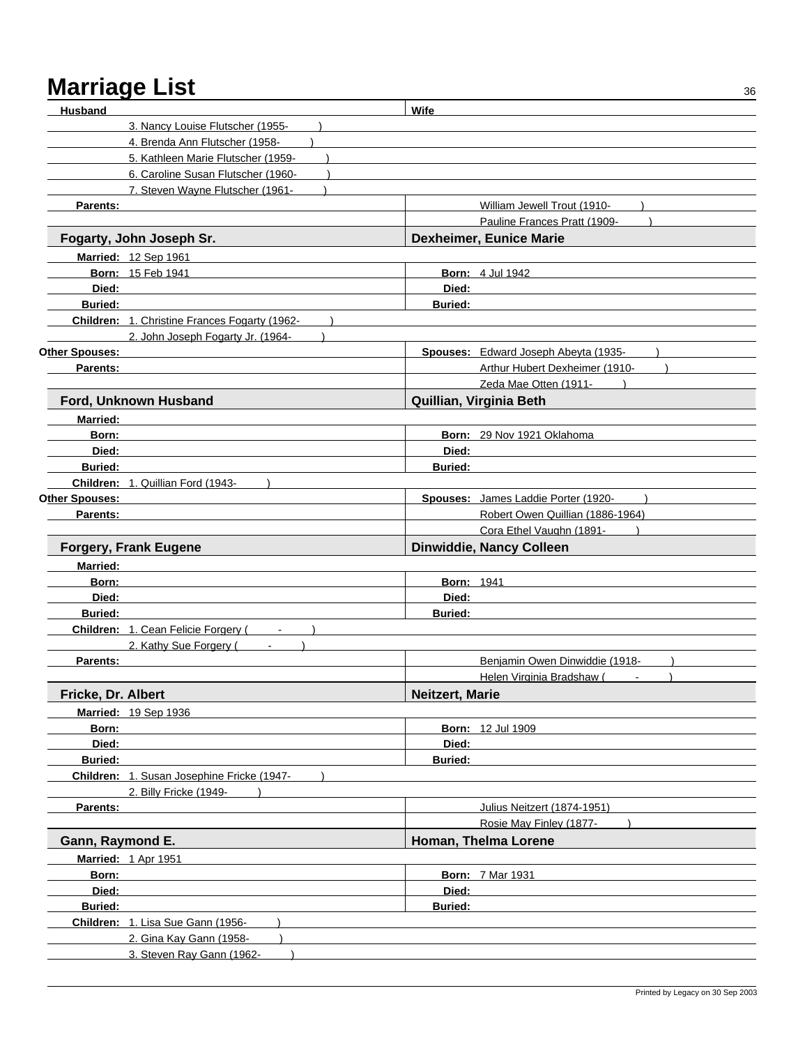| <b>Husband</b>     |                                               | <b>Wife</b>            |                                                        |  |
|--------------------|-----------------------------------------------|------------------------|--------------------------------------------------------|--|
|                    | 3. Nancy Louise Flutscher (1955-              |                        |                                                        |  |
|                    | 4. Brenda Ann Flutscher (1958-                |                        |                                                        |  |
|                    | 5. Kathleen Marie Flutscher (1959-            |                        |                                                        |  |
|                    | 6. Caroline Susan Flutscher (1960-            |                        |                                                        |  |
|                    | 7. Steven Wayne Flutscher (1961-              |                        |                                                        |  |
| Parents:           |                                               |                        | William Jewell Trout (1910-                            |  |
|                    |                                               |                        | Pauline Frances Pratt (1909-                           |  |
|                    | Fogarty, John Joseph Sr.                      |                        | <b>Dexheimer, Eunice Marie</b>                         |  |
|                    | Married: 12 Sep 1961                          |                        |                                                        |  |
|                    | <b>Born: 15 Feb 1941</b>                      |                        | <b>Born: 4 Jul 1942</b>                                |  |
| Died:              |                                               | Died:                  |                                                        |  |
| <b>Buried:</b>     |                                               | <b>Buried:</b>         |                                                        |  |
|                    | Children: 1. Christine Frances Fogarty (1962- |                        |                                                        |  |
|                    | 2. John Joseph Fogarty Jr. (1964-             |                        |                                                        |  |
| Other Spouses:     |                                               |                        | Spouses: Edward Joseph Abeyta (1935-                   |  |
| Parents:           |                                               |                        | Arthur Hubert Dexheimer (1910-                         |  |
|                    |                                               |                        | Zeda Mae Otten (1911-                                  |  |
|                    | Ford, Unknown Husband                         |                        | Quillian, Virginia Beth                                |  |
| <b>Married:</b>    |                                               |                        |                                                        |  |
| Born:              |                                               |                        | Born: 29 Nov 1921 Oklahoma                             |  |
| Died:              |                                               | Died:                  |                                                        |  |
| <b>Buried:</b>     |                                               | <b>Buried:</b>         |                                                        |  |
|                    | Children: 1. Quillian Ford (1943-             |                        |                                                        |  |
| Other Spouses:     |                                               |                        | Spouses: James Laddie Porter (1920-                    |  |
| Parents:           |                                               |                        | Robert Owen Quillian (1886-1964)                       |  |
|                    |                                               |                        | Cora Ethel Vaughn (1891-                               |  |
|                    | <b>Forgery, Frank Eugene</b>                  |                        | Dinwiddie, Nancy Colleen                               |  |
| <b>Married:</b>    |                                               |                        |                                                        |  |
| Born:              |                                               | <b>Born: 1941</b>      |                                                        |  |
| Died:              |                                               | Died:                  |                                                        |  |
| <b>Buried:</b>     |                                               | <b>Buried:</b>         |                                                        |  |
|                    | Children: 1. Cean Felicie Forgery (           |                        |                                                        |  |
|                    | 2. Kathy Sue Forgery (                        |                        |                                                        |  |
| Parents:           |                                               |                        | Benjamin Owen Dinwiddie (1918-                         |  |
|                    |                                               |                        | Helen Virginia Bradshaw (                              |  |
| Fricke, Dr. Albert |                                               | <b>Neitzert, Marie</b> |                                                        |  |
|                    | <b>Married: 19 Sep 1936</b>                   |                        |                                                        |  |
| Born:              |                                               |                        | <b>Born: 12 Jul 1909</b>                               |  |
| Died:              |                                               | Died:                  |                                                        |  |
| <b>Buried:</b>     |                                               | <b>Buried:</b>         |                                                        |  |
|                    | Children: 1. Susan Josephine Fricke (1947-    |                        |                                                        |  |
|                    | 2. Billy Fricke (1949-                        |                        |                                                        |  |
| Parents:           |                                               |                        | Julius Neitzert (1874-1951)<br>Rosie May Finley (1877- |  |
| Gann, Raymond E.   |                                               |                        | Homan, Thelma Lorene                                   |  |
|                    | Married: 1 Apr 1951                           |                        |                                                        |  |
| Born:              |                                               |                        | <b>Born: 7 Mar 1931</b>                                |  |
| Died:              |                                               | Died:                  |                                                        |  |
| Buried:            |                                               | <b>Buried:</b>         |                                                        |  |
|                    | Children: 1. Lisa Sue Gann (1956-             |                        |                                                        |  |
|                    | 2. Gina Kay Gann (1958-                       |                        |                                                        |  |
|                    | 3. Steven Ray Gann (1962-                     |                        |                                                        |  |
|                    |                                               |                        |                                                        |  |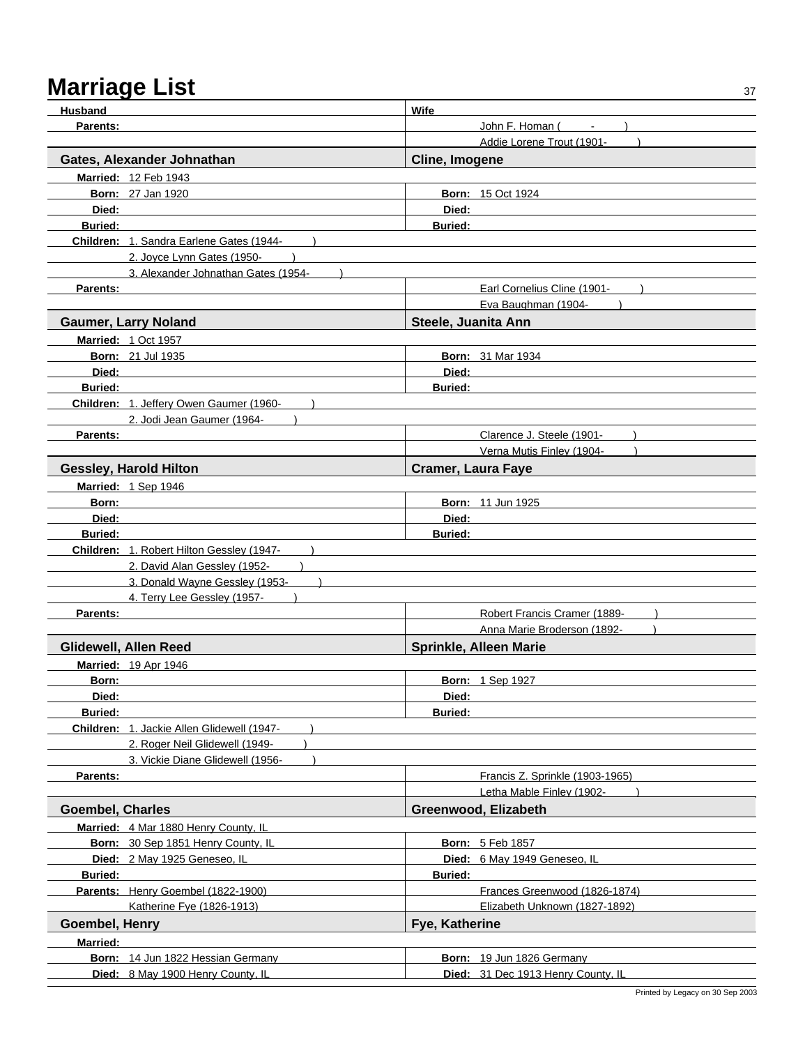| <b>Husband</b>          |                                            | Wife                               |
|-------------------------|--------------------------------------------|------------------------------------|
| Parents:                |                                            | John F. Homan (                    |
|                         |                                            | Addie Lorene Trout (1901-          |
|                         | Gates, Alexander Johnathan                 | Cline, Imogene                     |
|                         | Married: 12 Feb 1943                       |                                    |
|                         | <b>Born: 27 Jan 1920</b>                   | <b>Born: 15 Oct 1924</b>           |
| Died:                   |                                            | Died:                              |
| <b>Buried:</b>          |                                            | <b>Buried:</b>                     |
|                         | Children: 1. Sandra Earlene Gates (1944-   |                                    |
|                         | 2. Joyce Lynn Gates (1950-                 |                                    |
|                         | 3. Alexander Johnathan Gates (1954-        |                                    |
| Parents:                |                                            | Earl Cornelius Cline (1901-        |
|                         |                                            | Eva Baughman (1904-                |
|                         | <b>Gaumer, Larry Noland</b>                | Steele, Juanita Ann                |
|                         | <b>Married: 1 Oct 1957</b>                 |                                    |
|                         | <b>Born: 21 Jul 1935</b>                   | <b>Born: 31 Mar 1934</b>           |
| Died:                   |                                            | Died:                              |
| <b>Buried:</b>          |                                            | <b>Buried:</b>                     |
|                         | Children: 1. Jeffery Owen Gaumer (1960-    |                                    |
|                         | 2. Jodi Jean Gaumer (1964-                 |                                    |
| Parents:                |                                            | Clarence J. Steele (1901-          |
|                         |                                            | Verna Mutis Finley (1904-          |
|                         | <b>Gessley, Harold Hilton</b>              | <b>Cramer, Laura Faye</b>          |
|                         | Married: 1 Sep 1946                        |                                    |
| Born:                   |                                            | <b>Born: 11 Jun 1925</b>           |
| Died:                   |                                            | Died:                              |
| <b>Buried:</b>          |                                            | <b>Buried:</b>                     |
|                         | Children: 1. Robert Hilton Gessley (1947-  |                                    |
|                         | 2. David Alan Gessley (1952-               |                                    |
|                         | 3. Donald Wayne Gessley (1953-             |                                    |
|                         | 4. Terry Lee Gessley (1957-                |                                    |
| Parents:                |                                            | Robert Francis Cramer (1889-       |
|                         |                                            | Anna Marie Broderson (1892-        |
|                         | Glidewell, Allen Reed                      | Sprinkle, Alleen Marie             |
|                         | <b>Married: 19 Apr 1946</b>                |                                    |
| Born:                   |                                            | <b>Born: 1 Sep 1927</b>            |
| Died:                   |                                            | Died:                              |
| <b>Buried:</b>          |                                            | <b>Buried:</b>                     |
|                         | Children: 1. Jackie Allen Glidewell (1947- |                                    |
|                         | 2. Roger Neil Glidewell (1949-             |                                    |
|                         | 3. Vickie Diane Glidewell (1956-           |                                    |
| Parents:                |                                            | Francis Z. Sprinkle (1903-1965)    |
|                         |                                            | Letha Mable Finley (1902-          |
| <b>Goembel, Charles</b> |                                            | Greenwood, Elizabeth               |
|                         | Married: 4 Mar 1880 Henry County, IL       |                                    |
|                         | Born: 30 Sep 1851 Henry County, IL         | <b>Born: 5 Feb 1857</b>            |
|                         | Died: 2 May 1925 Geneseo, IL               | Died: 6 May 1949 Geneseo, IL       |
| <b>Buried:</b>          |                                            | <b>Buried:</b>                     |
|                         | Parents: Henry Goembel (1822-1900)         | Frances Greenwood (1826-1874)      |
|                         | Katherine Fye (1826-1913)                  | Elizabeth Unknown (1827-1892)      |
| Goembel, Henry          |                                            | Fye, Katherine                     |
| <b>Married:</b>         |                                            |                                    |
|                         | Born: 14 Jun 1822 Hessian Germany          | Born: 19 Jun 1826 Germany          |
|                         | Died: 8 May 1900 Henry County, IL          | Died: 31 Dec 1913 Henry County, IL |
|                         |                                            |                                    |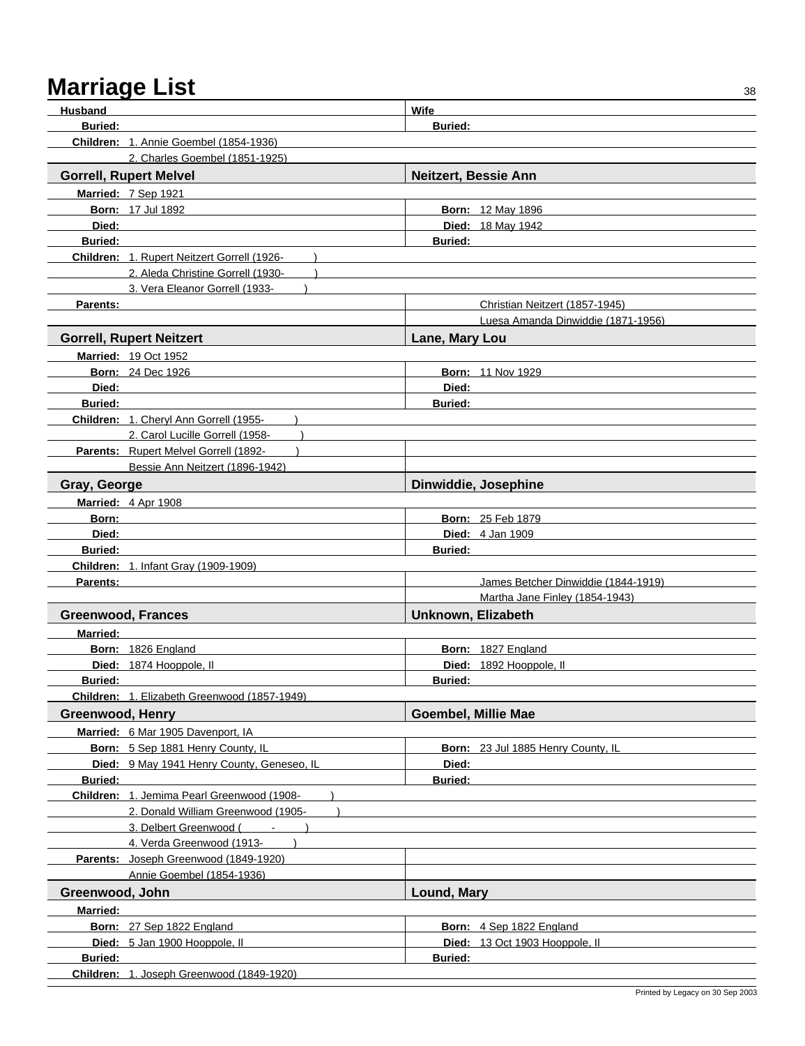| <b>Husband</b>          |                                               | Wife                      |                                     |
|-------------------------|-----------------------------------------------|---------------------------|-------------------------------------|
| <b>Buried:</b>          |                                               | <b>Buried:</b>            |                                     |
|                         | <b>Children: 1. Annie Goembel (1854-1936)</b> |                           |                                     |
|                         | 2. Charles Goembel (1851-1925)                |                           |                                     |
|                         | <b>Gorrell, Rupert Melvel</b>                 |                           | Neitzert, Bessie Ann                |
|                         | Married: 7 Sep 1921                           |                           |                                     |
|                         | <b>Born: 17 Jul 1892</b>                      |                           | <b>Born: 12 May 1896</b>            |
| Died:                   |                                               |                           | Died: 18 May 1942                   |
| <b>Buried:</b>          |                                               | <b>Buried:</b>            |                                     |
|                         | Children: 1. Rupert Neitzert Gorrell (1926-   |                           |                                     |
|                         | 2. Aleda Christine Gorrell (1930-             |                           |                                     |
|                         | 3. Vera Eleanor Gorrell (1933-                |                           |                                     |
| Parents:                |                                               |                           | Christian Neitzert (1857-1945)      |
|                         |                                               |                           | Luesa Amanda Dinwiddie (1871-1956)  |
|                         | <b>Gorrell, Rupert Neitzert</b>               | Lane, Mary Lou            |                                     |
|                         | <b>Married: 19 Oct 1952</b>                   |                           |                                     |
|                         | <b>Born: 24 Dec 1926</b>                      |                           | <b>Born: 11 Nov 1929</b>            |
| Died:                   |                                               | Died:                     |                                     |
| <b>Buried:</b>          |                                               | <b>Buried:</b>            |                                     |
|                         | Children: 1. Cheryl Ann Gorrell (1955-        |                           |                                     |
|                         | 2. Carol Lucille Gorrell (1958-               |                           |                                     |
|                         | Parents: Rupert Melvel Gorrell (1892-         |                           |                                     |
|                         | Bessie Ann Neitzert (1896-1942)               |                           |                                     |
| Gray, George            |                                               |                           | Dinwiddie, Josephine                |
|                         |                                               |                           |                                     |
|                         | Married: 4 Apr 1908                           |                           |                                     |
| Born:                   |                                               |                           | <b>Born: 25 Feb 1879</b>            |
| Died:                   |                                               |                           | <b>Died:</b> 4 Jan 1909             |
| <b>Buried:</b>          |                                               | <b>Buried:</b>            |                                     |
|                         | Children: 1. Infant Gray (1909-1909)          |                           |                                     |
| Parents:                |                                               |                           | James Betcher Dinwiddie (1844-1919) |
|                         |                                               |                           | Martha Jane Finley (1854-1943)      |
|                         | <b>Greenwood, Frances</b>                     | <b>Unknown, Elizabeth</b> |                                     |
| <b>Married:</b>         |                                               |                           |                                     |
|                         | Born: 1826 England                            |                           | Born: 1827 England                  |
|                         | Died: 1874 Hooppole, II                       |                           | Died: 1892 Hooppole, II             |
| <b>Buried:</b>          |                                               | <b>Buried:</b>            |                                     |
|                         | Children: 1. Elizabeth Greenwood (1857-1949)  |                           |                                     |
| <b>Greenwood, Henry</b> |                                               | Goembel, Millie Mae       |                                     |
|                         | Married: 6 Mar 1905 Davenport, IA             |                           |                                     |
|                         | Born: 5 Sep 1881 Henry County, IL             |                           | Born: 23 Jul 1885 Henry County, IL  |
|                         | Died: 9 May 1941 Henry County, Geneseo, IL    | Died:                     |                                     |
| <b>Buried:</b>          |                                               | <b>Buried:</b>            |                                     |
|                         | Children: 1. Jemima Pearl Greenwood (1908-    |                           |                                     |
|                         | 2. Donald William Greenwood (1905-            |                           |                                     |
|                         | 3. Delbert Greenwood (<br>$\mathbf{u}$        |                           |                                     |
|                         | 4. Verda Greenwood (1913-                     |                           |                                     |
|                         | Parents: Joseph Greenwood (1849-1920)         |                           |                                     |
|                         | Annie Goembel (1854-1936)                     |                           |                                     |
| Greenwood, John         |                                               | Lound, Mary               |                                     |
| <b>Married:</b>         |                                               |                           |                                     |
|                         | Born: 27 Sep 1822 England                     |                           | Born: 4 Sep 1822 England            |
|                         | Died: 5 Jan 1900 Hooppole, II                 |                           | Died: 13 Oct 1903 Hooppole, II      |
| <b>Buried:</b>          |                                               | <b>Buried:</b>            |                                     |
|                         | Children: 1. Joseph Greenwood (1849-1920)     |                           |                                     |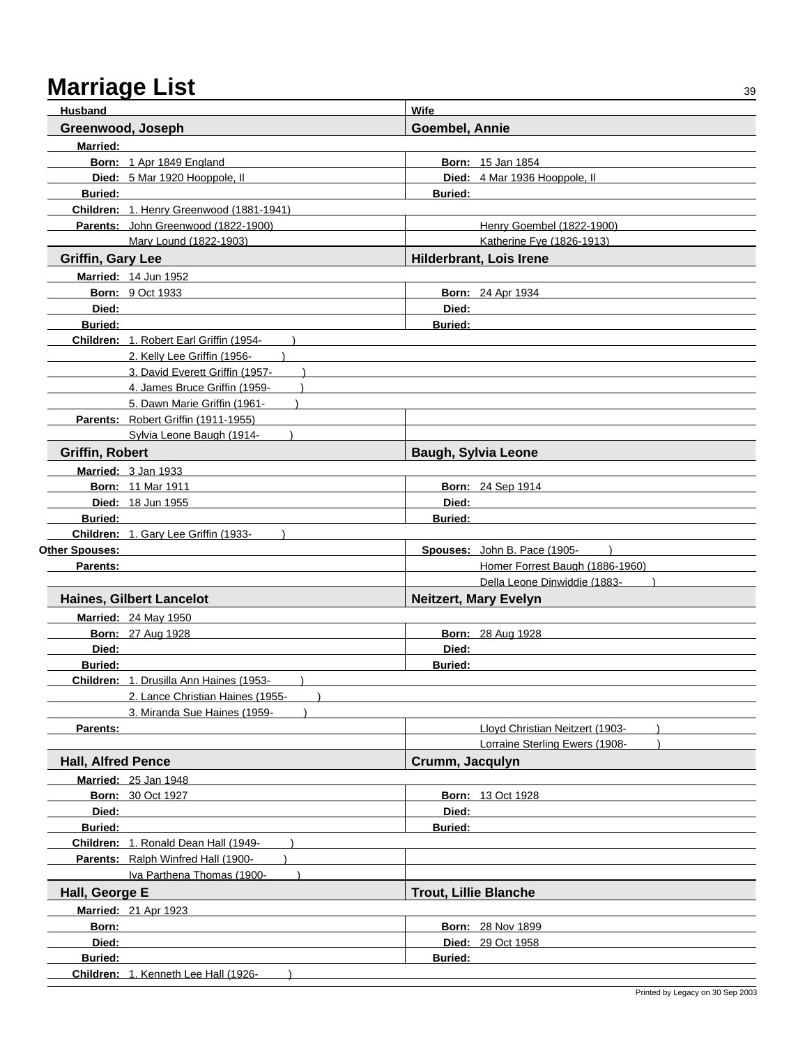| <b>Husband</b>            | <b>Wife</b>                                                         |                              |                                 |  |
|---------------------------|---------------------------------------------------------------------|------------------------------|---------------------------------|--|
| Greenwood, Joseph         |                                                                     | <b>Goembel, Annie</b>        |                                 |  |
| <b>Married:</b>           |                                                                     |                              |                                 |  |
|                           | Born: 1 Apr 1849 England                                            |                              | <b>Born: 15 Jan 1854</b>        |  |
|                           | Died: 5 Mar 1920 Hooppole, II                                       |                              | Died: 4 Mar 1936 Hooppole, II   |  |
| <b>Buried:</b>            |                                                                     | <b>Buried:</b>               |                                 |  |
|                           | Children: 1. Henry Greenwood (1881-1941)                            |                              |                                 |  |
|                           | Parents: John Greenwood (1822-1900)                                 |                              | Henry Goembel (1822-1900)       |  |
|                           | Mary Lound (1822-1903)                                              |                              | Katherine Fye (1826-1913)       |  |
| <b>Griffin, Gary Lee</b>  |                                                                     |                              | <b>Hilderbrant, Lois Irene</b>  |  |
|                           | Married: 14 Jun 1952                                                |                              |                                 |  |
|                           | <b>Born: 9 Oct 1933</b>                                             |                              | <b>Born: 24 Apr 1934</b>        |  |
| Died:                     |                                                                     | Died:                        |                                 |  |
| <b>Buried:</b>            |                                                                     | <b>Buried:</b>               |                                 |  |
|                           | Children: 1. Robert Earl Griffin (1954-                             |                              |                                 |  |
|                           | 2. Kelly Lee Griffin (1956-                                         |                              |                                 |  |
|                           | 3. David Everett Griffin (1957-                                     |                              |                                 |  |
|                           | 4. James Bruce Griffin (1959-                                       |                              |                                 |  |
|                           | 5. Dawn Marie Griffin (1961-<br>Parents: Robert Griffin (1911-1955) |                              |                                 |  |
|                           | Svlvia Leone Baugh (1914-                                           |                              |                                 |  |
| <b>Griffin, Robert</b>    |                                                                     |                              |                                 |  |
|                           |                                                                     |                              | <b>Baugh, Sylvia Leone</b>      |  |
|                           | Married: 3 Jan 1933                                                 |                              |                                 |  |
|                           | <b>Born: 11 Mar 1911</b><br><b>Died: 18 Jun 1955</b>                | Died:                        | <b>Born: 24 Sep 1914</b>        |  |
| <b>Buried:</b>            |                                                                     | <b>Buried:</b>               |                                 |  |
|                           | Children: 1. Gary Lee Griffin (1933-                                |                              |                                 |  |
| Other Spouses:            |                                                                     |                              | Spouses: John B. Pace (1905-    |  |
| Parents:                  |                                                                     |                              | Homer Forrest Baugh (1886-1960) |  |
|                           |                                                                     |                              | Della Leone Dinwiddie (1883-    |  |
|                           | <b>Haines, Gilbert Lancelot</b>                                     |                              | <b>Neitzert, Mary Evelyn</b>    |  |
|                           | <b>Married: 24 May 1950</b>                                         |                              |                                 |  |
|                           | <b>Born: 27 Aug 1928</b>                                            |                              | <b>Born: 28 Aug 1928</b>        |  |
| Died:                     |                                                                     | Died:                        |                                 |  |
| <b>Buried:</b>            |                                                                     | <b>Buried:</b>               |                                 |  |
|                           | Children: 1. Drusilla Ann Haines (1953-                             |                              |                                 |  |
|                           | 2. Lance Christian Haines (1955-                                    |                              |                                 |  |
|                           | 3. Miranda Sue Haines (1959-                                        |                              |                                 |  |
| Parents:                  |                                                                     |                              | Lloyd Christian Neitzert (1903- |  |
|                           |                                                                     |                              | Lorraine Sterling Ewers (1908-  |  |
| <b>Hall, Alfred Pence</b> |                                                                     | Crumm, Jacqulyn              |                                 |  |
|                           | Married: 25 Jan 1948                                                |                              |                                 |  |
|                           | <b>Born: 30 Oct 1927</b>                                            |                              | <b>Born: 13 Oct 1928</b>        |  |
| Died:                     |                                                                     | Died:                        |                                 |  |
| <b>Buried:</b>            |                                                                     | <b>Buried:</b>               |                                 |  |
|                           | Children: 1. Ronald Dean Hall (1949-                                |                              |                                 |  |
|                           | Parents: Ralph Winfred Hall (1900-                                  |                              |                                 |  |
|                           | Iva Parthena Thomas (1900-                                          |                              |                                 |  |
| Hall, George E            |                                                                     | <b>Trout, Lillie Blanche</b> |                                 |  |
|                           | <b>Married: 21 Apr 1923</b>                                         |                              |                                 |  |
| Born:                     |                                                                     |                              | <b>Born: 28 Nov 1899</b>        |  |
| Died:                     |                                                                     |                              | <b>Died: 29 Oct 1958</b>        |  |
| <b>Buried:</b>            |                                                                     | <b>Buried:</b>               |                                 |  |
|                           | Children: 1. Kenneth Lee Hall (1926-                                |                              |                                 |  |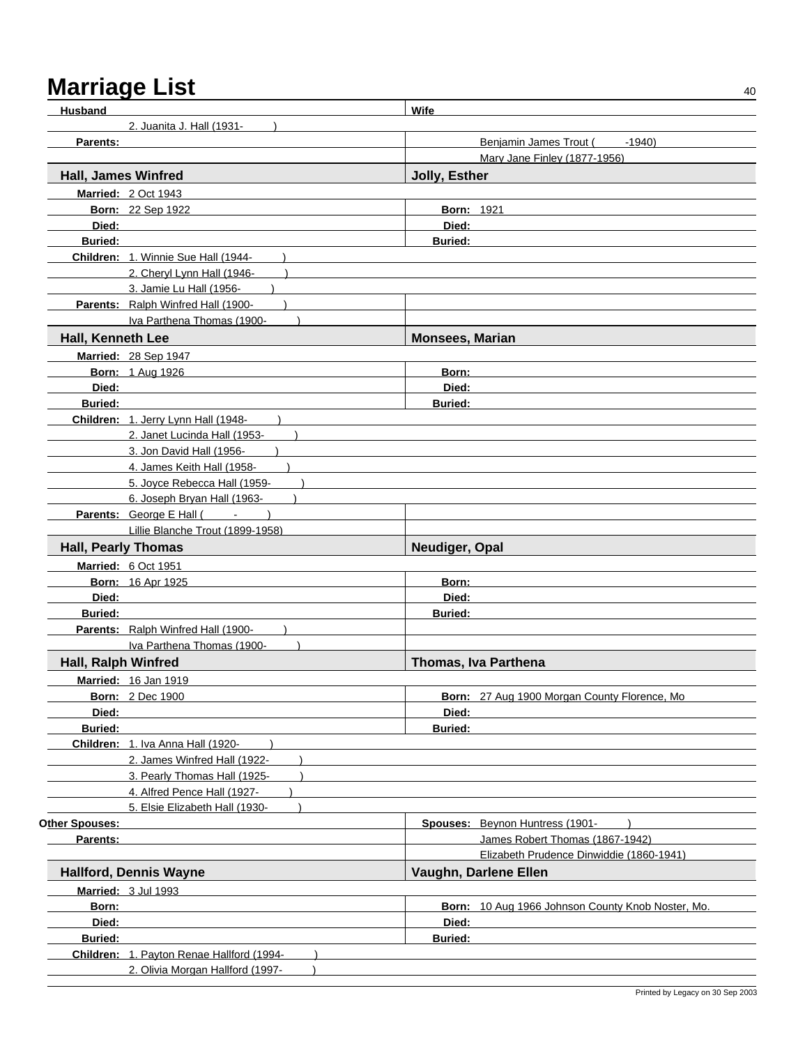| <b>Husband</b>             |                                                                                                                                                                                                                                     | <b>Wife</b>                                       |
|----------------------------|-------------------------------------------------------------------------------------------------------------------------------------------------------------------------------------------------------------------------------------|---------------------------------------------------|
|                            | 2. Juanita J. Hall (1931-                                                                                                                                                                                                           |                                                   |
| Parents:                   |                                                                                                                                                                                                                                     | Benjamin James Trout (<br>$-1940$                 |
|                            |                                                                                                                                                                                                                                     | Mary Jane Finley (1877-1956)                      |
| Hall, James Winfred        |                                                                                                                                                                                                                                     | Jolly, Esther                                     |
|                            | <b>Married: 2 Oct 1943</b>                                                                                                                                                                                                          |                                                   |
|                            | <b>Born: 22 Sep 1922</b>                                                                                                                                                                                                            | <b>Born: 1921</b>                                 |
| Died:                      |                                                                                                                                                                                                                                     | Died:                                             |
| <b>Buried:</b>             |                                                                                                                                                                                                                                     | <b>Buried:</b>                                    |
|                            | Children: 1. Winnie Sue Hall (1944-                                                                                                                                                                                                 |                                                   |
|                            | 2. Cheryl Lynn Hall (1946-                                                                                                                                                                                                          |                                                   |
|                            | 3. Jamie Lu Hall (1956-                                                                                                                                                                                                             |                                                   |
|                            | Parents: Ralph Winfred Hall (1900-                                                                                                                                                                                                  |                                                   |
|                            | Iva Parthena Thomas (1900-                                                                                                                                                                                                          |                                                   |
| Hall, Kenneth Lee          |                                                                                                                                                                                                                                     | <b>Monsees, Marian</b>                            |
|                            |                                                                                                                                                                                                                                     |                                                   |
|                            | Married: 28 Sep 1947                                                                                                                                                                                                                |                                                   |
|                            | <b>Born: 1 Aug 1926</b>                                                                                                                                                                                                             | Born:                                             |
| Died:                      |                                                                                                                                                                                                                                     | Died:                                             |
| <b>Buried:</b>             |                                                                                                                                                                                                                                     | Buried:                                           |
|                            | Children: 1. Jerry Lynn Hall (1948-                                                                                                                                                                                                 |                                                   |
|                            | 2. Janet Lucinda Hall (1953-                                                                                                                                                                                                        |                                                   |
|                            | 3. Jon David Hall (1956-                                                                                                                                                                                                            |                                                   |
|                            | 4. James Keith Hall (1958-                                                                                                                                                                                                          |                                                   |
|                            | 5. Joyce Rebecca Hall (1959-                                                                                                                                                                                                        |                                                   |
|                            | 6. Joseph Bryan Hall (1963-                                                                                                                                                                                                         |                                                   |
|                            | <b>Parents:</b> George E Hall (Fig. 2.1 Fig. 2.1 Fig. 2.1 Fig. 2.1 Fig. 2.1 Fig. 2.1 Fig. 2.1 Fig. 2.1 Fig. 2.1 Fig. 2.1 Fig. 2.1 Fig. 2.1 Fig. 2.1 Fig. 2.1 Fig. 2.1 Fig. 2.1 Fig. 2.1 Fig. 2.1 Fig. 2.1 Fig. 2.1 Fig. 2.1 Fig. 2. |                                                   |
|                            | Lillie Blanche Trout (1899-1958)                                                                                                                                                                                                    |                                                   |
| <b>Hall, Pearly Thomas</b> |                                                                                                                                                                                                                                     | Neudiger, Opal                                    |
|                            | Married: 6 Oct 1951                                                                                                                                                                                                                 |                                                   |
|                            | Born: 16 Apr 1925                                                                                                                                                                                                                   | Born:                                             |
| Died:                      |                                                                                                                                                                                                                                     | Died:                                             |
| <b>Buried:</b>             |                                                                                                                                                                                                                                     | <b>Buried:</b>                                    |
|                            | Parents: Ralph Winfred Hall (1900-                                                                                                                                                                                                  |                                                   |
|                            | Iva Parthena Thomas (1900-                                                                                                                                                                                                          |                                                   |
| <b>Hall, Ralph Winfred</b> |                                                                                                                                                                                                                                     | Thomas, Iva Parthena                              |
|                            | Married: 16 Jan 1919                                                                                                                                                                                                                |                                                   |
|                            | <b>Born: 2 Dec 1900</b>                                                                                                                                                                                                             | Born: 27 Aug 1900 Morgan County Florence, Mo      |
| Died:                      |                                                                                                                                                                                                                                     | Died:                                             |
| <b>Buried:</b>             |                                                                                                                                                                                                                                     | <b>Buried:</b>                                    |
|                            | Children: 1. Iva Anna Hall (1920-                                                                                                                                                                                                   |                                                   |
|                            | 2. James Winfred Hall (1922-                                                                                                                                                                                                        |                                                   |
|                            | 3. Pearly Thomas Hall (1925-                                                                                                                                                                                                        |                                                   |
|                            | 4. Alfred Pence Hall (1927-                                                                                                                                                                                                         |                                                   |
|                            | 5. Elsie Elizabeth Hall (1930-                                                                                                                                                                                                      |                                                   |
| Other Spouses:             |                                                                                                                                                                                                                                     | Spouses: Beynon Huntress (1901-                   |
| Parents:                   |                                                                                                                                                                                                                                     | James Robert Thomas (1867-1942)                   |
|                            |                                                                                                                                                                                                                                     | Elizabeth Prudence Dinwiddie (1860-1941)          |
|                            | <b>Hallford, Dennis Wayne</b>                                                                                                                                                                                                       | Vaughn, Darlene Ellen                             |
|                            | Married: 3 Jul 1993                                                                                                                                                                                                                 |                                                   |
| Born:                      |                                                                                                                                                                                                                                     | Born: 10 Aug 1966 Johnson County Knob Noster, Mo. |
| Died:                      |                                                                                                                                                                                                                                     | Died:                                             |
| <b>Buried:</b>             |                                                                                                                                                                                                                                     | <b>Buried:</b>                                    |
|                            | Children: 1. Payton Renae Hallford (1994-                                                                                                                                                                                           |                                                   |
|                            | 2. Olivia Morgan Hallford (1997-                                                                                                                                                                                                    |                                                   |
|                            |                                                                                                                                                                                                                                     |                                                   |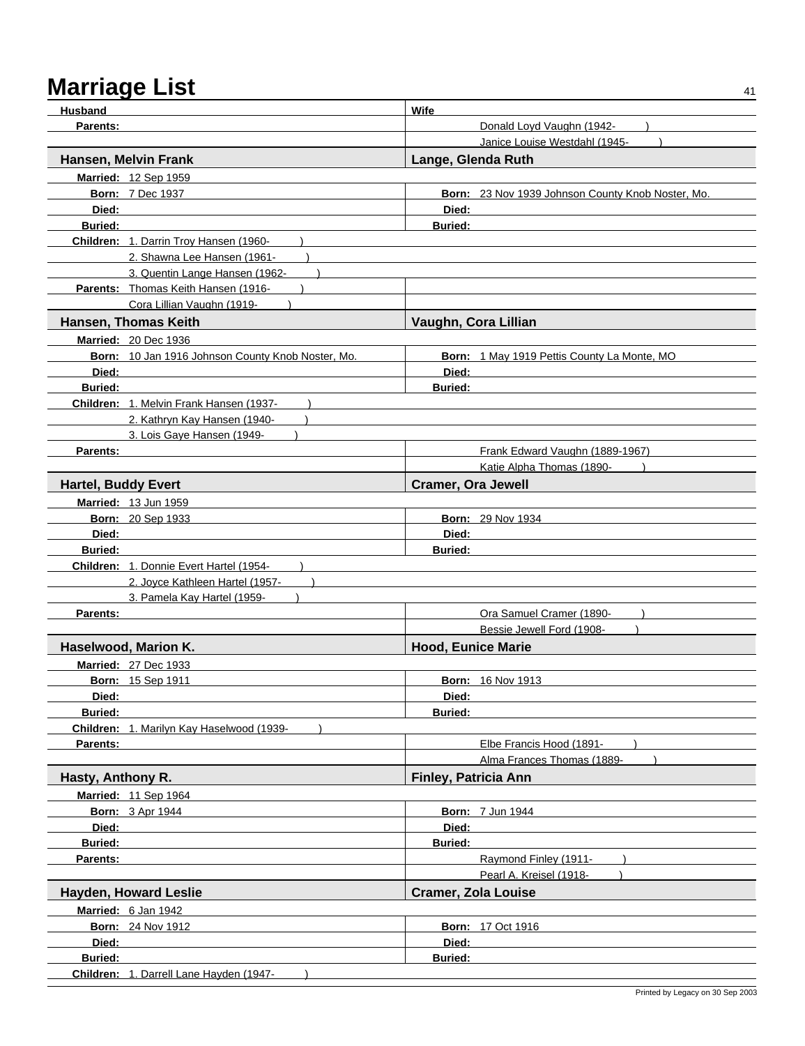| Husband                    |                                                   | Wife                                              |
|----------------------------|---------------------------------------------------|---------------------------------------------------|
| Parents:                   |                                                   | Donald Loyd Vaughn (1942-                         |
|                            |                                                   | Janice Louise Westdahl (1945-                     |
|                            | Hansen, Melvin Frank                              | Lange, Glenda Ruth                                |
|                            | Married: 12 Sep 1959                              |                                                   |
|                            | <b>Born: 7 Dec 1937</b>                           | Born: 23 Nov 1939 Johnson County Knob Noster, Mo. |
| Died:                      |                                                   | Died:                                             |
| <b>Buried:</b>             |                                                   | <b>Buried:</b>                                    |
|                            | Children: 1. Darrin Troy Hansen (1960-            |                                                   |
|                            | 2. Shawna Lee Hansen (1961-                       |                                                   |
|                            | 3. Quentin Lange Hansen (1962-                    |                                                   |
|                            | Parents: Thomas Keith Hansen (1916-               |                                                   |
|                            | Cora Lillian Vaughn (1919-                        |                                                   |
|                            | Hansen, Thomas Keith                              | Vaughn, Cora Lillian                              |
|                            | <b>Married: 20 Dec 1936</b>                       |                                                   |
|                            | Born: 10 Jan 1916 Johnson County Knob Noster, Mo. | Born: 1 May 1919 Pettis County La Monte, MO       |
| Died:                      |                                                   | Died:                                             |
| <b>Buried:</b>             |                                                   | <b>Buried:</b>                                    |
|                            | Children: 1. Melvin Frank Hansen (1937-           |                                                   |
|                            | 2. Kathryn Kay Hansen (1940-                      |                                                   |
|                            | 3. Lois Gaye Hansen (1949-                        |                                                   |
| Parents:                   |                                                   | Frank Edward Vaughn (1889-1967)                   |
|                            |                                                   | Katie Alpha Thomas (1890-                         |
| <b>Hartel, Buddy Evert</b> |                                                   | <b>Cramer, Ora Jewell</b>                         |
|                            | Married: 13 Jun 1959                              |                                                   |
|                            | Born: 20 Sep 1933                                 | <b>Born: 29 Nov 1934</b>                          |
| Died:                      |                                                   | Died:                                             |
| <b>Buried:</b>             |                                                   | <b>Buried:</b>                                    |
|                            | Children: 1. Donnie Evert Hartel (1954-           |                                                   |
|                            | 2. Joyce Kathleen Hartel (1957-                   |                                                   |
|                            | 3. Pamela Kay Hartel (1959-                       |                                                   |
| Parents:                   |                                                   | Ora Samuel Cramer (1890-                          |
|                            |                                                   | Bessie Jewell Ford (1908-                         |
|                            | Haselwood, Marion K.                              | <b>Hood, Eunice Marie</b>                         |
|                            | <b>Married: 27 Dec 1933</b>                       |                                                   |
|                            | <b>Born: 15 Sep 1911</b>                          | <b>Born: 16 Nov 1913</b>                          |
| Died:                      |                                                   | Died:                                             |
| <b>Buried:</b>             |                                                   | <b>Buried:</b>                                    |
|                            | Children: 1. Marilyn Kay Haselwood (1939-         |                                                   |
| Parents:                   |                                                   | Elbe Francis Hood (1891-                          |
|                            |                                                   | Alma Frances Thomas (1889-                        |
| Hasty, Anthony R.          |                                                   | Finley, Patricia Ann                              |
|                            | Married: 11 Sep 1964                              |                                                   |
|                            | <b>Born: 3 Apr 1944</b>                           | <b>Born: 7 Jun 1944</b>                           |
| Died:                      |                                                   | Died:                                             |
| <b>Buried:</b>             |                                                   | <b>Buried:</b>                                    |
| Parents:                   |                                                   | Raymond Finley (1911-                             |
|                            |                                                   | Pearl A. Kreisel (1918-                           |
|                            | <b>Hayden, Howard Leslie</b>                      | <b>Cramer, Zola Louise</b>                        |
|                            | Married: 6 Jan 1942                               |                                                   |
|                            | <b>Born: 24 Nov 1912</b>                          | <b>Born: 17 Oct 1916</b>                          |
| Died:                      |                                                   | Died:                                             |
| <b>Buried:</b>             |                                                   | <b>Buried:</b>                                    |
|                            | Children: 1. Darrell Lane Hayden (1947-           |                                                   |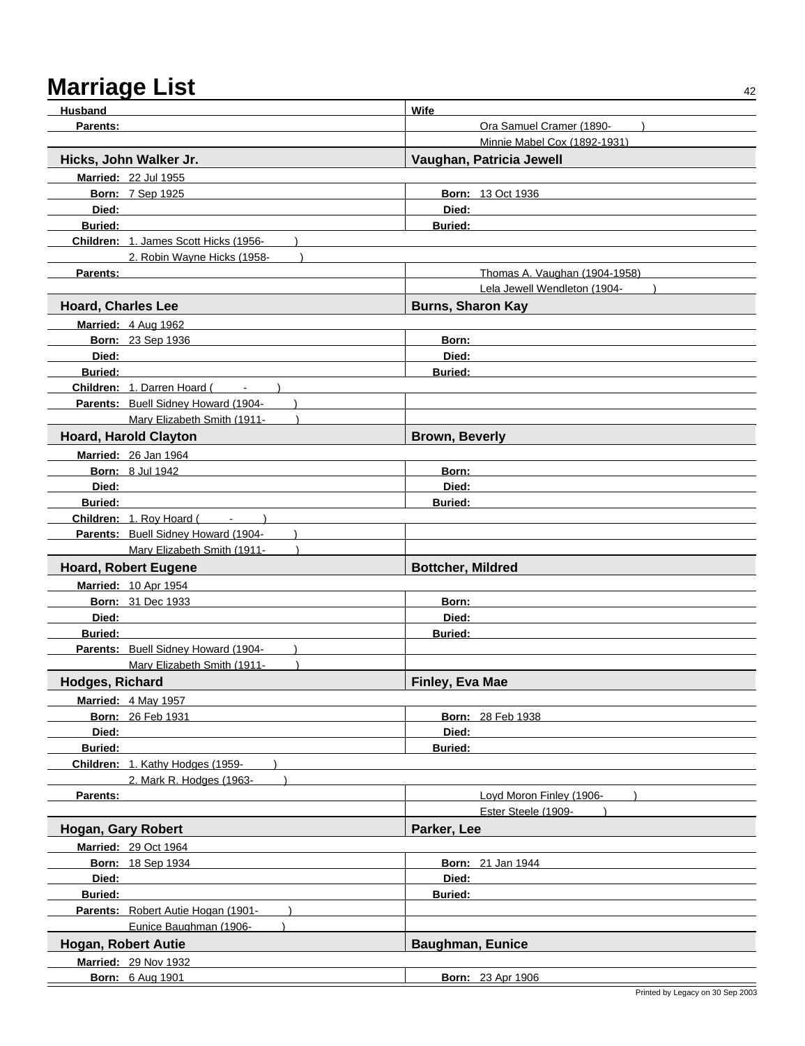| Husband                    |                                           | Wife                          |  |
|----------------------------|-------------------------------------------|-------------------------------|--|
| Parents:                   |                                           | Ora Samuel Cramer (1890-      |  |
|                            |                                           | Minnie Mabel Cox (1892-1931)  |  |
|                            | Hicks, John Walker Jr.                    | Vaughan, Patricia Jewell      |  |
|                            | Married: 22 Jul 1955                      |                               |  |
|                            | <b>Born: 7 Sep 1925</b>                   | <b>Born: 13 Oct 1936</b>      |  |
| Died:                      |                                           | Died:                         |  |
| <b>Buried:</b>             |                                           | <b>Buried:</b>                |  |
|                            | Children: 1. James Scott Hicks (1956-     |                               |  |
|                            | 2. Robin Wayne Hicks (1958-               |                               |  |
| Parents:                   |                                           | Thomas A. Vaughan (1904-1958) |  |
|                            |                                           | Lela Jewell Wendleton (1904-  |  |
| <b>Hoard, Charles Lee</b>  |                                           | <b>Burns, Sharon Kay</b>      |  |
|                            | Married: 4 Aug 1962                       |                               |  |
|                            | Born: 23 Sep 1936                         | Born:                         |  |
| Died:                      |                                           | Died:                         |  |
| <b>Buried:</b>             |                                           | <b>Buried:</b>                |  |
|                            | <b>Children: 1. Darren Hoard (Fig. 1)</b> |                               |  |
|                            | Parents: Buell Sidney Howard (1904-       |                               |  |
|                            | Mary Elizabeth Smith (1911-               |                               |  |
|                            | <b>Hoard, Harold Clayton</b>              | <b>Brown, Beverly</b>         |  |
|                            | Married: 26 Jan 1964                      |                               |  |
|                            | <b>Born: 8 Jul 1942</b>                   | Born:                         |  |
| Died:                      |                                           | Died:                         |  |
| <b>Buried:</b>             |                                           | <b>Buried:</b>                |  |
|                            | Children: 1. Roy Hoard (Fig. 2014)        |                               |  |
|                            | Parents: Buell Sidney Howard (1904-       |                               |  |
|                            | Mary Elizabeth Smith (1911-               |                               |  |
|                            | <b>Hoard, Robert Eugene</b>               | <b>Bottcher, Mildred</b>      |  |
|                            | <b>Married: 10 Apr 1954</b>               |                               |  |
|                            | <b>Born: 31 Dec 1933</b>                  | Born:                         |  |
| Died:                      |                                           | Died:                         |  |
| <b>Buried:</b>             |                                           | <b>Buried:</b>                |  |
|                            | Parents: Buell Sidney Howard (1904-       |                               |  |
|                            | Mary Elizabeth Smith (1911-               |                               |  |
| Hodges, Richard            |                                           | Finley, Eva Mae               |  |
|                            | Married: 4 May 1957                       |                               |  |
|                            | <b>Born: 26 Feb 1931</b>                  | <b>Born: 28 Feb 1938</b>      |  |
| Died:                      |                                           | Died:                         |  |
| Buried:                    |                                           | <b>Buried:</b>                |  |
|                            | Children: 1. Kathy Hodges (1959-          |                               |  |
|                            | 2. Mark R. Hodges (1963-                  |                               |  |
| Parents:                   |                                           | Loyd Moron Finley (1906-      |  |
|                            |                                           | Ester Steele (1909-           |  |
| Hogan, Gary Robert         |                                           | Parker, Lee                   |  |
|                            | <b>Married: 29 Oct 1964</b>               |                               |  |
|                            | <b>Born: 18 Sep 1934</b>                  | <b>Born: 21 Jan 1944</b>      |  |
| Died:                      |                                           | Died:                         |  |
| <b>Buried:</b>             |                                           | Buried:                       |  |
|                            | Parents: Robert Autie Hogan (1901-        |                               |  |
|                            | Eunice Baughman (1906-                    |                               |  |
| <b>Hogan, Robert Autie</b> |                                           | <b>Baughman, Eunice</b>       |  |
|                            | <b>Married: 29 Nov 1932</b>               |                               |  |
|                            | <b>Born: 6 Aug 1901</b>                   | <b>Born: 23 Apr 1906</b>      |  |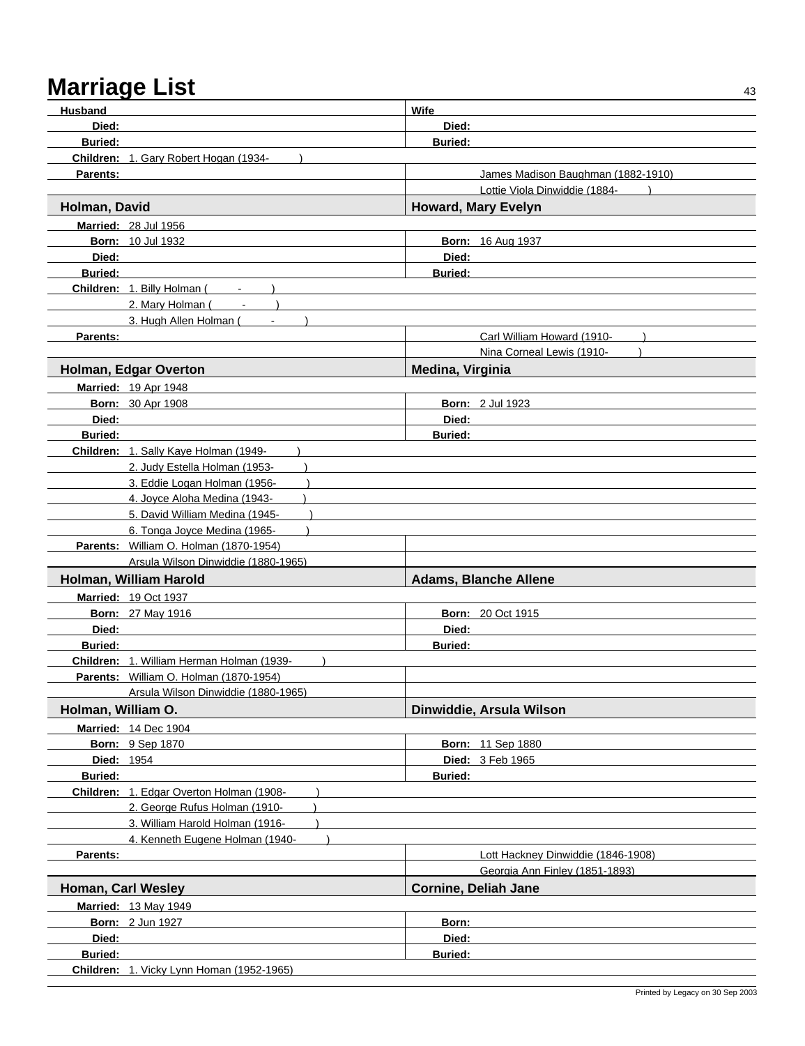| <b>Husband</b>     |                                                                           | Wife                               |  |  |
|--------------------|---------------------------------------------------------------------------|------------------------------------|--|--|
| Died:              |                                                                           | Died:                              |  |  |
| <b>Buried:</b>     |                                                                           | <b>Buried:</b>                     |  |  |
|                    | Children: 1. Gary Robert Hogan (1934-                                     |                                    |  |  |
| <b>Parents:</b>    |                                                                           | James Madison Baughman (1882-1910) |  |  |
|                    |                                                                           | Lottie Viola Dinwiddie (1884-      |  |  |
| Holman, David      |                                                                           | <b>Howard, Mary Evelyn</b>         |  |  |
|                    | <b>Married: 28 Jul 1956</b>                                               |                                    |  |  |
|                    | <b>Born: 10 Jul 1932</b>                                                  | <b>Born: 16 Aug 1937</b>           |  |  |
| Died:              |                                                                           | Died:                              |  |  |
| <b>Buried:</b>     |                                                                           | <b>Buried:</b>                     |  |  |
|                    | Children: 1. Billy Holman (<br>$\blacksquare$                             |                                    |  |  |
|                    | 2. Mary Holman (                                                          |                                    |  |  |
|                    | 3. Hugh Allen Holman (                                                    |                                    |  |  |
| <b>Parents:</b>    |                                                                           | Carl William Howard (1910-         |  |  |
|                    |                                                                           | Nina Corneal Lewis (1910-          |  |  |
|                    | Holman, Edgar Overton                                                     | Medina, Virginia                   |  |  |
|                    | <b>Married: 19 Apr 1948</b>                                               |                                    |  |  |
|                    | <b>Born: 30 Apr 1908</b>                                                  | <b>Born: 2 Jul 1923</b>            |  |  |
| Died:              |                                                                           | Died:                              |  |  |
| <b>Buried:</b>     |                                                                           | <b>Buried:</b>                     |  |  |
|                    | Children: 1. Sally Kaye Holman (1949-                                     |                                    |  |  |
|                    | 2. Judy Estella Holman (1953-                                             |                                    |  |  |
|                    | 3. Eddie Logan Holman (1956-                                              |                                    |  |  |
|                    | 4. Joyce Aloha Medina (1943-                                              |                                    |  |  |
|                    | 5. David William Medina (1945-                                            |                                    |  |  |
|                    | 6. Tonga Joyce Medina (1965-                                              |                                    |  |  |
|                    | Parents: William O. Holman (1870-1954)                                    |                                    |  |  |
|                    | Arsula Wilson Dinwiddie (1880-1965)                                       |                                    |  |  |
|                    | Holman, William Harold                                                    | <b>Adams, Blanche Allene</b>       |  |  |
|                    | <b>Married: 19 Oct 1937</b>                                               |                                    |  |  |
|                    | <b>Born: 27 May 1916</b>                                                  | <b>Born: 20 Oct 1915</b>           |  |  |
| Died:              |                                                                           | Died:                              |  |  |
| <b>Buried:</b>     |                                                                           | <b>Buried:</b>                     |  |  |
|                    | Children: 1. William Herman Holman (1939-                                 |                                    |  |  |
|                    | Parents: William O. Holman (1870-1954)                                    |                                    |  |  |
|                    | Arsula Wilson Dinwiddie (1880-1965)                                       |                                    |  |  |
| Holman, William O. |                                                                           | Dinwiddie, Arsula Wilson           |  |  |
|                    | <b>Married: 14 Dec 1904</b>                                               |                                    |  |  |
|                    | <b>Born: 9 Sep 1870</b>                                                   | <b>Born: 11 Sep 1880</b>           |  |  |
| Died: 1954         |                                                                           | Died: 3 Feb 1965                   |  |  |
| Buried:            |                                                                           | Buried:                            |  |  |
|                    | Children: 1. Edgar Overton Holman (1908-<br>2. George Rufus Holman (1910- |                                    |  |  |
|                    | 3. William Harold Holman (1916-                                           |                                    |  |  |
|                    | 4. Kenneth Eugene Holman (1940-                                           |                                    |  |  |
| Parents:           |                                                                           | Lott Hackney Dinwiddie (1846-1908) |  |  |
|                    |                                                                           | Georgia Ann Finley (1851-1893)     |  |  |
| Homan, Carl Wesley |                                                                           | <b>Cornine, Deliah Jane</b>        |  |  |
|                    | <b>Married: 13 May 1949</b>                                               |                                    |  |  |
|                    | <b>Born: 2 Jun 1927</b>                                                   | Born:                              |  |  |
| Died:              |                                                                           | Died:                              |  |  |
| Buried:            |                                                                           | <b>Buried:</b>                     |  |  |
|                    | Children: 1. Vicky Lynn Homan (1952-1965)                                 |                                    |  |  |
|                    |                                                                           |                                    |  |  |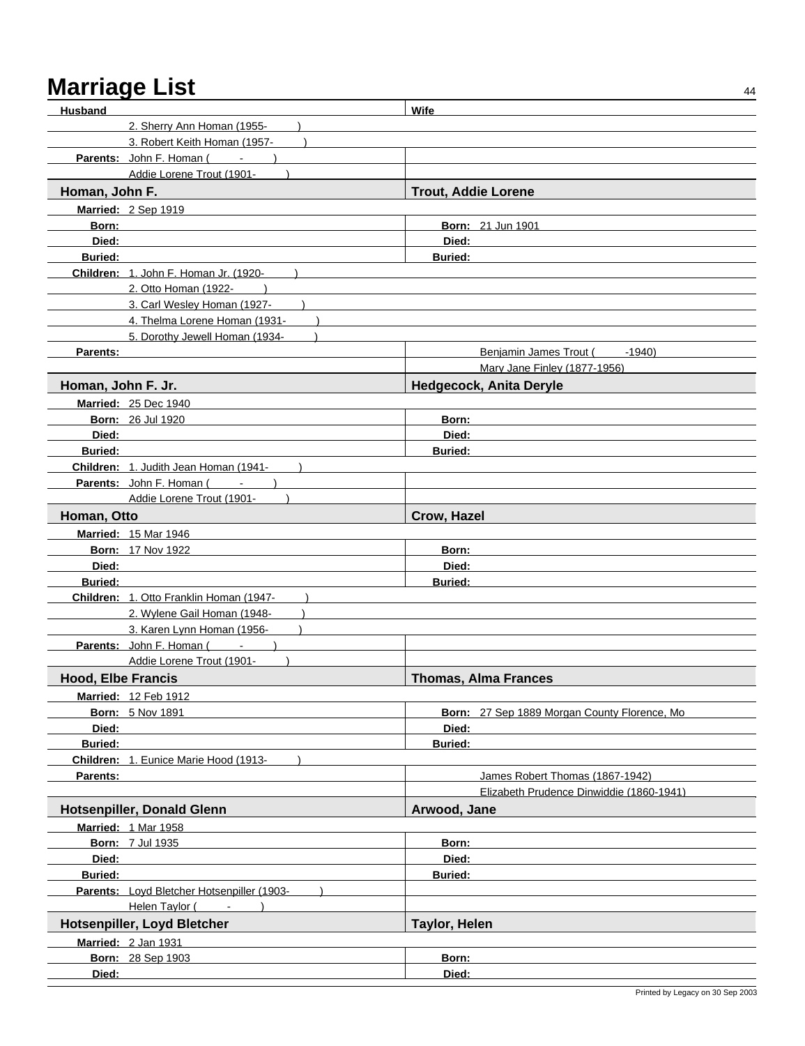| Husband                   |                                            | Wife                                          |
|---------------------------|--------------------------------------------|-----------------------------------------------|
|                           | 2. Sherry Ann Homan (1955-                 |                                               |
|                           | 3. Robert Keith Homan (1957-               |                                               |
|                           | <b>Parents:</b> John F. Homan (            |                                               |
|                           | Addie Lorene Trout (1901-                  |                                               |
| Homan, John F.            |                                            | <b>Trout, Addie Lorene</b>                    |
|                           | Married: 2 Sep 1919                        |                                               |
| Born:                     |                                            | <b>Born: 21 Jun 1901</b>                      |
| Died:                     |                                            | Died:                                         |
| <b>Buried:</b>            |                                            | <b>Buried:</b>                                |
|                           | Children: 1. John F. Homan Jr. (1920-      |                                               |
|                           | 2. Otto Homan (1922-                       |                                               |
|                           | 3. Carl Wesley Homan (1927-                |                                               |
|                           | 4. Thelma Lorene Homan (1931-              |                                               |
|                           | 5. Dorothy Jewell Homan (1934-             |                                               |
| Parents:                  |                                            | Benjamin James Trout (<br>-1940)              |
|                           |                                            | Mary Jane Finley (1877-1956)                  |
| Homan, John F. Jr.        |                                            | <b>Hedgecock, Anita Deryle</b>                |
|                           | <b>Married: 25 Dec 1940</b>                |                                               |
|                           | <b>Born: 26 Jul 1920</b>                   | Born:                                         |
| Died:                     |                                            | Died:                                         |
| <b>Buried:</b>            |                                            | <b>Buried:</b>                                |
|                           | Children: 1. Judith Jean Homan (1941-      |                                               |
|                           | Parents: John F. Homan (<br>$\blacksquare$ |                                               |
|                           | Addie Lorene Trout (1901-                  |                                               |
| Homan, Otto               |                                            | Crow, Hazel                                   |
|                           | <b>Married: 15 Mar 1946</b>                |                                               |
|                           | <b>Born: 17 Nov 1922</b>                   | Born:                                         |
| Died:                     |                                            | Died:                                         |
| <b>Buried:</b>            |                                            | <b>Buried:</b>                                |
|                           | Children: 1. Otto Franklin Homan (1947-    |                                               |
|                           | 2. Wylene Gail Homan (1948-                |                                               |
|                           | 3. Karen Lynn Homan (1956-                 |                                               |
|                           | Parents: John F. Homan ( - )               |                                               |
|                           | Addie Lorene Trout (1901-                  |                                               |
| <b>Hood, Elbe Francis</b> |                                            | <b>Thomas, Alma Frances</b>                   |
|                           | Married: 12 Feb 1912                       |                                               |
|                           | <b>Born: 5 Nov 1891</b>                    | Born: 27 Sep 1889 Morgan County Florence, Mo. |
| Died:                     |                                            | Died:                                         |
| Buried:                   |                                            | <b>Buried:</b>                                |
|                           | Children: 1. Eunice Marie Hood (1913-      |                                               |
| Parents:                  |                                            | James Robert Thomas (1867-1942)               |
|                           |                                            | Elizabeth Prudence Dinwiddie (1860-1941)      |
|                           | <b>Hotsenpiller, Donald Glenn</b>          | Arwood, Jane                                  |
|                           | <b>Married: 1 Mar 1958</b>                 |                                               |
|                           | <b>Born: 7 Jul 1935</b>                    | Born:                                         |
| Died:                     |                                            | Died:                                         |
| <b>Buried:</b>            |                                            | <b>Buried:</b>                                |
|                           | Parents: Loyd Bletcher Hotsenpiller (1903- |                                               |
|                           | Helen Taylor (Fig. 15)                     |                                               |
|                           | Hotsenpiller, Loyd Bletcher                | <b>Taylor, Helen</b>                          |
|                           | Married: 2 Jan 1931                        |                                               |
|                           | Born: 28 Sep 1903                          | Born:                                         |
| Died:                     |                                            | Died:                                         |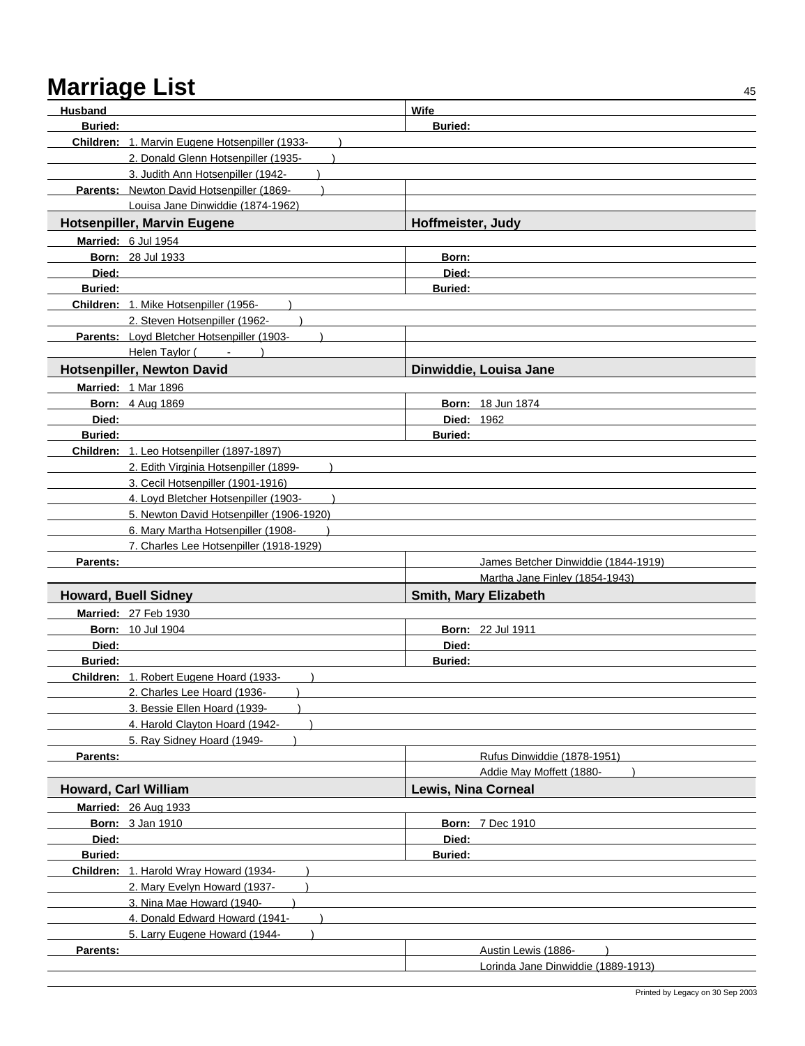| Husband                 |                                                | Wife                                |  |
|-------------------------|------------------------------------------------|-------------------------------------|--|
| <b>Buried:</b>          |                                                | <b>Buried:</b>                      |  |
|                         | Children: 1. Marvin Eugene Hotsenpiller (1933- |                                     |  |
|                         | 2. Donald Glenn Hotsenpiller (1935-            |                                     |  |
|                         | 3. Judith Ann Hotsenpiller (1942-              |                                     |  |
|                         | Parents: Newton David Hotsenpiller (1869-      |                                     |  |
|                         | Louisa Jane Dinwiddie (1874-1962)              |                                     |  |
|                         | <b>Hotsenpiller, Marvin Eugene</b>             | Hoffmeister, Judy                   |  |
|                         | Married: 6 Jul 1954                            |                                     |  |
|                         | <b>Born: 28 Jul 1933</b>                       | Born:                               |  |
| Died:                   |                                                | Died:                               |  |
| <b>Buried:</b>          |                                                | <b>Buried:</b>                      |  |
|                         | Children: 1. Mike Hotsenpiller (1956-          |                                     |  |
|                         | 2. Steven Hotsenpiller (1962-                  |                                     |  |
|                         | Parents: Loyd Bletcher Hotsenpiller (1903-     |                                     |  |
|                         | Helen Taylor (Fig. 1)                          |                                     |  |
|                         | Hotsenpiller, Newton David                     | Dinwiddie, Louisa Jane              |  |
|                         | <b>Married: 1 Mar 1896</b>                     |                                     |  |
|                         | <b>Born: 4 Aug 1869</b>                        | <b>Born: 18 Jun 1874</b>            |  |
| Died:<br><b>Buried:</b> |                                                | <b>Died: 1962</b>                   |  |
|                         | Children: 1. Leo Hotsenpiller (1897-1897)      | <b>Buried:</b>                      |  |
|                         | 2. Edith Virginia Hotsenpiller (1899-          |                                     |  |
|                         | 3. Cecil Hotsenpiller (1901-1916)              |                                     |  |
|                         | 4. Loyd Bletcher Hotsenpiller (1903-           |                                     |  |
|                         | 5. Newton David Hotsenpiller (1906-1920)       |                                     |  |
|                         | 6. Mary Martha Hotsenpiller (1908-             |                                     |  |
|                         | 7. Charles Lee Hotsenpiller (1918-1929)        |                                     |  |
| Parents:                |                                                | James Betcher Dinwiddie (1844-1919) |  |
|                         |                                                | Martha Jane Finley (1854-1943)      |  |
|                         | <b>Howard, Buell Sidney</b>                    | Smith, Mary Elizabeth               |  |
|                         | Married: 27 Feb 1930                           |                                     |  |
|                         | <b>Born: 10 Jul 1904</b>                       | <b>Born: 22 Jul 1911</b>            |  |
| Died:                   |                                                | Died:                               |  |
| <b>Buried:</b>          |                                                | <b>Buried:</b>                      |  |
|                         | Children: 1. Robert Eugene Hoard (1933-        |                                     |  |
|                         | 2. Charles Lee Hoard (1936-                    |                                     |  |
|                         | 3. Bessie Ellen Hoard (1939-                   |                                     |  |
|                         | 4. Harold Clayton Hoard (1942-                 |                                     |  |
| Parents:                | 5. Ray Sidney Hoard (1949-                     | Rufus Dinwiddie (1878-1951)         |  |
|                         |                                                | Addie May Moffett (1880-            |  |
|                         | <b>Howard, Carl William</b>                    | <b>Lewis, Nina Corneal</b>          |  |
|                         | Married: 26 Aug 1933                           |                                     |  |
|                         | <b>Born: 3 Jan 1910</b>                        | <b>Born: 7 Dec 1910</b>             |  |
| Died:                   |                                                | Died:                               |  |
| Buried:                 |                                                | <b>Buried:</b>                      |  |
|                         | Children: 1. Harold Wray Howard (1934-         |                                     |  |
|                         | 2. Mary Evelyn Howard (1937-                   |                                     |  |
|                         | 3. Nina Mae Howard (1940-                      |                                     |  |
|                         | 4. Donald Edward Howard (1941-                 |                                     |  |
|                         | 5. Larry Eugene Howard (1944-                  |                                     |  |
| Parents:                |                                                | Austin Lewis (1886-                 |  |
|                         |                                                | Lorinda Jane Dinwiddie (1889-1913)  |  |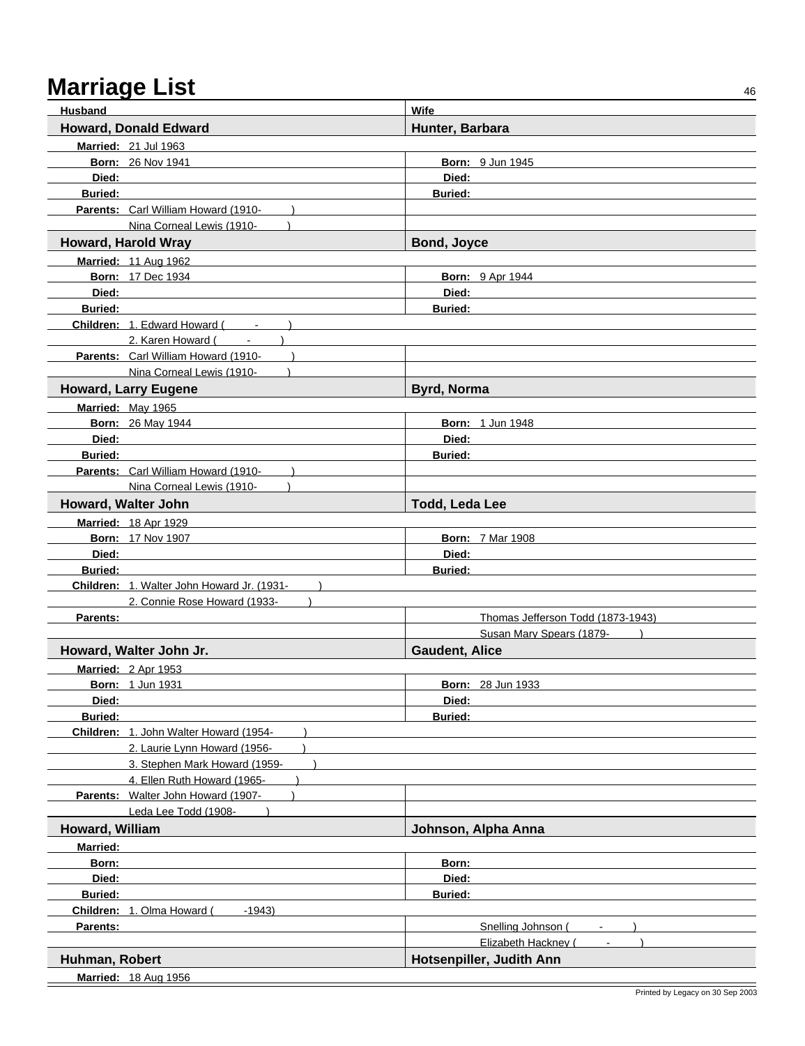| <b>Husband</b>                             | <b>Wife</b>                       |
|--------------------------------------------|-----------------------------------|
| <b>Howard, Donald Edward</b>               | Hunter, Barbara                   |
| Married: 21 Jul 1963                       |                                   |
| <b>Born: 26 Nov 1941</b>                   | <b>Born: 9 Jun 1945</b>           |
| Died:                                      | Died:                             |
| <b>Buried:</b>                             | <b>Buried:</b>                    |
| Parents: Carl William Howard (1910-        |                                   |
| Nina Corneal Lewis (1910-                  |                                   |
| <b>Howard, Harold Wray</b>                 | Bond, Joyce                       |
| <b>Married: 11 Aug 1962</b>                |                                   |
| <b>Born: 17 Dec 1934</b>                   | <b>Born: 9 Apr 1944</b>           |
| Died:                                      | Died:                             |
| <b>Buried:</b>                             | <b>Buried:</b>                    |
| Children: 1. Edward Howard (               |                                   |
| 2. Karen Howard (<br><b>Contractor</b>     |                                   |
| Parents: Carl William Howard (1910-        |                                   |
| Nina Corneal Lewis (1910-                  |                                   |
| <b>Howard, Larry Eugene</b>                | <b>Byrd, Norma</b>                |
| Married: May 1965                          |                                   |
| <b>Born: 26 May 1944</b>                   | <b>Born: 1 Jun 1948</b>           |
| Died:                                      | Died:                             |
| <b>Buried:</b>                             | <b>Buried:</b>                    |
| Parents: Carl William Howard (1910-        |                                   |
| Nina Corneal Lewis (1910-                  |                                   |
| Howard, Walter John                        | Todd, Leda Lee                    |
| <b>Married: 18 Apr 1929</b>                |                                   |
| <b>Born: 17 Nov 1907</b>                   | <b>Born: 7 Mar 1908</b>           |
| Died:                                      | Died:                             |
| <b>Buried:</b>                             | <b>Buried:</b>                    |
| Children: 1. Walter John Howard Jr. (1931- |                                   |
| 2. Connie Rose Howard (1933-               |                                   |
| Parents:                                   | Thomas Jefferson Todd (1873-1943) |
|                                            | Susan Mary Spears (1879-          |
| Howard, Walter John Jr.                    | <b>Gaudent, Alice</b>             |
| Married: 2 Apr 1953                        |                                   |
| <b>Born: 1 Jun 1931</b>                    | <b>Born: 28 Jun 1933</b>          |
| Died:                                      | Died:                             |
| <b>Buried:</b>                             | <b>Buried:</b>                    |
| Children: 1. John Walter Howard (1954-     |                                   |
| 2. Laurie Lynn Howard (1956-               |                                   |
| 3. Stephen Mark Howard (1959-              |                                   |
| 4. Ellen Ruth Howard (1965-                |                                   |
| Parents: Walter John Howard (1907-         |                                   |
| Leda Lee Todd (1908-                       |                                   |
| Howard, William                            | Johnson, Alpha Anna               |
| <b>Married:</b>                            |                                   |
| Born:                                      | Born:                             |
| Died:                                      | Died:                             |
| <b>Buried:</b>                             | <b>Buried:</b>                    |
| Children: 1. Olma Howard (<br>$-1943$      |                                   |
| Parents:                                   | Snelling Johnson (                |
|                                            | Elizabeth Hackney (               |
| Huhman, Robert                             | Hotsenpiller, Judith Ann          |
| Married: 18 Aug 1956                       |                                   |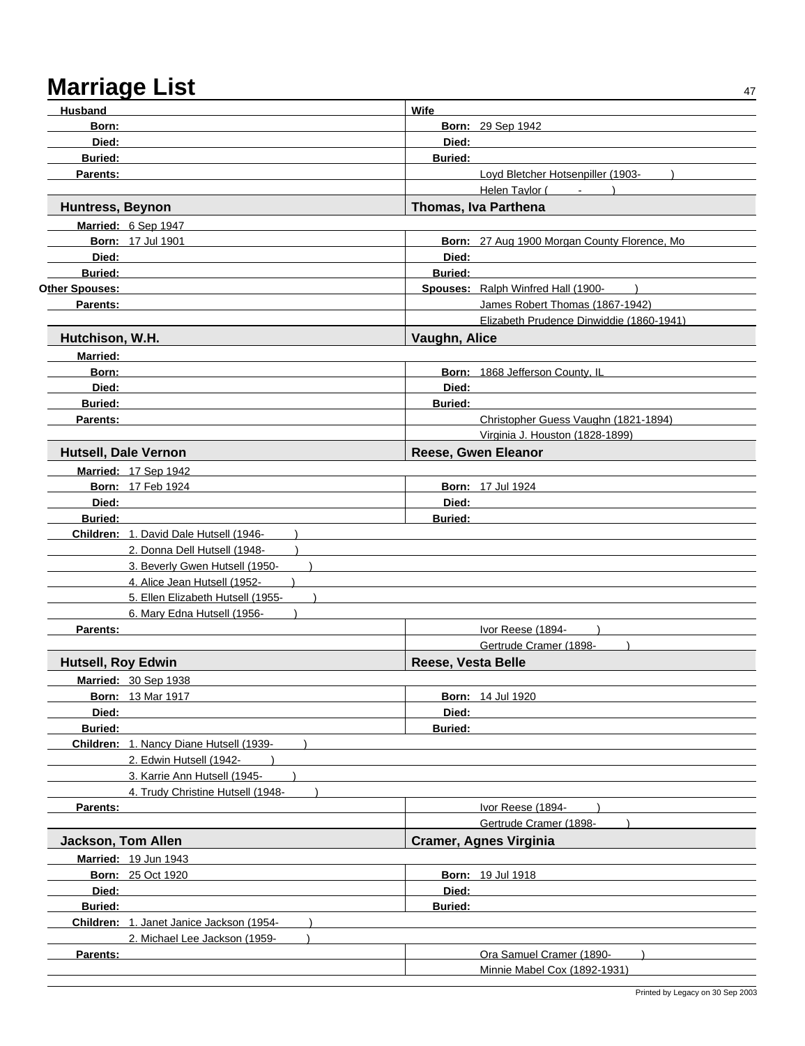| <b>Husband</b>            |                                          | <b>Wife</b>        |                                              |
|---------------------------|------------------------------------------|--------------------|----------------------------------------------|
| Born:                     |                                          |                    | <b>Born: 29 Sep 1942</b>                     |
| Died:                     |                                          | Died:              |                                              |
| <b>Buried:</b>            |                                          | <b>Buried:</b>     |                                              |
| Parents:                  |                                          |                    | Loyd Bletcher Hotsenpiller (1903-            |
|                           |                                          |                    | Helen Taylor (<br>$\sim$                     |
| <b>Huntress, Beynon</b>   |                                          |                    | Thomas, Iva Parthena                         |
|                           | Married: 6 Sep 1947                      |                    |                                              |
|                           | <b>Born: 17 Jul 1901</b>                 |                    | Born: 27 Aug 1900 Morgan County Florence, Mo |
| Died:                     |                                          | Died:              |                                              |
| <b>Buried:</b>            |                                          | <b>Buried:</b>     |                                              |
| Other Spouses:            |                                          |                    | Spouses: Ralph Winfred Hall (1900-           |
| Parents:                  |                                          |                    | James Robert Thomas (1867-1942)              |
|                           |                                          |                    | Elizabeth Prudence Dinwiddie (1860-1941)     |
| Hutchison, W.H.           |                                          | Vaughn, Alice      |                                              |
| <b>Married:</b>           |                                          |                    |                                              |
| Born:                     |                                          |                    | Born: 1868 Jefferson County, IL              |
| Died:                     |                                          | Died:              |                                              |
| <b>Buried:</b>            |                                          | Buried:            |                                              |
| Parents:                  |                                          |                    | Christopher Guess Vaughn (1821-1894)         |
|                           |                                          |                    | Virginia J. Houston (1828-1899)              |
|                           | <b>Hutsell, Dale Vernon</b>              |                    | Reese, Gwen Eleanor                          |
|                           | Married: 17 Sep 1942                     |                    |                                              |
|                           | <b>Born: 17 Feb 1924</b>                 |                    | <b>Born: 17 Jul 1924</b>                     |
| Died:                     |                                          | Died:              |                                              |
| <b>Buried:</b>            |                                          | <b>Buried:</b>     |                                              |
|                           | Children: 1. David Dale Hutsell (1946-   |                    |                                              |
|                           | 2. Donna Dell Hutsell (1948-             |                    |                                              |
|                           | 3. Beverly Gwen Hutsell (1950-           |                    |                                              |
|                           | 4. Alice Jean Hutsell (1952-             |                    |                                              |
|                           | 5. Ellen Elizabeth Hutsell (1955-        |                    |                                              |
|                           | 6. Mary Edna Hutsell (1956-              |                    |                                              |
| Parents:                  |                                          |                    | Ivor Reese (1894-                            |
|                           |                                          |                    | Gertrude Cramer (1898-                       |
| <b>Hutsell, Roy Edwin</b> |                                          | Reese, Vesta Belle |                                              |
|                           | Married: 30 Sep 1938                     |                    |                                              |
|                           | <b>Born: 13 Mar 1917</b>                 |                    | <b>Born: 14 Jul 1920</b>                     |
| Died:                     |                                          | Died:              |                                              |
| Buried:                   |                                          | <b>Buried:</b>     |                                              |
|                           | Children: 1. Nancy Diane Hutsell (1939-  |                    |                                              |
|                           | 2. Edwin Hutsell (1942-                  |                    |                                              |
|                           | 3. Karrie Ann Hutsell (1945-             |                    |                                              |
|                           | 4. Trudy Christine Hutsell (1948-        |                    |                                              |
| Parents:                  |                                          |                    | Ivor Reese (1894-                            |
|                           |                                          |                    | Gertrude Cramer (1898-                       |
| <b>Jackson, Tom Allen</b> |                                          |                    | <b>Cramer, Agnes Virginia</b>                |
|                           | <b>Married: 19 Jun 1943</b>              |                    |                                              |
|                           | <b>Born: 25 Oct 1920</b>                 |                    | <b>Born: 19 Jul 1918</b>                     |
| Died:                     |                                          | Died:              |                                              |
| <b>Buried:</b>            |                                          | <b>Buried:</b>     |                                              |
|                           | Children: 1. Janet Janice Jackson (1954- |                    |                                              |
|                           | 2. Michael Lee Jackson (1959-            |                    |                                              |
| Parents:                  |                                          |                    | Ora Samuel Cramer (1890-                     |
|                           |                                          |                    | Minnie Mabel Cox (1892-1931)                 |
|                           |                                          |                    |                                              |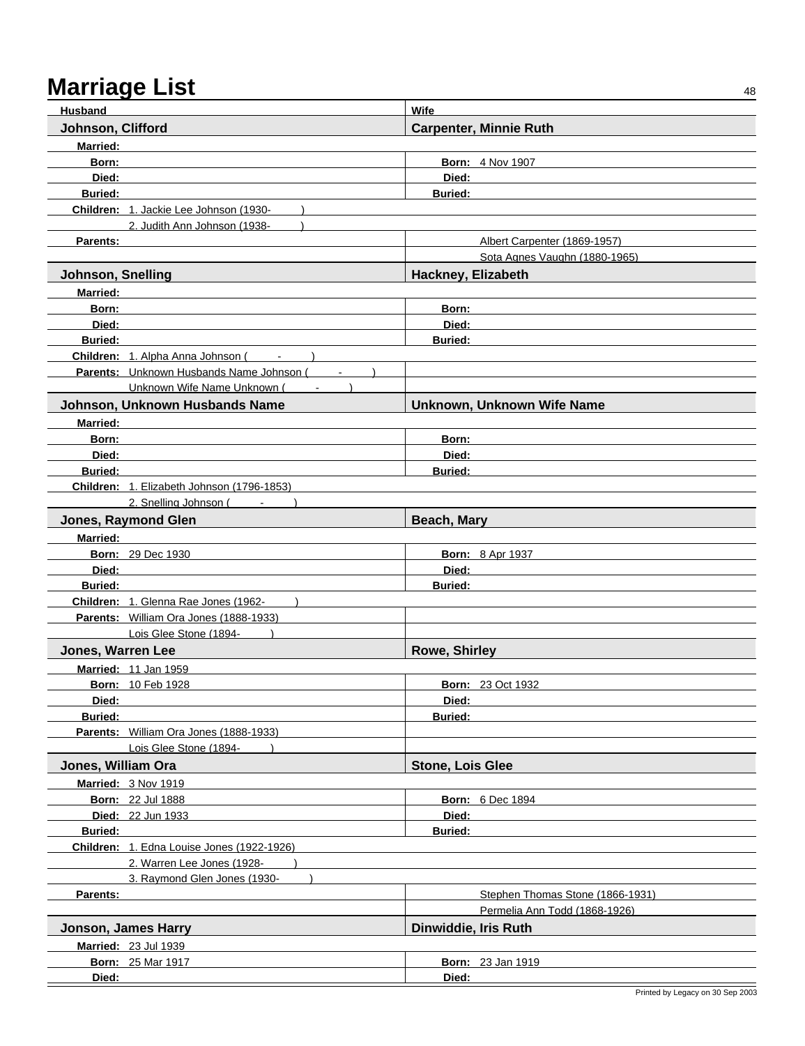| <b>Husband</b>                                                                 | Wife                             |
|--------------------------------------------------------------------------------|----------------------------------|
| Johnson, Clifford                                                              | <b>Carpenter, Minnie Ruth</b>    |
| <b>Married:</b>                                                                |                                  |
| Born:                                                                          | <b>Born: 4 Nov 1907</b>          |
| Died:                                                                          | Died:                            |
| <b>Buried:</b>                                                                 | <b>Buried:</b>                   |
| Children: 1. Jackie Lee Johnson (1930-                                         |                                  |
| 2. Judith Ann Johnson (1938-                                                   |                                  |
| Parents:                                                                       | Albert Carpenter (1869-1957)     |
|                                                                                | Sota Agnes Vaughn (1880-1965)    |
| <b>Johnson, Snelling</b>                                                       | Hackney, Elizabeth               |
| <b>Married:</b>                                                                |                                  |
| Born:                                                                          | Born:                            |
| Died:                                                                          | Died:                            |
| <b>Buried:</b>                                                                 | <b>Buried:</b>                   |
| Children: 1. Alpha Anna Johnson (                                              |                                  |
| Parents: Unknown Husbands Name Johnson (<br>$\blacksquare$                     |                                  |
| Unknown Wife Name Unknown (                                                    |                                  |
| Johnson, Unknown Husbands Name                                                 | Unknown, Unknown Wife Name       |
| <b>Married:</b>                                                                |                                  |
| Born:                                                                          | Born:                            |
| Died:                                                                          | Died:                            |
| <b>Buried:</b>                                                                 | <b>Buried:</b>                   |
| Children: 1. Elizabeth Johnson (1796-1853)                                     |                                  |
| 2. Snelling Johnson (Fig. 1)                                                   |                                  |
| Jones, Raymond Glen                                                            | Beach, Mary                      |
| <b>Married:</b>                                                                |                                  |
| <b>Born: 29 Dec 1930</b>                                                       | <b>Born: 8 Apr 1937</b>          |
| Died:                                                                          | Died:                            |
| <b>Buried:</b>                                                                 | <b>Buried:</b>                   |
| Children: 1. Glenna Rae Jones (1962-<br>Parents: William Ora Jones (1888-1933) |                                  |
| Lois Glee Stone (1894-                                                         |                                  |
| <b>Jones, Warren Lee</b>                                                       | <b>Rowe, Shirley</b>             |
| <b>Married: 11 Jan 1959</b>                                                    |                                  |
| <b>Born: 10 Feb 1928</b>                                                       | <b>Born: 23 Oct 1932</b>         |
| Died:                                                                          | Died:                            |
| <b>Buried:</b>                                                                 | <b>Buried:</b>                   |
| Parents: William Ora Jones (1888-1933)                                         |                                  |
| Lois Glee Stone (1894-                                                         |                                  |
| Jones, William Ora                                                             | <b>Stone, Lois Glee</b>          |
| Married: 3 Nov 1919                                                            |                                  |
| <b>Born: 22 Jul 1888</b>                                                       | <b>Born: 6 Dec 1894</b>          |
| Died: 22 Jun 1933                                                              | Died:                            |
| Buried:                                                                        | Buried:                          |
| Children: 1. Edna Louise Jones (1922-1926)                                     |                                  |
| 2. Warren Lee Jones (1928-                                                     |                                  |
| 3. Raymond Glen Jones (1930-                                                   |                                  |
| Parents:                                                                       | Stephen Thomas Stone (1866-1931) |
|                                                                                | Permelia Ann Todd (1868-1926)    |
| Jonson, James Harry                                                            | Dinwiddie, Iris Ruth             |
| <b>Married: 23 Jul 1939</b>                                                    |                                  |
| <b>Born: 25 Mar 1917</b>                                                       | <b>Born: 23 Jan 1919</b>         |
| Died:                                                                          | Died:                            |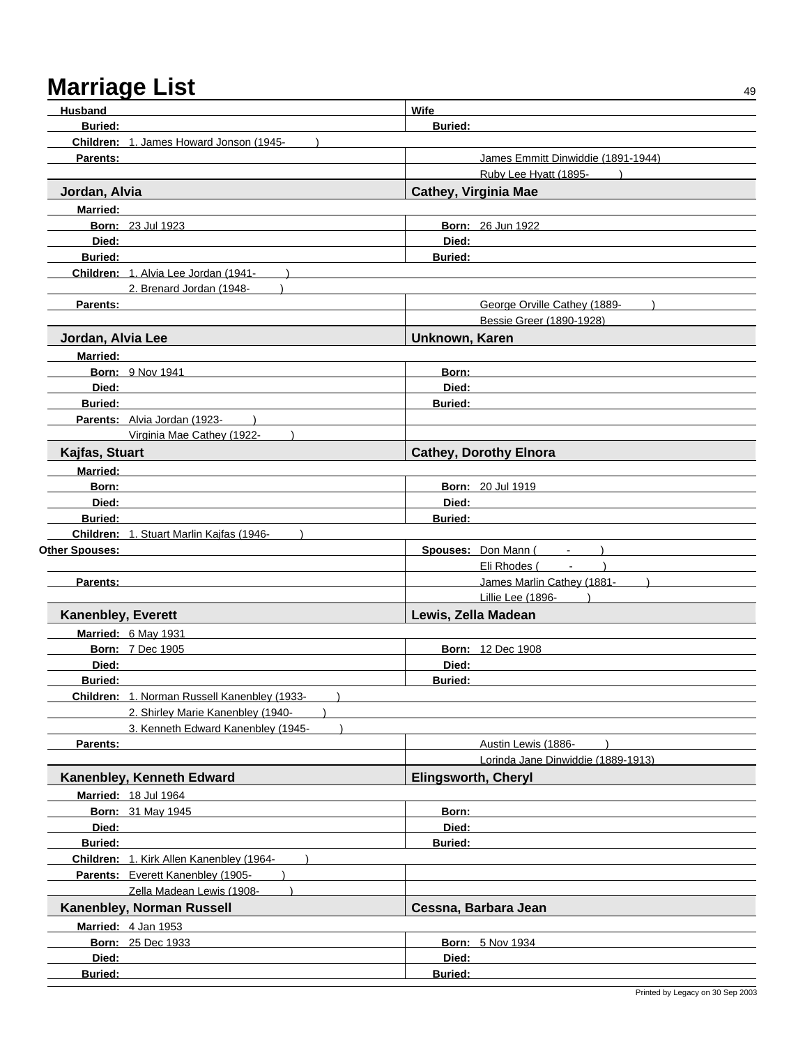| Husband            |                                                                         | <b>Wife</b>                |                                      |
|--------------------|-------------------------------------------------------------------------|----------------------------|--------------------------------------|
| <b>Buried:</b>     |                                                                         | <b>Buried:</b>             |                                      |
|                    | Children: 1. James Howard Jonson (1945-                                 |                            |                                      |
| Parents:           |                                                                         |                            | James Emmitt Dinwiddie (1891-1944)   |
|                    |                                                                         |                            | Ruby Lee Hyatt (1895-                |
| Jordan, Alvia      |                                                                         |                            | <b>Cathey, Virginia Mae</b>          |
| <b>Married:</b>    |                                                                         |                            |                                      |
|                    | <b>Born: 23 Jul 1923</b>                                                |                            | <b>Born: 26 Jun 1922</b>             |
| Died:              |                                                                         | Died:                      |                                      |
| <b>Buried:</b>     |                                                                         | <b>Buried:</b>             |                                      |
|                    | Children: 1. Alvia Lee Jordan (1941-                                    |                            |                                      |
|                    | 2. Brenard Jordan (1948-                                                |                            |                                      |
| Parents:           |                                                                         |                            | George Orville Cathey (1889-         |
|                    |                                                                         |                            | Bessie Greer (1890-1928)             |
|                    |                                                                         | Unknown, Karen             |                                      |
| Jordan, Alvia Lee  |                                                                         |                            |                                      |
| <b>Married:</b>    |                                                                         |                            |                                      |
|                    | <b>Born: 9 Nov 1941</b>                                                 | Born:                      |                                      |
| Died:              |                                                                         | Died:                      |                                      |
| <b>Buried:</b>     |                                                                         | <b>Buried:</b>             |                                      |
|                    | Parents: Alvia Jordan (1923-                                            |                            |                                      |
|                    | Virginia Mae Cathey (1922-                                              |                            |                                      |
| Kajfas, Stuart     |                                                                         |                            | <b>Cathey, Dorothy Elnora</b>        |
| <b>Married:</b>    |                                                                         |                            |                                      |
| Born:              |                                                                         |                            | <b>Born: 20 Jul 1919</b>             |
| Died:              |                                                                         | Died:                      |                                      |
| <b>Buried:</b>     |                                                                         | <b>Buried:</b>             |                                      |
|                    | Children: 1. Stuart Marlin Kajfas (1946-                                |                            |                                      |
| Other Spouses:     |                                                                         |                            | Spouses: Don Mann (<br>$\sim$ $\sim$ |
|                    |                                                                         |                            | Eli Rhodes ( - )                     |
| Parents:           |                                                                         |                            | James Marlin Cathey (1881-           |
|                    |                                                                         |                            | Lillie Lee (1896-                    |
| Kanenbley, Everett |                                                                         |                            | Lewis, Zella Madean                  |
|                    | Married: 6 May 1931                                                     |                            |                                      |
|                    | <b>Born: 7 Dec 1905</b>                                                 |                            | <b>Born: 12 Dec 1908</b>             |
| Died:              |                                                                         | Died:                      |                                      |
| <b>Buried:</b>     |                                                                         | Buried:                    |                                      |
|                    | Children: 1. Norman Russell Kanenbley (1933-                            |                            |                                      |
|                    |                                                                         |                            |                                      |
|                    | 2. Shirley Marie Kanenbley (1940-<br>3. Kenneth Edward Kanenbley (1945- |                            |                                      |
|                    |                                                                         |                            |                                      |
| Parents:           |                                                                         |                            | Austin Lewis (1886-                  |
|                    |                                                                         |                            | Lorinda Jane Dinwiddie (1889-1913)   |
|                    | Kanenbley, Kenneth Edward                                               | <b>Elingsworth, Cheryl</b> |                                      |
|                    | <b>Married: 18 Jul 1964</b>                                             |                            |                                      |
|                    | <b>Born: 31 May 1945</b>                                                | Born:                      |                                      |
| Died:              |                                                                         | Died:                      |                                      |
| <b>Buried:</b>     |                                                                         | <b>Buried:</b>             |                                      |
|                    | Children: 1. Kirk Allen Kanenbley (1964-                                |                            |                                      |
|                    | Parents: Everett Kanenbley (1905-                                       |                            |                                      |
|                    | Zella Madean Lewis (1908-                                               |                            |                                      |
|                    | Kanenbley, Norman Russell                                               |                            | Cessna, Barbara Jean                 |
|                    | Married: 4 Jan 1953                                                     |                            |                                      |
|                    | <b>Born: 25 Dec 1933</b>                                                |                            | <b>Born: 5 Nov 1934</b>              |
| Died:              |                                                                         | Died:                      |                                      |
| <b>Buried:</b>     |                                                                         | Buried:                    |                                      |
|                    |                                                                         |                            |                                      |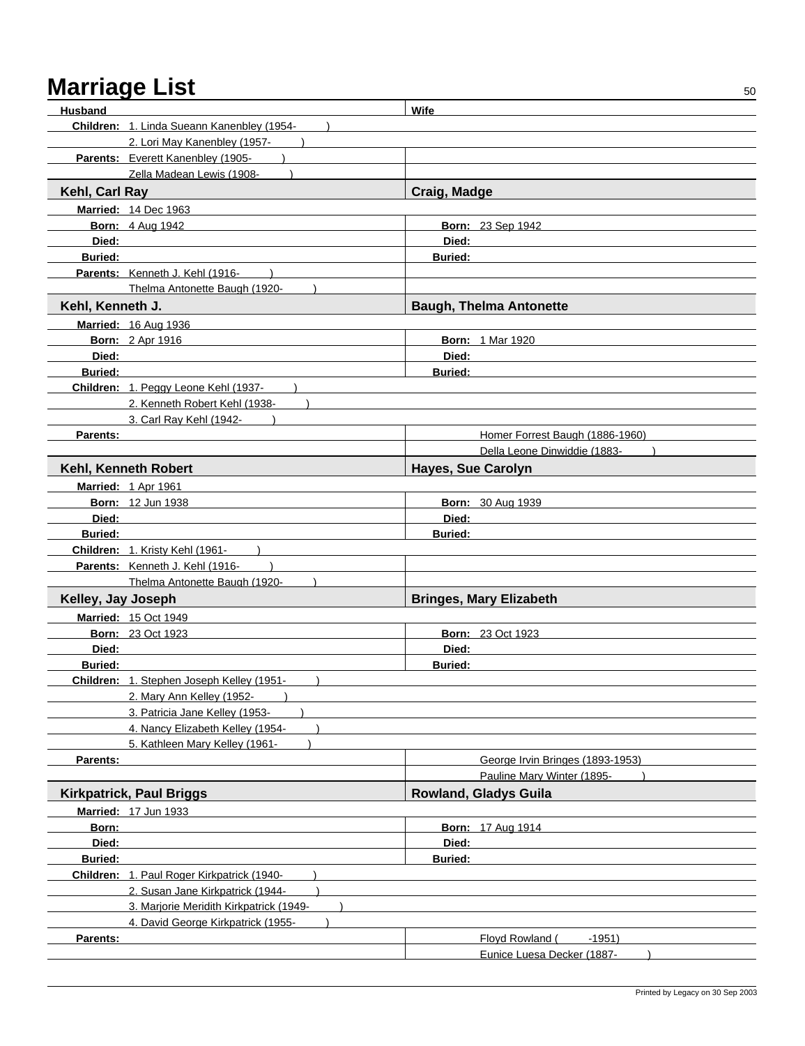| <b>Husband</b>     |                                            | Wife                             |  |
|--------------------|--------------------------------------------|----------------------------------|--|
|                    | Children: 1. Linda Sueann Kanenbley (1954- |                                  |  |
|                    | 2. Lori May Kanenbley (1957-               |                                  |  |
|                    | Parents: Everett Kanenbley (1905-          |                                  |  |
|                    | Zella Madean Lewis (1908-                  |                                  |  |
| Kehl, Carl Ray     |                                            | Craig, Madge                     |  |
|                    | <b>Married: 14 Dec 1963</b>                |                                  |  |
|                    | <b>Born: 4 Aug 1942</b>                    | <b>Born: 23 Sep 1942</b>         |  |
| Died:              |                                            | Died:                            |  |
| <b>Buried:</b>     |                                            | <b>Buried:</b>                   |  |
|                    | Parents: Kenneth J. Kehl (1916-            |                                  |  |
|                    | Thelma Antonette Baugh (1920-              |                                  |  |
|                    |                                            |                                  |  |
| Kehl, Kenneth J.   |                                            | <b>Baugh, Thelma Antonette</b>   |  |
|                    | <b>Married: 16 Aug 1936</b>                |                                  |  |
|                    | <b>Born: 2 Apr 1916</b>                    | <b>Born: 1 Mar 1920</b>          |  |
|                    | Died: <b>Died:</b>                         | Died:                            |  |
| <b>Buried:</b>     |                                            | <b>Buried:</b>                   |  |
|                    | Children: 1. Peggy Leone Kehl (1937-       |                                  |  |
|                    | 2. Kenneth Robert Kehl (1938-              |                                  |  |
|                    | 3. Carl Ray Kehl (1942-                    |                                  |  |
| <b>Parents:</b>    |                                            | Homer Forrest Baugh (1886-1960)  |  |
|                    |                                            | Della Leone Dinwiddie (1883-     |  |
|                    | Kehl, Kenneth Robert                       | <b>Hayes, Sue Carolyn</b>        |  |
|                    | Married: 1 Apr 1961                        |                                  |  |
|                    | <b>Born: 12 Jun 1938</b>                   | <b>Born: 30 Aug 1939</b>         |  |
| Died:              |                                            | Died:                            |  |
| <b>Buried:</b>     |                                            | <b>Buried:</b>                   |  |
|                    | Children: 1. Kristy Kehl (1961-            |                                  |  |
|                    | Parents: Kenneth J. Kehl (1916-            |                                  |  |
|                    | Thelma Antonette Baugh (1920-              |                                  |  |
| Kelley, Jay Joseph |                                            | <b>Bringes, Mary Elizabeth</b>   |  |
|                    | <b>Married: 15 Oct 1949</b>                |                                  |  |
|                    | <b>Born: 23 Oct 1923</b>                   | <b>Born: 23 Oct 1923</b>         |  |
| Died:              |                                            | Died:                            |  |
| <b>Buried:</b>     |                                            | <b>Buried:</b>                   |  |
|                    | Children: 1. Stephen Joseph Kelley (1951-  |                                  |  |
|                    | 2. Mary Ann Kelley (1952-                  |                                  |  |
|                    | 3. Patricia Jane Kelley (1953-             |                                  |  |
|                    | 4. Nancy Elizabeth Kelley (1954-           |                                  |  |
|                    | 5. Kathleen Mary Kelley (1961-             |                                  |  |
| Parents:           |                                            | George Irvin Bringes (1893-1953) |  |
|                    |                                            | Pauline Mary Winter (1895-       |  |
|                    | <b>Kirkpatrick, Paul Briggs</b>            | <b>Rowland, Gladys Guila</b>     |  |
|                    | Married: 17 Jun 1933                       |                                  |  |
| Born:              |                                            | <b>Born: 17 Aug 1914</b>         |  |
| Died:              |                                            | Died:                            |  |
| Buried:            |                                            | <b>Buried:</b>                   |  |
|                    | Children: 1. Paul Roger Kirkpatrick (1940- |                                  |  |
|                    | 2. Susan Jane Kirkpatrick (1944-           |                                  |  |
|                    | 3. Marjorie Meridith Kirkpatrick (1949-    |                                  |  |
|                    | 4. David George Kirkpatrick (1955-         |                                  |  |
| Parents:           |                                            | Floyd Rowland (<br>$-1951)$      |  |
|                    |                                            | Eunice Luesa Decker (1887-       |  |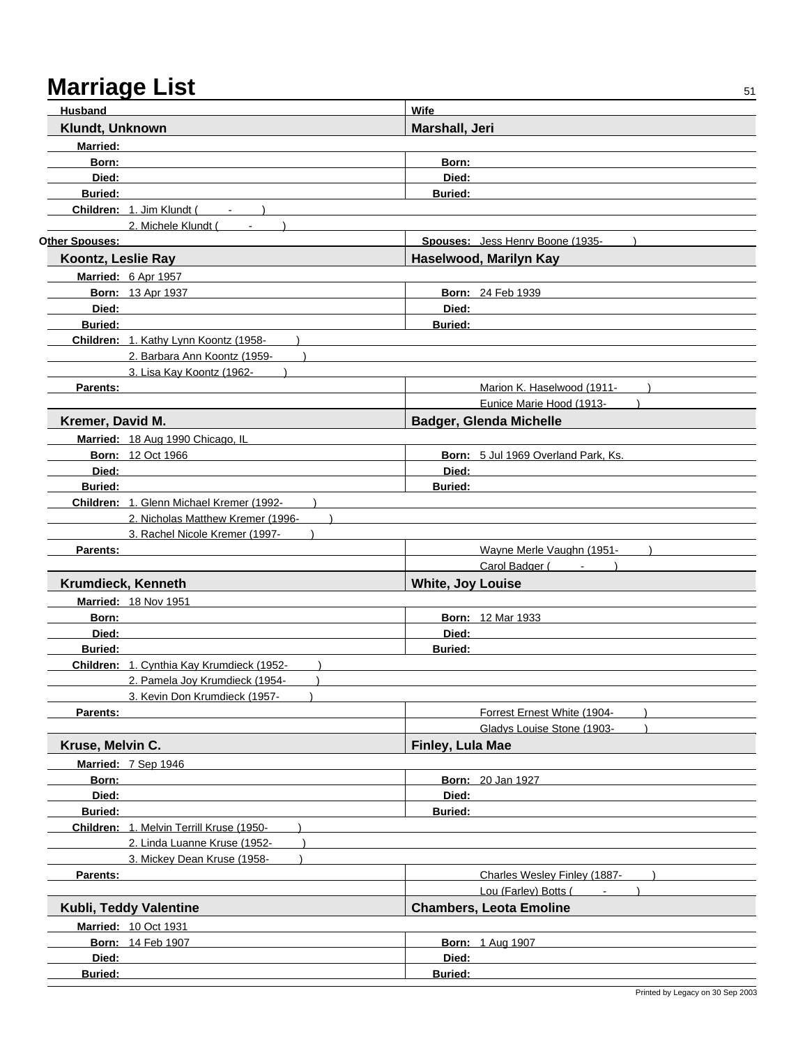| Husband            |                                           | <b>Wife</b>              |                                     |
|--------------------|-------------------------------------------|--------------------------|-------------------------------------|
| Klundt, Unknown    |                                           | Marshall, Jeri           |                                     |
| <b>Married:</b>    |                                           |                          |                                     |
| Born:              |                                           | Born:                    |                                     |
| Died:              |                                           | Died:                    |                                     |
| <b>Buried:</b>     |                                           | <b>Buried:</b>           |                                     |
|                    | Children: 1. Jim Klundt (Fig. 1898)       |                          |                                     |
|                    | 2. Michele Klundt (Fig. 1884)             |                          |                                     |
| Other Spouses:     |                                           |                          | Spouses: Jess Henry Boone (1935-    |
| Koontz, Leslie Ray |                                           |                          | Haselwood, Marilyn Kay              |
|                    | Married: 6 Apr 1957                       |                          |                                     |
|                    | <b>Born: 13 Apr 1937</b>                  |                          | <b>Born: 24 Feb 1939</b>            |
|                    | Died: <b>Died:</b>                        | Died:                    |                                     |
| <b>Buried:</b>     |                                           | <b>Buried:</b>           |                                     |
|                    | Children: 1. Kathy Lynn Koontz (1958-     |                          |                                     |
|                    | 2. Barbara Ann Koontz (1959-              |                          |                                     |
|                    | 3. Lisa Kay Koontz (1962-                 |                          |                                     |
| Parents:           |                                           |                          | Marion K. Haselwood (1911-          |
|                    |                                           |                          | Eunice Marie Hood (1913-            |
| Kremer, David M.   |                                           |                          | <b>Badger, Glenda Michelle</b>      |
|                    | Married: 18 Aug 1990 Chicago, IL          |                          |                                     |
|                    | <b>Born: 12 Oct 1966</b>                  |                          | Born: 5 Jul 1969 Overland Park, Ks. |
| Died:              |                                           | Died:                    |                                     |
| <b>Buried:</b>     |                                           | <b>Buried:</b>           |                                     |
|                    | Children: 1. Glenn Michael Kremer (1992-  |                          |                                     |
|                    | 2. Nicholas Matthew Kremer (1996-         |                          |                                     |
|                    | 3. Rachel Nicole Kremer (1997-            |                          |                                     |
| Parents:           |                                           |                          | Wayne Merle Vaughn (1951-           |
|                    |                                           |                          | Carol Badger ( - )                  |
|                    | Krumdieck, Kenneth                        | <b>White, Joy Louise</b> |                                     |
|                    | <b>Married: 18 Nov 1951</b>               |                          |                                     |
| Born:              |                                           |                          | <b>Born: 12 Mar 1933</b>            |
| Died:              |                                           | Died:                    |                                     |
| <b>Buried:</b>     |                                           | Buried:                  |                                     |
|                    | Children: 1. Cynthia Kay Krumdieck (1952- |                          |                                     |
|                    | 2. Pamela Joy Krumdieck (1954-            |                          |                                     |
|                    | 3. Kevin Don Krumdieck (1957-             |                          |                                     |
| Parents:           |                                           |                          | Forrest Ernest White (1904-         |
|                    |                                           |                          | Gladys Louise Stone (1903-          |
| Kruse, Melvin C.   |                                           | Finley, Lula Mae         |                                     |
|                    | Married: 7 Sep 1946                       |                          |                                     |
| Born:              |                                           |                          | <b>Born: 20 Jan 1927</b>            |
| Died:              |                                           | Died:                    |                                     |
| <b>Buried:</b>     |                                           | <b>Buried:</b>           |                                     |
|                    | Children: 1. Melvin Terrill Kruse (1950-  |                          |                                     |
|                    | 2. Linda Luanne Kruse (1952-              |                          |                                     |
|                    | 3. Mickey Dean Kruse (1958-               |                          |                                     |
| Parents:           |                                           |                          | Charles Wesley Finley (1887-        |
|                    |                                           |                          | Lou (Farley) Botts (                |
|                    | Kubli, Teddy Valentine                    |                          | <b>Chambers, Leota Emoline</b>      |
|                    | <b>Married: 10 Oct 1931</b>               |                          |                                     |
|                    | <b>Born: 14 Feb 1907</b>                  |                          | <b>Born: 1 Aug 1907</b>             |
| Died:              |                                           | Died:                    |                                     |
| <b>Buried:</b>     |                                           | Buried:                  |                                     |
|                    |                                           |                          |                                     |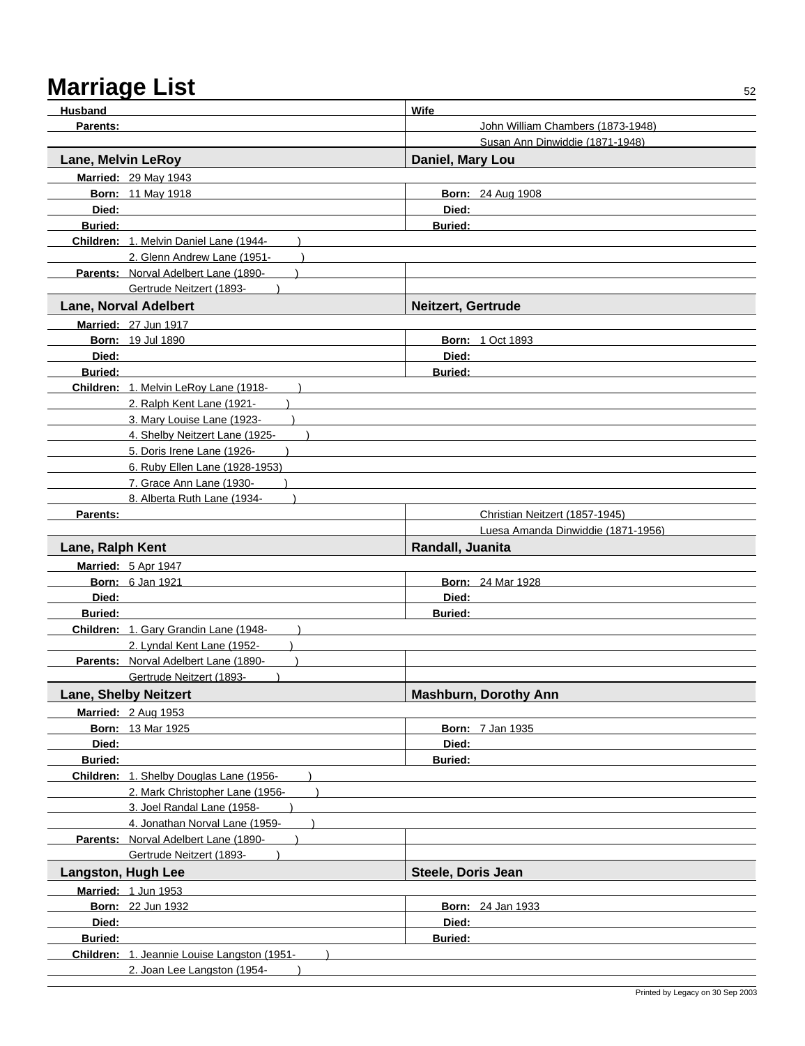| Husband            |                                                                        | <b>Wife</b>                        |
|--------------------|------------------------------------------------------------------------|------------------------------------|
| Parents:           |                                                                        | John William Chambers (1873-1948)  |
|                    |                                                                        | Susan Ann Dinwiddie (1871-1948)    |
| Lane, Melvin LeRoy |                                                                        | Daniel, Mary Lou                   |
|                    | <b>Married: 29 May 1943</b>                                            |                                    |
|                    | <b>Born: 11 May 1918</b>                                               | <b>Born: 24 Aug 1908</b>           |
| Died:              |                                                                        | Died:                              |
| <b>Buried:</b>     |                                                                        | <b>Buried:</b>                     |
|                    | Children: 1. Melvin Daniel Lane (1944-                                 |                                    |
|                    | 2. Glenn Andrew Lane (1951-                                            |                                    |
|                    | Parents: Norval Adelbert Lane (1890-                                   |                                    |
|                    | Gertrude Neitzert (1893-                                               |                                    |
|                    | <b>Lane, Norval Adelbert</b>                                           | Neitzert, Gertrude                 |
|                    | Married: 27 Jun 1917                                                   |                                    |
|                    | <b>Born: 19 Jul 1890</b>                                               | <b>Born: 1 Oct 1893</b>            |
| Died:              |                                                                        | Died:                              |
| <b>Buried:</b>     |                                                                        | <b>Buried:</b>                     |
|                    | Children: 1. Melvin LeRoy Lane (1918-                                  |                                    |
|                    | 2. Ralph Kent Lane (1921-                                              |                                    |
|                    | 3. Mary Louise Lane (1923-                                             |                                    |
|                    | 4. Shelby Neitzert Lane (1925-                                         |                                    |
|                    | 5. Doris Irene Lane (1926-                                             |                                    |
|                    | 6. Ruby Ellen Lane (1928-1953)                                         |                                    |
|                    | 7. Grace Ann Lane (1930-                                               |                                    |
|                    | 8. Alberta Ruth Lane (1934-                                            |                                    |
| Parents:           |                                                                        | Christian Neitzert (1857-1945)     |
|                    |                                                                        | Luesa Amanda Dinwiddie (1871-1956) |
| Lane, Ralph Kent   |                                                                        | Randall, Juanita                   |
|                    | Married: 5 Apr 1947                                                    |                                    |
|                    | <b>Born: 6 Jan 1921</b>                                                | <b>Born: 24 Mar 1928</b>           |
| Died:              |                                                                        | Died:                              |
| <b>Buried:</b>     |                                                                        | <b>Buried:</b>                     |
|                    | Children: 1. Gary Grandin Lane (1948-                                  |                                    |
|                    | 2. Lyndal Kent Lane (1952-                                             |                                    |
|                    | Parents: Norval Adelbert Lane (1890-                                   |                                    |
|                    | Gertrude Neitzert (1893-                                               |                                    |
|                    | <b>Lane, Shelby Neitzert</b>                                           | <b>Mashburn, Dorothy Ann</b>       |
|                    | <b>Married: 2 Aug 1953</b>                                             |                                    |
|                    | <b>Born: 13 Mar 1925</b>                                               | <b>Born: 7 Jan 1935</b>            |
| Died:              |                                                                        | Died:                              |
| Buried:            |                                                                        | <b>Buried:</b>                     |
|                    | Children: 1. Shelby Douglas Lane (1956-                                |                                    |
|                    | 2. Mark Christopher Lane (1956-                                        |                                    |
|                    | 3. Joel Randal Lane (1958-                                             |                                    |
|                    | 4. Jonathan Norval Lane (1959-<br>Parents: Norval Adelbert Lane (1890- |                                    |
|                    | Gertrude Neitzert (1893-                                               |                                    |
|                    |                                                                        |                                    |
|                    | <b>Langston, Hugh Lee</b>                                              | Steele, Doris Jean                 |
|                    | Married: 1 Jun 1953                                                    |                                    |
|                    | <b>Born: 22 Jun 1932</b>                                               | <b>Born: 24 Jan 1933</b>           |
| Died:              |                                                                        | Died:                              |
| <b>Buried:</b>     |                                                                        | <b>Buried:</b>                     |
|                    | Children: 1. Jeannie Louise Langston (1951-                            |                                    |
|                    | 2. Joan Lee Langston (1954-                                            |                                    |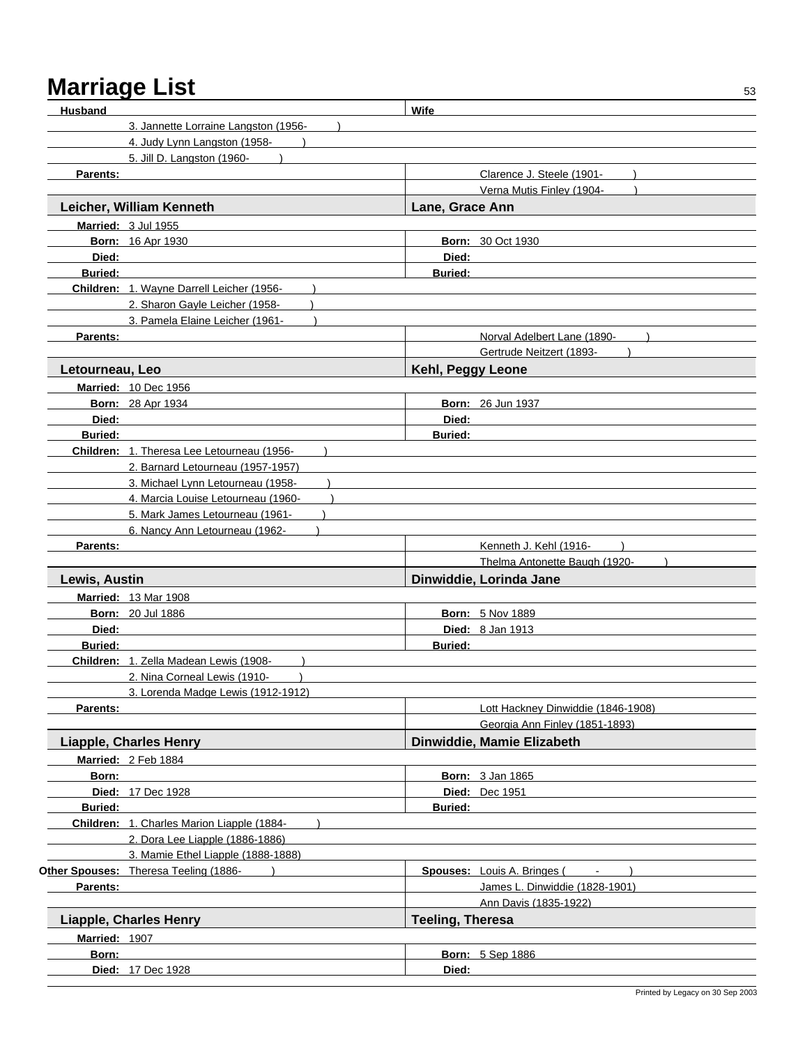| <b>Husband</b>  |                                            | Wife                    |                                               |
|-----------------|--------------------------------------------|-------------------------|-----------------------------------------------|
|                 | 3. Jannette Lorraine Langston (1956-       |                         |                                               |
|                 | 4. Judy Lynn Langston (1958-               |                         |                                               |
|                 | 5. Jill D. Langston (1960-                 |                         |                                               |
| Parents:        |                                            |                         | Clarence J. Steele (1901-                     |
|                 |                                            |                         | Verna Mutis Finley (1904-                     |
|                 | Leicher, William Kenneth                   | Lane, Grace Ann         |                                               |
|                 | Married: 3 Jul 1955                        |                         |                                               |
|                 | <b>Born: 16 Apr 1930</b>                   |                         | <b>Born: 30 Oct 1930</b>                      |
| Died:           |                                            | Died:                   |                                               |
| <b>Buried:</b>  |                                            | <b>Buried:</b>          |                                               |
|                 | Children: 1. Wayne Darrell Leicher (1956-  |                         |                                               |
|                 | 2. Sharon Gayle Leicher (1958-             |                         |                                               |
|                 | 3. Pamela Elaine Leicher (1961-            |                         |                                               |
| Parents:        |                                            |                         | Norval Adelbert Lane (1890-                   |
|                 |                                            |                         | Gertrude Neitzert (1893-                      |
| Letourneau, Leo |                                            | Kehl, Peggy Leone       |                                               |
|                 | <b>Married: 10 Dec 1956</b>                |                         |                                               |
|                 | <b>Born: 28 Apr 1934</b>                   |                         | <b>Born: 26 Jun 1937</b>                      |
| Died:           |                                            | Died:                   |                                               |
| <b>Buried:</b>  |                                            | <b>Buried:</b>          |                                               |
|                 | Children: 1. Theresa Lee Letourneau (1956- |                         |                                               |
|                 | 2. Barnard Letourneau (1957-1957)          |                         |                                               |
|                 | 3. Michael Lynn Letourneau (1958-          |                         |                                               |
|                 | 4. Marcia Louise Letourneau (1960-         |                         |                                               |
|                 | 5. Mark James Letourneau (1961-            |                         |                                               |
|                 | 6. Nancy Ann Letourneau (1962-             |                         |                                               |
| Parents:        |                                            |                         | Kenneth J. Kehl (1916-                        |
|                 |                                            |                         | Thelma Antonette Baugh (1920-                 |
| Lewis, Austin   |                                            |                         | Dinwiddie, Lorinda Jane                       |
|                 | <b>Married: 13 Mar 1908</b>                |                         |                                               |
|                 | <b>Born: 20 Jul 1886</b>                   |                         | <b>Born: 5 Nov 1889</b>                       |
| Died:           |                                            |                         | Died: 8 Jan 1913                              |
| <b>Buried:</b>  |                                            | <b>Buried:</b>          |                                               |
|                 | Children: 1. Zella Madean Lewis (1908-     |                         |                                               |
|                 | 2. Nina Corneal Lewis (1910-               |                         |                                               |
|                 | 3. Lorenda Madge Lewis (1912-1912)         |                         |                                               |
| <b>Parents:</b> |                                            |                         | Lott Hackney Dinwiddie (1846-1908)            |
|                 |                                            |                         | Georgia Ann Finley (1851-1893)                |
|                 | <b>Liapple, Charles Henry</b>              |                         | Dinwiddie, Mamie Elizabeth                    |
|                 | Married: 2 Feb 1884                        |                         |                                               |
| Born:           |                                            |                         | Born: 3 Jan 1865                              |
|                 | <b>Died: 17 Dec 1928</b>                   |                         | <b>Died:</b> Dec 1951                         |
| <b>Buried:</b>  |                                            | <b>Buried:</b>          |                                               |
|                 | Children: 1. Charles Marion Liapple (1884- |                         |                                               |
|                 | 2. Dora Lee Liapple (1886-1886)            |                         |                                               |
|                 | 3. Mamie Ethel Liapple (1888-1888)         |                         |                                               |
|                 | Other Spouses: Theresa Teeling (1886-      |                         | Spouses: Louis A. Bringes (<br>$\blacksquare$ |
| Parents:        |                                            |                         | James L. Dinwiddie (1828-1901)                |
|                 |                                            |                         | Ann Davis (1835-1922)                         |
|                 | <b>Liapple, Charles Henry</b>              | <b>Teeling, Theresa</b> |                                               |
| Married: 1907   |                                            |                         |                                               |
| Born:           |                                            |                         | <b>Born: 5 Sep 1886</b>                       |
|                 | <b>Died: 17 Dec 1928</b>                   | Died:                   |                                               |
|                 |                                            |                         |                                               |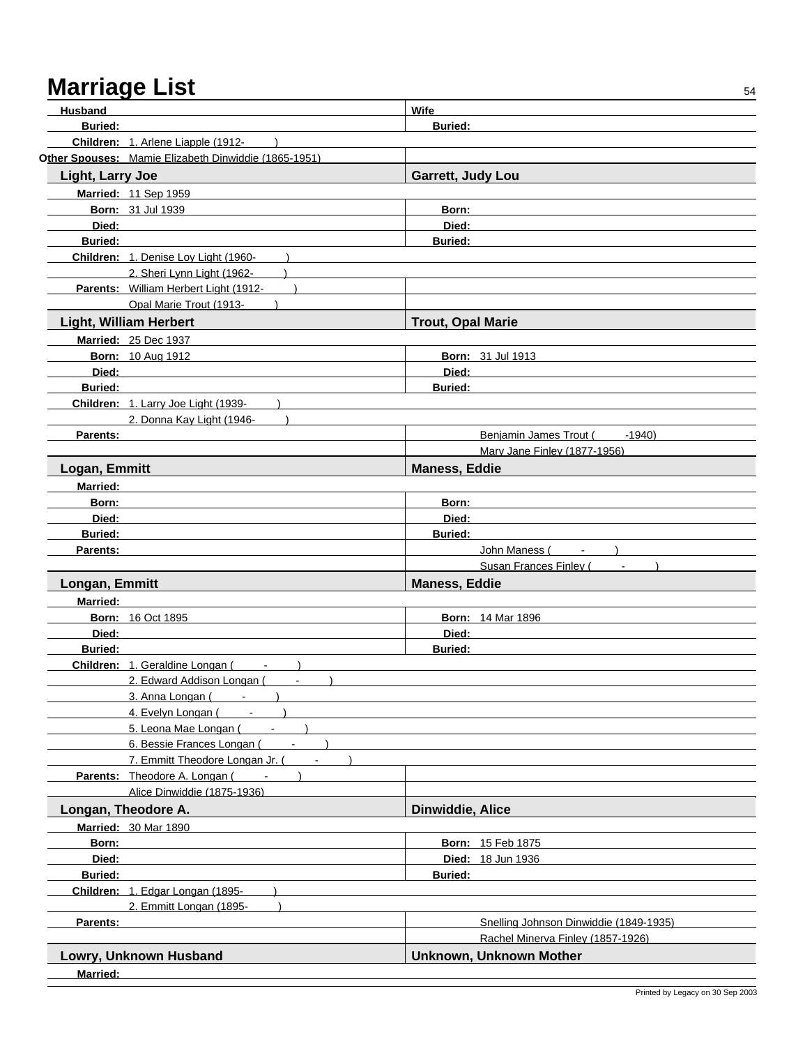| Husband          |                                                      | Wife                                   |
|------------------|------------------------------------------------------|----------------------------------------|
| <b>Buried:</b>   |                                                      | <b>Buried:</b>                         |
|                  | Children: 1. Arlene Liapple (1912-                   |                                        |
|                  | Other Spouses: Mamie Elizabeth Dinwiddie (1865-1951) |                                        |
| Light, Larry Joe |                                                      | Garrett, Judy Lou                      |
|                  | Married: 11 Sep 1959                                 |                                        |
|                  | <b>Born: 31 Jul 1939</b>                             | Born:                                  |
| Died:            |                                                      | Died:                                  |
| <b>Buried:</b>   |                                                      | <b>Buried:</b>                         |
|                  | Children: 1. Denise Loy Light (1960-                 |                                        |
|                  | 2. Sheri Lynn Light (1962-                           |                                        |
|                  | Parents: William Herbert Light (1912-                |                                        |
|                  | Opal Marie Trout (1913-                              |                                        |
|                  | <b>Light, William Herbert</b>                        | <b>Trout, Opal Marie</b>               |
|                  | <b>Married: 25 Dec 1937</b>                          |                                        |
|                  |                                                      | <b>Born: 31 Jul 1913</b>               |
|                  | <b>Born: 10 Aug 1912</b>                             |                                        |
| Died:            |                                                      | Died:                                  |
| <b>Buried:</b>   |                                                      | Buried:                                |
|                  | Children: 1. Larry Joe Light (1939-                  |                                        |
|                  | 2. Donna Kay Light (1946-                            | $-1940$                                |
| Parents:         |                                                      | Benjamin James Trout (                 |
|                  |                                                      | Mary Jane Finley (1877-1956)           |
| Logan, Emmitt    |                                                      | <b>Maness, Eddie</b>                   |
| <b>Married:</b>  |                                                      |                                        |
| Born:            |                                                      | Born:                                  |
| Died:            |                                                      | Died:                                  |
| <b>Buried:</b>   |                                                      | <b>Buried:</b>                         |
| Parents:         |                                                      | John Maness (<br>$\blacksquare$        |
|                  |                                                      | Susan Frances Finley (                 |
| Longan, Emmitt   |                                                      | <b>Maness, Eddie</b>                   |
| <b>Married:</b>  |                                                      |                                        |
|                  | <b>Born: 16 Oct 1895</b>                             | <b>Born: 14 Mar 1896</b>               |
| Died:            |                                                      | Died:                                  |
| <b>Buried:</b>   |                                                      | <b>Buried:</b>                         |
|                  | Children: 1. Geraldine Longan (<br>$\sim$ $-$        |                                        |
|                  | 2. Edward Addison Longan (                           |                                        |
|                  | 3. Anna Longan (<br>$\sim$                           |                                        |
|                  | 4. Evelyn Longan (<br>$\sim$                         |                                        |
|                  | 5. Leona Mae Longan (<br>$\sim$                      |                                        |
|                  | 6. Bessie Frances Longan (<br>$\sim$                 |                                        |
|                  | 7. Emmitt Theodore Longan Jr. (<br>$\sim$            |                                        |
|                  | Parents: Theodore A. Longan (<br>$\sim$ $-$          |                                        |
|                  | Alice Dinwiddie (1875-1936)                          |                                        |
|                  | Longan, Theodore A.                                  | Dinwiddie, Alice                       |
|                  | <b>Married: 30 Mar 1890</b>                          |                                        |
| Born:            |                                                      | <b>Born: 15 Feb 1875</b>               |
| Died:            |                                                      | <b>Died: 18 Jun 1936</b>               |
| <b>Buried:</b>   |                                                      | <b>Buried:</b>                         |
|                  | Children: 1. Edgar Longan (1895-                     |                                        |
|                  | 2. Emmitt Longan (1895-                              |                                        |
| Parents:         |                                                      | Snelling Johnson Dinwiddie (1849-1935) |
|                  |                                                      | Rachel Minerva Finley (1857-1926)      |
|                  | Lowry, Unknown Husband                               | Unknown, Unknown Mother                |
| Married:         |                                                      |                                        |
|                  |                                                      |                                        |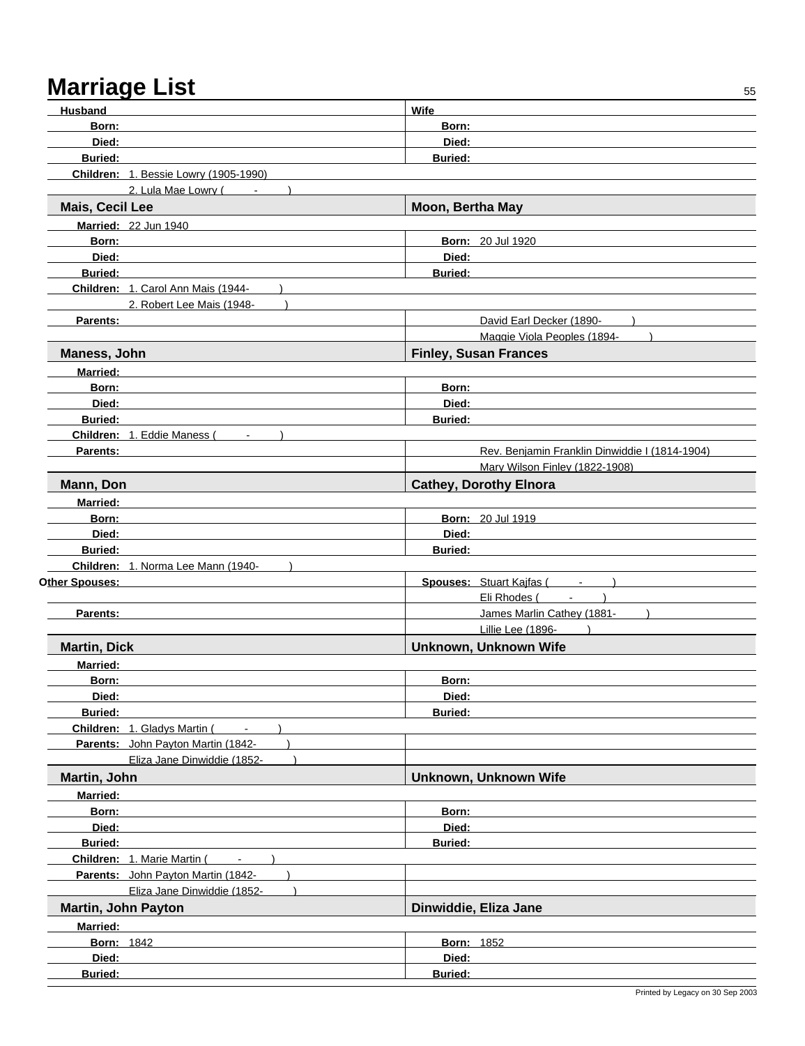| <b>Husband</b>                                 | Wife                                           |
|------------------------------------------------|------------------------------------------------|
| Born:                                          | Born:                                          |
| Died:                                          | Died:                                          |
| <b>Buried:</b>                                 | <b>Buried:</b>                                 |
| Children: 1. Bessie Lowry (1905-1990)          |                                                |
| 2. Lula Mae Lowry (<br>$\sim$                  |                                                |
| Mais, Cecil Lee                                | Moon, Bertha May                               |
| Married: 22 Jun 1940                           |                                                |
| Born:                                          | <b>Born: 20 Jul 1920</b>                       |
| Died:                                          | Died:                                          |
| <b>Buried:</b>                                 | Buried:                                        |
| Children: 1. Carol Ann Mais (1944-             |                                                |
| 2. Robert Lee Mais (1948-                      |                                                |
| Parents:                                       | David Earl Decker (1890-                       |
|                                                | Maggie Viola Peoples (1894-                    |
| Maness, John                                   | <b>Finley, Susan Frances</b>                   |
| <b>Married:</b>                                |                                                |
| Born:                                          | Born:                                          |
| Died:                                          | Died:                                          |
| <b>Buried:</b>                                 | <b>Buried:</b>                                 |
| Children: 1. Eddie Maness (                    |                                                |
| Parents:                                       | Rev. Benjamin Franklin Dinwiddie I (1814-1904) |
|                                                | Mary Wilson Finley (1822-1908)                 |
| Mann, Don                                      | <b>Cathey, Dorothy Elnora</b>                  |
| <b>Married:</b>                                |                                                |
| Born:                                          | <b>Born: 20 Jul 1919</b>                       |
| Died:                                          | Died:                                          |
| <b>Buried:</b>                                 | <b>Buried:</b>                                 |
| Children: 1. Norma Lee Mann (1940-             |                                                |
| Other Spouses:                                 | Spouses: Stuart Kajfas (Fig. 1898)             |
|                                                | Eli Rhodes (Fig. 1)                            |
| Parents:                                       | James Marlin Cathey (1881-                     |
|                                                | Lillie Lee (1896-                              |
| <b>Martin, Dick</b>                            | Unknown, Unknown Wife                          |
| <b>Married:</b>                                |                                                |
| Born:                                          | Born:                                          |
| Died:                                          | Died:                                          |
| <b>Buried:</b>                                 | <b>Buried:</b>                                 |
| Children: 1. Gladys Martin (<br>$\blacksquare$ |                                                |
| Parents: John Payton Martin (1842-             |                                                |
| Eliza Jane Dinwiddie (1852-                    |                                                |
| Martin, John                                   | Unknown, Unknown Wife                          |
| <b>Married:</b>                                |                                                |
| Born:                                          | Born:                                          |
| Died:                                          | Died:                                          |
| Buried:                                        | <b>Buried:</b>                                 |
| Children: 1. Marie Martin (<br>$\sim$          |                                                |
| Parents: John Payton Martin (1842-             |                                                |
| Eliza Jane Dinwiddie (1852-                    |                                                |
| <b>Martin, John Payton</b>                     | Dinwiddie, Eliza Jane                          |
|                                                |                                                |
| <b>Married:</b>                                |                                                |
| <b>Born: 1842</b>                              | <b>Born: 1852</b>                              |
| Died:                                          | Died:                                          |
| Buried:                                        | Buried:                                        |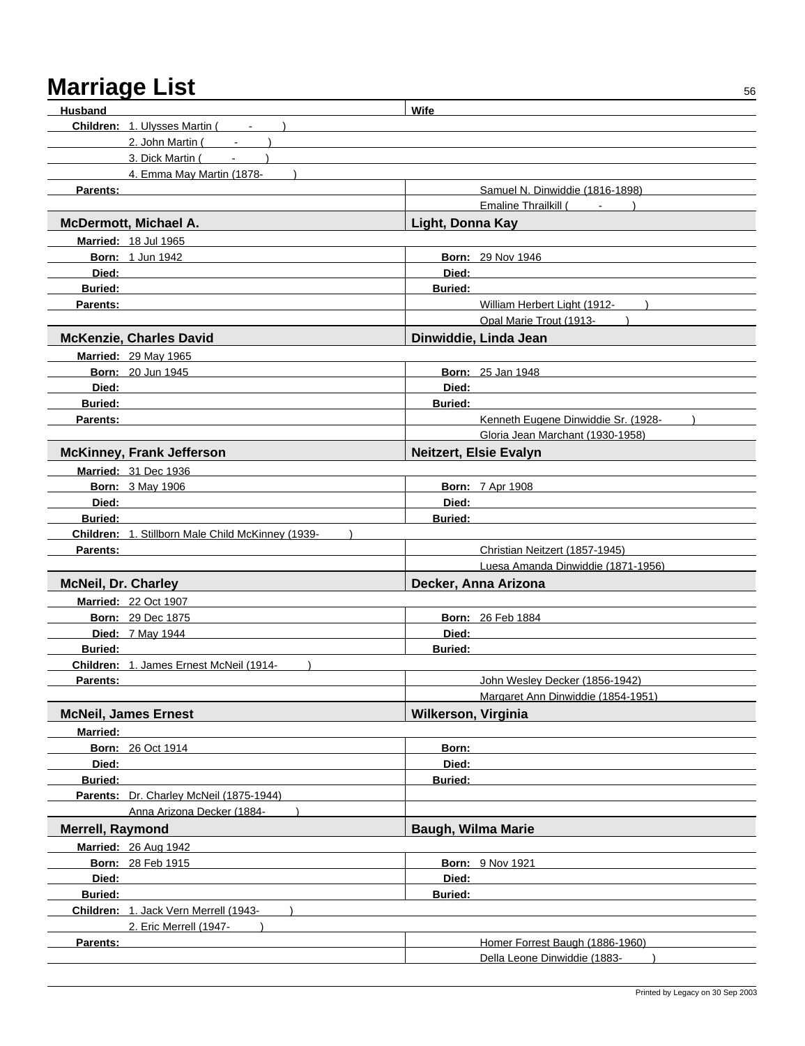| Husband                    |                                                   | Wife                       |                                     |
|----------------------------|---------------------------------------------------|----------------------------|-------------------------------------|
|                            | <b>Children: 1. Ulysses Martin (Fig. 1)</b>       |                            |                                     |
|                            | 2. John Martin (                                  |                            |                                     |
|                            | 3. Dick Martin (                                  |                            |                                     |
|                            | 4. Emma May Martin (1878-                         |                            |                                     |
| <b>Parents:</b>            |                                                   |                            | Samuel N. Dinwiddie (1816-1898)     |
|                            |                                                   |                            | Emaline Thrailkill (                |
|                            | McDermott, Michael A.                             | Light, Donna Kay           |                                     |
|                            | Married: 18 Jul 1965                              |                            |                                     |
|                            | <b>Born: 1 Jun 1942</b>                           |                            | <b>Born: 29 Nov 1946</b>            |
| Died:                      |                                                   | Died:                      |                                     |
| <b>Buried:</b>             |                                                   | <b>Buried:</b>             |                                     |
| Parents:                   |                                                   |                            | William Herbert Light (1912-        |
|                            |                                                   |                            | Opal Marie Trout (1913-             |
|                            | <b>McKenzie, Charles David</b>                    |                            | Dinwiddie, Linda Jean               |
|                            | <b>Married: 29 May 1965</b>                       |                            |                                     |
|                            | <b>Born: 20 Jun 1945</b>                          |                            | <b>Born: 25 Jan 1948</b>            |
| Died:                      |                                                   | Died:                      |                                     |
| <b>Buried:</b>             |                                                   | <b>Buried:</b>             |                                     |
| Parents:                   |                                                   |                            | Kenneth Eugene Dinwiddie Sr. (1928- |
|                            |                                                   |                            | Gloria Jean Marchant (1930-1958)    |
|                            | <b>McKinney, Frank Jefferson</b>                  |                            | <b>Neitzert, Elsie Evalyn</b>       |
|                            | Married: 31 Dec 1936                              |                            |                                     |
|                            | <b>Born: 3 May 1906</b>                           |                            | <b>Born: 7 Apr 1908</b>             |
| Died:                      |                                                   | Died:                      |                                     |
| <b>Buried:</b>             |                                                   | <b>Buried:</b>             |                                     |
|                            | Children: 1. Stillborn Male Child McKinney (1939- |                            |                                     |
| Parents:                   |                                                   |                            | Christian Neitzert (1857-1945)      |
|                            |                                                   |                            | Luesa Amanda Dinwiddie (1871-1956)  |
| <b>McNeil, Dr. Charley</b> |                                                   |                            | Decker, Anna Arizona                |
|                            | <b>Married: 22 Oct 1907</b>                       |                            |                                     |
|                            | <b>Born: 29 Dec 1875</b>                          |                            | <b>Born: 26 Feb 1884</b>            |
|                            | Died: 7 May 1944                                  | Died:                      |                                     |
| <b>Buried:</b>             |                                                   | <b>Buried:</b>             |                                     |
|                            | Children: 1. James Ernest McNeil (1914-           |                            |                                     |
| Parents:                   |                                                   |                            | John Wesley Decker (1856-1942)      |
|                            |                                                   |                            | Margaret Ann Dinwiddie (1854-1951)  |
|                            | <b>McNeil, James Ernest</b>                       | <b>Wilkerson, Virginia</b> |                                     |
| <b>Married:</b>            |                                                   |                            |                                     |
|                            | <b>Born: 26 Oct 1914</b>                          | Born:                      |                                     |
| Died:                      |                                                   | Died:                      |                                     |
| <b>Buried:</b>             |                                                   | <b>Buried:</b>             |                                     |
|                            | Parents: Dr. Charley McNeil (1875-1944)           |                            |                                     |
|                            | Anna Arizona Decker (1884-                        |                            |                                     |
| Merrell, Raymond           |                                                   | <b>Baugh, Wilma Marie</b>  |                                     |
|                            | <b>Married: 26 Aug 1942</b>                       |                            |                                     |
|                            | <b>Born: 28 Feb 1915</b>                          |                            | <b>Born: 9 Nov 1921</b>             |
| Died:                      |                                                   | Died:                      |                                     |
| <b>Buried:</b>             |                                                   | Buried:                    |                                     |
|                            | Children: 1. Jack Vern Merrell (1943-             |                            |                                     |
|                            | 2. Eric Merrell (1947-                            |                            |                                     |
| Parents:                   |                                                   |                            | Homer Forrest Baugh (1886-1960)     |
|                            |                                                   |                            | Della Leone Dinwiddie (1883-        |
|                            |                                                   |                            |                                     |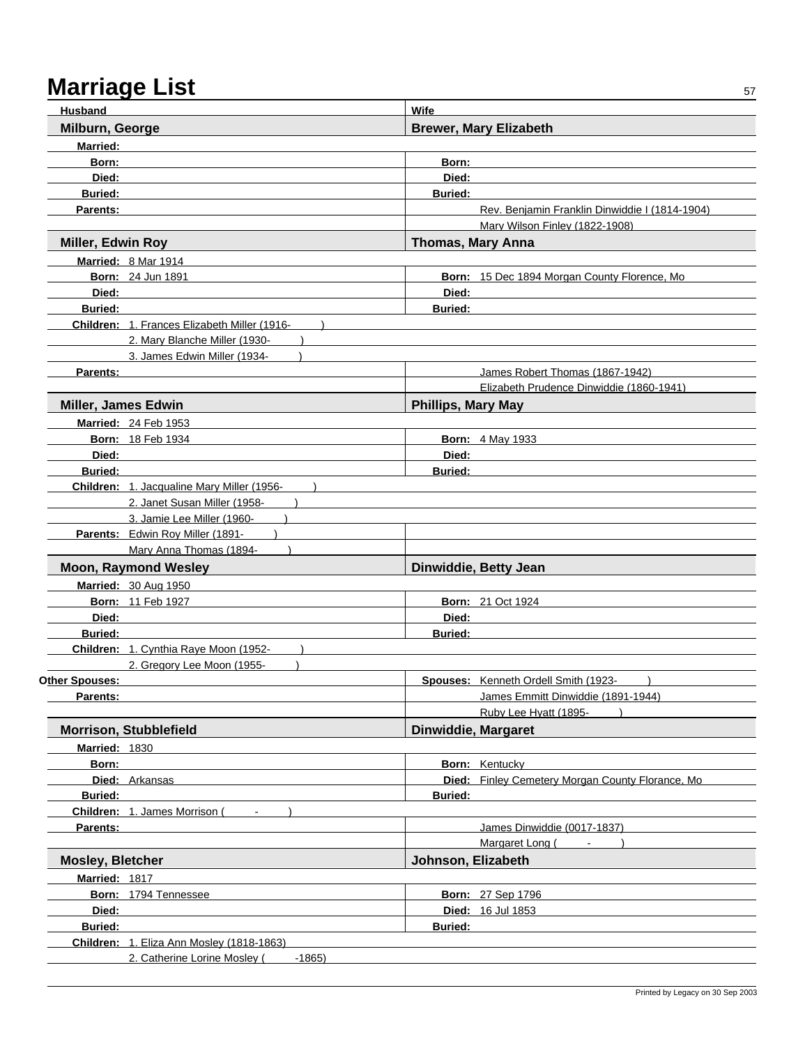| <b>Husband</b>             |                                              | <b>Wife</b>               |                                                   |
|----------------------------|----------------------------------------------|---------------------------|---------------------------------------------------|
| Milburn, George            |                                              |                           | <b>Brewer, Mary Elizabeth</b>                     |
| <b>Married:</b>            |                                              |                           |                                                   |
| Born:                      |                                              | Born:                     |                                                   |
| Died:                      |                                              | Died:                     |                                                   |
| <b>Buried:</b>             |                                              | <b>Buried:</b>            |                                                   |
| Parents:                   |                                              |                           | Rev. Benjamin Franklin Dinwiddie I (1814-1904)    |
|                            |                                              |                           | Mary Wilson Finley (1822-1908)                    |
| Miller, Edwin Roy          |                                              | <b>Thomas, Mary Anna</b>  |                                                   |
|                            | Married: 8 Mar 1914                          |                           |                                                   |
|                            | <b>Born: 24 Jun 1891</b>                     |                           | Born: 15 Dec 1894 Morgan County Florence, Mo      |
| Died:                      |                                              | Died:                     |                                                   |
| <b>Buried:</b>             |                                              | <b>Buried:</b>            |                                                   |
|                            | Children: 1. Frances Elizabeth Miller (1916- |                           |                                                   |
|                            | 2. Mary Blanche Miller (1930-                |                           |                                                   |
|                            | 3. James Edwin Miller (1934-                 |                           |                                                   |
| Parents:                   |                                              |                           | James Robert Thomas (1867-1942)                   |
|                            |                                              |                           | Elizabeth Prudence Dinwiddie (1860-1941)          |
| <b>Miller, James Edwin</b> |                                              | <b>Phillips, Mary May</b> |                                                   |
|                            | Married: 24 Feb 1953                         |                           |                                                   |
|                            | <b>Born: 18 Feb 1934</b>                     |                           | <b>Born: 4 May 1933</b>                           |
| Died:                      |                                              | Died:                     |                                                   |
| <b>Buried:</b>             |                                              | <b>Buried:</b>            |                                                   |
|                            | Children: 1. Jacqualine Mary Miller (1956-   |                           |                                                   |
|                            | 2. Janet Susan Miller (1958-                 |                           |                                                   |
|                            | 3. Jamie Lee Miller (1960-                   |                           |                                                   |
|                            | Parents: Edwin Roy Miller (1891-             |                           |                                                   |
|                            | Mary Anna Thomas (1894-                      |                           |                                                   |
|                            | <b>Moon, Raymond Wesley</b>                  |                           | Dinwiddie, Betty Jean                             |
|                            | <b>Married: 30 Aug 1950</b>                  |                           |                                                   |
|                            | <b>Born: 11 Feb 1927</b>                     |                           | <b>Born: 21 Oct 1924</b>                          |
| Died:                      |                                              | Died:                     |                                                   |
| <b>Buried:</b>             |                                              | <b>Buried:</b>            |                                                   |
|                            | Children: 1. Cynthia Raye Moon (1952-        |                           |                                                   |
|                            | 2. Gregory Lee Moon (1955-                   |                           |                                                   |
| <b>Other Spouses:</b>      |                                              |                           | Spouses: Kenneth Ordell Smith (1923-              |
| Parents:                   |                                              |                           | James Emmitt Dinwiddie (1891-1944)                |
|                            |                                              |                           | Ruby Lee Hyatt (1895-                             |
|                            | <b>Morrison, Stubblefield</b>                | Dinwiddie, Margaret       |                                                   |
| <b>Married: 1830</b>       |                                              |                           |                                                   |
| Born:                      |                                              |                           | <b>Born:</b> Kentucky                             |
|                            | Died: Arkansas                               |                           | Died: Finley Cemetery Morgan County Florance, Mo. |
| <b>Buried:</b>             |                                              | <b>Buried:</b>            |                                                   |
|                            | Children: 1. James Morrison (                |                           |                                                   |
| Parents:                   |                                              |                           | James Dinwiddie (0017-1837)                       |
|                            |                                              |                           | Margaret Long (Fig. 1)                            |
| <b>Mosley, Bletcher</b>    |                                              | Johnson, Elizabeth        |                                                   |
| Married: 1817              |                                              |                           |                                                   |
|                            | Born: 1794 Tennessee                         |                           | <b>Born: 27 Sep 1796</b>                          |
| Died:                      |                                              |                           | Died: 16 Jul 1853                                 |
| <b>Buried:</b>             |                                              | <b>Buried:</b>            |                                                   |
|                            | Children: 1. Eliza Ann Mosley (1818-1863)    |                           |                                                   |
|                            | 2. Catherine Lorine Mosley (<br>$-1865$      |                           |                                                   |
|                            |                                              |                           |                                                   |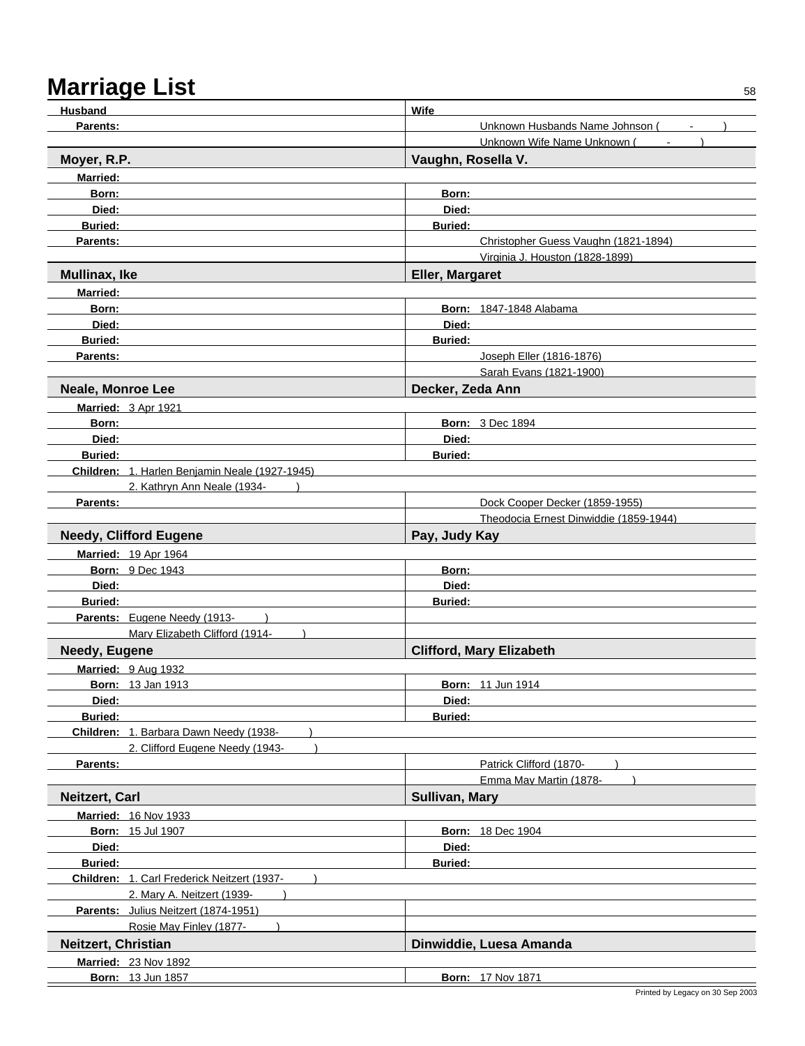| <b>Husband</b>                                                | Wife                                              |
|---------------------------------------------------------------|---------------------------------------------------|
| <b>Parents:</b>                                               | Unknown Husbands Name Johnson (                   |
|                                                               | Unknown Wife Name Unknown (                       |
| Moyer, R.P.                                                   | Vaughn, Rosella V.                                |
| <b>Married:</b>                                               |                                                   |
| Born:                                                         | Born:                                             |
| Died:                                                         | Died:                                             |
| <b>Buried:</b>                                                | <b>Buried:</b>                                    |
| Parents:                                                      | Christopher Guess Vaughn (1821-1894)              |
|                                                               | Virginia J. Houston (1828-1899)                   |
| Mullinax, Ike                                                 | Eller, Margaret                                   |
| Married:                                                      |                                                   |
| Born:                                                         | <b>Born: 1847-1848 Alabama</b>                    |
| Died:                                                         | Died:                                             |
| <b>Buried:</b>                                                | <b>Buried:</b>                                    |
| Parents:                                                      | Joseph Eller (1816-1876)                          |
|                                                               | Sarah Evans (1821-1900)                           |
| <b>Neale, Monroe Lee</b>                                      | Decker, Zeda Ann                                  |
| Married: 3 Apr 1921                                           |                                                   |
| Born:                                                         | <b>Born: 3 Dec 1894</b>                           |
| Died:                                                         | Died:                                             |
| <b>Buried:</b>                                                | <b>Buried:</b>                                    |
| Children: 1. Harlen Benjamin Neale (1927-1945)                |                                                   |
| 2. Kathryn Ann Neale (1934-                                   |                                                   |
| Parents:                                                      | Dock Cooper Decker (1859-1955)                    |
|                                                               | Theodocia Ernest Dinwiddie (1859-1944)            |
| <b>Needy, Clifford Eugene</b>                                 | Pay, Judy Kay                                     |
| <b>Married: 19 Apr 1964</b>                                   |                                                   |
| <b>Born: 9 Dec 1943</b>                                       | Born:                                             |
| Died:                                                         | Died:                                             |
| <b>Buried:</b>                                                | <b>Buried:</b>                                    |
| Parents: Eugene Needy (1913-                                  |                                                   |
| Mary Elizabeth Clifford (1914-                                |                                                   |
| Needy, Eugene                                                 | <b>Clifford, Mary Elizabeth</b>                   |
| Married: 9 Aug 1932                                           |                                                   |
| <b>Born: 13 Jan 1913</b>                                      | <b>Born: 11 Jun 1914</b>                          |
| Died:                                                         | Died:                                             |
| <b>Buried:</b>                                                | <b>Buried:</b>                                    |
| Children: 1. Barbara Dawn Needy (1938-                        |                                                   |
| 2. Clifford Eugene Needy (1943-                               |                                                   |
| Parents:                                                      | Patrick Clifford (1870-<br>Emma May Martin (1878- |
|                                                               |                                                   |
| Neitzert, Carl                                                | Sullivan, Mary                                    |
| <b>Married: 16 Nov 1933</b>                                   |                                                   |
| <b>Born: 15 Jul 1907</b>                                      | <b>Born: 18 Dec 1904</b><br>Died:                 |
| Died:                                                         |                                                   |
| <b>Buried:</b><br>Children: 1. Carl Frederick Neitzert (1937- | <b>Buried:</b>                                    |
| 2. Mary A. Neitzert (1939-                                    |                                                   |
| Parents: Julius Neitzert (1874-1951)                          |                                                   |
| Rosie May Finley (1877-                                       |                                                   |
| Neitzert, Christian                                           | Dinwiddie, Luesa Amanda                           |
| <b>Married: 23 Nov 1892</b>                                   |                                                   |
| Born: 13 Jun 1857                                             | <b>Born: 17 Nov 1871</b>                          |
|                                                               |                                                   |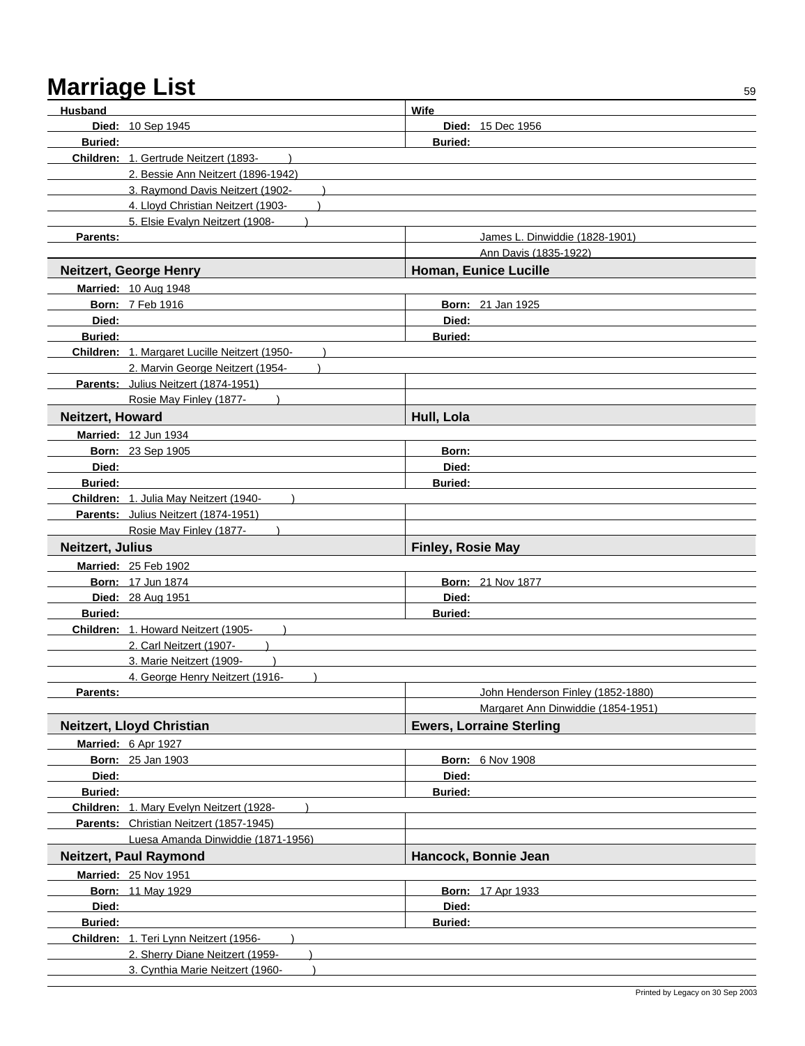| Husband                 |                                               | Wife                               |  |
|-------------------------|-----------------------------------------------|------------------------------------|--|
|                         | <b>Died: 10 Sep 1945</b>                      | <b>Died: 15 Dec 1956</b>           |  |
| <b>Buried:</b>          | <b>Buried:</b>                                |                                    |  |
|                         | Children: 1. Gertrude Neitzert (1893-         |                                    |  |
|                         | 2. Bessie Ann Neitzert (1896-1942)            |                                    |  |
|                         | 3. Raymond Davis Neitzert (1902-              |                                    |  |
|                         | 4. Lloyd Christian Neitzert (1903-            |                                    |  |
|                         | 5. Elsie Evalyn Neitzert (1908-               |                                    |  |
| Parents:                |                                               | James L. Dinwiddie (1828-1901)     |  |
|                         |                                               | Ann Davis (1835-1922)              |  |
|                         | <b>Neitzert, George Henry</b>                 | Homan, Eunice Lucille              |  |
|                         | <b>Married: 10 Aug 1948</b>                   |                                    |  |
|                         | <b>Born: 7 Feb 1916</b>                       | <b>Born: 21 Jan 1925</b>           |  |
| Died:                   |                                               | Died:                              |  |
| <b>Buried:</b>          |                                               | <b>Buried:</b>                     |  |
|                         | Children: 1. Margaret Lucille Neitzert (1950- |                                    |  |
|                         | 2. Marvin George Neitzert (1954-              |                                    |  |
|                         | Parents: Julius Neitzert (1874-1951)          |                                    |  |
|                         | Rosie May Finley (1877-                       |                                    |  |
| <b>Neitzert, Howard</b> |                                               | Hull, Lola                         |  |
|                         | Married: 12 Jun 1934                          |                                    |  |
|                         | <b>Born: 23 Sep 1905</b>                      | Born:                              |  |
| Died:                   |                                               | Died:                              |  |
| <b>Buried:</b>          |                                               | <b>Buried:</b>                     |  |
|                         | Children: 1. Julia May Neitzert (1940-        |                                    |  |
|                         | Parents: Julius Neitzert (1874-1951)          |                                    |  |
|                         | Rosie May Finley (1877-                       |                                    |  |
| Neitzert, Julius        |                                               | <b>Finley, Rosie May</b>           |  |
|                         | Married: 25 Feb 1902                          |                                    |  |
|                         | <b>Born: 17 Jun 1874</b>                      | <b>Born: 21 Nov 1877</b>           |  |
|                         | Died: 28 Aug 1951                             | Died:                              |  |
| <b>Buried:</b>          |                                               | <b>Buried:</b>                     |  |
|                         | Children: 1. Howard Neitzert (1905-           |                                    |  |
|                         | 2. Carl Neitzert (1907-                       |                                    |  |
|                         | 3. Marie Neitzert (1909-                      |                                    |  |
|                         | 4. George Henry Neitzert (1916-               |                                    |  |
| Parents:                |                                               | John Henderson Finley (1852-1880)  |  |
|                         |                                               | Margaret Ann Dinwiddie (1854-1951) |  |
|                         | <b>Neitzert, Lloyd Christian</b>              | <b>Ewers, Lorraine Sterling</b>    |  |
|                         | Married: 6 Apr 1927                           |                                    |  |
|                         | <b>Born: 25 Jan 1903</b>                      | <b>Born: 6 Nov 1908</b>            |  |
| Died:                   |                                               | Died:                              |  |
| <b>Buried:</b>          |                                               | Buried:                            |  |
|                         | Children: 1. Mary Evelyn Neitzert (1928-      |                                    |  |
|                         | Parents: Christian Neitzert (1857-1945)       |                                    |  |
|                         | Luesa Amanda Dinwiddie (1871-1956)            |                                    |  |
|                         | <b>Neitzert, Paul Raymond</b>                 | Hancock, Bonnie Jean               |  |
|                         | <b>Married: 25 Nov 1951</b>                   |                                    |  |
|                         | <b>Born: 11 May 1929</b>                      | <b>Born: 17 Apr 1933</b>           |  |
| Died:                   |                                               | Died:                              |  |
| <b>Buried:</b>          |                                               | <b>Buried:</b>                     |  |
|                         | Children: 1. Teri Lynn Neitzert (1956-        |                                    |  |
|                         | 2. Sherry Diane Neitzert (1959-               |                                    |  |
|                         | 3. Cynthia Marie Neitzert (1960-              |                                    |  |
|                         |                                               |                                    |  |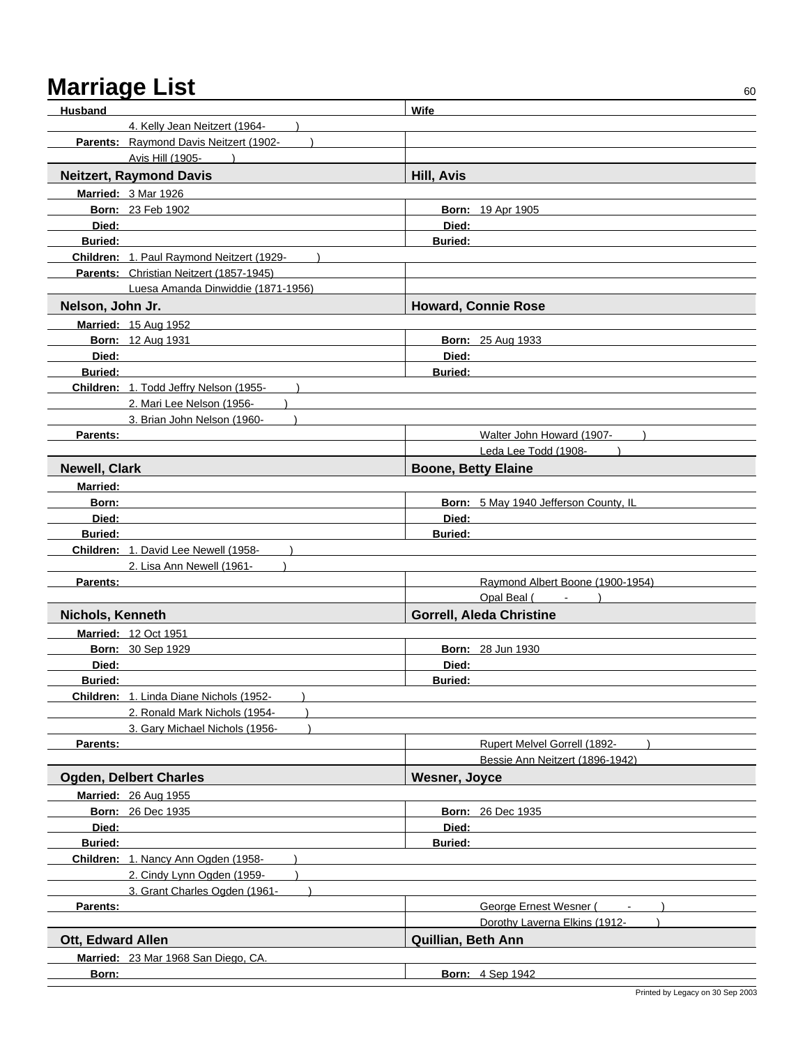| <b>Husband</b>       |                                           | Wife                                  |
|----------------------|-------------------------------------------|---------------------------------------|
|                      | 4. Kelly Jean Neitzert (1964-             |                                       |
|                      | Parents: Raymond Davis Neitzert (1902-    |                                       |
|                      | Avis Hill (1905-                          |                                       |
|                      | <b>Neitzert, Raymond Davis</b>            | <b>Hill, Avis</b>                     |
|                      | Married: 3 Mar 1926                       |                                       |
|                      | <b>Born: 23 Feb 1902</b>                  | Born: 19 Apr 1905                     |
| Died:                |                                           | Died:                                 |
| <b>Buried:</b>       |                                           | <b>Buried:</b>                        |
|                      | Children: 1. Paul Raymond Neitzert (1929- |                                       |
|                      | Parents: Christian Neitzert (1857-1945)   |                                       |
|                      | Luesa Amanda Dinwiddie (1871-1956)        |                                       |
| Nelson, John Jr.     |                                           | <b>Howard, Connie Rose</b>            |
|                      | Married: 15 Aug 1952                      |                                       |
|                      | <b>Born: 12 Aug 1931</b>                  | <b>Born: 25 Aug 1933</b>              |
| Died:                |                                           | Died:                                 |
| <b>Buried:</b>       |                                           | <b>Buried:</b>                        |
|                      | Children: 1. Todd Jeffry Nelson (1955-    |                                       |
|                      | 2. Mari Lee Nelson (1956-                 |                                       |
|                      | 3. Brian John Nelson (1960-               |                                       |
| Parents:             |                                           | Walter John Howard (1907-             |
|                      |                                           | Leda Lee Todd (1908-                  |
| <b>Newell, Clark</b> |                                           | <b>Boone, Betty Elaine</b>            |
| <b>Married:</b>      |                                           |                                       |
| Born:                |                                           | Born: 5 May 1940 Jefferson County, IL |
| Died:                |                                           | Died:                                 |
| <b>Buried:</b>       |                                           | <b>Buried:</b>                        |
|                      | Children: 1. David Lee Newell (1958-      |                                       |
|                      | 2. Lisa Ann Newell (1961-                 |                                       |
| Parents:             |                                           | Raymond Albert Boone (1900-1954)      |
|                      |                                           | Opal Beal (<br>$\sim 100$             |
| Nichols, Kenneth     |                                           | <b>Gorrell, Aleda Christine</b>       |
|                      | <b>Married: 12 Oct 1951</b>               |                                       |
|                      | Born: 30 Sep 1929                         | <b>Born: 28 Jun 1930</b>              |
| Died:                |                                           | Died:                                 |
| Buried:              |                                           | <b>Buried:</b>                        |
|                      | Children: 1. Linda Diane Nichols (1952-   |                                       |
|                      | 2. Ronald Mark Nichols (1954-             |                                       |
|                      | 3. Gary Michael Nichols (1956-            |                                       |
| Parents:             |                                           | Rupert Melvel Gorrell (1892-          |
|                      |                                           | Bessie Ann Neitzert (1896-1942)       |
|                      | <b>Ogden, Delbert Charles</b>             | <b>Wesner, Joyce</b>                  |
|                      | Married: 26 Aug 1955                      |                                       |
|                      | <b>Born: 26 Dec 1935</b>                  | <b>Born: 26 Dec 1935</b>              |
| Died:                |                                           | Died:                                 |
| Buried:              |                                           | <b>Buried:</b>                        |
|                      | Children: 1. Nancy Ann Ogden (1958-       |                                       |
|                      | 2. Cindy Lynn Ogden (1959-                |                                       |
|                      | 3. Grant Charles Ogden (1961-             |                                       |
| Parents:             |                                           | George Ernest Wesner (                |
|                      |                                           | Dorothy Laverna Elkins (1912-         |
| Ott, Edward Allen    |                                           | Quillian, Beth Ann                    |
|                      | Married: 23 Mar 1968 San Diego, CA.       |                                       |
| Born:                |                                           | <b>Born: 4 Sep 1942</b>               |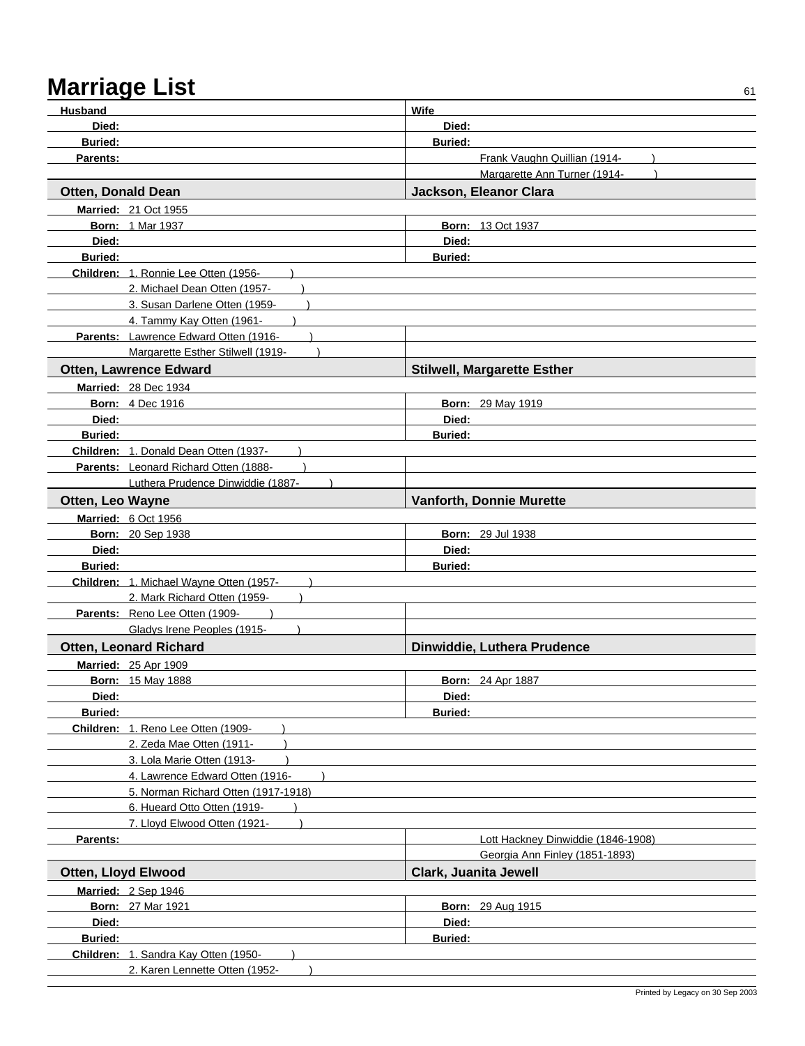| Husband                    |                                         | Wife                               |
|----------------------------|-----------------------------------------|------------------------------------|
| Died:                      |                                         | Died:                              |
| <b>Buried:</b>             |                                         | <b>Buried:</b>                     |
| Parents:                   |                                         | Frank Vaughn Quillian (1914-       |
|                            |                                         | Margarette Ann Turner (1914-       |
| <b>Otten, Donald Dean</b>  |                                         | Jackson, Eleanor Clara             |
|                            | <b>Married: 21 Oct 1955</b>             |                                    |
|                            | <b>Born: 1 Mar 1937</b>                 | <b>Born: 13 Oct 1937</b>           |
| Died:                      |                                         | Died:                              |
| <b>Buried:</b>             |                                         | <b>Buried:</b>                     |
|                            | Children: 1. Ronnie Lee Otten (1956-    |                                    |
|                            | 2. Michael Dean Otten (1957-            |                                    |
|                            | 3. Susan Darlene Otten (1959-           |                                    |
|                            | 4. Tammy Kay Otten (1961-               |                                    |
|                            | Parents: Lawrence Edward Otten (1916-   |                                    |
|                            | Margarette Esther Stilwell (1919-       |                                    |
|                            | <b>Otten, Lawrence Edward</b>           | <b>Stilwell, Margarette Esther</b> |
|                            | <b>Married: 28 Dec 1934</b>             |                                    |
|                            | <b>Born: 4 Dec 1916</b>                 | Born: 29 May 1919                  |
| Died:                      |                                         | Died:                              |
| <b>Buried:</b>             |                                         | <b>Buried:</b>                     |
|                            | Children: 1. Donald Dean Otten (1937-   |                                    |
|                            | Parents: Leonard Richard Otten (1888-   |                                    |
|                            | Luthera Prudence Dinwiddie (1887-       |                                    |
| Otten, Leo Wayne           |                                         | <b>Vanforth, Donnie Murette</b>    |
|                            | Married: 6 Oct 1956                     |                                    |
|                            | <b>Born: 20 Sep 1938</b>                | <b>Born: 29 Jul 1938</b>           |
| Died:                      |                                         | Died:                              |
| <b>Buried:</b>             |                                         | <b>Buried:</b>                     |
|                            | Children: 1. Michael Wayne Otten (1957- |                                    |
|                            | 2. Mark Richard Otten (1959-            |                                    |
|                            | Parents: Reno Lee Otten (1909-          |                                    |
|                            | Gladys Irene Peoples (1915-             |                                    |
|                            | <b>Otten, Leonard Richard</b>           | Dinwiddie, Luthera Prudence        |
|                            | <b>Married: 25 Apr 1909</b>             |                                    |
|                            | <b>Born: 15 May 1888</b>                | <b>Born: 24 Apr 1887</b>           |
| Died:                      |                                         | Died:                              |
| Buried:                    |                                         | <b>Buried:</b>                     |
|                            | Children: 1. Reno Lee Otten (1909-      |                                    |
|                            | 2. Zeda Mae Otten (1911-                |                                    |
|                            | 3. Lola Marie Otten (1913-              |                                    |
|                            | 4. Lawrence Edward Otten (1916-         |                                    |
|                            | 5. Norman Richard Otten (1917-1918)     |                                    |
|                            | 6. Hueard Otto Otten (1919-             |                                    |
|                            | 7. Lloyd Elwood Otten (1921-            |                                    |
| Parents:                   |                                         | Lott Hackney Dinwiddie (1846-1908) |
|                            |                                         | Georgia Ann Finley (1851-1893)     |
| <b>Otten, Lloyd Elwood</b> |                                         | Clark, Juanita Jewell              |
|                            | Married: 2 Sep 1946                     |                                    |
|                            | <b>Born: 27 Mar 1921</b>                | <b>Born: 29 Aug 1915</b>           |
| Died:                      |                                         | Died:                              |
| Buried:                    |                                         | Buried:                            |
|                            | Children: 1. Sandra Kay Otten (1950-    |                                    |
|                            | 2. Karen Lennette Otten (1952-          |                                    |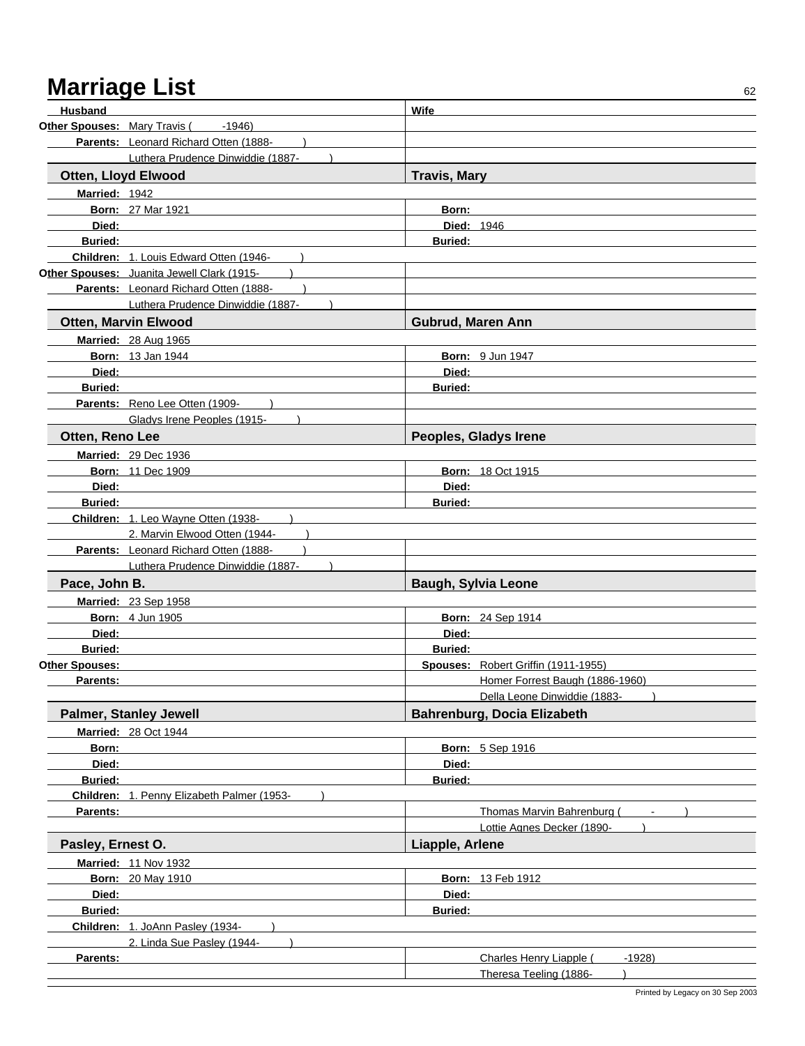| Husband           |                                            | Wife                                                     |  |
|-------------------|--------------------------------------------|----------------------------------------------------------|--|
|                   | Other Spouses: Mary Travis (<br>-1946)     |                                                          |  |
|                   | Parents: Leonard Richard Otten (1888-      |                                                          |  |
|                   | Luthera Prudence Dinwiddie (1887-          |                                                          |  |
|                   | Otten, Lloyd Elwood                        | <b>Travis, Mary</b>                                      |  |
| Married: 1942     |                                            |                                                          |  |
|                   | <b>Born: 27 Mar 1921</b>                   | Born:                                                    |  |
| Died:             |                                            | <b>Died: 1946</b>                                        |  |
| <b>Buried:</b>    |                                            | <b>Buried:</b>                                           |  |
|                   | Children: 1. Louis Edward Otten (1946-     |                                                          |  |
|                   | Other Spouses: Juanita Jewell Clark (1915- |                                                          |  |
|                   | Parents: Leonard Richard Otten (1888-      |                                                          |  |
|                   | Luthera Prudence Dinwiddie (1887-          |                                                          |  |
|                   | <b>Otten, Marvin Elwood</b>                | Gubrud, Maren Ann                                        |  |
|                   | Married: 28 Aug 1965                       |                                                          |  |
|                   | <b>Born: 13 Jan 1944</b>                   | Born: 9 Jun 1947                                         |  |
| Died:             |                                            | Died:                                                    |  |
| <b>Buried:</b>    |                                            | <b>Buried:</b>                                           |  |
|                   | Parents: Reno Lee Otten (1909-             |                                                          |  |
|                   | Gladys Irene Peoples (1915-                |                                                          |  |
| Otten, Reno Lee   |                                            | Peoples, Gladys Irene                                    |  |
|                   | Married: 29 Dec 1936                       |                                                          |  |
|                   | <b>Born: 11 Dec 1909</b>                   | <b>Born: 18 Oct 1915</b>                                 |  |
| Died:             |                                            | Died:                                                    |  |
| <b>Buried:</b>    |                                            | <b>Buried:</b>                                           |  |
|                   | Children: 1. Leo Wayne Otten (1938-        |                                                          |  |
|                   | 2. Marvin Elwood Otten (1944-              |                                                          |  |
|                   | Parents: Leonard Richard Otten (1888-      |                                                          |  |
|                   | Luthera Prudence Dinwiddie (1887-          |                                                          |  |
| Pace, John B.     |                                            | <b>Baugh, Sylvia Leone</b>                               |  |
|                   | Married: 23 Sep 1958                       |                                                          |  |
|                   | <b>Born: 4 Jun 1905</b>                    | <b>Born: 24 Sep 1914</b>                                 |  |
| Died:             |                                            | Died:                                                    |  |
| <b>Buried:</b>    |                                            | <b>Buried:</b>                                           |  |
| Other Spouses:    |                                            | Spouses: Robert Griffin (1911-1955)                      |  |
| Parents:          |                                            | Homer Forrest Baugh (1886-1960)                          |  |
|                   |                                            | Della Leone Dinwiddie (1883-                             |  |
|                   | <b>Palmer, Stanley Jewell</b>              | Bahrenburg, Docia Elizabeth                              |  |
|                   | <b>Married: 28 Oct 1944</b>                |                                                          |  |
| Born:             |                                            | <b>Born: 5 Sep 1916</b>                                  |  |
| Died:             |                                            | Died:                                                    |  |
| <b>Buried:</b>    |                                            | <b>Buried:</b>                                           |  |
|                   | Children: 1. Penny Elizabeth Palmer (1953- |                                                          |  |
| Parents:          |                                            | Thomas Marvin Bahrenburg (<br>Lottie Agnes Decker (1890- |  |
| Pasley, Ernest O. |                                            | Liapple, Arlene                                          |  |
|                   | <b>Married: 11 Nov 1932</b>                |                                                          |  |
|                   | <b>Born: 20 May 1910</b>                   | <b>Born: 13 Feb 1912</b>                                 |  |
| Died:             |                                            | Died:                                                    |  |
| Buried:           |                                            | Buried:                                                  |  |
|                   | Children: 1. JoAnn Pasley (1934-           |                                                          |  |
|                   | 2. Linda Sue Pasley (1944-                 |                                                          |  |
| Parents:          |                                            | Charles Henry Liapple (<br>$-1928$                       |  |
|                   |                                            | Theresa Teeling (1886-                                   |  |
|                   |                                            |                                                          |  |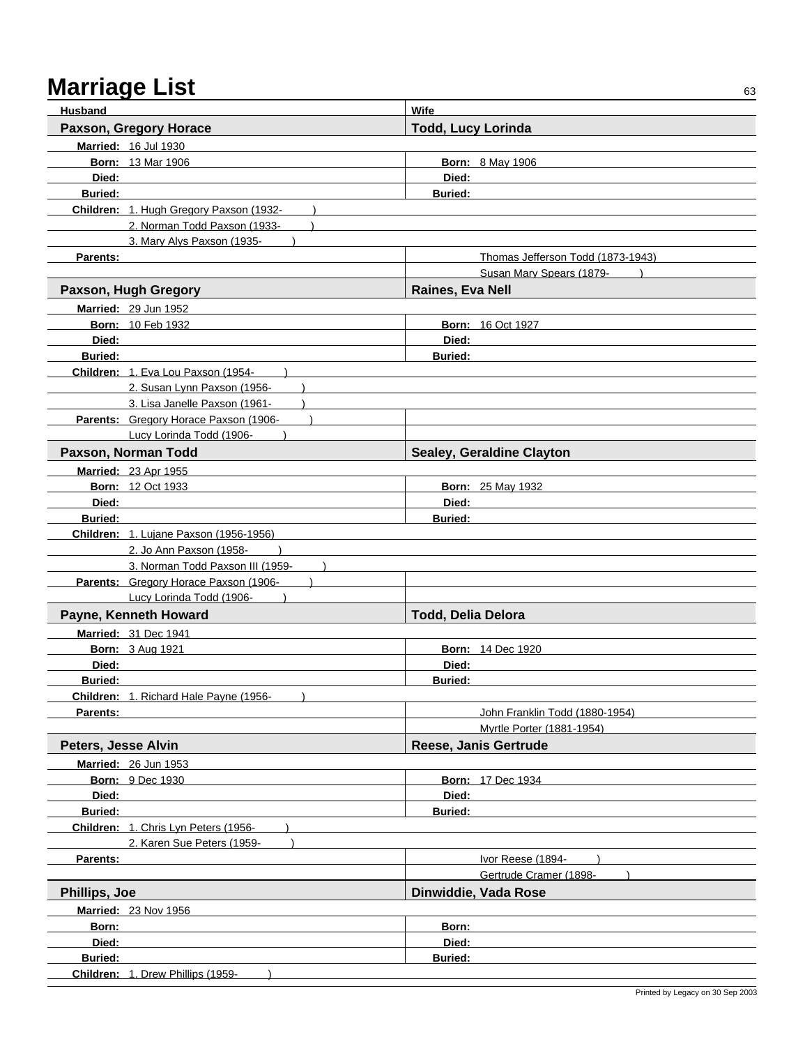| Husband                 |                                                                   | Wife                              |
|-------------------------|-------------------------------------------------------------------|-----------------------------------|
|                         | Paxson, Gregory Horace                                            | <b>Todd, Lucy Lorinda</b>         |
|                         | Married: 16 Jul 1930                                              |                                   |
|                         | <b>Born: 13 Mar 1906</b>                                          | <b>Born: 8 May 1906</b>           |
| Died:                   |                                                                   | Died:                             |
| <b>Buried:</b>          |                                                                   | <b>Buried:</b>                    |
|                         | Children: 1. Hugh Gregory Paxson (1932-                           |                                   |
|                         | 2. Norman Todd Paxson (1933-                                      |                                   |
|                         | 3. Mary Alys Paxson (1935-                                        |                                   |
| Parents:                |                                                                   | Thomas Jefferson Todd (1873-1943) |
|                         |                                                                   | Susan Mary Spears (1879-          |
|                         | Paxson, Hugh Gregory                                              | Raines, Eva Nell                  |
|                         | <b>Married: 29 Jun 1952</b>                                       |                                   |
|                         | <b>Born: 10 Feb 1932</b>                                          | <b>Born: 16 Oct 1927</b>          |
| Died:                   |                                                                   | Died:                             |
| <b>Buried:</b>          |                                                                   | <b>Buried:</b>                    |
|                         | Children: 1. Eva Lou Paxson (1954-                                |                                   |
|                         | 2. Susan Lynn Paxson (1956-                                       |                                   |
|                         | 3. Lisa Janelle Paxson (1961-                                     |                                   |
|                         | Parents: Gregory Horace Paxson (1906-<br>Lucy Lorinda Todd (1906- |                                   |
|                         |                                                                   |                                   |
|                         | Paxson, Norman Todd                                               | Sealey, Geraldine Clayton         |
|                         | <b>Married: 23 Apr 1955</b>                                       |                                   |
|                         | <b>Born: 12 Oct 1933</b>                                          | <b>Born: 25 May 1932</b><br>Died: |
| Died:<br><b>Buried:</b> |                                                                   | <b>Buried:</b>                    |
|                         | Children: 1. Lujane Paxson (1956-1956)                            |                                   |
|                         | 2. Jo Ann Paxson (1958-                                           |                                   |
|                         | 3. Norman Todd Paxson III (1959-                                  |                                   |
|                         | Parents: Gregory Horace Paxson (1906-                             |                                   |
|                         | Lucy Lorinda Todd (1906-                                          |                                   |
|                         | Payne, Kenneth Howard                                             | <b>Todd, Delia Delora</b>         |
|                         | <b>Married: 31 Dec 1941</b>                                       |                                   |
|                         | <b>Born: 3 Aug 1921</b>                                           | <b>Born: 14 Dec 1920</b>          |
| Died:                   |                                                                   | Died:                             |
| <b>Buried:</b>          |                                                                   | <b>Buried:</b>                    |
|                         | Children: 1. Richard Hale Payne (1956-                            |                                   |
| Parents:                |                                                                   | John Franklin Todd (1880-1954)    |
|                         |                                                                   | Myrtle Porter (1881-1954)         |
| Peters, Jesse Alvin     |                                                                   | Reese, Janis Gertrude             |
|                         | Married: 26 Jun 1953                                              |                                   |
|                         | Born: 9 Dec 1930                                                  | Born: 17 Dec 1934                 |
| Died:                   |                                                                   | Died:                             |
| <b>Buried:</b>          |                                                                   | <b>Buried:</b>                    |
|                         | Children: 1. Chris Lyn Peters (1956-                              |                                   |
|                         | 2. Karen Sue Peters (1959-                                        |                                   |
| Parents:                |                                                                   | Ivor Reese (1894-                 |
|                         |                                                                   | Gertrude Cramer (1898-            |
| Phillips, Joe           |                                                                   | Dinwiddie, Vada Rose              |
|                         | <b>Married: 23 Nov 1956</b>                                       |                                   |
| Born:                   |                                                                   | Born:                             |
| Died:                   |                                                                   | Died:                             |
| <b>Buried:</b>          | Children: 1. Drew Phillips (1959-                                 | <b>Buried:</b>                    |
|                         |                                                                   |                                   |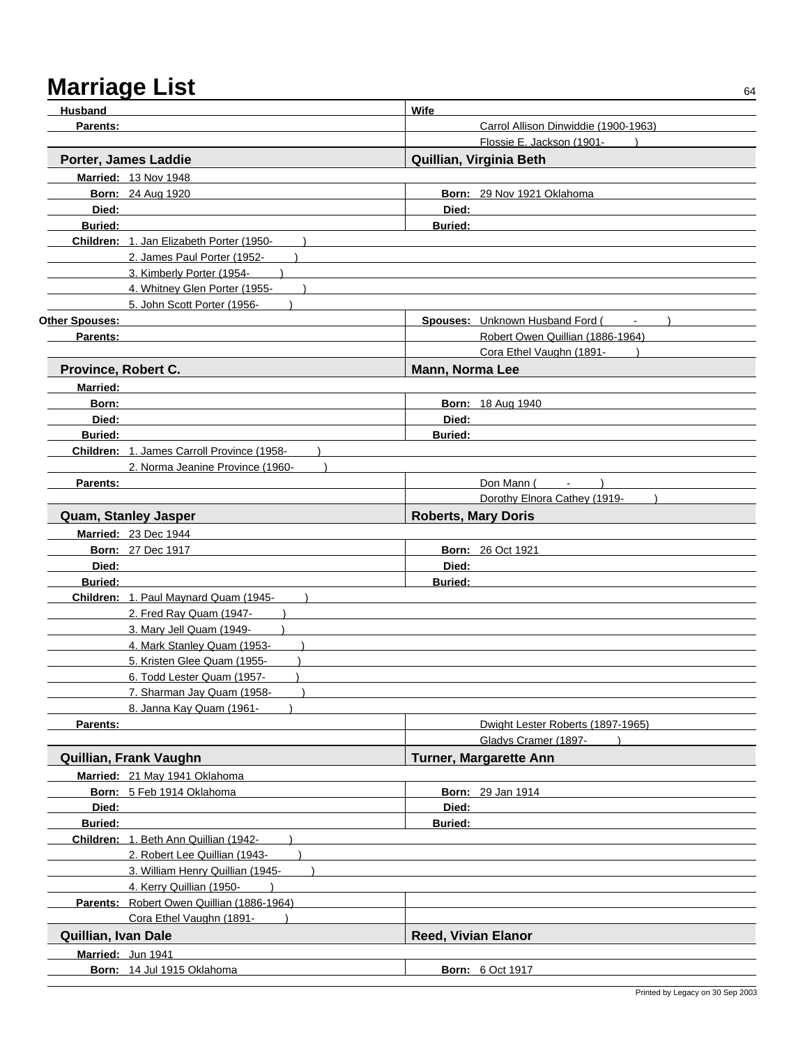| <b>Husband</b>      |                                            | Wife                       |                                      |
|---------------------|--------------------------------------------|----------------------------|--------------------------------------|
| Parents:            |                                            |                            | Carrol Allison Dinwiddie (1900-1963) |
|                     |                                            |                            | Flossie E. Jackson (1901-            |
|                     | Porter, James Laddie                       |                            | Quillian, Virginia Beth              |
|                     | <b>Married: 13 Nov 1948</b>                |                            |                                      |
|                     | <b>Born: 24 Aug 1920</b>                   |                            | Born: 29 Nov 1921 Oklahoma           |
| Died:               |                                            | Died:                      |                                      |
| <b>Buried:</b>      |                                            | <b>Buried:</b>             |                                      |
|                     | Children: 1. Jan Elizabeth Porter (1950-   |                            |                                      |
|                     | 2. James Paul Porter (1952-                |                            |                                      |
|                     | 3. Kimberly Porter (1954-                  |                            |                                      |
|                     | 4. Whitney Glen Porter (1955-              |                            |                                      |
|                     | 5. John Scott Porter (1956-                |                            |                                      |
| Other Spouses:      |                                            |                            | Spouses: Unknown Husband Ford (      |
| Parents:            |                                            |                            | Robert Owen Quillian (1886-1964)     |
|                     |                                            |                            | Cora Ethel Vaughn (1891-             |
| Province, Robert C. |                                            | Mann, Norma Lee            |                                      |
| <b>Married:</b>     |                                            |                            |                                      |
| Born:               |                                            |                            | <b>Born: 18 Aug 1940</b>             |
| Died:               |                                            | Died:                      |                                      |
| <b>Buried:</b>      |                                            | <b>Buried:</b>             |                                      |
|                     | Children: 1. James Carroll Province (1958- |                            |                                      |
|                     | 2. Norma Jeanine Province (1960-           |                            |                                      |
| Parents:            |                                            |                            | Don Mann (                           |
|                     |                                            |                            | Dorothy Elnora Cathey (1919-         |
|                     | Quam, Stanley Jasper                       | <b>Roberts, Mary Doris</b> |                                      |
|                     | Married: 23 Dec 1944                       |                            |                                      |
|                     | <b>Born: 27 Dec 1917</b>                   |                            | <b>Born: 26 Oct 1921</b>             |
| Died:               |                                            | Died:                      |                                      |
| <b>Buried:</b>      |                                            | <b>Buried:</b>             |                                      |
|                     | Children: 1. Paul Maynard Quam (1945-      |                            |                                      |
|                     | 2. Fred Ray Quam (1947-                    |                            |                                      |
|                     | 3. Mary Jell Quam (1949-                   |                            |                                      |
|                     | 4. Mark Stanley Quam (1953-                |                            |                                      |
|                     | 5. Kristen Glee Quam (1955-                |                            |                                      |
|                     | 6. Todd Lester Quam (1957-                 |                            |                                      |
|                     | 7. Sharman Jay Quam (1958-<br>$\lambda$    |                            |                                      |
|                     | 8. Janna Kay Quam (1961-                   |                            |                                      |
| Parents:            |                                            |                            | Dwight Lester Roberts (1897-1965)    |
|                     |                                            |                            | Gladys Cramer (1897-                 |
|                     | Quillian, Frank Vaughn                     |                            | <b>Turner, Margarette Ann</b>        |
|                     | Married: 21 May 1941 Oklahoma              |                            |                                      |
|                     | Born: 5 Feb 1914 Oklahoma                  |                            | <b>Born: 29 Jan 1914</b>             |
| Died:               |                                            | Died:                      |                                      |
| Buried:             |                                            | Buried:                    |                                      |
|                     | Children: 1. Beth Ann Quillian (1942-      |                            |                                      |
|                     | 2. Robert Lee Quillian (1943-              |                            |                                      |
|                     | 3. William Henry Quillian (1945-           |                            |                                      |
|                     | 4. Kerry Quillian (1950-                   |                            |                                      |
|                     | Parents: Robert Owen Quillian (1886-1964)  |                            |                                      |
|                     | Cora Ethel Vaughn (1891-                   |                            |                                      |
| Quillian, Ivan Dale |                                            | <b>Reed, Vivian Elanor</b> |                                      |
|                     | Married: Jun 1941                          |                            |                                      |
|                     | Born: 14 Jul 1915 Oklahoma                 |                            | <b>Born: 6 Oct 1917</b>              |
|                     |                                            |                            |                                      |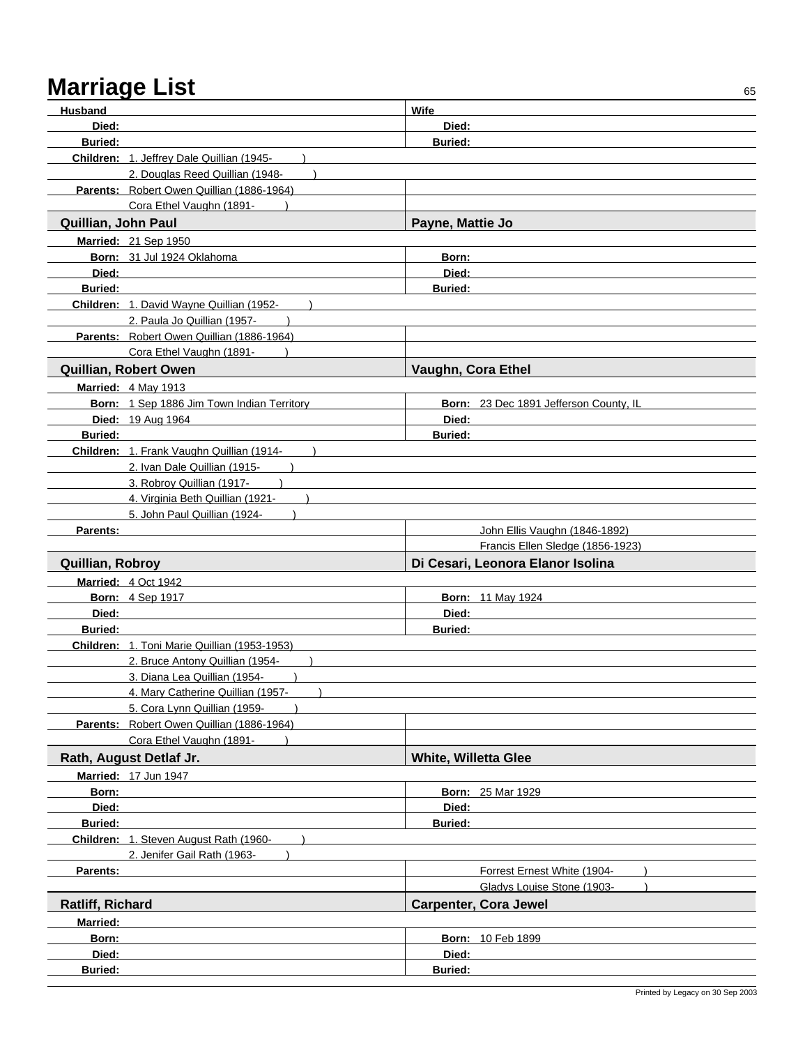| Husband             |                                                               | Wife                                                      |
|---------------------|---------------------------------------------------------------|-----------------------------------------------------------|
| Died:               |                                                               | Died:                                                     |
| <b>Buried:</b>      |                                                               | <b>Buried:</b>                                            |
|                     | Children: 1. Jeffrey Dale Quillian (1945-                     |                                                           |
|                     | 2. Douglas Reed Quillian (1948-                               |                                                           |
|                     | Parents: Robert Owen Quillian (1886-1964)                     |                                                           |
|                     | Cora Ethel Vaughn (1891-                                      |                                                           |
| Quillian, John Paul |                                                               | Payne, Mattie Jo                                          |
|                     | Married: 21 Sep 1950                                          |                                                           |
|                     | Born: 31 Jul 1924 Oklahoma                                    | Born:                                                     |
| Died:               |                                                               | Died:                                                     |
| <b>Buried:</b>      |                                                               | <b>Buried:</b>                                            |
|                     | Children: 1. David Wayne Quillian (1952-                      |                                                           |
|                     | 2. Paula Jo Quillian (1957-                                   |                                                           |
|                     | Parents: Robert Owen Quillian (1886-1964)                     |                                                           |
|                     | Cora Ethel Vaughn (1891-                                      |                                                           |
|                     | Quillian, Robert Owen                                         | Vaughn, Cora Ethel                                        |
|                     | <b>Married: 4 May 1913</b>                                    |                                                           |
|                     | Born: 1 Sep 1886 Jim Town Indian Territory                    | Born: 23 Dec 1891 Jefferson County, IL                    |
|                     | Died: 19 Aug 1964                                             | Died:                                                     |
| <b>Buried:</b>      |                                                               | <b>Buried:</b>                                            |
|                     | Children: 1. Frank Vaughn Quillian (1914-                     |                                                           |
|                     | 2. Ivan Dale Quillian (1915-                                  |                                                           |
|                     | 3. Robroy Quillian (1917-<br>4. Virginia Beth Quillian (1921- |                                                           |
|                     | 5. John Paul Quillian (1924-                                  |                                                           |
| Parents:            |                                                               | John Ellis Vaughn (1846-1892)                             |
|                     |                                                               | Francis Ellen Sledge (1856-1923)                          |
| Quillian, Robroy    |                                                               | Di Cesari, Leonora Elanor Isolina                         |
|                     | Married: 4 Oct 1942                                           |                                                           |
|                     | <b>Born: 4 Sep 1917</b>                                       | <b>Born: 11 May 1924</b>                                  |
| Died:               |                                                               | Died:                                                     |
| <b>Buried:</b>      |                                                               | <b>Buried:</b>                                            |
|                     | Children: 1. Toni Marie Quillian (1953-1953)                  |                                                           |
|                     | 2. Bruce Antony Quillian (1954-                               |                                                           |
|                     | 3. Diana Lea Quillian (1954-                                  |                                                           |
|                     | 4. Mary Catherine Quillian (1957-                             |                                                           |
|                     | 5. Cora Lynn Quillian (1959-                                  |                                                           |
|                     | Parents: Robert Owen Quillian (1886-1964)                     |                                                           |
|                     | Cora Ethel Vaughn (1891-                                      |                                                           |
|                     | Rath, August Detlaf Jr.                                       | White, Willetta Glee                                      |
|                     | Married: 17 Jun 1947                                          |                                                           |
| Born:               |                                                               | <b>Born: 25 Mar 1929</b>                                  |
| Died:               |                                                               | Died:                                                     |
| <b>Buried:</b>      |                                                               | <b>Buried:</b>                                            |
|                     | Children: 1. Steven August Rath (1960-                        |                                                           |
|                     | 2. Jenifer Gail Rath (1963-                                   |                                                           |
| Parents:            |                                                               | Forrest Ernest White (1904-<br>Gladys Louise Stone (1903- |
| Ratliff, Richard    |                                                               | <b>Carpenter, Cora Jewel</b>                              |
|                     |                                                               |                                                           |
| <b>Married:</b>     |                                                               |                                                           |
| Born:<br>Died:      |                                                               | Born: 10 Feb 1899<br>Died:                                |
| Buried:             |                                                               | Buried:                                                   |
|                     |                                                               |                                                           |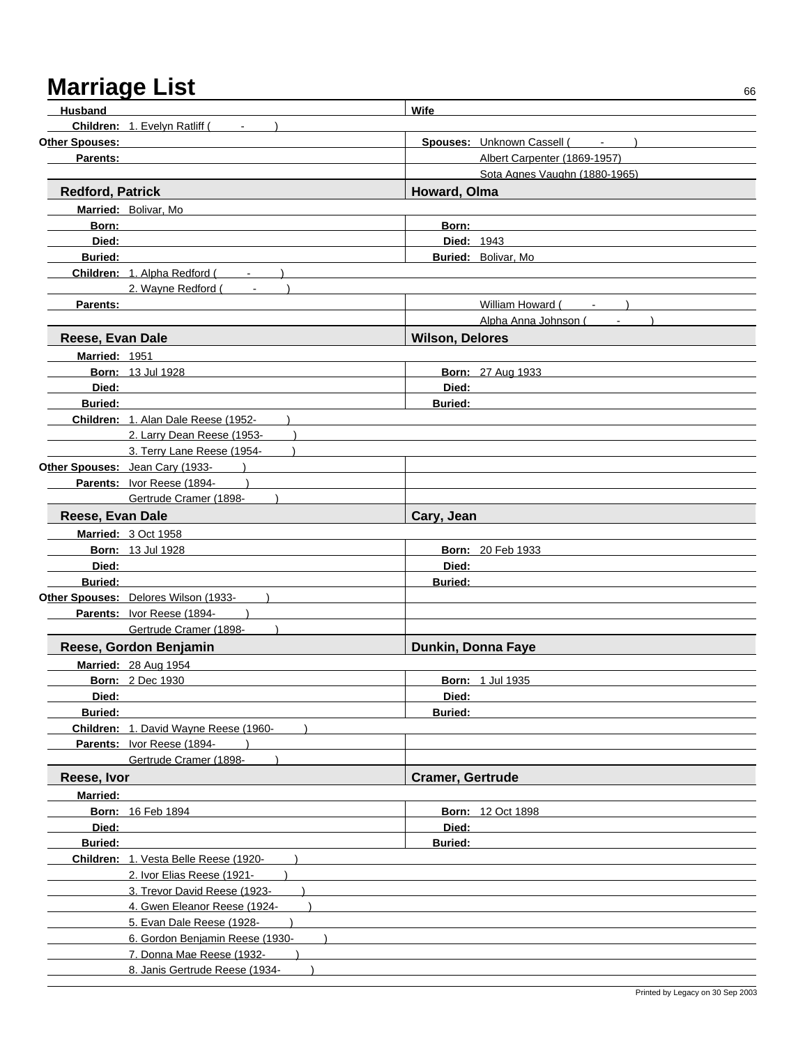# Marriage List **Marriage List**66

| Husband                 |                                                                                 | Wife                    |                                     |
|-------------------------|---------------------------------------------------------------------------------|-------------------------|-------------------------------------|
|                         | Children: 1. Evelyn Ratliff (Fig. 1884)                                         |                         |                                     |
| Other Spouses:          |                                                                                 |                         | Spouses: Unknown Cassell (<br>$  )$ |
| Parents:                |                                                                                 |                         | Albert Carpenter (1869-1957)        |
|                         |                                                                                 |                         | Sota Agnes Vaughn (1880-1965)       |
| <b>Redford, Patrick</b> |                                                                                 | Howard, Olma            |                                     |
|                         | Married: Bolivar, Mo                                                            |                         |                                     |
| Born:                   |                                                                                 | Born:                   |                                     |
| Died:                   |                                                                                 | <b>Died: 1943</b>       |                                     |
| <b>Buried:</b>          |                                                                                 |                         | Buried: Bolivar, Mo                 |
|                         | Children: 1. Alpha Redford (Fig. 2015)                                          |                         |                                     |
|                         | 2. Wayne Redford (<br>$\mathcal{L}_{\text{max}}$ and $\mathcal{L}_{\text{max}}$ |                         |                                     |
| Parents:                |                                                                                 |                         | William Howard (Fig. 1)             |
|                         |                                                                                 |                         | Alpha Anna Johnson (                |
|                         |                                                                                 |                         |                                     |
| Reese, Evan Dale        |                                                                                 | <b>Wilson, Delores</b>  |                                     |
| Married: 1951           |                                                                                 |                         |                                     |
|                         | <b>Born: 13 Jul 1928</b>                                                        |                         | <b>Born: 27 Aug 1933</b>            |
| Died:                   |                                                                                 | Died:                   |                                     |
| <b>Buried:</b>          |                                                                                 | <b>Buried:</b>          |                                     |
|                         | Children: 1. Alan Dale Reese (1952-                                             |                         |                                     |
|                         | 2. Larry Dean Reese (1953-                                                      |                         |                                     |
|                         | 3. Terry Lane Reese (1954-                                                      |                         |                                     |
|                         | Other Spouses: Jean Cary (1933-                                                 |                         |                                     |
|                         | Parents: Ivor Reese (1894-                                                      |                         |                                     |
|                         | Gertrude Cramer (1898-                                                          |                         |                                     |
| Reese, Evan Dale        |                                                                                 | Cary, Jean              |                                     |
|                         | <b>Married: 3 Oct 1958</b>                                                      |                         |                                     |
|                         | <b>Born: 13 Jul 1928</b>                                                        |                         | <b>Born: 20 Feb 1933</b>            |
| Died:                   |                                                                                 | Died:                   |                                     |
| <b>Buried:</b>          |                                                                                 | <b>Buried:</b>          |                                     |
|                         | Other Spouses: Delores Wilson (1933-                                            |                         |                                     |
|                         | Parents: Ivor Reese (1894-                                                      |                         |                                     |
|                         | Gertrude Cramer (1898-                                                          |                         |                                     |
|                         | Reese, Gordon Benjamin                                                          | Dunkin, Donna Faye      |                                     |
|                         | <b>Married: 28 Aug 1954</b>                                                     |                         |                                     |
|                         | <b>Born: 2 Dec 1930</b>                                                         |                         | <b>Born: 1 Jul 1935</b>             |
| Died:                   |                                                                                 | Died:                   |                                     |
| <b>Buried:</b>          |                                                                                 | <b>Buried:</b>          |                                     |
|                         | Children: 1. David Wayne Reese (1960-                                           |                         |                                     |
|                         | Parents: Ivor Reese (1894-                                                      |                         |                                     |
|                         | Gertrude Cramer (1898-                                                          |                         |                                     |
| Reese, Ivor             |                                                                                 | <b>Cramer, Gertrude</b> |                                     |
| <b>Married:</b>         |                                                                                 |                         |                                     |
|                         | Born: 16 Feb 1894                                                               |                         | <b>Born: 12 Oct 1898</b>            |
| Died:                   |                                                                                 | Died:                   |                                     |
| <b>Buried:</b>          |                                                                                 | <b>Buried:</b>          |                                     |
|                         | Children: 1. Vesta Belle Reese (1920-                                           |                         |                                     |
|                         | 2. Ivor Elias Reese (1921-                                                      |                         |                                     |
|                         | 3. Trevor David Reese (1923-                                                    |                         |                                     |
|                         | 4. Gwen Eleanor Reese (1924-                                                    |                         |                                     |
|                         | 5. Evan Dale Reese (1928-                                                       |                         |                                     |
|                         | 6. Gordon Benjamin Reese (1930-                                                 |                         |                                     |
|                         | 7. Donna Mae Reese (1932-                                                       |                         |                                     |
|                         | 8. Janis Gertrude Reese (1934-                                                  |                         |                                     |
|                         |                                                                                 |                         |                                     |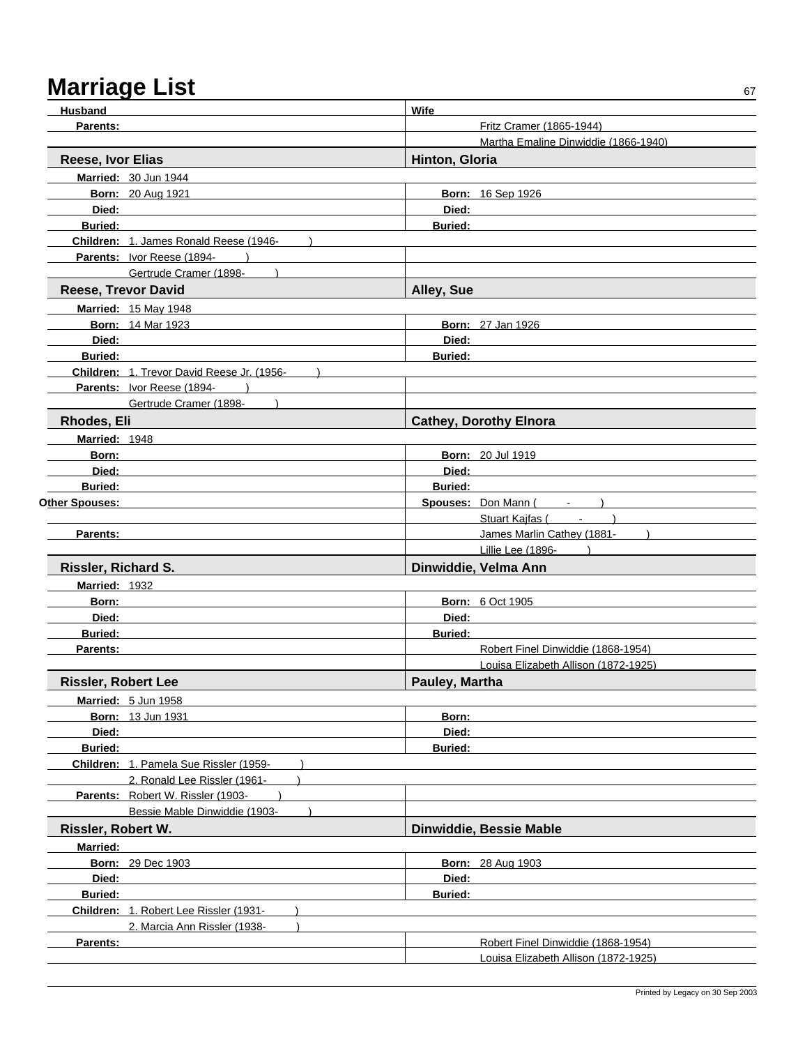| <b>Husband</b>             |                                            | Wife           |                                                      |
|----------------------------|--------------------------------------------|----------------|------------------------------------------------------|
| Parents:                   |                                            |                | Fritz Cramer (1865-1944)                             |
|                            |                                            |                | Martha Emaline Dinwiddie (1866-1940)                 |
| Reese, Ivor Elias          |                                            | Hinton, Gloria |                                                      |
|                            | Married: 30 Jun 1944                       |                |                                                      |
|                            | <b>Born: 20 Aug 1921</b>                   |                | Born: 16 Sep 1926                                    |
| Died:                      |                                            | Died:          |                                                      |
| <b>Buried:</b>             |                                            | <b>Buried:</b> |                                                      |
|                            | Children: 1. James Ronald Reese (1946-     |                |                                                      |
|                            | Parents: Ivor Reese (1894-                 |                |                                                      |
|                            | Gertrude Cramer (1898-                     |                |                                                      |
| <b>Reese, Trevor David</b> |                                            | Alley, Sue     |                                                      |
|                            | <b>Married: 15 May 1948</b>                |                |                                                      |
|                            | <b>Born: 14 Mar 1923</b>                   |                | <b>Born: 27 Jan 1926</b>                             |
| Died:                      |                                            | Died:          |                                                      |
| <b>Buried:</b>             |                                            | <b>Buried:</b> |                                                      |
|                            | Children: 1. Trevor David Reese Jr. (1956- |                |                                                      |
|                            | Parents: Ivor Reese (1894-                 |                |                                                      |
|                            | Gertrude Cramer (1898-                     |                |                                                      |
| <b>Rhodes, Eli</b>         |                                            |                | <b>Cathey, Dorothy Elnora</b>                        |
| Married: 1948              |                                            |                |                                                      |
| Born:                      |                                            |                | <b>Born: 20 Jul 1919</b>                             |
| Died:                      |                                            | Died:          |                                                      |
| <b>Buried:</b>             |                                            | <b>Buried:</b> |                                                      |
| Other Spouses:             |                                            |                | Spouses: Don Mann (                                  |
|                            |                                            |                | Stuart Kajfas (Fig. 1991)                            |
| Parents:                   |                                            |                | James Marlin Cathey (1881-1997)<br>Lillie Lee (1896- |
|                            |                                            |                | Dinwiddie, Velma Ann                                 |
| Rissler, Richard S.        |                                            |                |                                                      |
| <b>Married: 1932</b>       |                                            |                |                                                      |
| Born:                      |                                            | Died:          | <b>Born: 6 Oct 1905</b>                              |
| Died:<br><b>Buried:</b>    |                                            | <b>Buried:</b> |                                                      |
| Parents:                   |                                            |                | Robert Finel Dinwiddie (1868-1954)                   |
|                            |                                            |                | Louisa Elizabeth Allison (1872-1925)                 |
| <b>Rissler, Robert Lee</b> |                                            | Pauley, Martha |                                                      |
|                            | Married: 5 Jun 1958                        |                |                                                      |
|                            | <b>Born: 13 Jun 1931</b>                   | Born:          |                                                      |
| Died:                      |                                            | Died:          |                                                      |
| Buried:                    |                                            | <b>Buried:</b> |                                                      |
|                            | Children: 1. Pamela Sue Rissler (1959-     |                |                                                      |
|                            | 2. Ronald Lee Rissler (1961-               |                |                                                      |
|                            | Parents: Robert W. Rissler (1903-          |                |                                                      |
|                            | Bessie Mable Dinwiddie (1903-              |                |                                                      |
| Rissler, Robert W.         |                                            |                | Dinwiddie, Bessie Mable                              |
| <b>Married:</b>            |                                            |                |                                                      |
|                            | <b>Born: 29 Dec 1903</b>                   |                | <b>Born: 28 Aug 1903</b>                             |
| Died:                      |                                            | Died:          |                                                      |
| Buried:                    |                                            | <b>Buried:</b> |                                                      |
|                            | Children: 1. Robert Lee Rissler (1931-     |                |                                                      |
|                            | 2. Marcia Ann Rissler (1938-               |                |                                                      |
| Parents:                   |                                            |                | Robert Finel Dinwiddie (1868-1954)                   |
|                            |                                            |                | Louisa Elizabeth Allison (1872-1925)                 |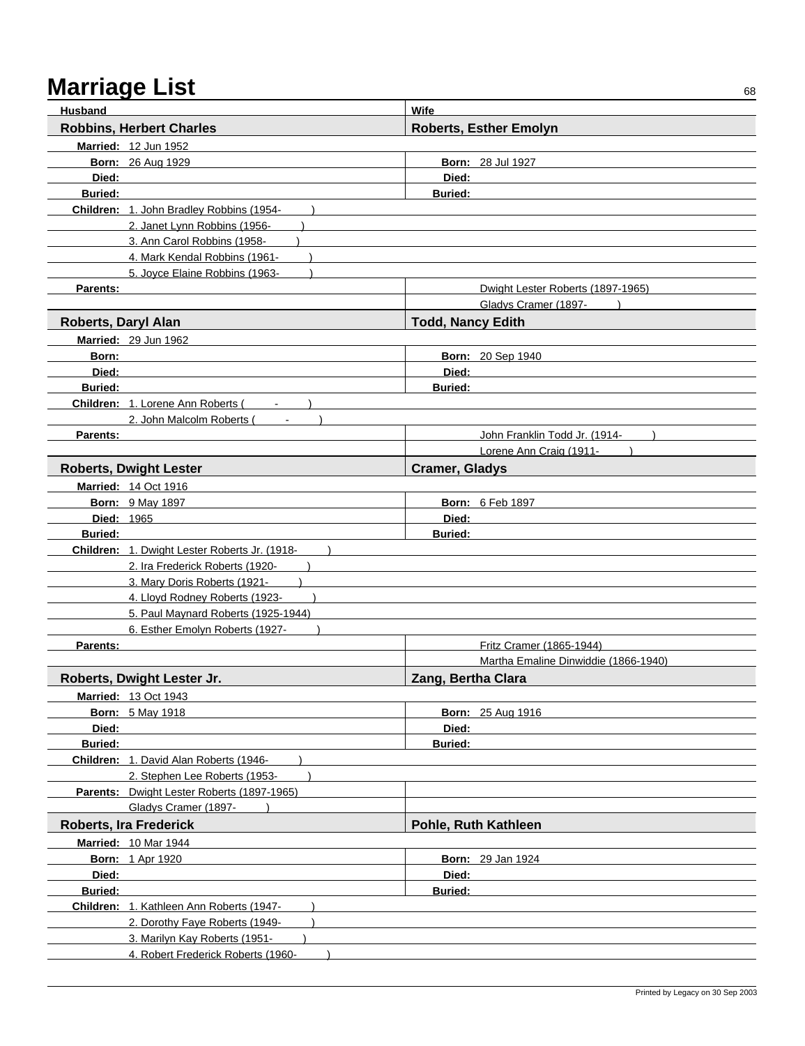| <b>Husband</b>      |                                               | <b>Wife</b>                          |  |
|---------------------|-----------------------------------------------|--------------------------------------|--|
|                     | <b>Robbins, Herbert Charles</b>               | <b>Roberts, Esther Emolyn</b>        |  |
|                     | Married: 12 Jun 1952                          |                                      |  |
|                     | <b>Born: 26 Aug 1929</b>                      | <b>Born: 28 Jul 1927</b>             |  |
| Died:               |                                               | Died:                                |  |
| <b>Buried:</b>      |                                               | <b>Buried:</b>                       |  |
|                     | Children: 1. John Bradley Robbins (1954-      |                                      |  |
|                     | 2. Janet Lynn Robbins (1956-                  |                                      |  |
|                     | 3. Ann Carol Robbins (1958-                   |                                      |  |
|                     | 4. Mark Kendal Robbins (1961-                 |                                      |  |
|                     | 5. Joyce Elaine Robbins (1963-                |                                      |  |
| Parents:            |                                               | Dwight Lester Roberts (1897-1965)    |  |
|                     |                                               | Gladys Cramer (1897-                 |  |
| Roberts, Daryl Alan |                                               | <b>Todd, Nancy Edith</b>             |  |
|                     | Married: 29 Jun 1962                          |                                      |  |
| Born:               |                                               | <b>Born: 20 Sep 1940</b>             |  |
| Died:               |                                               | Died:                                |  |
| <b>Buried:</b>      |                                               | <b>Buried:</b>                       |  |
|                     | Children: 1. Lorene Ann Roberts (             |                                      |  |
|                     | 2. John Malcolm Roberts (                     |                                      |  |
| <b>Parents:</b>     |                                               | John Franklin Todd Jr. (1914-        |  |
|                     |                                               | Lorene Ann Craig (1911-              |  |
|                     | <b>Roberts, Dwight Lester</b>                 | <b>Cramer, Gladys</b>                |  |
|                     | Married: 14 Oct 1916                          |                                      |  |
|                     | <b>Born: 9 May 1897</b>                       | <b>Born: 6 Feb 1897</b>              |  |
| Died: 1965          |                                               | Died:                                |  |
| <b>Buried:</b>      |                                               | <b>Buried:</b>                       |  |
|                     | Children: 1. Dwight Lester Roberts Jr. (1918- |                                      |  |
|                     | 2. Ira Frederick Roberts (1920-               |                                      |  |
|                     | 3. Mary Doris Roberts (1921-                  |                                      |  |
|                     | 4. Lloyd Rodney Roberts (1923-                |                                      |  |
|                     | 5. Paul Maynard Roberts (1925-1944)           |                                      |  |
|                     | 6. Esther Emolyn Roberts (1927-               |                                      |  |
| <b>Parents:</b>     |                                               | Fritz Cramer (1865-1944)             |  |
|                     |                                               | Martha Emaline Dinwiddie (1866-1940) |  |
|                     | Roberts, Dwight Lester Jr.                    | Zang, Bertha Clara                   |  |
|                     | <b>Married: 13 Oct 1943</b>                   |                                      |  |
|                     | <b>Born: 5 May 1918</b>                       | <b>Born: 25 Aug 1916</b>             |  |
| Died:               |                                               | Died:                                |  |
| <b>Buried:</b>      |                                               | <b>Buried:</b>                       |  |
|                     | Children: 1. David Alan Roberts (1946-        |                                      |  |
|                     | 2. Stephen Lee Roberts (1953-                 |                                      |  |
|                     | Parents: Dwight Lester Roberts (1897-1965)    |                                      |  |
|                     | Gladys Cramer (1897-                          |                                      |  |
|                     | <b>Roberts, Ira Frederick</b>                 | Pohle, Ruth Kathleen                 |  |
|                     | <b>Married: 10 Mar 1944</b>                   |                                      |  |
|                     | <b>Born: 1 Apr 1920</b>                       | <b>Born: 29 Jan 1924</b>             |  |
| Died:               |                                               | Died:                                |  |
| Buried:             |                                               | <b>Buried:</b>                       |  |
|                     | Children: 1. Kathleen Ann Roberts (1947-      |                                      |  |
|                     | 2. Dorothy Faye Roberts (1949-                |                                      |  |
|                     | 3. Marilyn Kay Roberts (1951-                 |                                      |  |
|                     | 4. Robert Frederick Roberts (1960-            |                                      |  |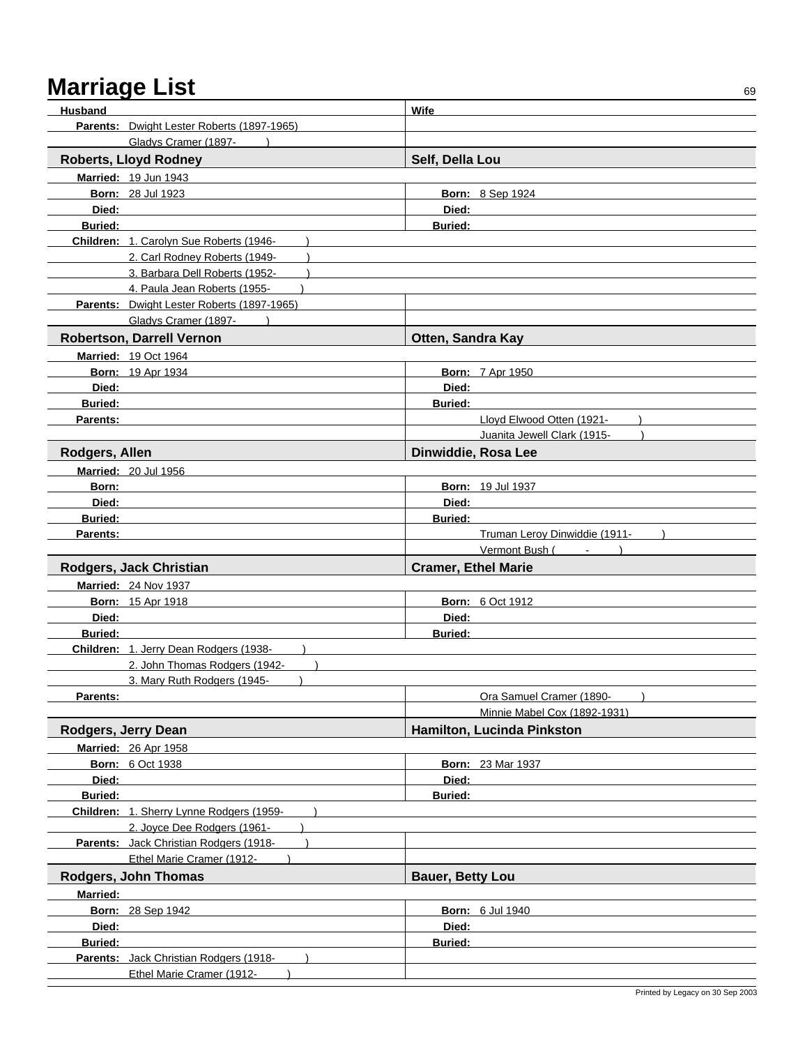| Husband             |                                                                     | Wife                          |
|---------------------|---------------------------------------------------------------------|-------------------------------|
|                     | Parents: Dwight Lester Roberts (1897-1965)                          |                               |
|                     | Gladys Cramer (1897-                                                |                               |
|                     | <b>Roberts, Lloyd Rodney</b>                                        | Self, Della Lou               |
|                     | Married: 19 Jun 1943                                                |                               |
|                     | <b>Born: 28 Jul 1923</b>                                            | <b>Born: 8 Sep 1924</b>       |
| Died:               |                                                                     | Died:                         |
| <b>Buried:</b>      |                                                                     | <b>Buried:</b>                |
|                     | Children: 1. Carolyn Sue Roberts (1946-                             |                               |
|                     | 2. Carl Rodney Roberts (1949-                                       |                               |
|                     | 3. Barbara Dell Roberts (1952-                                      |                               |
|                     | 4. Paula Jean Roberts (1955-                                        |                               |
|                     | Parents: Dwight Lester Roberts (1897-1965)                          |                               |
|                     | Gladys Cramer (1897-                                                |                               |
|                     | Robertson, Darrell Vernon                                           | Otten, Sandra Kay             |
|                     | <b>Married: 19 Oct 1964</b>                                         |                               |
|                     | <b>Born: 19 Apr 1934</b>                                            | <b>Born: 7 Apr 1950</b>       |
| Died:               |                                                                     | Died:                         |
| <b>Buried:</b>      |                                                                     | <b>Buried:</b>                |
| Parents:            |                                                                     | Lloyd Elwood Otten (1921-     |
|                     |                                                                     | Juanita Jewell Clark (1915-   |
| Rodgers, Allen      |                                                                     | Dinwiddie, Rosa Lee           |
|                     | Married: 20 Jul 1956                                                |                               |
| Born:               |                                                                     | <b>Born: 19 Jul 1937</b>      |
| Died:               |                                                                     | Died:                         |
| <b>Buried:</b>      |                                                                     | <b>Buried:</b>                |
| Parents:            |                                                                     | Truman Leroy Dinwiddie (1911- |
|                     |                                                                     |                               |
|                     |                                                                     | Vermont Bush (<br>$\sim$      |
|                     | Rodgers, Jack Christian                                             | <b>Cramer, Ethel Marie</b>    |
|                     | <b>Married: 24 Nov 1937</b>                                         |                               |
|                     | <b>Born: 15 Apr 1918</b>                                            | <b>Born: 6 Oct 1912</b>       |
| Died:               |                                                                     | Died:                         |
| <b>Buried:</b>      |                                                                     | Buried:                       |
|                     | Children: 1. Jerry Dean Rodgers (1938-                              |                               |
|                     | 2. John Thomas Rodgers (1942-                                       |                               |
|                     | 3. Mary Ruth Rodgers (1945-                                         |                               |
| Parents:            |                                                                     | Ora Samuel Cramer (1890-      |
|                     |                                                                     | Minnie Mabel Cox (1892-1931)  |
| Rodgers, Jerry Dean |                                                                     | Hamilton, Lucinda Pinkston    |
|                     | Married: 26 Apr 1958                                                |                               |
|                     | <b>Born: 6 Oct 1938</b>                                             | Born: 23 Mar 1937             |
| Died:               |                                                                     | Died:                         |
| <b>Buried:</b>      |                                                                     | <b>Buried:</b>                |
|                     | Children: 1. Sherry Lynne Rodgers (1959-                            |                               |
|                     | 2. Joyce Dee Rodgers (1961-                                         |                               |
|                     | Parents: Jack Christian Rodgers (1918-                              |                               |
|                     | Ethel Marie Cramer (1912-                                           |                               |
|                     | Rodgers, John Thomas                                                | <b>Bauer, Betty Lou</b>       |
| <b>Married:</b>     |                                                                     |                               |
|                     | <b>Born: 28 Sep 1942</b>                                            | <b>Born: 6 Jul 1940</b>       |
| Died:               |                                                                     | Died:                         |
| <b>Buried:</b>      |                                                                     | <b>Buried:</b>                |
|                     | Parents: Jack Christian Rodgers (1918-<br>Ethel Marie Cramer (1912- |                               |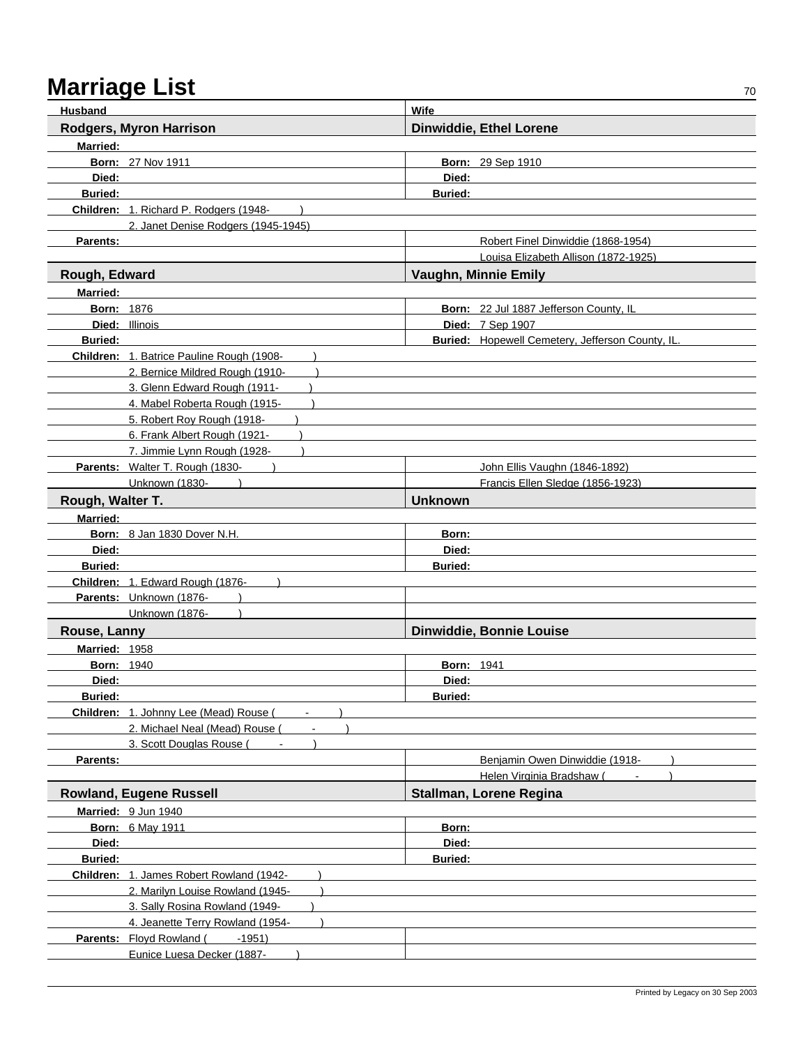| <b>Husband</b>    |                                           | Wife                                                    |  |
|-------------------|-------------------------------------------|---------------------------------------------------------|--|
|                   | Rodgers, Myron Harrison                   | <b>Dinwiddie, Ethel Lorene</b>                          |  |
| <b>Married:</b>   |                                           |                                                         |  |
|                   | <b>Born: 27 Nov 1911</b>                  | Born: 29 Sep 1910                                       |  |
| Died:             |                                           | Died:                                                   |  |
| <b>Buried:</b>    |                                           | <b>Buried:</b>                                          |  |
|                   | Children: 1. Richard P. Rodgers (1948-    |                                                         |  |
|                   | 2. Janet Denise Rodgers (1945-1945)       |                                                         |  |
| Parents:          |                                           | Robert Finel Dinwiddie (1868-1954)                      |  |
|                   |                                           | Louisa Elizabeth Allison (1872-1925)                    |  |
| Rough, Edward     |                                           | Vaughn, Minnie Emily                                    |  |
| <b>Married:</b>   |                                           |                                                         |  |
| <b>Born: 1876</b> |                                           | Born: 22 Jul 1887 Jefferson County, IL                  |  |
|                   | <b>Died: Illinois</b>                     | Died: 7 Sep 1907                                        |  |
| <b>Buried:</b>    |                                           | <b>Buried:</b> Hopewell Cemetery, Jefferson County, IL. |  |
|                   | Children: 1. Batrice Pauline Rough (1908- |                                                         |  |
|                   | 2. Bernice Mildred Rough (1910-           |                                                         |  |
|                   | 3. Glenn Edward Rough (1911-              |                                                         |  |
|                   | 4. Mabel Roberta Rough (1915-             |                                                         |  |
|                   | 5. Robert Roy Rough (1918-                |                                                         |  |
|                   | 6. Frank Albert Rough (1921-              |                                                         |  |
|                   | 7. Jimmie Lynn Rough (1928-               |                                                         |  |
|                   | Parents: Walter T. Rough (1830-           | John Ellis Vaughn (1846-1892)                           |  |
|                   | Unknown (1830-                            | Francis Ellen Sledge (1856-1923)                        |  |
| Rough, Walter T.  |                                           | <b>Unknown</b>                                          |  |
| Married:          |                                           |                                                         |  |
|                   | Born: 8 Jan 1830 Dover N.H.               | Born:                                                   |  |
| Died:             |                                           | Died:                                                   |  |
| <b>Buried:</b>    |                                           | <b>Buried:</b>                                          |  |
|                   | Children: 1. Edward Rough (1876-          |                                                         |  |
|                   | Parents: Unknown (1876-                   |                                                         |  |
|                   | Unknown (1876-                            |                                                         |  |
| Rouse, Lanny      |                                           | Dinwiddie, Bonnie Louise                                |  |
| Married: 1958     |                                           |                                                         |  |
| <b>Born: 1940</b> |                                           | <b>Born: 1941</b>                                       |  |
| Died:             |                                           | Died:                                                   |  |
| <b>Buried:</b>    |                                           | <b>Buried:</b>                                          |  |
|                   | Children: 1. Johnny Lee (Mead) Rouse (    |                                                         |  |
|                   | 2. Michael Neal (Mead) Rouse (            |                                                         |  |
|                   | 3. Scott Douglas Rouse (                  |                                                         |  |
| Parents:          |                                           | Benjamin Owen Dinwiddie (1918-                          |  |
|                   |                                           | Helen Virginia Bradshaw (                               |  |
|                   | <b>Rowland, Eugene Russell</b>            | Stallman, Lorene Regina                                 |  |
|                   | Married: 9 Jun 1940                       |                                                         |  |
|                   | <b>Born: 6 May 1911</b>                   | Born:                                                   |  |
| Died:             |                                           | Died:                                                   |  |
| <b>Buried:</b>    |                                           | <b>Buried:</b>                                          |  |
|                   | Children: 1. James Robert Rowland (1942-  |                                                         |  |
|                   | 2. Marilyn Louise Rowland (1945-          |                                                         |  |
|                   | 3. Sally Rosina Rowland (1949-            |                                                         |  |
|                   | 4. Jeanette Terry Rowland (1954-          |                                                         |  |
|                   | Parents: Floyd Rowland (<br>$-1951)$      |                                                         |  |
|                   | Eunice Luesa Decker (1887-                |                                                         |  |
|                   |                                           |                                                         |  |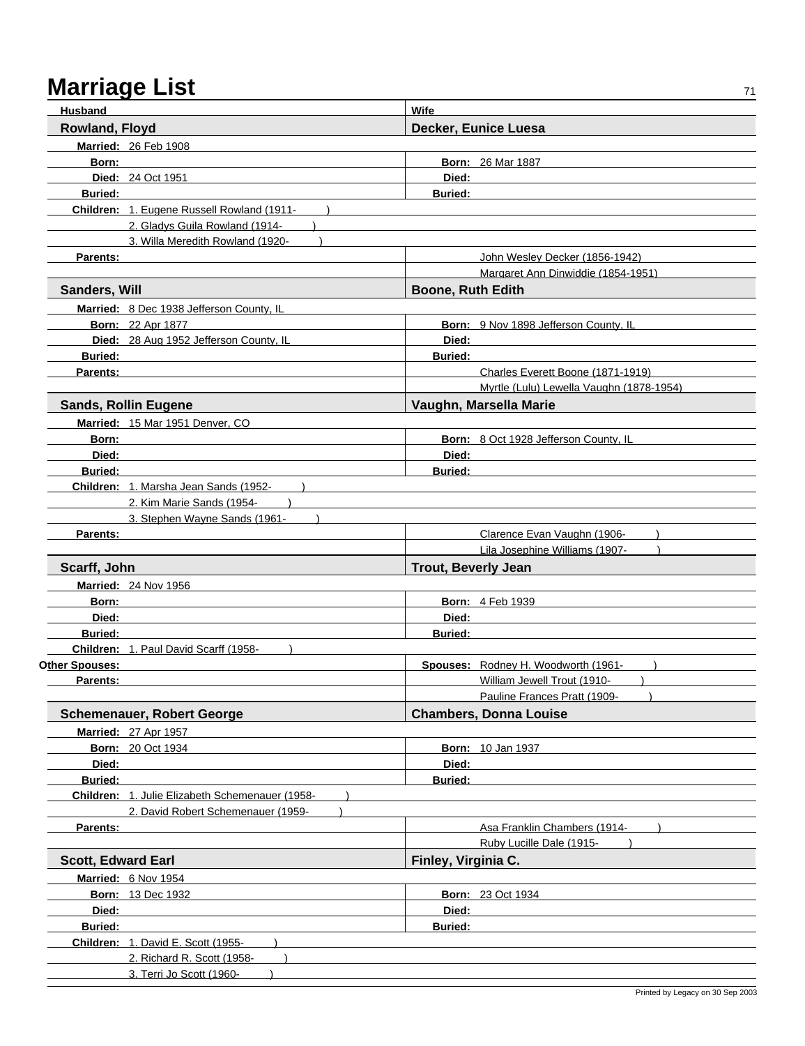| Husband                   |                                                 | <b>Wife</b>                                                                   |  |
|---------------------------|-------------------------------------------------|-------------------------------------------------------------------------------|--|
| Rowland, Floyd            |                                                 | Decker, Eunice Luesa                                                          |  |
|                           | <b>Married: 26 Feb 1908</b>                     |                                                                               |  |
| Born:                     |                                                 | <b>Born: 26 Mar 1887</b>                                                      |  |
|                           | <b>Died: 24 Oct 1951</b>                        | Died:                                                                         |  |
| <b>Buried:</b>            |                                                 | <b>Buried:</b>                                                                |  |
|                           | Children: 1. Eugene Russell Rowland (1911-      |                                                                               |  |
|                           | 2. Gladys Guila Rowland (1914-                  |                                                                               |  |
|                           | 3. Willa Meredith Rowland (1920-                |                                                                               |  |
| Parents:                  |                                                 | John Wesley Decker (1856-1942)                                                |  |
|                           |                                                 | Margaret Ann Dinwiddie (1854-1951)                                            |  |
| Sanders, Will             |                                                 | <b>Boone, Ruth Edith</b>                                                      |  |
|                           | Married: 8 Dec 1938 Jefferson County, IL        |                                                                               |  |
|                           | <b>Born: 22 Apr 1877</b>                        | Born: 9 Nov 1898 Jefferson County, IL                                         |  |
|                           | Died: 28 Aug 1952 Jefferson County, IL          | Died:                                                                         |  |
|                           | <b>Buried: Example 2019</b>                     | <b>Buried:</b>                                                                |  |
| <b>Parents:</b>           |                                                 | Charles Everett Boone (1871-1919)<br>Myrtle (Lulu) Lewella Vaughn (1878-1954) |  |
|                           | <b>Sands, Rollin Eugene</b>                     | Vaughn, Marsella Marie                                                        |  |
|                           |                                                 |                                                                               |  |
| Born:                     | Married: 15 Mar 1951 Denver, CO                 | Born: 8 Oct 1928 Jefferson County, IL                                         |  |
| Died:                     |                                                 | Died:                                                                         |  |
| <b>Buried:</b>            |                                                 | <b>Buried:</b>                                                                |  |
|                           | Children: 1. Marsha Jean Sands (1952-           |                                                                               |  |
|                           | 2. Kim Marie Sands (1954-                       |                                                                               |  |
|                           | 3. Stephen Wayne Sands (1961-                   |                                                                               |  |
| Parents:                  |                                                 | Clarence Evan Vaughn (1906-                                                   |  |
|                           |                                                 | Lila Josephine Williams (1907-                                                |  |
| Scarff, John              |                                                 | <b>Trout, Beverly Jean</b>                                                    |  |
|                           | <b>Married: 24 Nov 1956</b>                     |                                                                               |  |
| Born:                     |                                                 | <b>Born: 4 Feb 1939</b>                                                       |  |
| Died:                     |                                                 | Died:                                                                         |  |
| <b>Buried:</b>            |                                                 | <b>Buried:</b>                                                                |  |
|                           | Children: 1. Paul David Scarff (1958-           |                                                                               |  |
| Other Spouses:            |                                                 | Spouses: Rodney H. Woodworth (1961-                                           |  |
| Parents:                  |                                                 | William Jewell Trout (1910-                                                   |  |
|                           |                                                 | Pauline Frances Pratt (1909-                                                  |  |
|                           | <b>Schemenauer, Robert George</b>               | <b>Chambers, Donna Louise</b>                                                 |  |
|                           | <b>Married: 27 Apr 1957</b>                     |                                                                               |  |
|                           | <b>Born: 20 Oct 1934</b>                        | <b>Born: 10 Jan 1937</b>                                                      |  |
| Died:                     |                                                 | Died:                                                                         |  |
| <b>Buried:</b>            | Children: 1. Julie Elizabeth Schemenauer (1958- | <b>Buried:</b>                                                                |  |
|                           | 2. David Robert Schemenauer (1959-              |                                                                               |  |
| Parents:                  |                                                 | Asa Franklin Chambers (1914-                                                  |  |
|                           |                                                 | Ruby Lucille Dale (1915-                                                      |  |
| <b>Scott, Edward Earl</b> |                                                 | Finley, Virginia C.                                                           |  |
|                           | Married: 6 Nov 1954                             |                                                                               |  |
|                           | <b>Born: 13 Dec 1932</b>                        | <b>Born: 23 Oct 1934</b>                                                      |  |
| Died:                     |                                                 | Died:                                                                         |  |
| Buried:                   |                                                 | <b>Buried:</b>                                                                |  |
|                           | Children: 1. David E. Scott (1955-              |                                                                               |  |
|                           | 2. Richard R. Scott (1958-                      |                                                                               |  |
|                           | 3. Terri Jo Scott (1960-                        |                                                                               |  |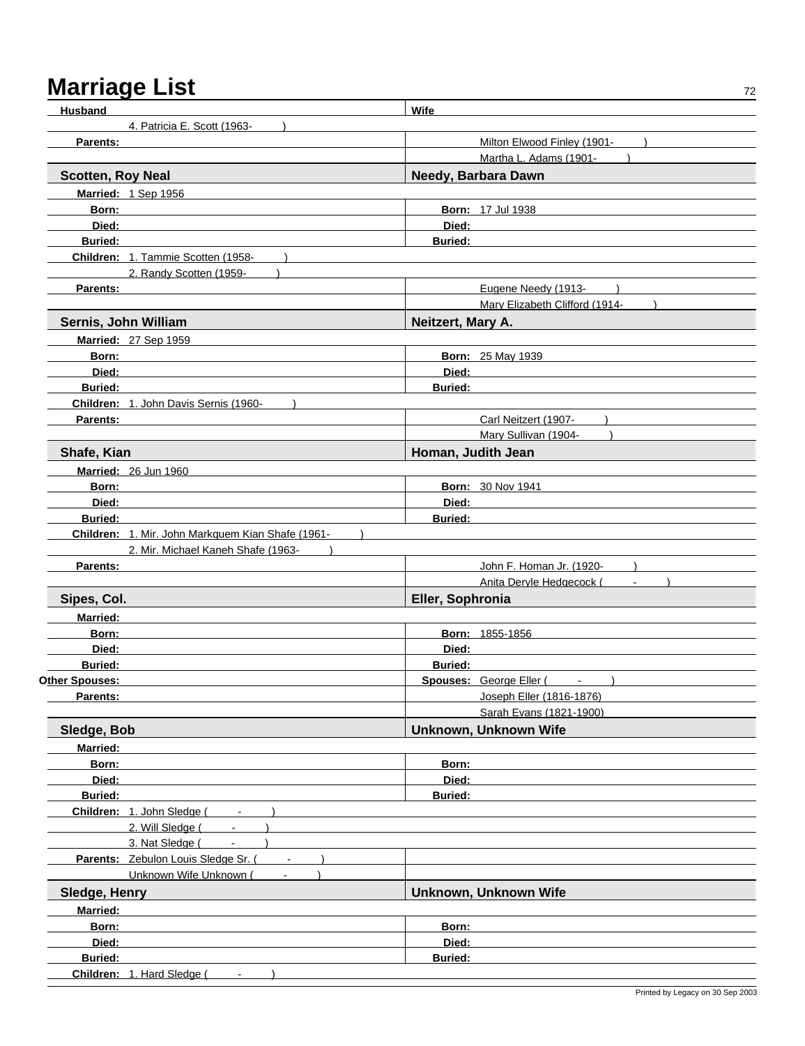| <b>Husband</b>                                    | Wife                           |
|---------------------------------------------------|--------------------------------|
| 4. Patricia E. Scott (1963-                       |                                |
| Parents:                                          | Milton Elwood Finley (1901-    |
|                                                   | Martha L. Adams (1901-         |
| <b>Scotten, Roy Neal</b>                          | Needy, Barbara Dawn            |
| Married: 1 Sep 1956                               |                                |
| Born:                                             | <b>Born: 17 Jul 1938</b>       |
| Died:                                             | Died:                          |
| Buried:                                           | Buried:                        |
| Children: 1. Tammie Scotten (1958-                |                                |
| 2. Randy Scotten (1959-                           |                                |
| Parents:                                          | Eugene Needy (1913-            |
|                                                   | Mary Elizabeth Clifford (1914- |
| Sernis, John William                              | Neitzert, Mary A.              |
| Married: 27 Sep 1959                              |                                |
| Born:                                             | <b>Born: 25 May 1939</b>       |
| Died:                                             | Died:                          |
| <b>Buried:</b>                                    | <b>Buried:</b>                 |
| Children: 1. John Davis Sernis (1960-             |                                |
| Parents:                                          | Carl Neitzert (1907-           |
|                                                   | Mary Sullivan (1904-           |
| Shafe, Kian                                       | Homan, Judith Jean             |
| <b>Married: 26 Jun 1960</b>                       |                                |
| Born:                                             | <b>Born: 30 Nov 1941</b>       |
| Died:                                             | Died:                          |
| <b>Buried:</b>                                    | <b>Buried:</b>                 |
| Children: 1. Mir. John Markquem Kian Shafe (1961- |                                |
| 2. Mir. Michael Kaneh Shafe (1963-                |                                |
| Parents:                                          | John F. Homan Jr. (1920-       |
|                                                   | Anita Deryle Hedgecock (       |
| Sipes, Col.                                       | Eller, Sophronia               |
| <b>Married:</b>                                   |                                |
| Born:                                             | Born: 1855-1856                |
| Died:                                             | Died:                          |
| <b>Buried:</b>                                    | <b>Buried:</b>                 |
| Other Spouses:                                    | Spouses: George Eller (Fig. 1) |
| Parents:                                          | Joseph Eller (1816-1876)       |
|                                                   | Sarah Evans (1821-1900)        |
| Sledge, Bob                                       | Unknown, Unknown Wife          |
| Married:                                          |                                |
| Born:                                             | Born:                          |
| Died:                                             | Died:                          |
| Buried:                                           | <b>Buried:</b>                 |
| Children: 1. John Sledge (<br>$\blacksquare$      |                                |
| 2. Will Sledge (<br>$\blacksquare$                |                                |
| 3. Nat Sledge (<br>$\blacksquare$                 |                                |
| Parents: Zebulon Louis Sledge Sr. (               |                                |
| Unknown Wife Unknown (                            |                                |
| Sledge, Henry                                     | Unknown, Unknown Wife          |
| Married:                                          |                                |
| Born:                                             | Born:                          |
| Died:                                             | Died:                          |
| <b>Buried:</b>                                    | <b>Buried:</b>                 |
|                                                   |                                |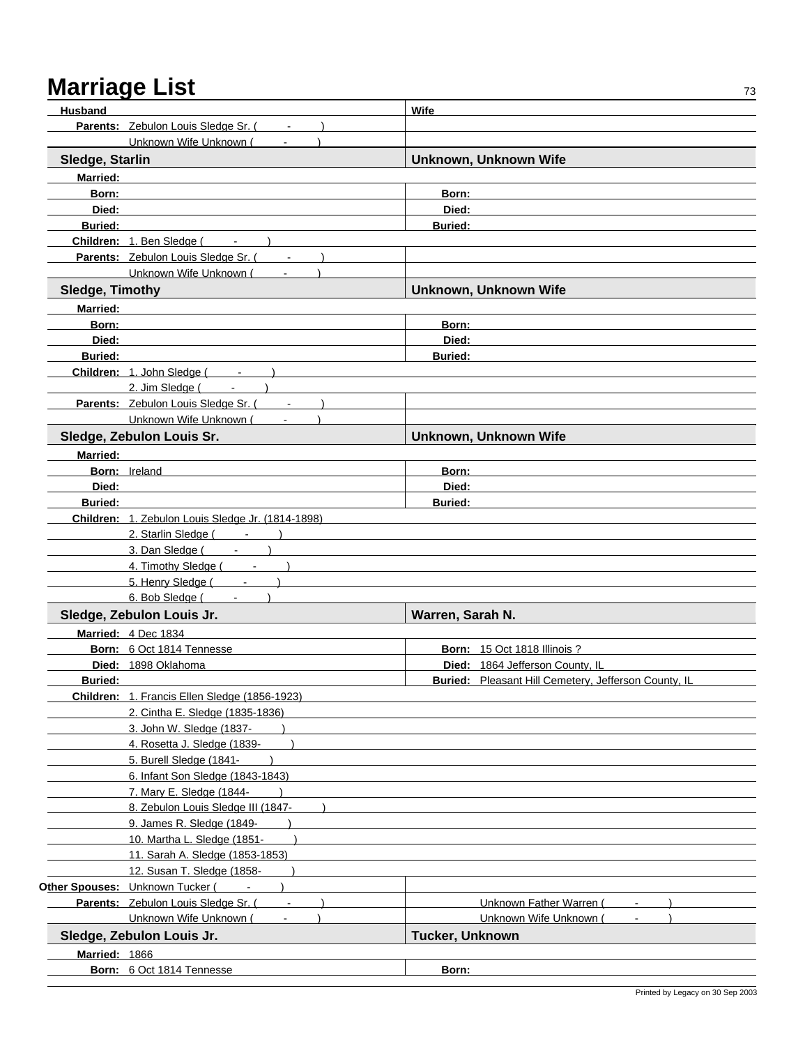| Husband                |                                                                                                                | Wife                                                        |
|------------------------|----------------------------------------------------------------------------------------------------------------|-------------------------------------------------------------|
|                        | Parents: Zebulon Louis Sledge Sr. (Fig. 2014)                                                                  |                                                             |
|                        | Unknown Wife Unknown (                                                                                         |                                                             |
| Sledge, Starlin        |                                                                                                                | Unknown, Unknown Wife                                       |
| <b>Married:</b>        |                                                                                                                |                                                             |
| Born:                  |                                                                                                                | Born:                                                       |
| Died:                  |                                                                                                                | Died:                                                       |
| <b>Buried:</b>         |                                                                                                                | <b>Buried:</b>                                              |
|                        | Children: 1. Ben Sledge (Fig. 3.1)                                                                             |                                                             |
|                        | Parents: Zebulon Louis Sledge Sr. (Fig. 2014)                                                                  |                                                             |
|                        | Unknown Wife Unknown (Fig. 1)                                                                                  |                                                             |
| <b>Sledge, Timothy</b> |                                                                                                                | Unknown, Unknown Wife                                       |
|                        |                                                                                                                |                                                             |
| <b>Married:</b>        |                                                                                                                |                                                             |
| Born:                  |                                                                                                                | Born:                                                       |
| Died:                  |                                                                                                                | Died:                                                       |
| <b>Buried:</b>         |                                                                                                                | <b>Buried:</b>                                              |
|                        | Children: 1. John Sledge (Fig. 1888)                                                                           |                                                             |
|                        | 2. Jim Sledge $($ - $)$                                                                                        |                                                             |
|                        | Parents: Zebulon Louis Sledge Sr. (Fig. 2.1)                                                                   |                                                             |
|                        | Unknown Wife Unknown (                                                                                         |                                                             |
|                        | Sledge, Zebulon Louis Sr.                                                                                      | <b>Unknown, Unknown Wife</b>                                |
| <b>Married:</b>        |                                                                                                                |                                                             |
|                        | Born: Ireland                                                                                                  | Born:                                                       |
| Died:                  |                                                                                                                | Died:                                                       |
| <b>Buried:</b>         |                                                                                                                | <b>Buried:</b>                                              |
|                        | Children: 1. Zebulon Louis Sledge Jr. (1814-1898)                                                              |                                                             |
|                        | 2. Starlin Sledge (Fig. 2. Starlin Sledge (Fig. 2. Starlin Sledge (Fig. 2. Starlin Sledge (Fig. 2. Starling Sl |                                                             |
|                        | 3. Dan Sledge ( Fig. 2. 1991)                                                                                  |                                                             |
|                        | 4. Timothy Sledge ( Fig. 2. 1991)                                                                              |                                                             |
|                        | 5. Henry Sledge ( Fig. 2014)                                                                                   |                                                             |
|                        | 6. Bob Sledge (Fig. 1)<br>$\lambda$                                                                            |                                                             |
|                        | Sledge, Zebulon Louis Jr.                                                                                      | Warren, Sarah N.                                            |
|                        | Married: 4 Dec 1834                                                                                            |                                                             |
|                        | Born: 6 Oct 1814 Tennesse                                                                                      | <b>Born: 15 Oct 1818 Illinois ?</b>                         |
|                        | Died: 1898 Oklahoma                                                                                            | Died: 1864 Jefferson County, IL                             |
| <b>Buried:</b>         |                                                                                                                | <b>Buried:</b> Pleasant Hill Cemetery, Jefferson County, IL |
|                        | Children: 1. Francis Ellen Sledge (1856-1923)                                                                  |                                                             |
|                        | 2. Cintha E. Sledge (1835-1836)                                                                                |                                                             |
|                        | 3. John W. Sledge (1837-                                                                                       |                                                             |
|                        | 4. Rosetta J. Sledge (1839-                                                                                    |                                                             |
|                        | 5. Burell Sledge (1841-                                                                                        |                                                             |
|                        | 6. Infant Son Sledge (1843-1843)                                                                               |                                                             |
|                        | 7. Mary E. Sledge (1844-                                                                                       |                                                             |
|                        | 8. Zebulon Louis Sledge III (1847-                                                                             |                                                             |
|                        | 9. James R. Sledge (1849-                                                                                      |                                                             |
|                        | 10. Martha L. Sledge (1851-                                                                                    |                                                             |
|                        | 11. Sarah A. Sledge (1853-1853)                                                                                |                                                             |
|                        | 12. Susan T. Sledge (1858-                                                                                     |                                                             |
|                        | Other Spouses: Unknown Tucker (                                                                                |                                                             |
|                        | Parents: Zebulon Louis Sledge Sr. (                                                                            | <b>Unknown Father Warren (</b>                              |
|                        | Unknown Wife Unknown (                                                                                         | Unknown Wife Unknown                                        |
|                        | Sledge, Zebulon Louis Jr.                                                                                      | Tucker, Unknown                                             |
| Married: 1866          |                                                                                                                |                                                             |
|                        | Born: 6 Oct 1814 Tennesse                                                                                      | Born:                                                       |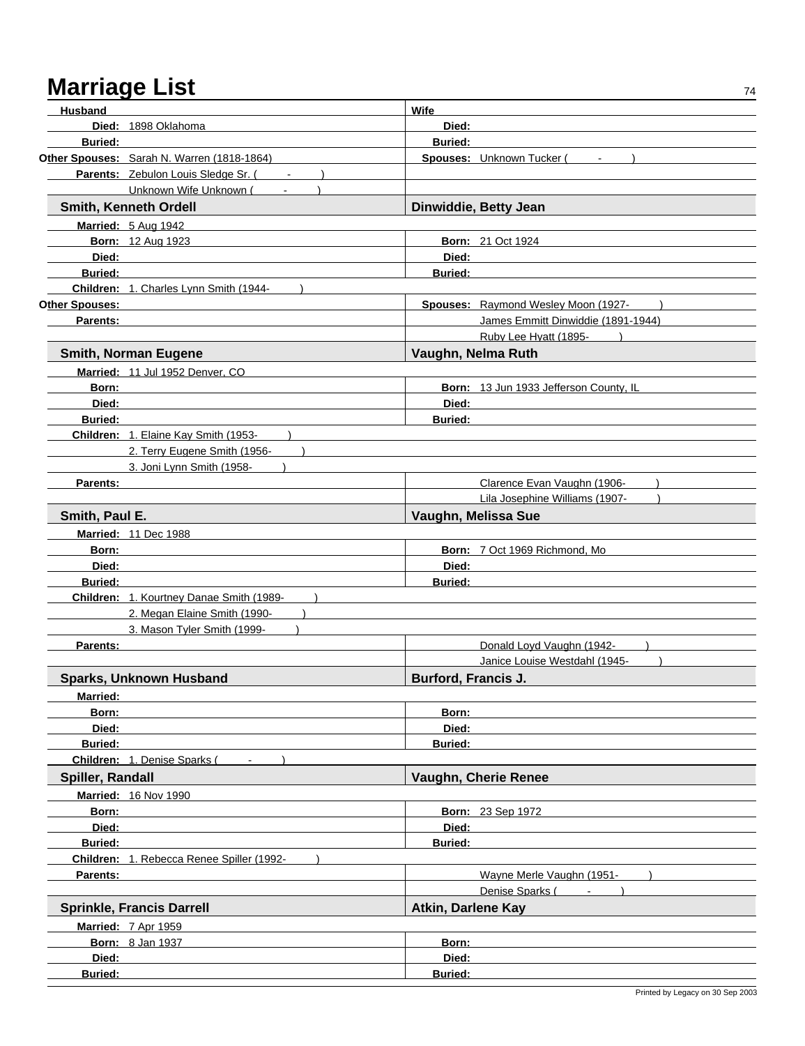| Husband          |                                            | Wife                       |                                             |
|------------------|--------------------------------------------|----------------------------|---------------------------------------------|
|                  | Died: 1898 Oklahoma                        | Died:                      |                                             |
| <b>Buried:</b>   |                                            | <b>Buried:</b>             |                                             |
|                  | Other Spouses: Sarah N. Warren (1818-1864) |                            | Spouses: Unknown Tucker (<br>$\blacksquare$ |
|                  | Parents: Zebulon Louis Sledge Sr. (        |                            |                                             |
|                  | Unknown Wife Unknown (                     |                            |                                             |
|                  | Smith, Kenneth Ordell                      |                            | Dinwiddie, Betty Jean                       |
|                  | Married: 5 Aug 1942                        |                            |                                             |
|                  | <b>Born: 12 Aug 1923</b>                   |                            | <b>Born: 21 Oct 1924</b>                    |
| Died:            |                                            | Died:                      |                                             |
| <b>Buried:</b>   |                                            | <b>Buried:</b>             |                                             |
|                  | Children: 1. Charles Lynn Smith (1944-     |                            |                                             |
| Other Spouses:   |                                            |                            | Spouses: Raymond Wesley Moon (1927-         |
| Parents:         |                                            |                            | James Emmitt Dinwiddie (1891-1944)          |
|                  |                                            |                            | Ruby Lee Hyatt (1895-                       |
|                  | <b>Smith, Norman Eugene</b>                | Vaughn, Nelma Ruth         |                                             |
|                  | Married: 11 Jul 1952 Denver, CO            |                            |                                             |
| Born:            |                                            |                            | Born: 13 Jun 1933 Jefferson County, IL      |
| Died:            |                                            | Died:                      |                                             |
| <b>Buried:</b>   |                                            | <b>Buried:</b>             |                                             |
|                  | Children: 1. Elaine Kay Smith (1953-       |                            |                                             |
|                  | 2. Terry Eugene Smith (1956-               |                            |                                             |
|                  | 3. Joni Lynn Smith (1958-                  |                            |                                             |
| Parents:         |                                            |                            | Clarence Evan Vaughn (1906-                 |
|                  |                                            |                            | Lila Josephine Williams (1907-              |
| Smith, Paul E.   |                                            |                            | Vaughn, Melissa Sue                         |
|                  | <b>Married: 11 Dec 1988</b>                |                            |                                             |
| Born:            |                                            |                            | Born: 7 Oct 1969 Richmond, Mo               |
| Died:            |                                            | Died:                      |                                             |
| <b>Buried:</b>   |                                            | <b>Buried:</b>             |                                             |
|                  | Children: 1. Kourtney Danae Smith (1989-   |                            |                                             |
|                  | 2. Megan Elaine Smith (1990-               |                            |                                             |
|                  | 3. Mason Tyler Smith (1999-                |                            |                                             |
| <b>Parents:</b>  |                                            |                            | Donald Loyd Vaughn (1942-                   |
|                  |                                            |                            | Janice Louise Westdahl (1945-               |
|                  | <b>Sparks, Unknown Husband</b>             | <b>Burford, Francis J.</b> |                                             |
|                  |                                            |                            |                                             |
| <b>Married:</b>  |                                            |                            |                                             |
| Born:            |                                            | Born:                      |                                             |
| Died:            |                                            | Died:                      |                                             |
| <b>Buried:</b>   |                                            | <b>Buried:</b>             |                                             |
|                  | <b>Children: 1. Denise Sparks (</b>        |                            |                                             |
| Spiller, Randall |                                            |                            | Vaughn, Cherie Renee                        |
|                  | <b>Married: 16 Nov 1990</b>                |                            |                                             |
| Born:            |                                            |                            | <b>Born: 23 Sep 1972</b>                    |
| Died:            |                                            | Died:                      |                                             |
| <b>Buried:</b>   |                                            | <b>Buried:</b>             |                                             |
|                  | Children: 1. Rebecca Renee Spiller (1992-  |                            |                                             |
| Parents:         |                                            |                            | Wayne Merle Vaughn (1951-                   |
|                  |                                            |                            | Denise Sparks (<br>$\blacksquare$           |
|                  | <b>Sprinkle, Francis Darrell</b>           | <b>Atkin, Darlene Kay</b>  |                                             |
|                  | Married: 7 Apr 1959                        |                            |                                             |
|                  | <b>Born: 8 Jan 1937</b>                    | Born:                      |                                             |
| Died:            |                                            | Died:                      |                                             |
| Buried:          |                                            | Buried:                    |                                             |
|                  |                                            |                            |                                             |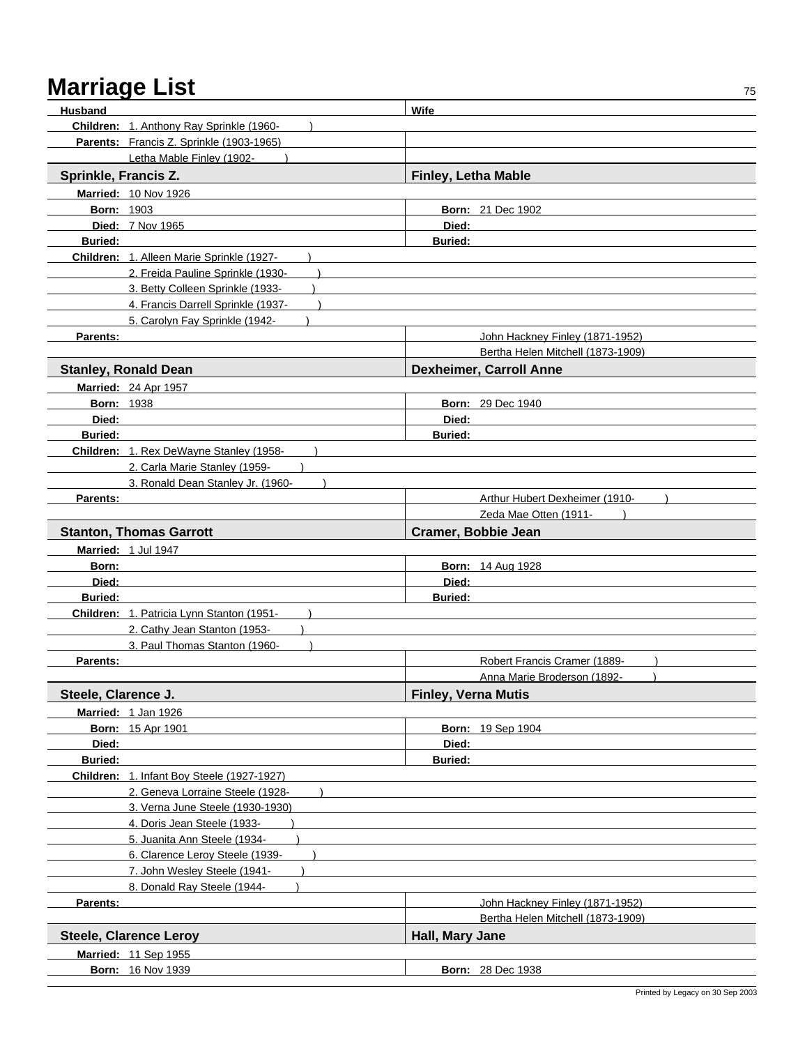| <b>Husband</b>       |                                            | Wife                              |
|----------------------|--------------------------------------------|-----------------------------------|
|                      | Children: 1. Anthony Ray Sprinkle (1960-   |                                   |
|                      | Parents: Francis Z. Sprinkle (1903-1965)   |                                   |
|                      | Letha Mable Finley (1902-                  |                                   |
| Sprinkle, Francis Z. |                                            | <b>Finley, Letha Mable</b>        |
|                      | Married: 10 Nov 1926                       |                                   |
| <b>Born: 1903</b>    |                                            | <b>Born: 21 Dec 1902</b>          |
|                      | <b>Died: 7 Nov 1965</b>                    | Died:                             |
| <b>Buried:</b>       |                                            | <b>Buried:</b>                    |
|                      | Children: 1. Alleen Marie Sprinkle (1927-  |                                   |
|                      | 2. Freida Pauline Sprinkle (1930-          |                                   |
|                      | 3. Betty Colleen Sprinkle (1933-           |                                   |
|                      | 4. Francis Darrell Sprinkle (1937-         |                                   |
|                      | 5. Carolyn Fay Sprinkle (1942-             |                                   |
| <b>Parents:</b>      |                                            | John Hackney Finley (1871-1952)   |
|                      |                                            | Bertha Helen Mitchell (1873-1909) |
|                      | <b>Stanley, Ronald Dean</b>                | <b>Dexheimer, Carroll Anne</b>    |
|                      | <b>Married: 24 Apr 1957</b>                |                                   |
| <b>Born: 1938</b>    |                                            | <b>Born: 29 Dec 1940</b>          |
| Died:                |                                            | Died:                             |
| <b>Buried:</b>       |                                            | <b>Buried:</b>                    |
|                      | Children: 1. Rex DeWayne Stanley (1958-    |                                   |
|                      | 2. Carla Marie Stanley (1959-              |                                   |
|                      | 3. Ronald Dean Stanley Jr. (1960-          |                                   |
| Parents:             |                                            | Arthur Hubert Dexheimer (1910-    |
|                      |                                            | Zeda Mae Otten (1911-             |
|                      | <b>Stanton, Thomas Garrott</b>             | Cramer, Bobbie Jean               |
|                      | Married: 1 Jul 1947                        |                                   |
| Born:                |                                            | <b>Born: 14 Aug 1928</b>          |
| Died:                |                                            | Died:                             |
| <b>Buried:</b>       |                                            | <b>Buried:</b>                    |
|                      | Children: 1. Patricia Lynn Stanton (1951-  |                                   |
|                      | 2. Cathy Jean Stanton (1953-               |                                   |
|                      | 3. Paul Thomas Stanton (1960-              |                                   |
| <b>Parents:</b>      |                                            | Robert Francis Cramer (1889-      |
|                      |                                            | Anna Marie Broderson (1892-       |
| Steele, Clarence J.  |                                            | <b>Finley, Verna Mutis</b>        |
|                      | Married: 1 Jan 1926                        |                                   |
|                      | <b>Born: 15 Apr 1901</b>                   | <b>Born: 19 Sep 1904</b>          |
| Died:                |                                            | Died:                             |
| Buried:              |                                            | <b>Buried:</b>                    |
|                      | Children: 1. Infant Boy Steele (1927-1927) |                                   |
|                      | 2. Geneva Lorraine Steele (1928-           |                                   |
|                      | 3. Verna June Steele (1930-1930)           |                                   |
|                      | 4. Doris Jean Steele (1933                 |                                   |
|                      | 5. Juanita Ann Steele (1934-               |                                   |
|                      | 6. Clarence Leroy Steele (1939-            |                                   |
|                      | 7. John Wesley Steele (1941-               |                                   |
|                      | 8. Donald Ray Steele (1944-                |                                   |
| Parents:             |                                            | John Hackney Finley (1871-1952)   |
|                      |                                            | Bertha Helen Mitchell (1873-1909) |
|                      | <b>Steele, Clarence Leroy</b>              | Hall, Mary Jane                   |
|                      | Married: 11 Sep 1955                       |                                   |
|                      | <b>Born: 16 Nov 1939</b>                   | <b>Born: 28 Dec 1938</b>          |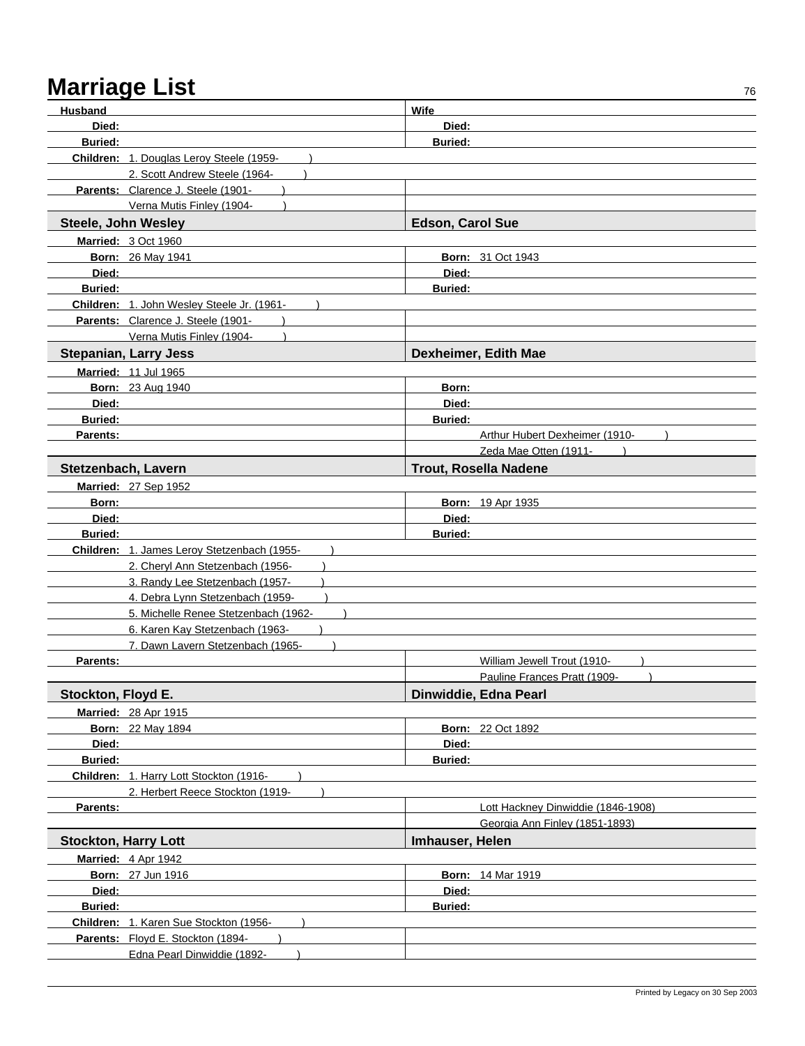| Husband                     |                                                                             | Wife                    |                                    |
|-----------------------------|-----------------------------------------------------------------------------|-------------------------|------------------------------------|
| Died:                       |                                                                             | Died:                   |                                    |
| <b>Buried:</b>              |                                                                             | <b>Buried:</b>          |                                    |
|                             | Children: 1. Douglas Leroy Steele (1959-                                    |                         |                                    |
|                             | 2. Scott Andrew Steele (1964-                                               |                         |                                    |
|                             | Parents: Clarence J. Steele (1901-                                          |                         |                                    |
|                             | Verna Mutis Finley (1904-                                                   |                         |                                    |
| Steele, John Wesley         |                                                                             | <b>Edson, Carol Sue</b> |                                    |
|                             | Married: 3 Oct 1960                                                         |                         |                                    |
|                             | <b>Born: 26 May 1941</b>                                                    |                         | <b>Born: 31 Oct 1943</b>           |
| Died:                       |                                                                             | Died:                   |                                    |
| <b>Buried:</b>              |                                                                             | <b>Buried:</b>          |                                    |
|                             | Children: 1. John Wesley Steele Jr. (1961-                                  |                         |                                    |
|                             | Parents: Clarence J. Steele (1901-                                          |                         |                                    |
|                             | Verna Mutis Finley (1904-                                                   |                         |                                    |
|                             | <b>Stepanian, Larry Jess</b>                                                |                         | Dexheimer, Edith Mae               |
|                             |                                                                             |                         |                                    |
|                             | Married: 11 Jul 1965                                                        |                         |                                    |
|                             | <b>Born: 23 Aug 1940</b>                                                    | Born:<br>Died:          |                                    |
| Died:<br><b>Buried:</b>     |                                                                             |                         |                                    |
| Parents:                    |                                                                             | <b>Buried:</b>          | Arthur Hubert Dexheimer (1910-     |
|                             |                                                                             |                         | Zeda Mae Otten (1911-              |
|                             |                                                                             |                         |                                    |
| Stetzenbach, Lavern         |                                                                             |                         | <b>Trout, Rosella Nadene</b>       |
|                             | Married: 27 Sep 1952                                                        |                         |                                    |
| Born:                       |                                                                             |                         | Born: 19 Apr 1935                  |
| Died:                       |                                                                             | Died:                   |                                    |
| <b>Buried:</b>              |                                                                             | <b>Buried:</b>          |                                    |
|                             | Children: 1. James Leroy Stetzenbach (1955-                                 |                         |                                    |
|                             | 2. Cheryl Ann Stetzenbach (1956-<br>3. Randy Lee Stetzenbach (1957-         |                         |                                    |
|                             | 4. Debra Lynn Stetzenbach (1959-                                            |                         |                                    |
|                             | 5. Michelle Renee Stetzenbach (1962-                                        |                         |                                    |
|                             | 6. Karen Kay Stetzenbach (1963-                                             |                         |                                    |
|                             | 7. Dawn Lavern Stetzenbach (1965-                                           |                         |                                    |
| Parents:                    |                                                                             |                         | William Jewell Trout (1910-        |
|                             |                                                                             |                         | Pauline Frances Pratt (1909-       |
| Stockton, Floyd E.          |                                                                             |                         | Dinwiddie, Edna Pearl              |
|                             |                                                                             |                         |                                    |
|                             | Married: 28 Apr 1915                                                        |                         |                                    |
|                             | <b>Born: 22 May 1894</b>                                                    |                         | <b>Born: 22 Oct 1892</b>           |
| Died:                       |                                                                             | Died:                   |                                    |
| <b>Buried:</b>              |                                                                             | <b>Buried:</b>          |                                    |
|                             | Children: 1. Harry Lott Stockton (1916-<br>2. Herbert Reece Stockton (1919- |                         |                                    |
| Parents:                    |                                                                             |                         | Lott Hackney Dinwiddie (1846-1908) |
|                             |                                                                             |                         | Georgia Ann Finley (1851-1893)     |
|                             |                                                                             |                         |                                    |
| <b>Stockton, Harry Lott</b> |                                                                             | Imhauser, Helen         |                                    |
|                             | Married: 4 Apr 1942                                                         |                         |                                    |
|                             | <b>Born: 27 Jun 1916</b>                                                    |                         | <b>Born: 14 Mar 1919</b>           |
| Died:                       |                                                                             | Died:                   |                                    |
| Buried:                     |                                                                             | <b>Buried:</b>          |                                    |
|                             | Children: 1. Karen Sue Stockton (1956-                                      |                         |                                    |
|                             | Parents: Floyd E. Stockton (1894-                                           |                         |                                    |
|                             | Edna Pearl Dinwiddie (1892-                                                 |                         |                                    |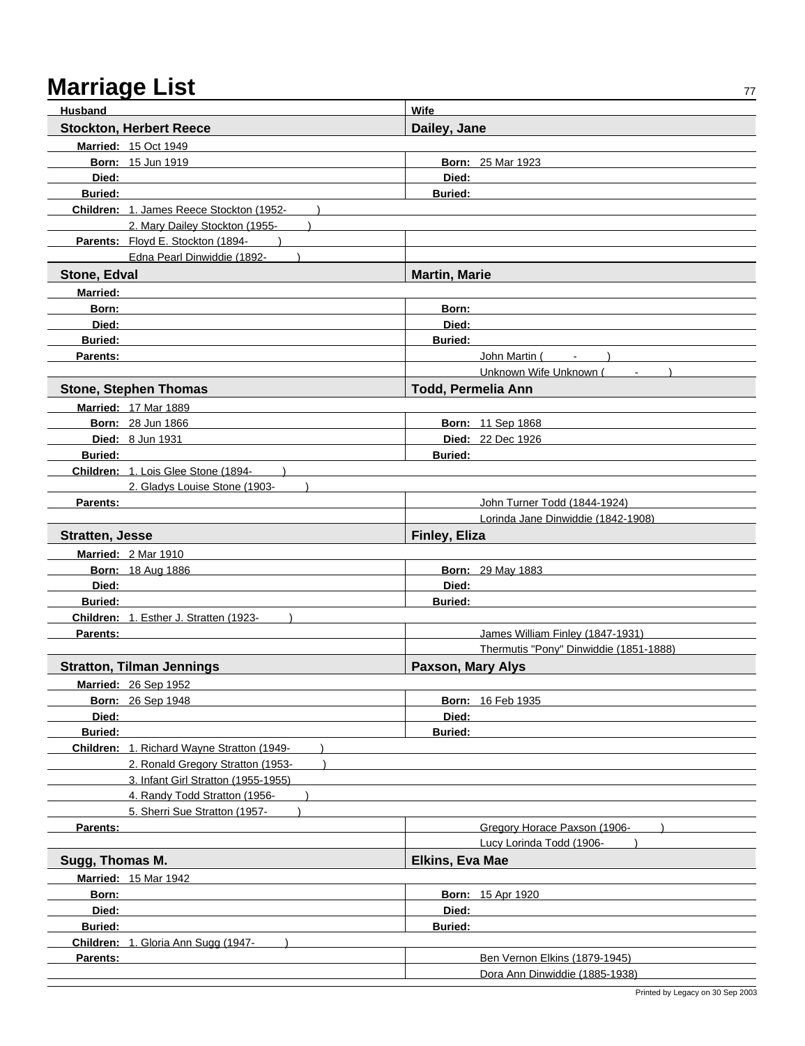| <b>Husband</b>                                                       | <b>Wife</b>                            |
|----------------------------------------------------------------------|----------------------------------------|
| <b>Stockton, Herbert Reece</b>                                       | Dailey, Jane                           |
| <b>Married: 15 Oct 1949</b>                                          |                                        |
| <b>Born: 15 Jun 1919</b>                                             | <b>Born: 25 Mar 1923</b>               |
| Died:                                                                | Died:                                  |
| <b>Buried:</b>                                                       | <b>Buried:</b>                         |
| Children: 1. James Reece Stockton (1952-                             |                                        |
| 2. Mary Dailey Stockton (1955-                                       |                                        |
| Parents: Floyd E. Stockton (1894-                                    |                                        |
| Edna Pearl Dinwiddie (1892-                                          |                                        |
| Stone, Edval                                                         | <b>Martin, Marie</b>                   |
| <b>Married:</b>                                                      |                                        |
| Born:                                                                | Born:                                  |
| Died:                                                                | Died:                                  |
| <b>Buried:</b>                                                       | <b>Buried:</b>                         |
| Parents:                                                             | John Martin (<br>$\sim$                |
|                                                                      | Unknown Wife Unknown (                 |
| <b>Stone, Stephen Thomas</b>                                         | <b>Todd, Permelia Ann</b>              |
| <b>Married: 17 Mar 1889</b>                                          |                                        |
| <b>Born: 28 Jun 1866</b>                                             | <b>Born: 11 Sep 1868</b>               |
| <b>Died:</b> 8 Jun 1931                                              | Died: 22 Dec 1926                      |
| <b>Buried:</b>                                                       | <b>Buried:</b>                         |
| Children: 1. Lois Glee Stone (1894-<br>2. Gladys Louise Stone (1903- |                                        |
| Parents:                                                             | John Turner Todd (1844-1924)           |
|                                                                      | Lorinda Jane Dinwiddie (1842-1908)     |
| <b>Stratten, Jesse</b>                                               | Finley, Eliza                          |
| <b>Married: 2 Mar 1910</b>                                           |                                        |
| <b>Born: 18 Aug 1886</b>                                             | <b>Born: 29 May 1883</b>               |
| Died:                                                                | Died:                                  |
| <b>Buried:</b>                                                       | <b>Buried:</b>                         |
| Children: 1. Esther J. Stratten (1923-                               |                                        |
| Parents:                                                             | James William Finley (1847-1931)       |
|                                                                      | Thermutis "Pony" Dinwiddie (1851-1888) |
| <b>Stratton, Tilman Jennings</b>                                     | Paxson, Mary Alys                      |
| Married: 26 Sep 1952                                                 |                                        |
| <b>Born: 26 Sep 1948</b>                                             | <b>Born: 16 Feb 1935</b>               |
| Died:                                                                | Died:                                  |
| <b>Buried:</b>                                                       | <b>Buried:</b>                         |
| Children: 1. Richard Wayne Stratton (1949-                           |                                        |
| 2. Ronald Gregory Stratton (1953-                                    |                                        |
| 3. Infant Girl Stratton (1955-1955)                                  |                                        |
| 4. Randy Todd Stratton (1956-<br>5. Sherri Sue Stratton (1957-       |                                        |
| Parents:                                                             | Gregory Horace Paxson (1906-           |
|                                                                      | Lucy Lorinda Todd (1906-               |
| Sugg, Thomas M.                                                      | <b>Elkins, Eva Mae</b>                 |
| <b>Married: 15 Mar 1942</b>                                          |                                        |
| Born:                                                                | <b>Born: 15 Apr 1920</b>               |
| Died:                                                                | Died:                                  |
| <b>Buried:</b>                                                       | <b>Buried:</b>                         |
| Children: 1. Gloria Ann Sugg (1947-                                  |                                        |
| Parents:                                                             | Ben Vernon Elkins (1879-1945)          |
|                                                                      | Dora Ann Dinwiddie (1885-1938)         |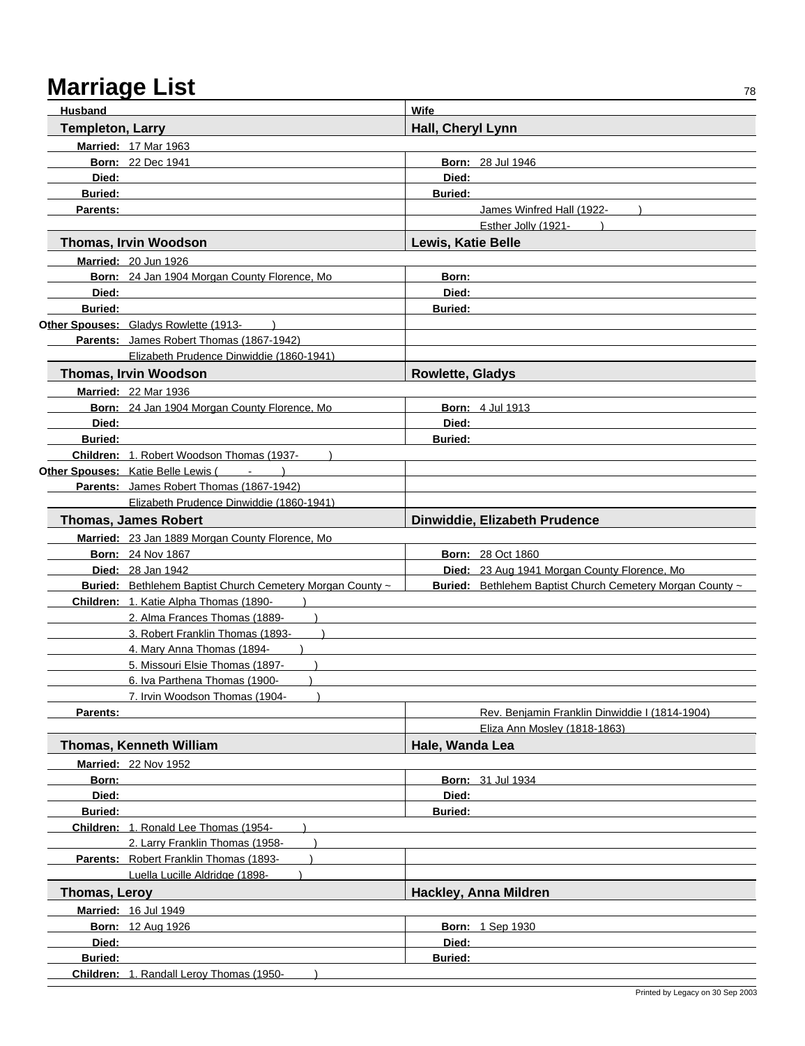| Husband                 |                                                           | Wife                      |                                                           |
|-------------------------|-----------------------------------------------------------|---------------------------|-----------------------------------------------------------|
| <b>Templeton, Larry</b> |                                                           | Hall, Cheryl Lynn         |                                                           |
|                         | <b>Married: 17 Mar 1963</b>                               |                           |                                                           |
|                         | <b>Born: 22 Dec 1941</b>                                  |                           | <b>Born: 28 Jul 1946</b>                                  |
| Died:                   |                                                           | Died:                     |                                                           |
| <b>Buried:</b>          |                                                           | <b>Buried:</b>            |                                                           |
| Parents:                |                                                           |                           | James Winfred Hall (1922-                                 |
|                         |                                                           |                           | Esther Jolly (1921-                                       |
|                         | Thomas, Irvin Woodson                                     | <b>Lewis, Katie Belle</b> |                                                           |
|                         | Married: 20 Jun 1926                                      |                           |                                                           |
|                         | Born: 24 Jan 1904 Morgan County Florence, Mo              | Born:                     |                                                           |
| Died:                   |                                                           | Died:                     |                                                           |
| <b>Buried:</b>          |                                                           | <b>Buried:</b>            |                                                           |
|                         | Other Spouses: Gladys Rowlette (1913-                     |                           |                                                           |
|                         | Parents: James Robert Thomas (1867-1942)                  |                           |                                                           |
|                         | Elizabeth Prudence Dinwiddie (1860-1941)                  |                           |                                                           |
|                         | <b>Thomas, Irvin Woodson</b>                              | <b>Rowlette, Gladys</b>   |                                                           |
|                         | <b>Married: 22 Mar 1936</b>                               |                           |                                                           |
|                         | Born: 24 Jan 1904 Morgan County Florence, Mo              |                           | <b>Born: 4 Jul 1913</b>                                   |
| Died:                   |                                                           | Died:                     |                                                           |
| <b>Buried:</b>          |                                                           | <b>Buried:</b>            |                                                           |
|                         | Children: 1. Robert Woodson Thomas (1937-                 |                           |                                                           |
|                         | Other Spouses: Katie Belle Lewis (                        |                           |                                                           |
|                         | Parents: James Robert Thomas (1867-1942)                  |                           |                                                           |
|                         | Elizabeth Prudence Dinwiddie (1860-1941)                  |                           |                                                           |
|                         | <b>Thomas, James Robert</b>                               |                           | Dinwiddie, Elizabeth Prudence                             |
|                         | Married: 23 Jan 1889 Morgan County Florence, Mo           |                           |                                                           |
|                         | <b>Born: 24 Nov 1867</b>                                  |                           | <b>Born: 28 Oct 1860</b>                                  |
|                         | <b>Died: 28 Jan 1942</b>                                  |                           | Died: 23 Aug 1941 Morgan County Florence, Mo              |
|                         | Buried: Bethlehem Baptist Church Cemetery Morgan County ~ |                           | Buried: Bethlehem Baptist Church Cemetery Morgan County ~ |
|                         | Children: 1. Katie Alpha Thomas (1890-                    |                           |                                                           |
|                         | 2. Alma Frances Thomas (1889-                             |                           |                                                           |
|                         | 3. Robert Franklin Thomas (1893-                          |                           |                                                           |
|                         | 4. Mary Anna Thomas (1894-                                |                           |                                                           |
|                         | 5. Missouri Elsie Thomas (1897-                           |                           |                                                           |
|                         | 6. Iva Parthena Thomas (1900-                             |                           |                                                           |
|                         | 7. Irvin Woodson Thomas (1904-                            |                           |                                                           |
| Parents:                |                                                           |                           | Rev. Benjamin Franklin Dinwiddie I (1814-1904)            |
|                         |                                                           |                           | Eliza Ann Moslev (1818-1863)                              |
|                         | Thomas, Kenneth William                                   | Hale, Wanda Lea           |                                                           |
|                         | <b>Married: 22 Nov 1952</b>                               |                           |                                                           |
| Born:                   |                                                           |                           | <b>Born: 31 Jul 1934</b>                                  |
| Died:                   |                                                           | Died:                     |                                                           |
| <b>Buried:</b>          |                                                           | <b>Buried:</b>            |                                                           |
|                         | Children: 1. Ronald Lee Thomas (1954-                     |                           |                                                           |
|                         | 2. Larry Franklin Thomas (1958-                           |                           |                                                           |
|                         | Parents: Robert Franklin Thomas (1893-                    |                           |                                                           |
|                         | Luella Lucille Aldridge (1898-                            |                           |                                                           |
| Thomas, Leroy           |                                                           |                           | Hackley, Anna Mildren                                     |
|                         | <b>Married: 16 Jul 1949</b>                               |                           |                                                           |
|                         | <b>Born: 12 Aug 1926</b>                                  |                           | <b>Born: 1 Sep 1930</b>                                   |
| Died:                   |                                                           | Died:                     |                                                           |
| <b>Buried:</b>          |                                                           | <b>Buried:</b>            |                                                           |
|                         | Children: 1. Randall Leroy Thomas (1950-                  |                           |                                                           |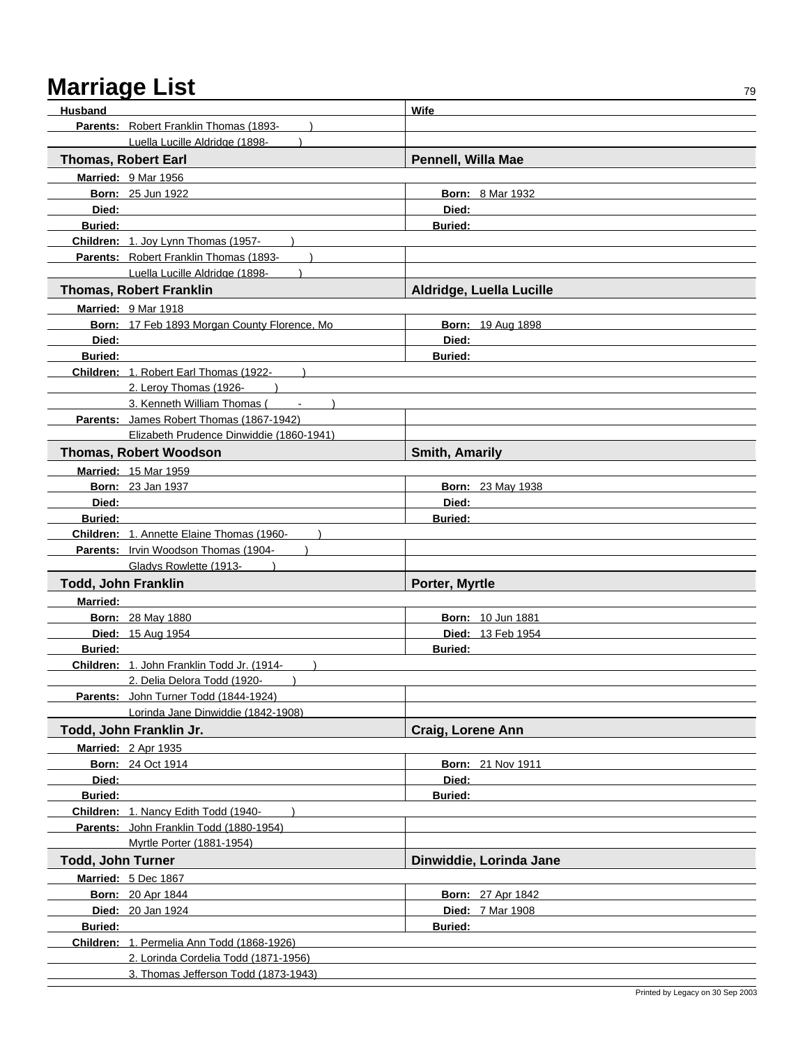| Husband                  |                                                                              | Wife                     |  |
|--------------------------|------------------------------------------------------------------------------|--------------------------|--|
|                          | Parents: Robert Franklin Thomas (1893-                                       |                          |  |
|                          | Luella Lucille Aldridge (1898-                                               |                          |  |
|                          | <b>Thomas, Robert Earl</b>                                                   | Pennell, Willa Mae       |  |
|                          | Married: 9 Mar 1956                                                          |                          |  |
|                          | <b>Born: 25 Jun 1922</b>                                                     | <b>Born: 8 Mar 1932</b>  |  |
| Died:                    |                                                                              | Died:                    |  |
| <b>Buried:</b>           |                                                                              | <b>Buried:</b>           |  |
|                          | Children: 1. Joy Lynn Thomas (1957-                                          |                          |  |
|                          | Parents: Robert Franklin Thomas (1893-                                       |                          |  |
|                          | Luella Lucille Aldridge (1898-                                               |                          |  |
|                          | <b>Thomas, Robert Franklin</b>                                               | Aldridge, Luella Lucille |  |
|                          | Married: 9 Mar 1918                                                          |                          |  |
|                          | Born: 17 Feb 1893 Morgan County Florence, Mo.                                | <b>Born: 19 Aug 1898</b> |  |
| Died:                    |                                                                              | Died:                    |  |
| <b>Buried:</b>           |                                                                              | <b>Buried:</b>           |  |
|                          | Children: 1. Robert Earl Thomas (1922-                                       |                          |  |
|                          | 2. Leroy Thomas (1926-                                                       |                          |  |
|                          | 3. Kenneth William Thomas (Fig. 15)                                          |                          |  |
|                          | Parents: James Robert Thomas (1867-1942)                                     |                          |  |
|                          | Elizabeth Prudence Dinwiddie (1860-1941)                                     |                          |  |
|                          | <b>Thomas, Robert Woodson</b>                                                | <b>Smith, Amarily</b>    |  |
|                          | <b>Married: 15 Mar 1959</b>                                                  |                          |  |
|                          | <b>Born: 23 Jan 1937</b>                                                     | <b>Born: 23 May 1938</b> |  |
| Died:                    |                                                                              | Died:                    |  |
| <b>Buried:</b>           |                                                                              | <b>Buried:</b>           |  |
|                          | Children: 1. Annette Elaine Thomas (1960-                                    |                          |  |
|                          | <b>Parents:</b> Irvin Woodson Thomas (1904-                                  |                          |  |
|                          | Gladys Rowlette (1913-                                                       |                          |  |
|                          | <b>Todd, John Franklin</b>                                                   | Porter, Myrtle           |  |
| <b>Married:</b>          |                                                                              |                          |  |
|                          | <b>Born: 28 May 1880</b>                                                     | <b>Born: 10 Jun 1881</b> |  |
|                          | Died: 15 Aug 1954                                                            | <b>Died: 13 Feb 1954</b> |  |
| <b>Buried:</b>           |                                                                              | <b>Buried:</b>           |  |
|                          | Children: 1. John Franklin Todd Jr. (1914-<br>2. Delia Delora Todd (1920-    |                          |  |
|                          | Parents: John Turner Todd (1844-1924)                                        |                          |  |
|                          | Lorinda Jane Dinwiddie (1842-1908)                                           |                          |  |
|                          | Todd, John Franklin Jr.                                                      | <b>Craig, Lorene Ann</b> |  |
|                          | <b>Married: 2 Apr 1935</b>                                                   |                          |  |
|                          | <b>Born: 24 Oct 1914</b>                                                     | <b>Born: 21 Nov 1911</b> |  |
| Died:                    |                                                                              | Died:                    |  |
| <b>Buried:</b>           |                                                                              | <b>Buried:</b>           |  |
|                          | Children: 1. Nancy Edith Todd (1940-                                         |                          |  |
|                          | Parents: John Franklin Todd (1880-1954)                                      |                          |  |
|                          | Myrtle Porter (1881-1954)                                                    |                          |  |
| <b>Todd, John Turner</b> |                                                                              | Dinwiddie, Lorinda Jane  |  |
|                          | Married: 5 Dec 1867                                                          |                          |  |
|                          | <b>Born: 20 Apr 1844</b>                                                     | <b>Born: 27 Apr 1842</b> |  |
|                          | Died: 20 Jan 1924                                                            | <b>Died: 7 Mar 1908</b>  |  |
| <b>Buried:</b>           |                                                                              | <b>Buried:</b>           |  |
|                          | Children: 1. Permelia Ann Todd (1868-1926)                                   |                          |  |
|                          |                                                                              |                          |  |
|                          |                                                                              |                          |  |
|                          | 2. Lorinda Cordelia Todd (1871-1956)<br>3. Thomas Jefferson Todd (1873-1943) |                          |  |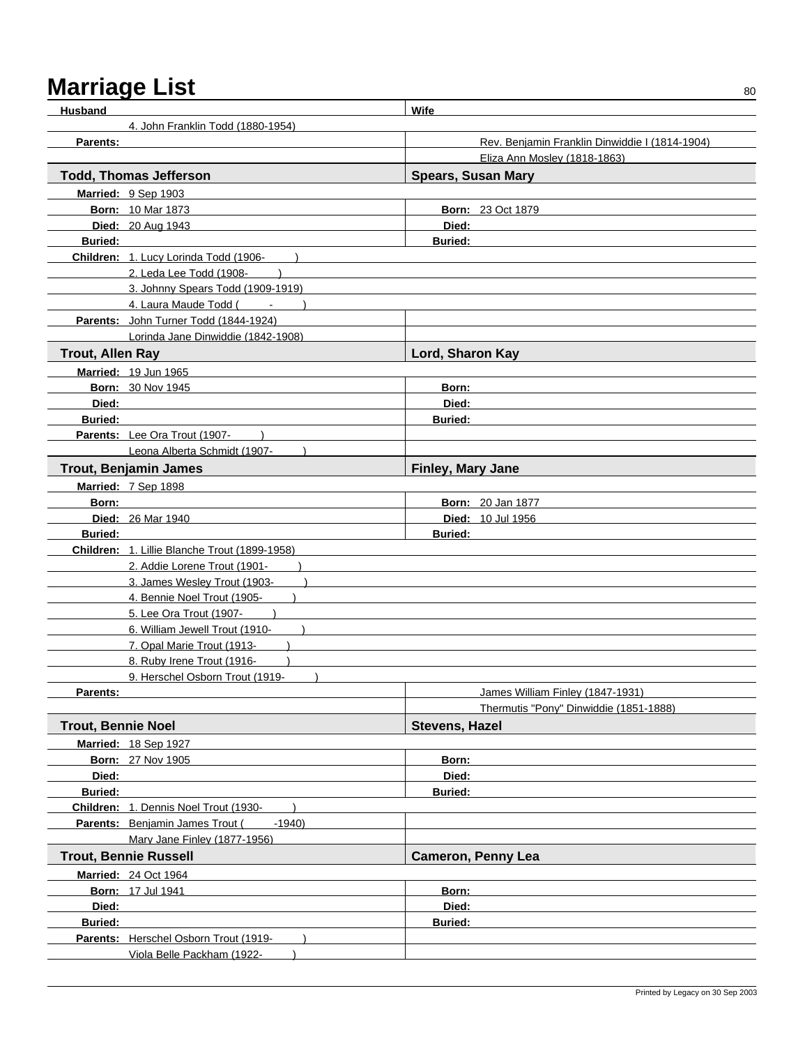| <b>Husband</b>            |                                                  | Wife                                           |
|---------------------------|--------------------------------------------------|------------------------------------------------|
|                           | 4. John Franklin Todd (1880-1954)                |                                                |
| Parents:                  |                                                  | Rev. Benjamin Franklin Dinwiddie I (1814-1904) |
|                           |                                                  | Eliza Ann Mosley (1818-1863)                   |
|                           | <b>Todd, Thomas Jefferson</b>                    | <b>Spears, Susan Mary</b>                      |
|                           | Married: 9 Sep 1903                              |                                                |
|                           | <b>Born: 10 Mar 1873</b>                         | <b>Born: 23 Oct 1879</b>                       |
|                           | Died: 20 Aug 1943                                | Died:                                          |
| <b>Buried:</b>            |                                                  | <b>Buried:</b>                                 |
|                           | Children: 1. Lucy Lorinda Todd (1906-            |                                                |
|                           | 2. Leda Lee Todd (1908-                          |                                                |
|                           | 3. Johnny Spears Todd (1909-1919)                |                                                |
|                           | 4. Laura Maude Todd (Fig. 18)                    |                                                |
|                           | Parents: John Turner Todd (1844-1924)            |                                                |
|                           | Lorinda Jane Dinwiddie (1842-1908)               |                                                |
| <b>Trout, Allen Ray</b>   |                                                  | Lord, Sharon Kay                               |
|                           |                                                  |                                                |
|                           | Married: 19 Jun 1965<br><b>Born: 30 Nov 1945</b> |                                                |
| Died:                     |                                                  | Born:<br>Died:                                 |
| <b>Buried:</b>            |                                                  | <b>Buried:</b>                                 |
|                           | Parents: Lee Ora Trout (1907-                    |                                                |
|                           |                                                  |                                                |
|                           | Leona Alberta Schmidt (1907-                     |                                                |
|                           | <b>Trout, Benjamin James</b>                     | Finley, Mary Jane                              |
|                           | Married: 7 Sep 1898                              |                                                |
| Born:                     |                                                  | <b>Born: 20 Jan 1877</b>                       |
|                           | <b>Died: 26 Mar 1940</b>                         | <b>Died: 10 Jul 1956</b>                       |
| <b>Buried:</b>            |                                                  | <b>Buried:</b>                                 |
|                           | Children: 1. Lillie Blanche Trout (1899-1958)    |                                                |
|                           | 2. Addie Lorene Trout (1901-                     |                                                |
|                           | 3. James Wesley Trout (1903-                     |                                                |
|                           | 4. Bennie Noel Trout (1905-                      |                                                |
|                           | 5. Lee Ora Trout (1907-                          |                                                |
|                           | 6. William Jewell Trout (1910-                   |                                                |
|                           | 7. Opal Marie Trout (1913-                       |                                                |
|                           | 8. Ruby Irene Trout (1916-                       |                                                |
|                           | 9. Herschel Osborn Trout (1919-                  |                                                |
| Parents:                  |                                                  | James William Finley (1847-1931)               |
|                           |                                                  | Thermutis "Pony" Dinwiddie (1851-1888)         |
| <b>Trout, Bennie Noel</b> |                                                  | <b>Stevens, Hazel</b>                          |
|                           | Married: 18 Sep 1927                             |                                                |
|                           | <b>Born: 27 Nov 1905</b>                         | Born:                                          |
| Died:                     |                                                  | Died:                                          |
| <b>Buried:</b>            |                                                  | <b>Buried:</b>                                 |
|                           | Children: 1. Dennis Noel Trout (1930-            |                                                |
|                           | Parents: Benjamin James Trout (<br>$-1940$       |                                                |
|                           | Mary Jane Finley (1877-1956)                     |                                                |
|                           | <b>Trout, Bennie Russell</b>                     | <b>Cameron, Penny Lea</b>                      |
|                           | <b>Married: 24 Oct 1964</b>                      |                                                |
|                           | <b>Born: 17 Jul 1941</b>                         | Born:                                          |
| Died:                     |                                                  | Died:                                          |
| <b>Buried:</b>            |                                                  | <b>Buried:</b>                                 |
|                           | Parents: Herschel Osborn Trout (1919-            |                                                |
|                           | Viola Belle Packham (1922-                       |                                                |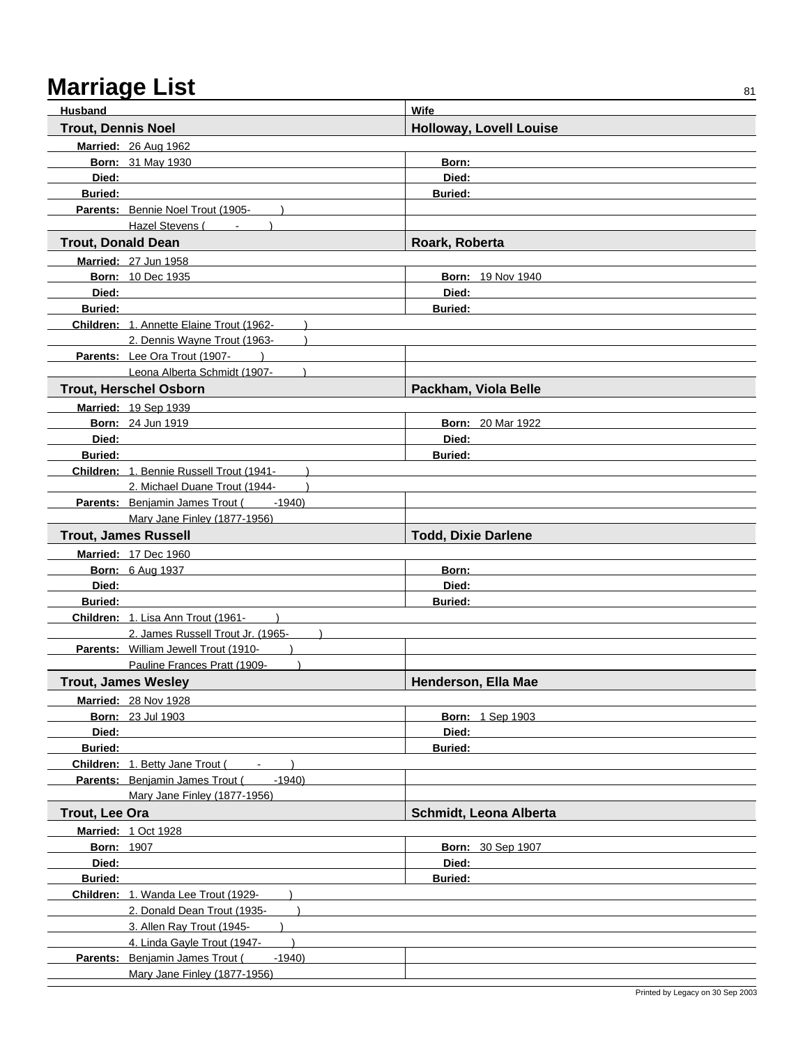| Husband                    |                                                                                    | <b>Wife</b>                    |
|----------------------------|------------------------------------------------------------------------------------|--------------------------------|
| <b>Trout, Dennis Noel</b>  |                                                                                    | <b>Holloway, Lovell Louise</b> |
|                            | Married: 26 Aug 1962                                                               |                                |
|                            | <b>Born: 31 May 1930</b>                                                           | Born:                          |
| Died:                      |                                                                                    | Died:                          |
| <b>Buried:</b>             |                                                                                    | <b>Buried:</b>                 |
|                            | Parents: Bennie Noel Trout (1905-                                                  |                                |
|                            | Hazel Stevens (                                                                    |                                |
| <b>Trout, Donald Dean</b>  |                                                                                    | Roark, Roberta                 |
|                            | Married: 27 Jun 1958                                                               |                                |
|                            | <b>Born: 10 Dec 1935</b>                                                           | Born: 19 Nov 1940              |
| Died:                      |                                                                                    | Died:                          |
| <b>Buried:</b>             |                                                                                    | <b>Buried:</b>                 |
|                            | Children: 1. Annette Elaine Trout (1962-                                           |                                |
|                            | 2. Dennis Wayne Trout (1963-                                                       |                                |
|                            | Parents: Lee Ora Trout (1907-                                                      |                                |
|                            | Leona Alberta Schmidt (1907-                                                       |                                |
|                            | <b>Trout, Herschel Osborn</b>                                                      | Packham, Viola Belle           |
|                            | Married: 19 Sep 1939                                                               |                                |
|                            | <b>Born: 24 Jun 1919</b>                                                           | <b>Born: 20 Mar 1922</b>       |
| Died:                      |                                                                                    | Died:                          |
| <b>Buried:</b>             |                                                                                    | <b>Buried:</b>                 |
|                            | Children: 1. Bennie Russell Trout (1941-                                           |                                |
|                            | 2. Michael Duane Trout (1944-<br><b>Parents:</b> Benjamin James Trout (<br>$-1940$ |                                |
|                            | Mary Jane Finley (1877-1956)                                                       |                                |
|                            | <b>Trout, James Russell</b>                                                        | <b>Todd, Dixie Darlene</b>     |
|                            |                                                                                    |                                |
|                            | Married: 17 Dec 1960                                                               | Born:                          |
| Died:                      | <b>Born: 6 Aug 1937</b>                                                            | Died:                          |
| <b>Buried:</b>             |                                                                                    | <b>Buried:</b>                 |
|                            | Children: 1. Lisa Ann Trout (1961-                                                 |                                |
|                            | 2. James Russell Trout Jr. (1965-                                                  |                                |
|                            | Parents: William Jewell Trout (1910-                                               |                                |
|                            | Pauline Frances Pratt (1909-                                                       |                                |
|                            | <b>Trout, James Wesley</b>                                                         | Henderson, Ella Mae            |
|                            | <b>Married: 28 Nov 1928</b>                                                        |                                |
|                            | <b>Born: 23 Jul 1903</b>                                                           | <b>Born: 1 Sep 1903</b>        |
| Died:                      |                                                                                    | Died:                          |
| Buried:                    |                                                                                    | <b>Buried:</b>                 |
|                            | Children: 1. Betty Jane Trout (<br>$\sim$ 10 $\pm$                                 |                                |
|                            | Parents: Benjamin James Trout (<br>$-1940$                                         |                                |
|                            | Mary Jane Finley (1877-1956)                                                       |                                |
| Trout, Lee Ora             |                                                                                    | Schmidt, Leona Alberta         |
| <b>Married: 1 Oct 1928</b> |                                                                                    |                                |
|                            |                                                                                    |                                |
|                            | <b>Born: 1907</b>                                                                  | <b>Born: 30 Sep 1907</b>       |
| Died:                      |                                                                                    | Died:                          |
| <b>Buried:</b>             |                                                                                    | <b>Buried:</b>                 |
|                            | Children: 1. Wanda Lee Trout (1929-                                                |                                |
|                            | 2. Donald Dean Trout (1935-                                                        |                                |
|                            | 3. Allen Ray Trout (1945-                                                          |                                |
|                            | 4. Linda Gayle Trout (1947-                                                        |                                |
|                            | Parents: Benjamin James Trout (<br>$-1940$<br>Mary Jane Finley (1877-1956)         |                                |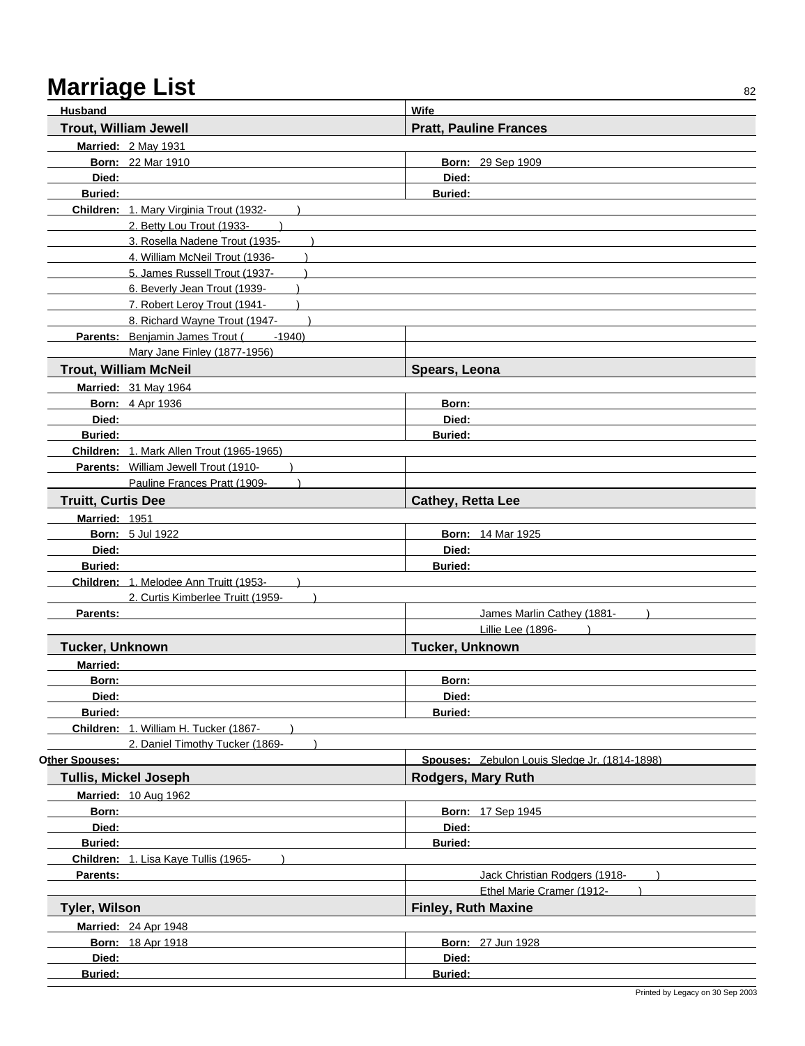| Husband                   |                                            | Wife                          |                                               |
|---------------------------|--------------------------------------------|-------------------------------|-----------------------------------------------|
|                           | <b>Trout, William Jewell</b>               | <b>Pratt, Pauline Frances</b> |                                               |
|                           | Married: 2 May 1931                        |                               |                                               |
|                           | <b>Born: 22 Mar 1910</b>                   | Born: 29 Sep 1909             |                                               |
| Died:                     |                                            | Died:                         |                                               |
| <b>Buried:</b>            |                                            | <b>Buried:</b>                |                                               |
|                           | Children: 1. Mary Virginia Trout (1932-    |                               |                                               |
|                           | 2. Betty Lou Trout (1933-                  |                               |                                               |
|                           | 3. Rosella Nadene Trout (1935-             |                               |                                               |
|                           | 4. William McNeil Trout (1936-             |                               |                                               |
|                           | 5. James Russell Trout (1937-              |                               |                                               |
|                           | 6. Beverly Jean Trout (1939-               |                               |                                               |
|                           | 7. Robert Leroy Trout (1941-               |                               |                                               |
|                           | 8. Richard Wayne Trout (1947-              |                               |                                               |
|                           | Parents: Benjamin James Trout (<br>$-1940$ |                               |                                               |
|                           | Mary Jane Finley (1877-1956)               |                               |                                               |
|                           | <b>Trout, William McNeil</b>               | Spears, Leona                 |                                               |
|                           | <b>Married: 31 May 1964</b>                |                               |                                               |
|                           | <b>Born: 4 Apr 1936</b>                    | Born:                         |                                               |
| Died:                     |                                            | Died:                         |                                               |
| <b>Buried:</b>            |                                            | <b>Buried:</b>                |                                               |
|                           | Children: 1. Mark Allen Trout (1965-1965)  |                               |                                               |
|                           | Parents: William Jewell Trout (1910-       |                               |                                               |
|                           | Pauline Frances Pratt (1909-               |                               |                                               |
| <b>Truitt, Curtis Dee</b> |                                            | Cathey, Retta Lee             |                                               |
| Married: 1951             |                                            |                               |                                               |
|                           | <b>Born: 5 Jul 1922</b>                    | <b>Born: 14 Mar 1925</b>      |                                               |
| Died:                     |                                            | Died:                         |                                               |
| <b>Buried:</b>            |                                            | <b>Buried:</b>                |                                               |
|                           | Children: 1. Melodee Ann Truitt (1953-     |                               |                                               |
| Parents:                  | 2. Curtis Kimberlee Truitt (1959-          |                               | James Marlin Cathey (1881-                    |
|                           |                                            |                               | Lillie Lee (1896-                             |
| Tucker, Unknown           |                                            | Tucker, Unknown               |                                               |
| Married:                  |                                            |                               |                                               |
| Born:                     |                                            | Born:                         |                                               |
| Died:                     |                                            | Died:                         |                                               |
| <b>Buried:</b>            |                                            | <b>Buried:</b>                |                                               |
|                           | Children: 1. William H. Tucker (1867-      |                               |                                               |
|                           | 2. Daniel Timothy Tucker (1869-            |                               |                                               |
| Other Spouses:            |                                            |                               | Spouses: Zebulon Louis Sledge Jr. (1814-1898) |
|                           | <b>Tullis, Mickel Joseph</b>               | <b>Rodgers, Mary Ruth</b>     |                                               |
|                           | <b>Married: 10 Aug 1962</b>                |                               |                                               |
| Born:                     |                                            | <b>Born: 17 Sep 1945</b>      |                                               |
| Died:                     |                                            | Died:                         |                                               |
| <b>Buried:</b>            |                                            | <b>Buried:</b>                |                                               |
|                           | Children: 1. Lisa Kaye Tullis (1965-       |                               |                                               |
| Parents:                  |                                            |                               | Jack Christian Rodgers (1918-                 |
|                           |                                            |                               | Ethel Marie Cramer (1912-                     |
| <b>Tyler, Wilson</b>      |                                            | <b>Finley, Ruth Maxine</b>    |                                               |
|                           | <b>Married: 24 Apr 1948</b>                |                               |                                               |
|                           | <b>Born: 18 Apr 1918</b>                   | <b>Born: 27 Jun 1928</b>      |                                               |
| Died:                     |                                            | Died:                         |                                               |
| <b>Buried:</b>            |                                            | Buried:                       |                                               |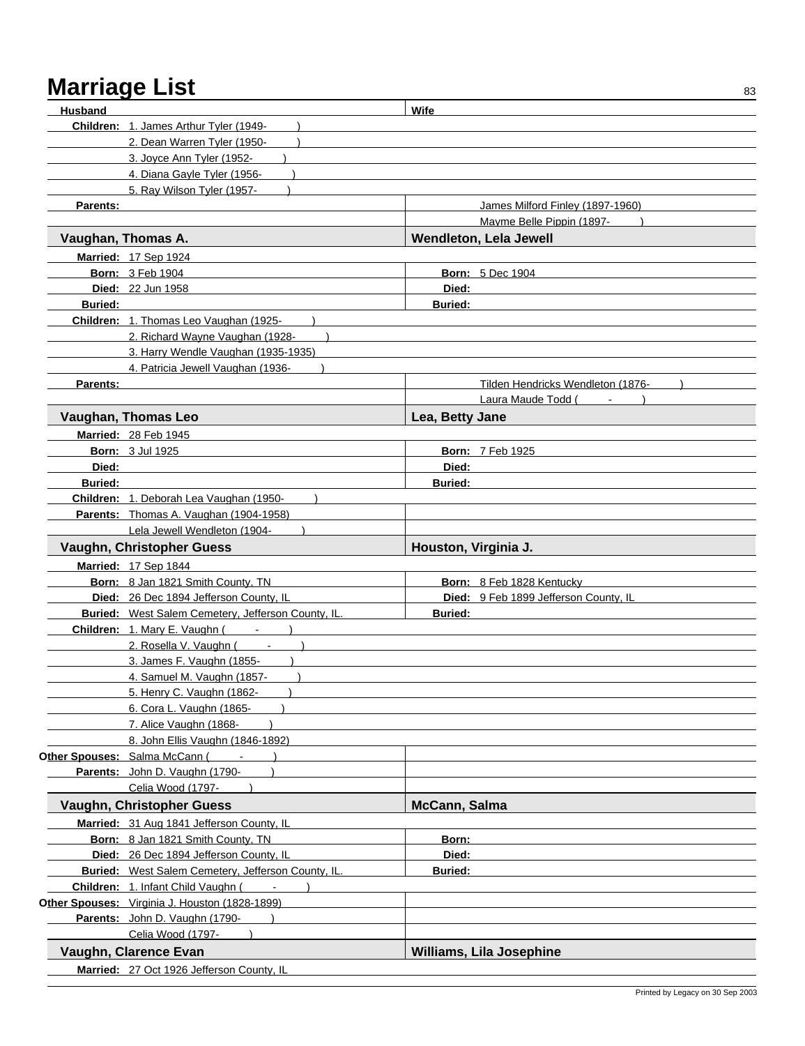| Husband        |                                                    | Wife                                  |
|----------------|----------------------------------------------------|---------------------------------------|
|                | Children: 1. James Arthur Tyler (1949-             |                                       |
|                | 2. Dean Warren Tyler (1950-                        |                                       |
|                | 3. Joyce Ann Tyler (1952-                          |                                       |
|                |                                                    |                                       |
|                | 4. Diana Gayle Tyler (1956-                        |                                       |
|                | 5. Ray Wilson Tyler (1957-                         |                                       |
| Parents:       |                                                    | James Milford Finley (1897-1960)      |
|                |                                                    | Mayme Belle Pippin (1897-             |
|                | Vaughan, Thomas A.                                 | Wendleton, Lela Jewell                |
|                | Married: 17 Sep 1924                               |                                       |
|                | <b>Born: 3 Feb 1904</b>                            | <b>Born: 5 Dec 1904</b>               |
|                | <b>Died: 22 Jun 1958</b>                           | Died:                                 |
| <b>Buried:</b> |                                                    | <b>Buried:</b>                        |
|                | Children: 1. Thomas Leo Vaughan (1925-             |                                       |
|                | 2. Richard Wayne Vaughan (1928-                    |                                       |
|                | 3. Harry Wendle Vaughan (1935-1935)                |                                       |
|                | 4. Patricia Jewell Vaughan (1936-                  |                                       |
| Parents:       |                                                    | Tilden Hendricks Wendleton (1876-     |
|                |                                                    | Laura Maude Todd (                    |
|                | Vaughan, Thomas Leo                                | Lea, Betty Jane                       |
|                |                                                    |                                       |
|                | Married: 28 Feb 1945                               |                                       |
|                | <b>Born: 3 Jul 1925</b>                            | Born: 7 Feb 1925                      |
| Died:          |                                                    | Died:                                 |
| <b>Buried:</b> |                                                    | <b>Buried:</b>                        |
|                | Children: 1. Deborah Lea Vaughan (1950-            |                                       |
|                | Parents: Thomas A. Vaughan (1904-1958)             |                                       |
|                | Lela Jewell Wendleton (1904-                       |                                       |
|                | Vaughn, Christopher Guess                          | Houston, Virginia J.                  |
|                | Married: 17 Sep 1844                               |                                       |
|                | Born: 8 Jan 1821 Smith County, TN                  | Born: 8 Feb 1828 Kentucky             |
|                | Died: 26 Dec 1894 Jefferson County, IL             | Died: 9 Feb 1899 Jefferson County, IL |
|                | Buried: West Salem Cemetery, Jefferson County, IL. | <b>Buried:</b>                        |
|                | Children: 1. Mary E. Vaughn (Fig. 18)              |                                       |
|                | 2. Rosella V. Vaughn (Fig. 1-1)                    |                                       |
|                | 3. James F. Vaughn (1855-                          |                                       |
|                | 4. Samuel M. Vaughn (1857-                         |                                       |
|                | 5. Henry C. Vaughn (1862-<br>$\lambda$             |                                       |
|                | 6. Cora L. Vaughn (1865-                           |                                       |
|                | 7. Alice Vaughn (1868-                             |                                       |
|                | 8. John Ellis Vaughn (1846-1892)                   |                                       |
|                | Other Spouses: Salma McCann (Fig. 18)              |                                       |
|                | Parents: John D. Vaughn (1790-                     |                                       |
|                | Celia Wood (1797-                                  |                                       |
|                | Vaughn, Christopher Guess                          | McCann, Salma                         |
|                | Married: 31 Aug 1841 Jefferson County, IL          |                                       |
|                | Born: 8 Jan 1821 Smith County, TN                  | Born:                                 |
|                | Died: 26 Dec 1894 Jefferson County, IL             | Died:                                 |
|                | Buried: West Salem Cemetery, Jefferson County, IL. | <b>Buried:</b>                        |
|                | Children: 1. Infant Child Vaughn (                 |                                       |
|                | Other Spouses: Virginia J. Houston (1828-1899)     |                                       |
|                | Parents: John D. Vaughn (1790-                     |                                       |
|                | Celia Wood (1797-                                  |                                       |
|                |                                                    |                                       |
|                | Vaughn, Clarence Evan                              | <b>Williams, Lila Josephine</b>       |
|                | Married: 27 Oct 1926 Jefferson County, IL          |                                       |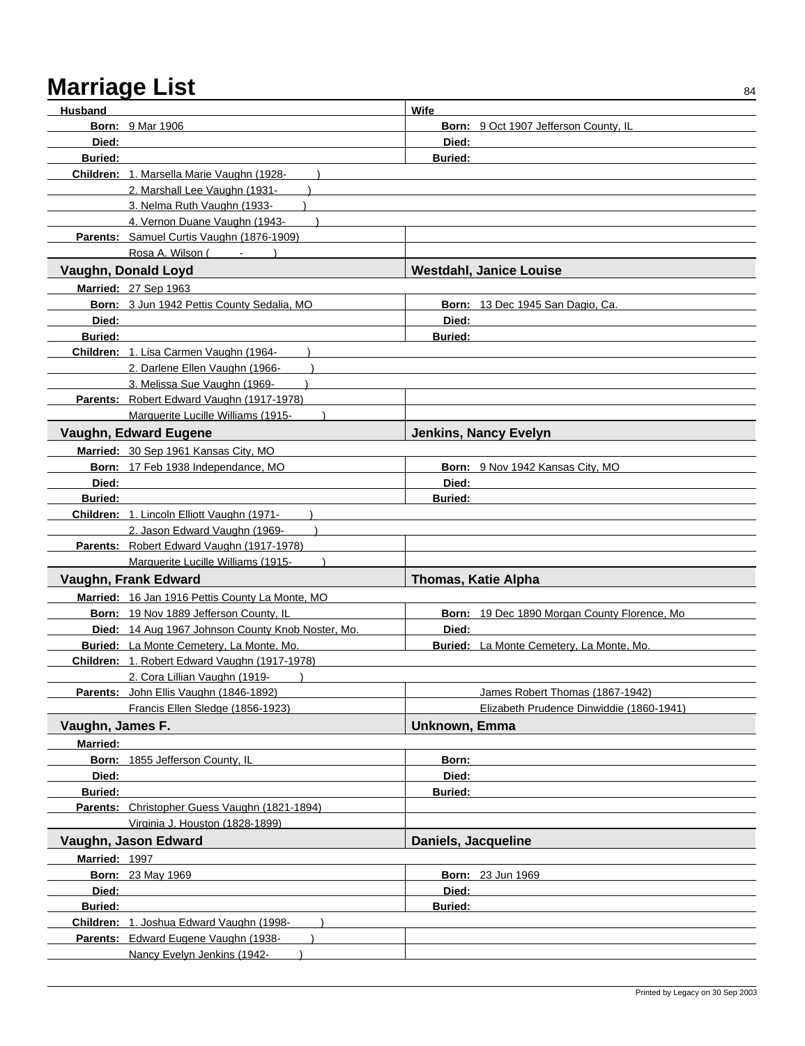| <b>Husband</b>   |                                                   | Wife                                                  |
|------------------|---------------------------------------------------|-------------------------------------------------------|
|                  | <b>Born: 9 Mar 1906</b>                           | Born: 9 Oct 1907 Jefferson County, IL                 |
| Died:            |                                                   | Died:                                                 |
| <b>Buried:</b>   |                                                   | <b>Buried:</b>                                        |
|                  | Children: 1. Marsella Marie Vaughn (1928-         |                                                       |
|                  | 2. Marshall Lee Vaughn (1931-                     |                                                       |
|                  | 3. Nelma Ruth Vaughn (1933-                       |                                                       |
|                  | 4. Vernon Duane Vaughn (1943-                     |                                                       |
|                  | Parents: Samuel Curtis Vaughn (1876-1909)         |                                                       |
|                  | Rosa A. Wilson (                                  |                                                       |
|                  | Vaughn, Donald Loyd                               | <b>Westdahl, Janice Louise</b>                        |
|                  | <b>Married: 27 Sep 1963</b>                       |                                                       |
|                  | Born: 3 Jun 1942 Pettis County Sedalia, MO        | Born: 13 Dec 1945 San Dagio, Ca.                      |
| Died:            |                                                   | Died:                                                 |
| <b>Buried:</b>   |                                                   | <b>Buried:</b>                                        |
|                  | Children: 1. Lisa Carmen Vaughn (1964-            |                                                       |
|                  | 2. Darlene Ellen Vaughn (1966-                    |                                                       |
|                  | 3. Melissa Sue Vaughn (1969-                      |                                                       |
|                  | Parents: Robert Edward Vaughn (1917-1978)         |                                                       |
|                  | Marquerite Lucille Williams (1915-                |                                                       |
|                  | <b>Vaughn, Edward Eugene</b>                      | <b>Jenkins, Nancy Evelyn</b>                          |
|                  | Married: 30 Sep 1961 Kansas City, MO              |                                                       |
|                  | Born: 17 Feb 1938 Independance, MO                | Born: 9 Nov 1942 Kansas City, MO                      |
| Died:            |                                                   | Died:                                                 |
| <b>Buried:</b>   |                                                   | <b>Buried:</b>                                        |
|                  | Children: 1. Lincoln Elliott Vaughn (1971-        |                                                       |
|                  | 2. Jason Edward Vaughn (1969-                     |                                                       |
|                  |                                                   |                                                       |
|                  | Parents: Robert Edward Vaughn (1917-1978)         |                                                       |
|                  | Marquerite Lucille Williams (1915-                |                                                       |
|                  | Vaughn, Frank Edward                              | Thomas, Katie Alpha                                   |
|                  | Married: 16 Jan 1916 Pettis County La Monte, MO   |                                                       |
|                  | Born: 19 Nov 1889 Jefferson County, IL            |                                                       |
|                  | Died: 14 Aug 1967 Johnson County Knob Noster, Mo. | Born: 19 Dec 1890 Morgan County Florence, Mo<br>Died: |
|                  | Buried: La Monte Cemetery, La Monte, Mo.          | Buried: La Monte Cemetery, La Monte, Mo.              |
|                  | Children: 1. Robert Edward Vaughn (1917-1978)     |                                                       |
|                  | 2. Cora Lillian Vaughn (1919-                     |                                                       |
|                  | Parents: John Ellis Vaughn (1846-1892)            | James Robert Thomas (1867-1942)                       |
|                  | Francis Ellen Sledge (1856-1923)                  | Elizabeth Prudence Dinwiddie (1860-1941)              |
| Vaughn, James F. |                                                   | Unknown, Emma                                         |
| <b>Married:</b>  |                                                   |                                                       |
|                  |                                                   | Born:                                                 |
| Died:            | Born: 1855 Jefferson County, IL                   | Died:                                                 |
| <b>Buried:</b>   |                                                   | <b>Buried:</b>                                        |
|                  | Parents: Christopher Guess Vaughn (1821-1894)     |                                                       |
|                  | Virginia J. Houston (1828-1899)                   |                                                       |
|                  | Vaughn, Jason Edward                              | Daniels, Jacqueline                                   |
| Married: 1997    |                                                   |                                                       |
|                  | <b>Born: 23 May 1969</b>                          | <b>Born: 23 Jun 1969</b>                              |
| Died:            |                                                   | Died:                                                 |
| <b>Buried:</b>   |                                                   | <b>Buried:</b>                                        |
|                  | Children: 1. Joshua Edward Vaughn (1998-          |                                                       |
|                  | Parents: Edward Eugene Vaughn (1938-              |                                                       |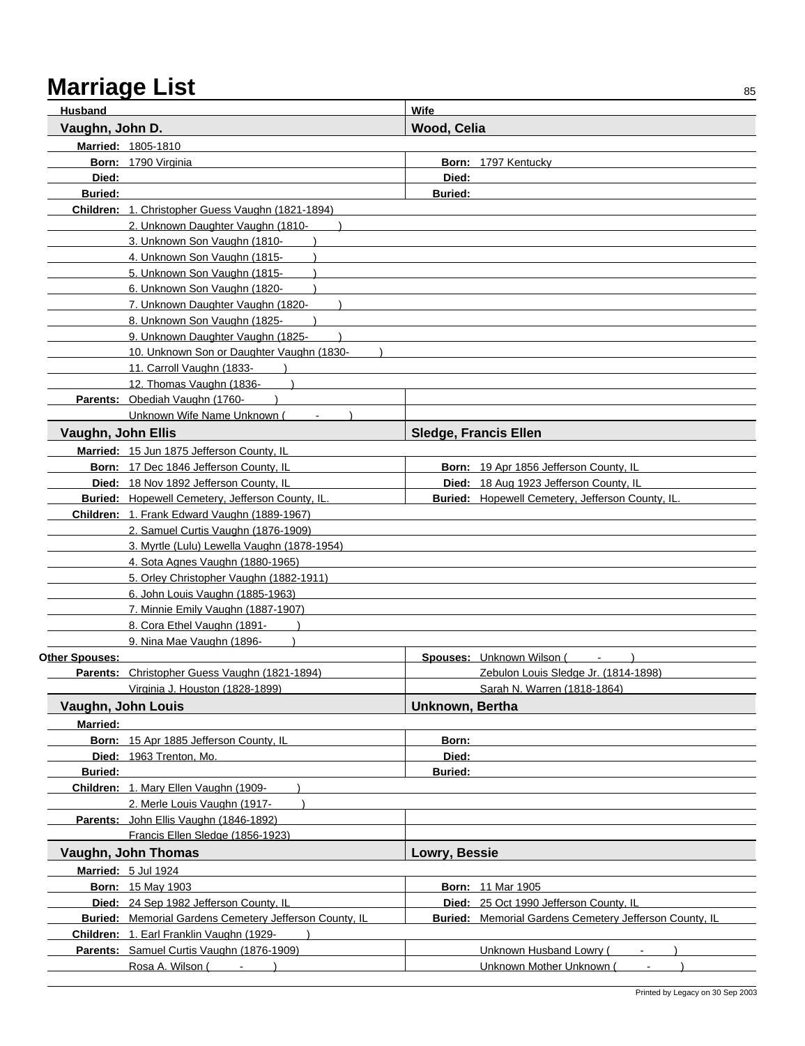| Wood, Celia<br>Vaughn, John D.<br>Married: 1805-1810<br>Born: 1790 Virginia<br>Born: 1797 Kentucky<br>Died:<br>Died:<br><b>Buried:</b><br><b>Buried:</b><br>Children: 1. Christopher Guess Vaughn (1821-1894)<br>2. Unknown Daughter Vaughn (1810-<br>3. Unknown Son Vaughn (1810-<br>4. Unknown Son Vaughn (1815-<br>5. Unknown Son Vaughn (1815-<br>6. Unknown Son Vaughn (1820-<br>7. Unknown Daughter Vaughn (1820-<br>8. Unknown Son Vaughn (1825-<br>9. Unknown Daughter Vaughn (1825-<br>10. Unknown Son or Daughter Vaughn (1830-<br>11. Carroll Vaughn (1833-<br>12. Thomas Vaughn (1836-<br>Parents: Obediah Vaughn (1760-<br>Unknown Wife Name Unknown (<br>Vaughn, John Ellis<br><b>Sledge, Francis Ellen</b><br>Married: 15 Jun 1875 Jefferson County, IL<br>Born: 17 Dec 1846 Jefferson County, IL<br>Born: 19 Apr 1856 Jefferson County, IL<br>Died: 18 Nov 1892 Jefferson County, IL<br>Died: 18 Aug 1923 Jefferson County, IL<br>Buried: Hopewell Cemetery, Jefferson County, IL.<br><b>Buried:</b> Hopewell Cemetery, Jefferson County, IL.<br>Children: 1. Frank Edward Vaughn (1889-1967)<br>2. Samuel Curtis Vaughn (1876-1909)<br>3. Myrtle (Lulu) Lewella Vaughn (1878-1954)<br>4. Sota Agnes Vaughn (1880-1965)<br>5. Orley Christopher Vaughn (1882-1911)<br>6. John Louis Vaughn (1885-1963)<br>7. Minnie Emily Vaughn (1887-1907)<br>8. Cora Ethel Vaughn (1891-<br>9. Nina Mae Vaughn (1896-<br>Other Spouses:<br><b>Spouses:</b> Unknown Wilson (<br>Parents: Christopher Guess Vaughn (1821-1894)<br>Zebulon Louis Sledge Jr. (1814-1898)<br>Virginia J. Houston (1828-1899)<br>Sarah N. Warren (1818-1864)<br>Unknown, Bertha<br>Vaughn, John Louis<br><b>Married:</b><br>Born: 15 Apr 1885 Jefferson County, IL<br>Born:<br>Died: 1963 Trenton, Mo.<br>Died:<br><b>Buried:</b><br><b>Buried:</b><br>Children: 1. Mary Ellen Vaughn (1909-<br>2. Merle Louis Vaughn (1917-<br>Parents: John Ellis Vaughn (1846-1892)<br>Francis Ellen Sledge (1856-1923)<br>Vaughn, John Thomas<br>Lowry, Bessie<br>Married: 5 Jul 1924<br><b>Born: 15 May 1903</b><br><b>Born: 11 Mar 1905</b><br>Died: 24 Sep 1982 Jefferson County, IL<br>Died: 25 Oct 1990 Jefferson County, IL<br><b>Buried:</b> Memorial Gardens Cemetery Jefferson County, IL<br><b>Buried:</b> Memorial Gardens Cemetery Jefferson County, IL<br>Children: 1. Earl Franklin Vaughn (1929-<br>Parents: Samuel Curtis Vaughn (1876-1909)<br><b>Unknown Husband Lowry (</b><br>Rosa A. Wilson (<br>Unknown Mother Unknown ( | Husband | Wife |
|-----------------------------------------------------------------------------------------------------------------------------------------------------------------------------------------------------------------------------------------------------------------------------------------------------------------------------------------------------------------------------------------------------------------------------------------------------------------------------------------------------------------------------------------------------------------------------------------------------------------------------------------------------------------------------------------------------------------------------------------------------------------------------------------------------------------------------------------------------------------------------------------------------------------------------------------------------------------------------------------------------------------------------------------------------------------------------------------------------------------------------------------------------------------------------------------------------------------------------------------------------------------------------------------------------------------------------------------------------------------------------------------------------------------------------------------------------------------------------------------------------------------------------------------------------------------------------------------------------------------------------------------------------------------------------------------------------------------------------------------------------------------------------------------------------------------------------------------------------------------------------------------------------------------------------------------------------------------------------------------------------------------------------------------------------------------------------------------------------------------------------------------------------------------------------------------------------------------------------------------------------------------------------------------------------------------------------------------------------------------------------------------------------------------------------------------------------------------------------------------------------------------|---------|------|
|                                                                                                                                                                                                                                                                                                                                                                                                                                                                                                                                                                                                                                                                                                                                                                                                                                                                                                                                                                                                                                                                                                                                                                                                                                                                                                                                                                                                                                                                                                                                                                                                                                                                                                                                                                                                                                                                                                                                                                                                                                                                                                                                                                                                                                                                                                                                                                                                                                                                                                                 |         |      |
|                                                                                                                                                                                                                                                                                                                                                                                                                                                                                                                                                                                                                                                                                                                                                                                                                                                                                                                                                                                                                                                                                                                                                                                                                                                                                                                                                                                                                                                                                                                                                                                                                                                                                                                                                                                                                                                                                                                                                                                                                                                                                                                                                                                                                                                                                                                                                                                                                                                                                                                 |         |      |
|                                                                                                                                                                                                                                                                                                                                                                                                                                                                                                                                                                                                                                                                                                                                                                                                                                                                                                                                                                                                                                                                                                                                                                                                                                                                                                                                                                                                                                                                                                                                                                                                                                                                                                                                                                                                                                                                                                                                                                                                                                                                                                                                                                                                                                                                                                                                                                                                                                                                                                                 |         |      |
|                                                                                                                                                                                                                                                                                                                                                                                                                                                                                                                                                                                                                                                                                                                                                                                                                                                                                                                                                                                                                                                                                                                                                                                                                                                                                                                                                                                                                                                                                                                                                                                                                                                                                                                                                                                                                                                                                                                                                                                                                                                                                                                                                                                                                                                                                                                                                                                                                                                                                                                 |         |      |
|                                                                                                                                                                                                                                                                                                                                                                                                                                                                                                                                                                                                                                                                                                                                                                                                                                                                                                                                                                                                                                                                                                                                                                                                                                                                                                                                                                                                                                                                                                                                                                                                                                                                                                                                                                                                                                                                                                                                                                                                                                                                                                                                                                                                                                                                                                                                                                                                                                                                                                                 |         |      |
|                                                                                                                                                                                                                                                                                                                                                                                                                                                                                                                                                                                                                                                                                                                                                                                                                                                                                                                                                                                                                                                                                                                                                                                                                                                                                                                                                                                                                                                                                                                                                                                                                                                                                                                                                                                                                                                                                                                                                                                                                                                                                                                                                                                                                                                                                                                                                                                                                                                                                                                 |         |      |
|                                                                                                                                                                                                                                                                                                                                                                                                                                                                                                                                                                                                                                                                                                                                                                                                                                                                                                                                                                                                                                                                                                                                                                                                                                                                                                                                                                                                                                                                                                                                                                                                                                                                                                                                                                                                                                                                                                                                                                                                                                                                                                                                                                                                                                                                                                                                                                                                                                                                                                                 |         |      |
|                                                                                                                                                                                                                                                                                                                                                                                                                                                                                                                                                                                                                                                                                                                                                                                                                                                                                                                                                                                                                                                                                                                                                                                                                                                                                                                                                                                                                                                                                                                                                                                                                                                                                                                                                                                                                                                                                                                                                                                                                                                                                                                                                                                                                                                                                                                                                                                                                                                                                                                 |         |      |
|                                                                                                                                                                                                                                                                                                                                                                                                                                                                                                                                                                                                                                                                                                                                                                                                                                                                                                                                                                                                                                                                                                                                                                                                                                                                                                                                                                                                                                                                                                                                                                                                                                                                                                                                                                                                                                                                                                                                                                                                                                                                                                                                                                                                                                                                                                                                                                                                                                                                                                                 |         |      |
|                                                                                                                                                                                                                                                                                                                                                                                                                                                                                                                                                                                                                                                                                                                                                                                                                                                                                                                                                                                                                                                                                                                                                                                                                                                                                                                                                                                                                                                                                                                                                                                                                                                                                                                                                                                                                                                                                                                                                                                                                                                                                                                                                                                                                                                                                                                                                                                                                                                                                                                 |         |      |
|                                                                                                                                                                                                                                                                                                                                                                                                                                                                                                                                                                                                                                                                                                                                                                                                                                                                                                                                                                                                                                                                                                                                                                                                                                                                                                                                                                                                                                                                                                                                                                                                                                                                                                                                                                                                                                                                                                                                                                                                                                                                                                                                                                                                                                                                                                                                                                                                                                                                                                                 |         |      |
|                                                                                                                                                                                                                                                                                                                                                                                                                                                                                                                                                                                                                                                                                                                                                                                                                                                                                                                                                                                                                                                                                                                                                                                                                                                                                                                                                                                                                                                                                                                                                                                                                                                                                                                                                                                                                                                                                                                                                                                                                                                                                                                                                                                                                                                                                                                                                                                                                                                                                                                 |         |      |
|                                                                                                                                                                                                                                                                                                                                                                                                                                                                                                                                                                                                                                                                                                                                                                                                                                                                                                                                                                                                                                                                                                                                                                                                                                                                                                                                                                                                                                                                                                                                                                                                                                                                                                                                                                                                                                                                                                                                                                                                                                                                                                                                                                                                                                                                                                                                                                                                                                                                                                                 |         |      |
|                                                                                                                                                                                                                                                                                                                                                                                                                                                                                                                                                                                                                                                                                                                                                                                                                                                                                                                                                                                                                                                                                                                                                                                                                                                                                                                                                                                                                                                                                                                                                                                                                                                                                                                                                                                                                                                                                                                                                                                                                                                                                                                                                                                                                                                                                                                                                                                                                                                                                                                 |         |      |
|                                                                                                                                                                                                                                                                                                                                                                                                                                                                                                                                                                                                                                                                                                                                                                                                                                                                                                                                                                                                                                                                                                                                                                                                                                                                                                                                                                                                                                                                                                                                                                                                                                                                                                                                                                                                                                                                                                                                                                                                                                                                                                                                                                                                                                                                                                                                                                                                                                                                                                                 |         |      |
|                                                                                                                                                                                                                                                                                                                                                                                                                                                                                                                                                                                                                                                                                                                                                                                                                                                                                                                                                                                                                                                                                                                                                                                                                                                                                                                                                                                                                                                                                                                                                                                                                                                                                                                                                                                                                                                                                                                                                                                                                                                                                                                                                                                                                                                                                                                                                                                                                                                                                                                 |         |      |
|                                                                                                                                                                                                                                                                                                                                                                                                                                                                                                                                                                                                                                                                                                                                                                                                                                                                                                                                                                                                                                                                                                                                                                                                                                                                                                                                                                                                                                                                                                                                                                                                                                                                                                                                                                                                                                                                                                                                                                                                                                                                                                                                                                                                                                                                                                                                                                                                                                                                                                                 |         |      |
|                                                                                                                                                                                                                                                                                                                                                                                                                                                                                                                                                                                                                                                                                                                                                                                                                                                                                                                                                                                                                                                                                                                                                                                                                                                                                                                                                                                                                                                                                                                                                                                                                                                                                                                                                                                                                                                                                                                                                                                                                                                                                                                                                                                                                                                                                                                                                                                                                                                                                                                 |         |      |
|                                                                                                                                                                                                                                                                                                                                                                                                                                                                                                                                                                                                                                                                                                                                                                                                                                                                                                                                                                                                                                                                                                                                                                                                                                                                                                                                                                                                                                                                                                                                                                                                                                                                                                                                                                                                                                                                                                                                                                                                                                                                                                                                                                                                                                                                                                                                                                                                                                                                                                                 |         |      |
|                                                                                                                                                                                                                                                                                                                                                                                                                                                                                                                                                                                                                                                                                                                                                                                                                                                                                                                                                                                                                                                                                                                                                                                                                                                                                                                                                                                                                                                                                                                                                                                                                                                                                                                                                                                                                                                                                                                                                                                                                                                                                                                                                                                                                                                                                                                                                                                                                                                                                                                 |         |      |
|                                                                                                                                                                                                                                                                                                                                                                                                                                                                                                                                                                                                                                                                                                                                                                                                                                                                                                                                                                                                                                                                                                                                                                                                                                                                                                                                                                                                                                                                                                                                                                                                                                                                                                                                                                                                                                                                                                                                                                                                                                                                                                                                                                                                                                                                                                                                                                                                                                                                                                                 |         |      |
|                                                                                                                                                                                                                                                                                                                                                                                                                                                                                                                                                                                                                                                                                                                                                                                                                                                                                                                                                                                                                                                                                                                                                                                                                                                                                                                                                                                                                                                                                                                                                                                                                                                                                                                                                                                                                                                                                                                                                                                                                                                                                                                                                                                                                                                                                                                                                                                                                                                                                                                 |         |      |
|                                                                                                                                                                                                                                                                                                                                                                                                                                                                                                                                                                                                                                                                                                                                                                                                                                                                                                                                                                                                                                                                                                                                                                                                                                                                                                                                                                                                                                                                                                                                                                                                                                                                                                                                                                                                                                                                                                                                                                                                                                                                                                                                                                                                                                                                                                                                                                                                                                                                                                                 |         |      |
|                                                                                                                                                                                                                                                                                                                                                                                                                                                                                                                                                                                                                                                                                                                                                                                                                                                                                                                                                                                                                                                                                                                                                                                                                                                                                                                                                                                                                                                                                                                                                                                                                                                                                                                                                                                                                                                                                                                                                                                                                                                                                                                                                                                                                                                                                                                                                                                                                                                                                                                 |         |      |
|                                                                                                                                                                                                                                                                                                                                                                                                                                                                                                                                                                                                                                                                                                                                                                                                                                                                                                                                                                                                                                                                                                                                                                                                                                                                                                                                                                                                                                                                                                                                                                                                                                                                                                                                                                                                                                                                                                                                                                                                                                                                                                                                                                                                                                                                                                                                                                                                                                                                                                                 |         |      |
|                                                                                                                                                                                                                                                                                                                                                                                                                                                                                                                                                                                                                                                                                                                                                                                                                                                                                                                                                                                                                                                                                                                                                                                                                                                                                                                                                                                                                                                                                                                                                                                                                                                                                                                                                                                                                                                                                                                                                                                                                                                                                                                                                                                                                                                                                                                                                                                                                                                                                                                 |         |      |
|                                                                                                                                                                                                                                                                                                                                                                                                                                                                                                                                                                                                                                                                                                                                                                                                                                                                                                                                                                                                                                                                                                                                                                                                                                                                                                                                                                                                                                                                                                                                                                                                                                                                                                                                                                                                                                                                                                                                                                                                                                                                                                                                                                                                                                                                                                                                                                                                                                                                                                                 |         |      |
|                                                                                                                                                                                                                                                                                                                                                                                                                                                                                                                                                                                                                                                                                                                                                                                                                                                                                                                                                                                                                                                                                                                                                                                                                                                                                                                                                                                                                                                                                                                                                                                                                                                                                                                                                                                                                                                                                                                                                                                                                                                                                                                                                                                                                                                                                                                                                                                                                                                                                                                 |         |      |
|                                                                                                                                                                                                                                                                                                                                                                                                                                                                                                                                                                                                                                                                                                                                                                                                                                                                                                                                                                                                                                                                                                                                                                                                                                                                                                                                                                                                                                                                                                                                                                                                                                                                                                                                                                                                                                                                                                                                                                                                                                                                                                                                                                                                                                                                                                                                                                                                                                                                                                                 |         |      |
|                                                                                                                                                                                                                                                                                                                                                                                                                                                                                                                                                                                                                                                                                                                                                                                                                                                                                                                                                                                                                                                                                                                                                                                                                                                                                                                                                                                                                                                                                                                                                                                                                                                                                                                                                                                                                                                                                                                                                                                                                                                                                                                                                                                                                                                                                                                                                                                                                                                                                                                 |         |      |
|                                                                                                                                                                                                                                                                                                                                                                                                                                                                                                                                                                                                                                                                                                                                                                                                                                                                                                                                                                                                                                                                                                                                                                                                                                                                                                                                                                                                                                                                                                                                                                                                                                                                                                                                                                                                                                                                                                                                                                                                                                                                                                                                                                                                                                                                                                                                                                                                                                                                                                                 |         |      |
|                                                                                                                                                                                                                                                                                                                                                                                                                                                                                                                                                                                                                                                                                                                                                                                                                                                                                                                                                                                                                                                                                                                                                                                                                                                                                                                                                                                                                                                                                                                                                                                                                                                                                                                                                                                                                                                                                                                                                                                                                                                                                                                                                                                                                                                                                                                                                                                                                                                                                                                 |         |      |
|                                                                                                                                                                                                                                                                                                                                                                                                                                                                                                                                                                                                                                                                                                                                                                                                                                                                                                                                                                                                                                                                                                                                                                                                                                                                                                                                                                                                                                                                                                                                                                                                                                                                                                                                                                                                                                                                                                                                                                                                                                                                                                                                                                                                                                                                                                                                                                                                                                                                                                                 |         |      |
|                                                                                                                                                                                                                                                                                                                                                                                                                                                                                                                                                                                                                                                                                                                                                                                                                                                                                                                                                                                                                                                                                                                                                                                                                                                                                                                                                                                                                                                                                                                                                                                                                                                                                                                                                                                                                                                                                                                                                                                                                                                                                                                                                                                                                                                                                                                                                                                                                                                                                                                 |         |      |
|                                                                                                                                                                                                                                                                                                                                                                                                                                                                                                                                                                                                                                                                                                                                                                                                                                                                                                                                                                                                                                                                                                                                                                                                                                                                                                                                                                                                                                                                                                                                                                                                                                                                                                                                                                                                                                                                                                                                                                                                                                                                                                                                                                                                                                                                                                                                                                                                                                                                                                                 |         |      |
|                                                                                                                                                                                                                                                                                                                                                                                                                                                                                                                                                                                                                                                                                                                                                                                                                                                                                                                                                                                                                                                                                                                                                                                                                                                                                                                                                                                                                                                                                                                                                                                                                                                                                                                                                                                                                                                                                                                                                                                                                                                                                                                                                                                                                                                                                                                                                                                                                                                                                                                 |         |      |
|                                                                                                                                                                                                                                                                                                                                                                                                                                                                                                                                                                                                                                                                                                                                                                                                                                                                                                                                                                                                                                                                                                                                                                                                                                                                                                                                                                                                                                                                                                                                                                                                                                                                                                                                                                                                                                                                                                                                                                                                                                                                                                                                                                                                                                                                                                                                                                                                                                                                                                                 |         |      |
|                                                                                                                                                                                                                                                                                                                                                                                                                                                                                                                                                                                                                                                                                                                                                                                                                                                                                                                                                                                                                                                                                                                                                                                                                                                                                                                                                                                                                                                                                                                                                                                                                                                                                                                                                                                                                                                                                                                                                                                                                                                                                                                                                                                                                                                                                                                                                                                                                                                                                                                 |         |      |
|                                                                                                                                                                                                                                                                                                                                                                                                                                                                                                                                                                                                                                                                                                                                                                                                                                                                                                                                                                                                                                                                                                                                                                                                                                                                                                                                                                                                                                                                                                                                                                                                                                                                                                                                                                                                                                                                                                                                                                                                                                                                                                                                                                                                                                                                                                                                                                                                                                                                                                                 |         |      |
|                                                                                                                                                                                                                                                                                                                                                                                                                                                                                                                                                                                                                                                                                                                                                                                                                                                                                                                                                                                                                                                                                                                                                                                                                                                                                                                                                                                                                                                                                                                                                                                                                                                                                                                                                                                                                                                                                                                                                                                                                                                                                                                                                                                                                                                                                                                                                                                                                                                                                                                 |         |      |
|                                                                                                                                                                                                                                                                                                                                                                                                                                                                                                                                                                                                                                                                                                                                                                                                                                                                                                                                                                                                                                                                                                                                                                                                                                                                                                                                                                                                                                                                                                                                                                                                                                                                                                                                                                                                                                                                                                                                                                                                                                                                                                                                                                                                                                                                                                                                                                                                                                                                                                                 |         |      |
|                                                                                                                                                                                                                                                                                                                                                                                                                                                                                                                                                                                                                                                                                                                                                                                                                                                                                                                                                                                                                                                                                                                                                                                                                                                                                                                                                                                                                                                                                                                                                                                                                                                                                                                                                                                                                                                                                                                                                                                                                                                                                                                                                                                                                                                                                                                                                                                                                                                                                                                 |         |      |
|                                                                                                                                                                                                                                                                                                                                                                                                                                                                                                                                                                                                                                                                                                                                                                                                                                                                                                                                                                                                                                                                                                                                                                                                                                                                                                                                                                                                                                                                                                                                                                                                                                                                                                                                                                                                                                                                                                                                                                                                                                                                                                                                                                                                                                                                                                                                                                                                                                                                                                                 |         |      |
|                                                                                                                                                                                                                                                                                                                                                                                                                                                                                                                                                                                                                                                                                                                                                                                                                                                                                                                                                                                                                                                                                                                                                                                                                                                                                                                                                                                                                                                                                                                                                                                                                                                                                                                                                                                                                                                                                                                                                                                                                                                                                                                                                                                                                                                                                                                                                                                                                                                                                                                 |         |      |
|                                                                                                                                                                                                                                                                                                                                                                                                                                                                                                                                                                                                                                                                                                                                                                                                                                                                                                                                                                                                                                                                                                                                                                                                                                                                                                                                                                                                                                                                                                                                                                                                                                                                                                                                                                                                                                                                                                                                                                                                                                                                                                                                                                                                                                                                                                                                                                                                                                                                                                                 |         |      |
|                                                                                                                                                                                                                                                                                                                                                                                                                                                                                                                                                                                                                                                                                                                                                                                                                                                                                                                                                                                                                                                                                                                                                                                                                                                                                                                                                                                                                                                                                                                                                                                                                                                                                                                                                                                                                                                                                                                                                                                                                                                                                                                                                                                                                                                                                                                                                                                                                                                                                                                 |         |      |
|                                                                                                                                                                                                                                                                                                                                                                                                                                                                                                                                                                                                                                                                                                                                                                                                                                                                                                                                                                                                                                                                                                                                                                                                                                                                                                                                                                                                                                                                                                                                                                                                                                                                                                                                                                                                                                                                                                                                                                                                                                                                                                                                                                                                                                                                                                                                                                                                                                                                                                                 |         |      |
|                                                                                                                                                                                                                                                                                                                                                                                                                                                                                                                                                                                                                                                                                                                                                                                                                                                                                                                                                                                                                                                                                                                                                                                                                                                                                                                                                                                                                                                                                                                                                                                                                                                                                                                                                                                                                                                                                                                                                                                                                                                                                                                                                                                                                                                                                                                                                                                                                                                                                                                 |         |      |
|                                                                                                                                                                                                                                                                                                                                                                                                                                                                                                                                                                                                                                                                                                                                                                                                                                                                                                                                                                                                                                                                                                                                                                                                                                                                                                                                                                                                                                                                                                                                                                                                                                                                                                                                                                                                                                                                                                                                                                                                                                                                                                                                                                                                                                                                                                                                                                                                                                                                                                                 |         |      |
|                                                                                                                                                                                                                                                                                                                                                                                                                                                                                                                                                                                                                                                                                                                                                                                                                                                                                                                                                                                                                                                                                                                                                                                                                                                                                                                                                                                                                                                                                                                                                                                                                                                                                                                                                                                                                                                                                                                                                                                                                                                                                                                                                                                                                                                                                                                                                                                                                                                                                                                 |         |      |
|                                                                                                                                                                                                                                                                                                                                                                                                                                                                                                                                                                                                                                                                                                                                                                                                                                                                                                                                                                                                                                                                                                                                                                                                                                                                                                                                                                                                                                                                                                                                                                                                                                                                                                                                                                                                                                                                                                                                                                                                                                                                                                                                                                                                                                                                                                                                                                                                                                                                                                                 |         |      |
|                                                                                                                                                                                                                                                                                                                                                                                                                                                                                                                                                                                                                                                                                                                                                                                                                                                                                                                                                                                                                                                                                                                                                                                                                                                                                                                                                                                                                                                                                                                                                                                                                                                                                                                                                                                                                                                                                                                                                                                                                                                                                                                                                                                                                                                                                                                                                                                                                                                                                                                 |         |      |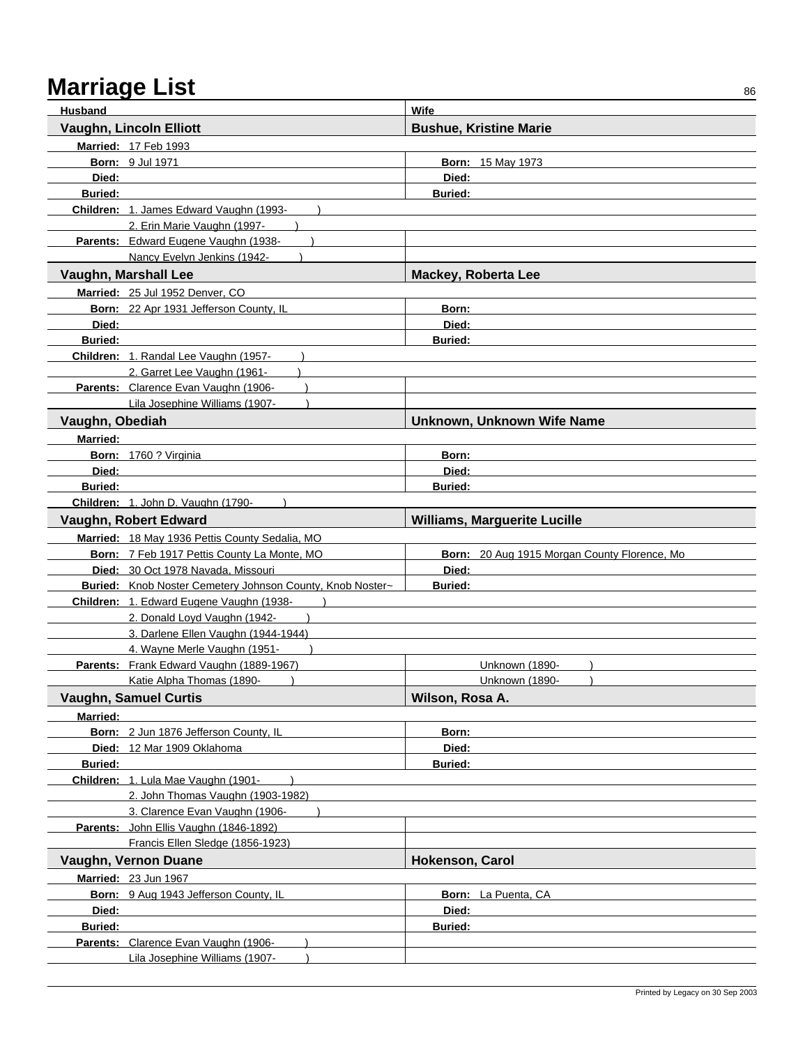| <b>Husband</b>  |                                                                          | Wife                                         |
|-----------------|--------------------------------------------------------------------------|----------------------------------------------|
|                 | Vaughn, Lincoln Elliott                                                  | <b>Bushue, Kristine Marie</b>                |
|                 | Married: 17 Feb 1993                                                     |                                              |
|                 | <b>Born: 9 Jul 1971</b>                                                  | <b>Born: 15 May 1973</b>                     |
| Died:           |                                                                          | Died:                                        |
| <b>Buried:</b>  |                                                                          | <b>Buried:</b>                               |
|                 | Children: 1. James Edward Vaughn (1993-                                  |                                              |
|                 | 2. Erin Marie Vaughn (1997-                                              |                                              |
|                 | Parents: Edward Eugene Vaughn (1938-                                     |                                              |
|                 | Nancy Evelyn Jenkins (1942-                                              |                                              |
|                 | Vaughn, Marshall Lee                                                     | <b>Mackey, Roberta Lee</b>                   |
|                 | Married: 25 Jul 1952 Denver, CO                                          |                                              |
|                 | Born: 22 Apr 1931 Jefferson County, IL                                   | Born:                                        |
| Died:           |                                                                          | Died:                                        |
| <b>Buried:</b>  |                                                                          | <b>Buried:</b>                               |
|                 | Children: 1. Randal Lee Vaughn (1957-                                    |                                              |
|                 | 2. Garret Lee Vaughn (1961-                                              |                                              |
|                 | Parents: Clarence Evan Vaughn (1906-                                     |                                              |
|                 | Lila Josephine Williams (1907-                                           |                                              |
| Vaughn, Obediah |                                                                          | Unknown, Unknown Wife Name                   |
| Married:        |                                                                          |                                              |
|                 | Born: 1760 ? Virginia                                                    | Born:                                        |
| Died:           |                                                                          | Died:                                        |
| <b>Buried:</b>  |                                                                          | <b>Buried:</b>                               |
|                 | Children: 1. John D. Vaughn (1790-                                       |                                              |
|                 | Vaughn, Robert Edward                                                    | <b>Williams, Marguerite Lucille</b>          |
|                 | Married: 18 May 1936 Pettis County Sedalia, MO                           |                                              |
|                 | Born: 7 Feb 1917 Pettis County La Monte, MO                              | Born: 20 Aug 1915 Morgan County Florence, Mo |
|                 | Died: 30 Oct 1978 Navada, Missouri                                       | Died:                                        |
|                 | Buried: Knob Noster Cemetery Johnson County, Knob Noster~                | <b>Buried:</b>                               |
|                 | Children: 1. Edward Eugene Vaughn (1938-                                 |                                              |
|                 | 2. Donald Loyd Vaughn (1942-                                             |                                              |
|                 | 3. Darlene Ellen Vaughn (1944-1944)                                      |                                              |
|                 | 4. Wayne Merle Vaughn (1951-<br>Parents: Frank Edward Vaughn (1889-1967) | Unknown (1890-                               |
|                 | Katie Alpha Thomas (1890-                                                | Unknown (1890-                               |
|                 | <b>Vaughn, Samuel Curtis</b>                                             | Wilson, Rosa A.                              |
| Married:        |                                                                          |                                              |
|                 | Born: 2 Jun 1876 Jefferson County, IL                                    | Born:                                        |
|                 | Died: 12 Mar 1909 Oklahoma                                               | Died:                                        |
| Buried:         |                                                                          | <b>Buried:</b>                               |
|                 | Children: 1. Lula Mae Vaughn (1901-                                      |                                              |
|                 | 2. John Thomas Vaughn (1903-1982)                                        |                                              |
|                 | 3. Clarence Evan Vaughn (1906-                                           |                                              |
|                 | Parents: John Ellis Vaughn (1846-1892)                                   |                                              |
|                 | Francis Ellen Sledge (1856-1923)                                         |                                              |
|                 | Vaughn, Vernon Duane                                                     | Hokenson, Carol                              |
|                 | Married: 23 Jun 1967                                                     |                                              |
|                 | Born: 9 Aug 1943 Jefferson County, IL                                    | <b>Born:</b> La Puenta, CA                   |
| Died:           |                                                                          | Died:                                        |
| <b>Buried:</b>  |                                                                          | <b>Buried:</b>                               |
|                 | Parents: Clarence Evan Vaughn (1906-                                     |                                              |
|                 | Lila Josephine Williams (1907-                                           |                                              |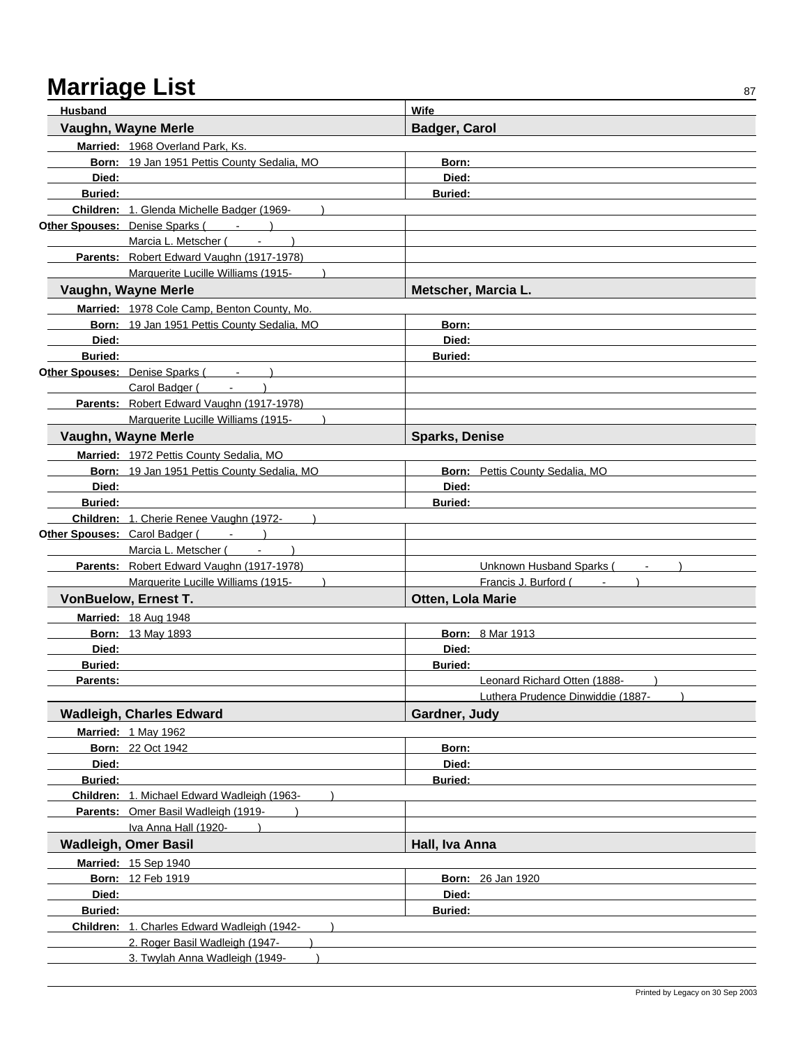| Husband        |                                             | Wife                                     |
|----------------|---------------------------------------------|------------------------------------------|
|                | Vaughn, Wayne Merle                         | <b>Badger, Carol</b>                     |
|                | Married: 1968 Overland Park, Ks.            |                                          |
|                | Born: 19 Jan 1951 Pettis County Sedalia, MO | Born:                                    |
| Died:          |                                             | Died:                                    |
| <b>Buried:</b> |                                             | <b>Buried:</b>                           |
|                | Children: 1. Glenda Michelle Badger (1969-  |                                          |
|                | Other Spouses: Denise Sparks (Fig. 2015)    |                                          |
|                | Marcia L. Metscher ( - )                    |                                          |
|                | Parents: Robert Edward Vaughn (1917-1978)   |                                          |
|                | Marquerite Lucille Williams (1915-          |                                          |
|                | Vaughn, Wayne Merle                         | Metscher, Marcia L.                      |
|                | Married: 1978 Cole Camp, Benton County, Mo. |                                          |
|                | Born: 19 Jan 1951 Pettis County Sedalia, MO | Born:                                    |
| Died:          |                                             | Died:                                    |
| <b>Buried:</b> |                                             | <b>Buried:</b>                           |
|                | Other Spouses: Denise Sparks (Fig. 15)      |                                          |
|                | Carol Badger (                              |                                          |
|                | Parents: Robert Edward Vaughn (1917-1978)   |                                          |
|                | Marquerite Lucille Williams (1915-          |                                          |
|                | Vaughn, Wayne Merle                         | <b>Sparks, Denise</b>                    |
|                | Married: 1972 Pettis County Sedalia, MO     |                                          |
|                | Born: 19 Jan 1951 Pettis County Sedalia, MO | <b>Born:</b> Pettis County Sedalia, MO   |
| Died:          |                                             | Died:                                    |
| <b>Buried:</b> |                                             | <b>Buried:</b>                           |
|                | Children: 1. Cherie Renee Vaughn (1972-     |                                          |
|                | Other Spouses: Carol Badger (Fig. 2015)     |                                          |
|                | Marcia L. Metscher (Fig. 2015)              |                                          |
|                | Parents: Robert Edward Vaughn (1917-1978)   | Unknown Husband Sparks (                 |
|                | Marquerite Lucille Williams (1915-          | Francis J. Burford (Francis J. Burford   |
|                | <b>VonBuelow, Ernest T.</b>                 | <b>Otten, Lola Marie</b>                 |
|                | <b>Married: 18 Aug 1948</b>                 |                                          |
|                | <b>Born: 13 May 1893</b>                    | <b>Born: 8 Mar 1913</b>                  |
| Died:          |                                             | Died:                                    |
| <b>Buried:</b> |                                             | <b>Buried:</b>                           |
| Parents:       |                                             | Leonard Richard Otten (1888-             |
|                |                                             | <u>Luthera Prudence Dinwiddie (1887-</u> |
|                | <b>Wadleigh, Charles Edward</b>             | Gardner, Judy                            |
|                | Married: 1 May 1962                         |                                          |
|                | <b>Born: 22 Oct 1942</b>                    | Born:                                    |
| Died:          |                                             | Died:                                    |
| Buried:        |                                             | <b>Buried:</b>                           |
|                | Children: 1. Michael Edward Wadleigh (1963- |                                          |
|                | Parents: Omer Basil Wadleigh (1919-         |                                          |
|                | Iva Anna Hall (1920-                        |                                          |
|                | <b>Wadleigh, Omer Basil</b>                 | Hall, Iva Anna                           |
|                | <b>Married: 15 Sep 1940</b>                 |                                          |
|                | <b>Born: 12 Feb 1919</b>                    | <b>Born: 26 Jan 1920</b>                 |
| Died:          |                                             | Died:                                    |
| <b>Buried:</b> |                                             | <b>Buried:</b>                           |
|                | Children: 1. Charles Edward Wadleigh (1942- |                                          |
|                | 2. Roger Basil Wadleigh (1947-              |                                          |
|                | 3. Twylah Anna Wadleigh (1949-              |                                          |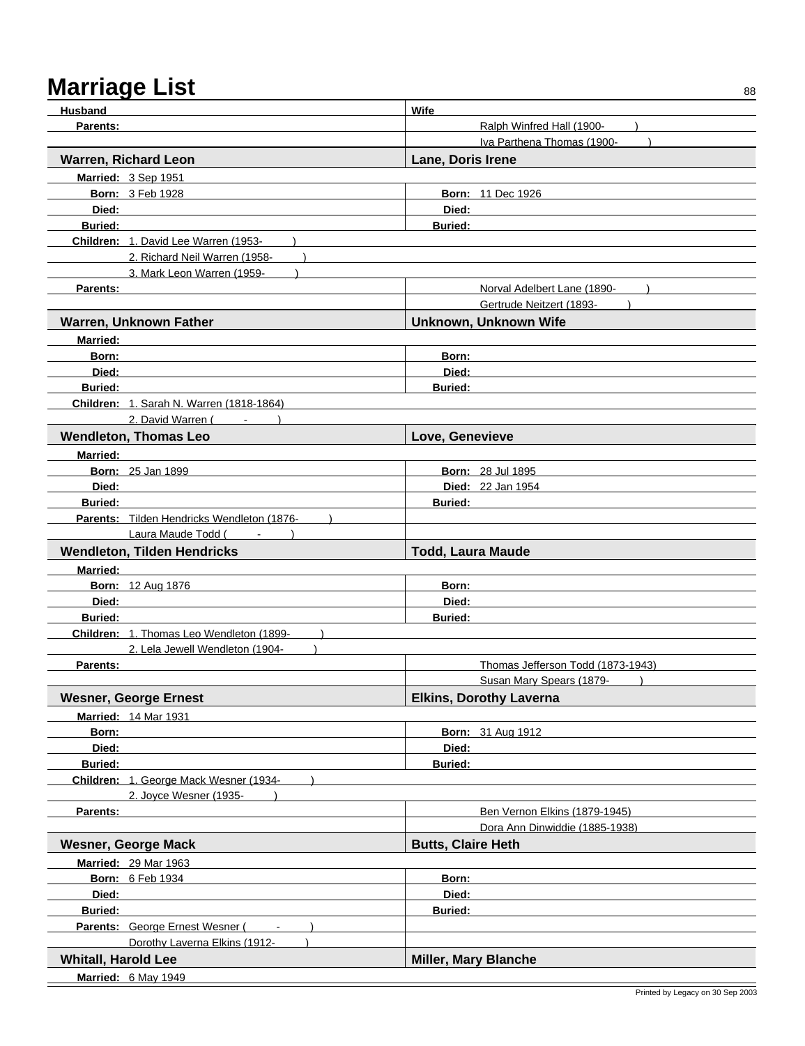| Husband                    |                                            | Wife                              |
|----------------------------|--------------------------------------------|-----------------------------------|
| Parents:                   |                                            | Ralph Winfred Hall (1900-         |
|                            |                                            | Iva Parthena Thomas (1900-        |
|                            | <b>Warren, Richard Leon</b>                | Lane, Doris Irene                 |
|                            | Married: 3 Sep 1951                        |                                   |
|                            | <b>Born: 3 Feb 1928</b>                    | <b>Born: 11 Dec 1926</b>          |
| Died:                      |                                            | Died:                             |
| <b>Buried:</b>             |                                            | <b>Buried:</b>                    |
|                            | Children: 1. David Lee Warren (1953-       |                                   |
|                            | 2. Richard Neil Warren (1958-              |                                   |
|                            | 3. Mark Leon Warren (1959-                 |                                   |
| Parents:                   |                                            | Norval Adelbert Lane (1890-       |
|                            |                                            | Gertrude Neitzert (1893-          |
|                            | Warren, Unknown Father                     | Unknown, Unknown Wife             |
| <b>Married:</b>            |                                            |                                   |
| Born:                      |                                            | Born:                             |
| Died:                      |                                            | Died:                             |
| <b>Buried:</b>             |                                            | <b>Buried:</b>                    |
|                            | Children: 1. Sarah N. Warren (1818-1864)   |                                   |
|                            | 2. David Warren (                          |                                   |
|                            | <b>Wendleton, Thomas Leo</b>               | Love, Genevieve                   |
| <b>Married:</b>            |                                            |                                   |
|                            | <b>Born: 25 Jan 1899</b>                   | <b>Born: 28 Jul 1895</b>          |
| Died:                      |                                            | <b>Died: 22 Jan 1954</b>          |
| <b>Buried:</b>             |                                            | <b>Buried:</b>                    |
|                            | Parents: Tilden Hendricks Wendleton (1876- |                                   |
|                            | Laura Maude Todd (Fig. 1884)               |                                   |
|                            | <b>Wendleton, Tilden Hendricks</b>         | <b>Todd, Laura Maude</b>          |
| <b>Married:</b>            |                                            |                                   |
|                            | <b>Born: 12 Aug 1876</b>                   | Born:                             |
| Died:                      |                                            | Died:                             |
| <b>Buried:</b>             |                                            | <b>Buried:</b>                    |
|                            | Children: 1. Thomas Leo Wendleton (1899-   |                                   |
|                            | 2. Lela Jewell Wendleton (1904-            |                                   |
| Parents:                   |                                            | Thomas Jefferson Todd (1873-1943) |
|                            |                                            | Susan Mary Spears (1879-          |
|                            | <b>Wesner, George Ernest</b>               | <b>Elkins, Dorothy Laverna</b>    |
|                            | <b>Married: 14 Mar 1931</b>                |                                   |
| Born:                      |                                            | <b>Born: 31 Aug 1912</b>          |
| Died:                      |                                            | Died:                             |
| <b>Buried:</b>             |                                            | <b>Buried:</b>                    |
|                            | Children: 1. George Mack Wesner (1934-     |                                   |
|                            | 2. Joyce Wesner (1935-                     |                                   |
| Parents:                   |                                            | Ben Vernon Elkins (1879-1945)     |
|                            |                                            | Dora Ann Dinwiddie (1885-1938)    |
|                            | <b>Wesner, George Mack</b>                 | <b>Butts, Claire Heth</b>         |
|                            | <b>Married: 29 Mar 1963</b>                |                                   |
|                            | <b>Born: 6 Feb 1934</b>                    | Born:                             |
| Died:                      |                                            | Died:                             |
| <b>Buried:</b>             |                                            | <b>Buried:</b>                    |
|                            |                                            |                                   |
|                            | $\sim$                                     |                                   |
|                            | Parents: George Ernest Wesner (            |                                   |
|                            | Dorothy Laverna Elkins (1912-              |                                   |
| <b>Whitall, Harold Lee</b> | Married: 6 May 1949                        | <b>Miller, Mary Blanche</b>       |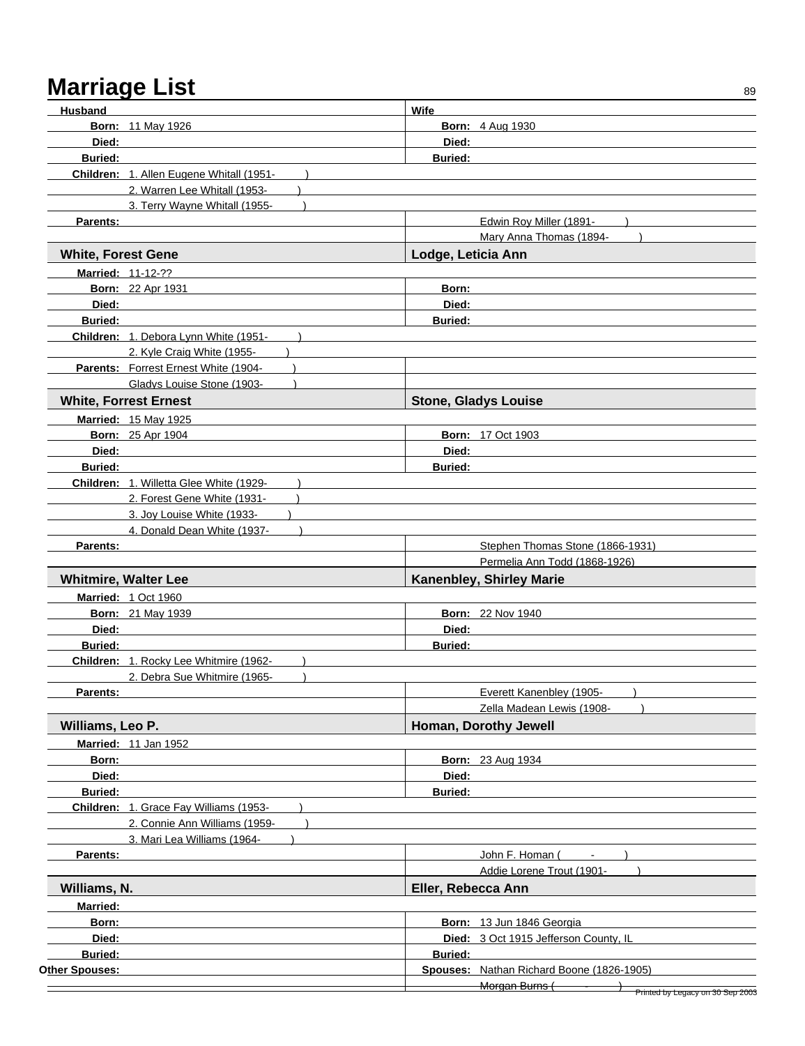| Husband                   |                                          | Wife                                      |
|---------------------------|------------------------------------------|-------------------------------------------|
|                           | <b>Born: 11 May 1926</b>                 | <b>Born: 4 Aug 1930</b>                   |
| Died:                     |                                          | Died:                                     |
| <b>Buried:</b>            |                                          | <b>Buried:</b>                            |
|                           | Children: 1. Allen Eugene Whitall (1951- |                                           |
|                           | 2. Warren Lee Whitall (1953-             |                                           |
|                           | 3. Terry Wayne Whitall (1955-            |                                           |
| Parents:                  |                                          | Edwin Roy Miller (1891-                   |
|                           |                                          | Mary Anna Thomas (1894-                   |
| <b>White, Forest Gene</b> |                                          | Lodge, Leticia Ann                        |
|                           | <b>Married: 11-12-??</b>                 |                                           |
|                           | <b>Born: 22 Apr 1931</b>                 | Born:                                     |
| Died:                     |                                          | Died:                                     |
| <b>Buried:</b>            |                                          | <b>Buried:</b>                            |
|                           | Children: 1. Debora Lynn White (1951-    |                                           |
|                           | 2. Kyle Craig White (1955-               |                                           |
|                           | Parents: Forrest Ernest White (1904-     |                                           |
|                           | Gladys Louise Stone (1903-               |                                           |
|                           | <b>White, Forrest Ernest</b>             | <b>Stone, Gladys Louise</b>               |
|                           | <b>Married: 15 May 1925</b>              |                                           |
|                           | <b>Born: 25 Apr 1904</b>                 | <b>Born: 17 Oct 1903</b>                  |
| Died:                     |                                          | Died:                                     |
| <b>Buried:</b>            |                                          | <b>Buried:</b>                            |
|                           | Children: 1. Willetta Glee White (1929-  |                                           |
|                           | 2. Forest Gene White (1931-              |                                           |
|                           | 3. Joy Louise White (1933-               |                                           |
|                           | 4. Donald Dean White (1937-              |                                           |
| Parents:                  |                                          | Stephen Thomas Stone (1866-1931)          |
|                           |                                          | Permelia Ann Todd (1868-1926)             |
|                           | <b>Whitmire, Walter Lee</b>              | Kanenbley, Shirley Marie                  |
|                           | Married: 1 Oct 1960                      |                                           |
|                           | <b>Born: 21 May 1939</b>                 | <b>Born: 22 Nov 1940</b>                  |
| Died:                     |                                          | Died:                                     |
| <b>Buried:</b>            |                                          | <b>Buried:</b>                            |
|                           | Children: 1. Rocky Lee Whitmire (1962-   |                                           |
|                           | 2. Debra Sue Whitmire (1965-             |                                           |
| Parents:                  |                                          | Everett Kanenbley (1905-<br>$\lambda$     |
|                           |                                          | Zella Madean Lewis (1908-                 |
| Williams, Leo P.          |                                          | Homan, Dorothy Jewell                     |
|                           | <b>Married: 11 Jan 1952</b>              |                                           |
| Born:                     |                                          | <b>Born: 23 Aug 1934</b>                  |
| Died:                     |                                          | Died:                                     |
| <b>Buried:</b>            |                                          | <b>Buried:</b>                            |
|                           | Children: 1. Grace Fay Williams (1953-   |                                           |
|                           | 2. Connie Ann Williams (1959-            |                                           |
|                           | 3. Mari Lea Williams (1964-              |                                           |
| Parents:                  |                                          | John F. Homan (                           |
|                           |                                          | Addie Lorene Trout (1901-                 |
| Williams, N.              |                                          | Eller, Rebecca Ann                        |
| <b>Married:</b>           |                                          |                                           |
| Born:                     |                                          | Born: 13 Jun 1846 Georgia                 |
| Died:                     |                                          | Died: 3 Oct 1915 Jefferson County, IL     |
| Buried:                   |                                          | Buried:                                   |
| Other Spouses:            |                                          | Spouses: Nathan Richard Boone (1826-1905) |
|                           |                                          | Morgan Burns (                            |
|                           |                                          | Printed by Legacy on 30 Sep 2003          |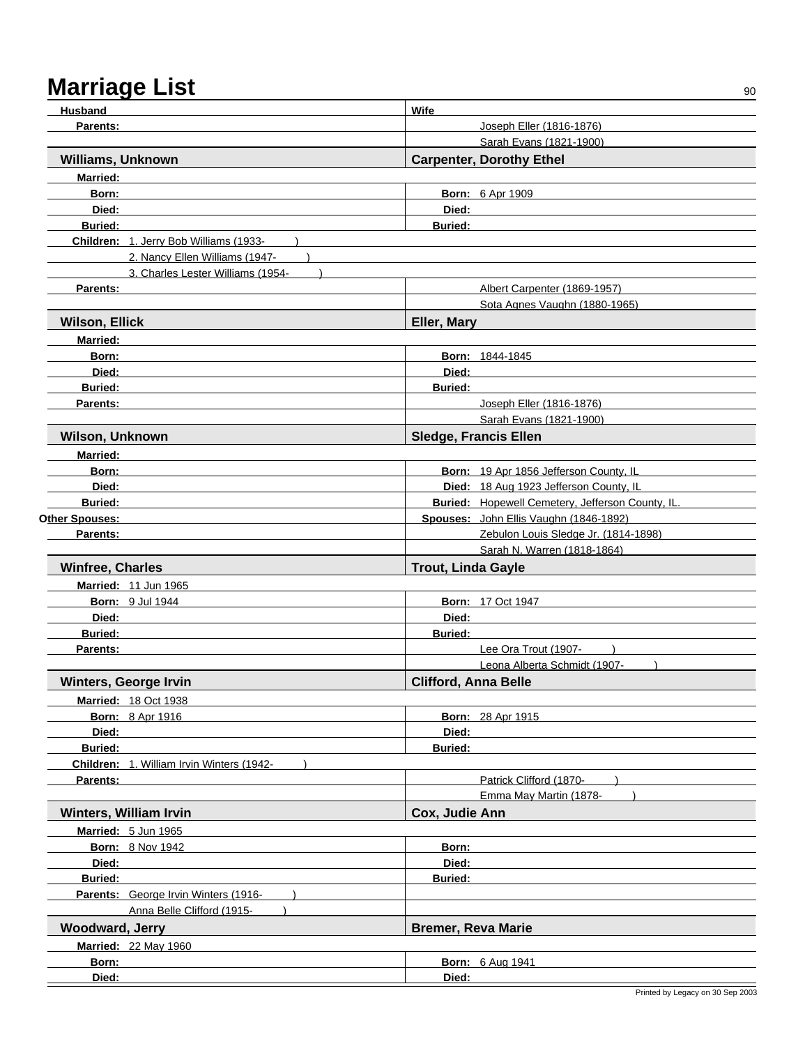| Husband                                   | Wife                                             |
|-------------------------------------------|--------------------------------------------------|
| Parents:                                  | Joseph Eller (1816-1876)                         |
|                                           | Sarah Evans (1821-1900)                          |
| <b>Williams, Unknown</b>                  | <b>Carpenter, Dorothy Ethel</b>                  |
| <b>Married:</b>                           |                                                  |
| Born:                                     | <b>Born: 6 Apr 1909</b>                          |
| Died:                                     | Died:                                            |
| <b>Buried:</b>                            | <b>Buried:</b>                                   |
| Children: 1. Jerry Bob Williams (1933-    |                                                  |
| 2. Nancy Ellen Williams (1947-            |                                                  |
| 3. Charles Lester Williams (1954-         |                                                  |
| <b>Parents:</b>                           | Albert Carpenter (1869-1957)                     |
|                                           | Sota Agnes Vaughn (1880-1965)                    |
| <b>Wilson, Ellick</b>                     | Eller, Mary                                      |
| <b>Married:</b>                           |                                                  |
| Born:                                     | <b>Born: 1844-1845</b>                           |
| Died:                                     | Died:                                            |
| <b>Buried:</b>                            | <b>Buried:</b>                                   |
| Parents:                                  | Joseph Eller (1816-1876)                         |
|                                           | Sarah Evans (1821-1900)                          |
| Wilson, Unknown                           | <b>Sledge, Francis Ellen</b>                     |
| <b>Married:</b>                           |                                                  |
| Born:                                     | Born: 19 Apr 1856 Jefferson County, IL           |
| Died:                                     | Died: 18 Aug 1923 Jefferson County, IL           |
| <b>Buried:</b>                            | Buried: Hopewell Cemetery, Jefferson County, IL. |
| Other Spouses:                            | Spouses: John Ellis Vaughn (1846-1892)           |
| Parents:                                  | Zebulon Louis Sledge Jr. (1814-1898)             |
|                                           | Sarah N. Warren (1818-1864)                      |
| <b>Winfree, Charles</b>                   | <b>Trout, Linda Gayle</b>                        |
| Married: 11 Jun 1965                      |                                                  |
| <b>Born: 9 Jul 1944</b>                   | <b>Born: 17 Oct 1947</b>                         |
| Died:                                     | Died:                                            |
| <b>Buried:</b>                            | <b>Buried:</b>                                   |
| Parents:                                  | Lee Ora Trout (1907-                             |
|                                           | Leona Alberta Schmidt (1907-                     |
| <b>Winters, George Irvin</b>              | <b>Clifford, Anna Belle</b>                      |
| <b>Married: 18 Oct 1938</b>               |                                                  |
| <b>Born: 8 Apr 1916</b>                   | <b>Born: 28 Apr 1915</b>                         |
| Died:                                     | Died:                                            |
| <b>Buried:</b>                            | <b>Buried:</b>                                   |
| Children: 1. William Irvin Winters (1942- |                                                  |
| Parents:                                  | Patrick Clifford (1870-                          |
|                                           | Emma May Martin (1878-                           |
| Winters, William Irvin                    | Cox, Judie Ann                                   |
| Married: 5 Jun 1965                       |                                                  |
| <b>Born: 8 Nov 1942</b>                   | Born:                                            |
| Died:                                     | Died:                                            |
| <b>Buried:</b>                            | <b>Buried:</b>                                   |
| Parents: George Irvin Winters (1916-      |                                                  |
| Anna Belle Clifford (1915-                |                                                  |
| <b>Woodward, Jerry</b>                    | <b>Bremer, Reva Marie</b>                        |
|                                           |                                                  |
| <b>Married: 22 May 1960</b>               |                                                  |
| Born:                                     | <b>Born: 6 Aug 1941</b>                          |